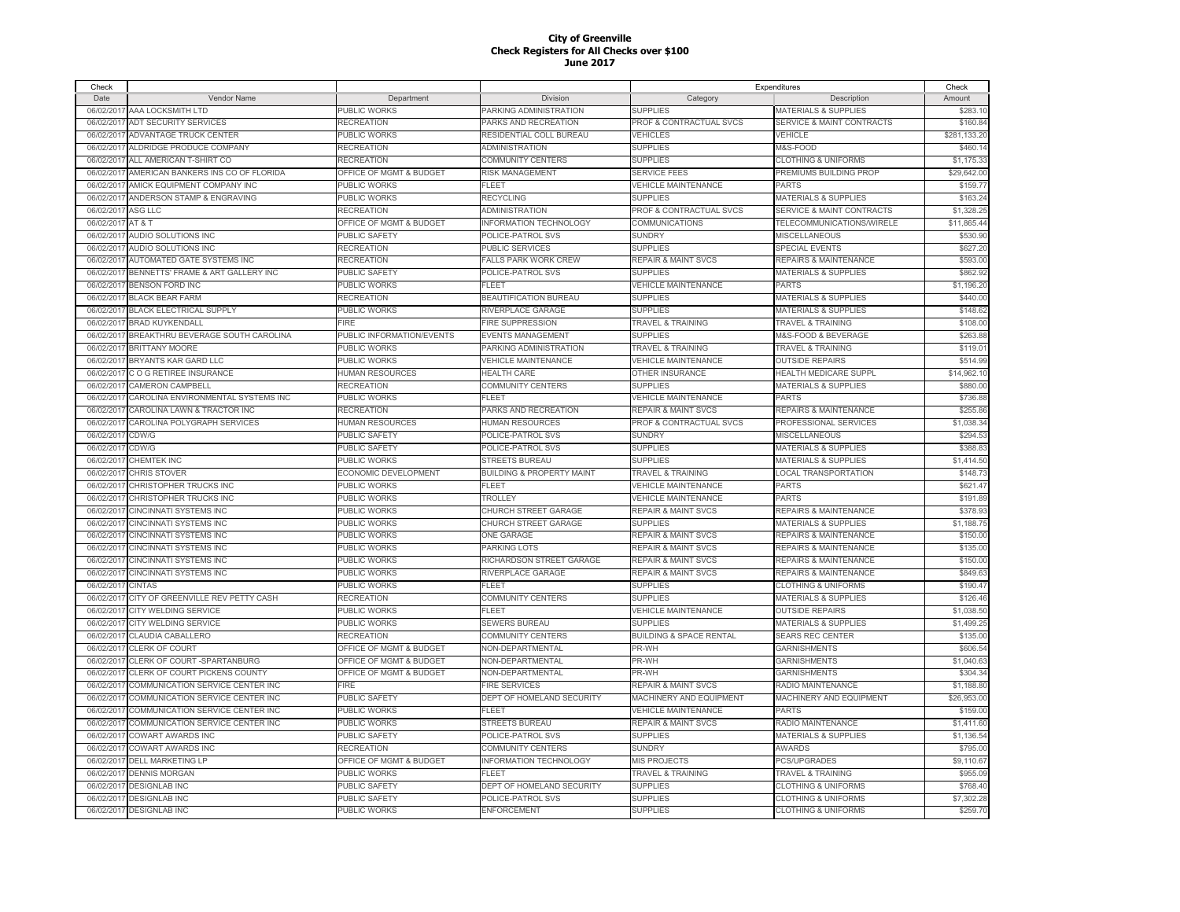| Check      |                                    |                                    |                                      |                                    | Expenditures                         | Check        |
|------------|------------------------------------|------------------------------------|--------------------------------------|------------------------------------|--------------------------------------|--------------|
| Date       | Vendor Name                        | Department                         | Division                             | Category                           | Description                          | Amount       |
| 06/02/201  | AAA LOCKSMITH LTD                  | PUBLIC WORKS                       | PARKING ADMINISTRATION               | <b>SUPPLIES</b>                    | MATERIALS & SUPPLIES                 | \$283.10     |
| 06/02/201  | ADT SECURITY SERVICES              | <b>RECREATION</b>                  | PARKS AND RECREATION                 | PROF & CONTRACTUAL SVCS            | <b>SERVICE &amp; MAINT CONTRACTS</b> | \$160.84     |
| 06/02/201  | ADVANTAGE TRUCK CENTER             | PUBLIC WORKS                       | RESIDENTIAL COLL BUREAU              | VEHICLES                           | VEHICLE                              | \$281,133.20 |
| 06/02/201  | ALDRIDGE PRODUCE COMPANY           | <b>RECREATION</b>                  | ADMINISTRATION                       | <b>SUPPLIES</b>                    | M&S-FOOD                             | \$460.14     |
| 06/02/201  | ALL AMERICAN T-SHIRT CO            | RECREATION                         | COMMUNITY CENTERS                    | <b>SUPPLIES</b>                    | <b>CLOTHING &amp; UNIFORMS</b>       | \$1,175.33   |
| 06/02/201  | AMERICAN BANKERS INS CO OF FLORIDA | <b>OFFICE OF MGMT &amp; BUDGET</b> | <b>RISK MANAGEMENT</b>               | <b>SERVICE FEES</b>                | PREMIUMS BUILDING PROP               | \$29,642.00  |
| 06/02/201  | AMICK EQUIPMENT COMPANY INC        | PUBLIC WORKS                       | FLEET                                | <b>VEHICLE MAINTENANCE</b>         | PARTS                                | \$159.7      |
| 06/02/201  | ANDERSON STAMP & ENGRAVING         | PUBLIC WORKS                       | RECYCLING                            | <b>SUPPLIES</b>                    | MATERIALS & SUPPLIES                 | \$163.24     |
| 06/02/201  | <b>ASG LLC</b>                     | RECREATION                         | ADMINISTRATION                       | PROF & CONTRACTUAL SVCS            | <b>SERVICE &amp; MAINT CONTRACTS</b> | \$1,328.2    |
|            | AT & T                             | OFFICE OF MGMT & BUDGET            | NFORMATION TECHNOLOGY                | COMMUNICATIONS                     | TELECOMMUNICATIONS/WIRELE            | \$11,865.4   |
| 06/02/201  | <b>AUDIO SOLUTIONS INC</b>         |                                    |                                      |                                    | MISCELLANEOUS                        |              |
| 06/02/201  |                                    | PUBLIC SAFETY                      | POLICE-PATROL SVS                    | <b>SUNDRY</b>                      |                                      | \$530.90     |
| 06/02/201  | <b>AUDIO SOLUTIONS INC</b>         | <b>RECREATION</b>                  | PUBLIC SERVICES                      | <b>SUPPLIES</b>                    | <b>SPECIAL EVENTS</b>                | \$627.20     |
| 06/02/201  | AUTOMATED GATE SYSTEMS INC         | <b>RECREATION</b>                  | FALLS PARK WORK CREW                 | <b>REPAIR &amp; MAINT SVCS</b>     | REPAIRS & MAINTENANCE                | \$593.00     |
| 06/02/201  | BENNETTS' FRAME & ART GALLERY INC  | PUBLIC SAFETY                      | POLICE-PATROL SVS                    | <b>SUPPLIES</b>                    | <b>MATERIALS &amp; SUPPLIES</b>      | \$862.92     |
| 06/02/201  | <b>BENSON FORD INC</b>             | PUBLIC WORKS                       | EL FET                               | <b>VEHICLE MAINTENANCE</b>         | PARTS                                | \$1,196.20   |
| 06/02/201  | <b>BLACK BEAR FARM</b>             | RECREATION                         | <b>BEAUTIFICATION BUREAU</b>         | <b>SUPPLIES</b>                    | MATERIALS & SUPPLIES                 | \$440.00     |
| 06/02/201  | <b>BLACK ELECTRICAL SUPPLY</b>     | PUBLIC WORKS                       | <b>RIVERPLACE GARAGE</b>             | <b>SUPPLIES</b>                    | <b>MATERIALS &amp; SUPPLIES</b>      | \$148.62     |
| 06/02/201  | <b>BRAD KUYKENDALL</b>             | <b>FIRE</b>                        | <b>FIRE SUPPRESSION</b>              | <b>TRAVEL &amp; TRAINING</b>       | <b>TRAVEL &amp; TRAINING</b>         | \$108.00     |
| 06/02/201  | BREAKTHRU BEVERAGE SOUTH CAROLINA  | PUBLIC INFORMATION/EVENTS          | <b>EVENTS MANAGEMENT</b>             | <b>SUPPLIES</b>                    | M&S-FOOD & BEVERAGE                  | \$263.88     |
| 06/02/201  | <b>BRITTANY MOORE</b>              | PUBLIC WORKS                       | PARKING ADMINISTRATION               | <b>TRAVEL &amp; TRAINING</b>       | <b>TRAVEL &amp; TRAINING</b>         | \$119.01     |
| 06/02/201  | BRYANTS KAR GARD LLC               | PUBLIC WORKS                       | <b>VEHICLE MAINTENANCE</b>           | <b>VEHICLE MAINTENANCE</b>         | <b>OUTSIDE REPAIRS</b>               | \$514.99     |
| 06/02/201  | COG RETIREE INSURANCE              | <b>HUMAN RESOURCES</b>             | <b>HEALTH CARE</b>                   | OTHER INSURANCE                    | <b>HEALTH MEDICARE SUPPL</b>         | \$14,962.10  |
| 06/02/201  | CAMERON CAMPBELL                   | <b>RECREATION</b>                  | COMMUNITY CENTERS                    | <b>SUPPLIES</b>                    | <b>MATERIALS &amp; SUPPLIES</b>      | \$880.00     |
| 06/02/201  | CAROLINA ENVIRONMENTAL SYSTEMS INC | <b>PUBLIC WORKS</b>                | FI FET                               | <b>VEHICLE MAINTENANCE</b>         | PARTS                                | \$736.88     |
| 06/02/201  | CAROLINA LAWN & TRACTOR INC        | RECREATION                         | PARKS AND RECREATION                 | <b>REPAIR &amp; MAINT SVCS</b>     | <b>REPAIRS &amp; MAINTENANCE</b>     | \$255.86     |
| 06/02/201  | CAROLINA POLYGRAPH SERVICES        | <b>HUMAN RESOURCES</b>             | HUMAN RESOURCES                      | <b>PROF &amp; CONTRACTUAL SVCS</b> | PROFESSIONAL SERVICES                | \$1,038.34   |
| 06/02/201  | CDW/G                              | <b>PUBLIC SAFETY</b>               | POLICE-PATROL SVS                    | <b>SUNDRY</b>                      | <b>MISCELLANEOUS</b>                 | \$294.53     |
| 06/02/201  | CDW/G                              | PUBLIC SAFETY                      | POLICE-PATROL SVS                    | <b>SUPPLIES</b>                    | MATERIALS & SUPPLIES                 | \$388.83     |
| 06/02/2017 | <b>CHEMTEK INC</b>                 | PUBLIC WORKS                       | STREETS BUREAU                       | <b>SUPPLIES</b>                    | MATERIALS & SUPPLIES                 | \$1,414.50   |
| 06/02/2017 | <b>CHRIS STOVER</b>                | ECONOMIC DEVELOPMENT               | <b>BUILDING &amp; PROPERTY MAINT</b> | <b>TRAVEL &amp; TRAINING</b>       | <b>LOCAL TRANSPORTATION</b>          | \$148.73     |
| 06/02/2017 | CHRISTOPHER TRUCKS INC             | PUBLIC WORKS                       | <b>FLEET</b>                         | <b>VEHICLE MAINTENANCE</b>         | PARTS                                | \$621.47     |
| 06/02/201  | CHRISTOPHER TRUCKS INC             | PUBLIC WORKS                       | <b>TROLLEY</b>                       | <b>VEHICLE MAINTENANCE</b>         | PARTS                                | \$191.89     |
| 06/02/201  | <b>CINCINNATI SYSTEMS INC</b>      | PUBLIC WORKS                       | CHURCH STREET GARAGE                 | <b>REPAIR &amp; MAINT SVCS</b>     | <b>REPAIRS &amp; MAINTENANCE</b>     | \$378.93     |
| 06/02/2017 | <b>CINCINNATI SYSTEMS INC</b>      | PUBLIC WORKS                       | CHURCH STREET GARAGE                 | <b>SUPPLIES</b>                    | <b>MATERIALS &amp; SUPPLIES</b>      | \$1,188.75   |
| 06/02/201  | CINCINNATI SYSTEMS INC             | PUBLIC WORKS                       | ONE GARAGE                           | <b>REPAIR &amp; MAINT SVCS</b>     | REPAIRS & MAINTENANCE                | \$150.00     |
| 06/02/201  | <b>CINCINNATI SYSTEMS INC</b>      | PUBLIC WORKS                       | PARKING LOTS                         | <b>REPAIR &amp; MAINT SVCS</b>     | <b>REPAIRS &amp; MAINTENANCE</b>     | \$135.00     |
| 06/02/201  | <b>CINCINNATI SYSTEMS INC</b>      | PUBLIC WORKS                       | RICHARDSON STREET GARAGE             | <b>REPAIR &amp; MAINT SVCS</b>     | <b>REPAIRS &amp; MAINTENANCE</b>     | \$150.00     |
| 06/02/2017 | <b>CINCINNATI SYSTEMS INC</b>      | PUBLIC WORKS                       | RIVERPLACE GARAGE                    | <b>REPAIR &amp; MAINT SVCS</b>     | <b>REPAIRS &amp; MAINTENANCE</b>     | \$849.63     |
| 06/02/201  | <b>CINTAS</b>                      | PUBLIC WORKS                       | FLEET                                | <b>SUPPLIES</b>                    | <b>CLOTHING &amp; UNIFORMS</b>       | \$190.47     |
| 06/02/201  | CITY OF GREENVILLE REV PETTY CASH  | RECREATION                         | COMMUNITY CENTERS                    | <b>SUPPLIES</b>                    | <b>MATERIALS &amp; SUPPLIES</b>      | \$126.46     |
| 06/02/201  | CITY WELDING SERVICE               | PUBLIC WORKS                       | FLEET                                | <b>VEHICLE MAINTENANCE</b>         | <b>OUTSIDE REPAIRS</b>               | \$1,038.50   |
| 06/02/201  |                                    |                                    |                                      |                                    |                                      |              |
|            | CITY WELDING SERVICE               | PUBLIC WORKS                       | <b>SEWERS BUREAU</b>                 | <b>SUPPLIES</b>                    | <b>MATERIALS &amp; SUPPLIES</b>      | \$1,499.2    |
| 06/02/201  | CLAUDIA CABALLERO                  | <b>RECREATION</b>                  | COMMUNITY CENTERS                    | <b>BUILDING &amp; SPACE RENTAL</b> | <b>SEARS REC CENTER</b>              | \$135.00     |
| 06/02/201  | <b>CLERK OF COURT</b>              | <b>OFFICE OF MGMT &amp; BUDGET</b> | <b>NON-DEPARTMENTAL</b>              | PR-WH                              | <b>GARNISHMENTS</b>                  | \$606.54     |
| 06/02/201  | CLERK OF COURT-SPARTANBURG         | OFFICE OF MGMT & BUDGET            | <b>NON-DEPARTMENTAL</b>              | PR-WH                              | <b>GARNISHMENTS</b>                  | \$1,040.63   |
| 06/02/201  | CLERK OF COURT PICKENS COUNTY      | OFFICE OF MGMT & BUDGET            | <b>NON-DEPARTMENTAL</b>              | PR-WH                              | <b>GARNISHMENTS</b>                  | \$304.34     |
| 06/02/201  | COMMUNICATION SERVICE CENTER INC   | FIRE                               | <b>FIRE SERVICES</b>                 | <b>REPAIR &amp; MAINT SVCS</b>     | RADIO MAINTENANCE                    | \$1,188.80   |
| 06/02/201  | COMMUNICATION SERVICE CENTER INC   | PUBLIC SAFETY                      | DEPT OF HOMELAND SECURITY            | <b>MACHINERY AND EQUIPMENT</b>     | MACHINERY AND EQUIPMENT              | \$26,953.00  |
| 06/02/201  | COMMUNICATION SERVICE CENTER INC   | PUBLIC WORKS                       | FI FFT                               | <b>VEHICLE MAINTENANCE</b>         | <b>PARTS</b>                         | \$159.00     |
| 06/02/201  | COMMUNICATION SERVICE CENTER INC   | PUBLIC WORKS                       | <b>STREETS BUREAU</b>                | <b>REPAIR &amp; MAINT SVCS</b>     | RADIO MAINTENANCE                    | \$1,411.60   |
| 06/02/201  | <b>COWART AWARDS INC</b>           | PUBLIC SAFETY                      | POLICE-PATROL SVS                    | <b>SUPPLIES</b>                    | <b>MATERIALS &amp; SUPPLIES</b>      | \$1,136.54   |
| 06/02/201  | <b>COWART AWARDS INC</b>           | RECREATION                         | COMMUNITY CENTERS                    | <b>SUNDRY</b>                      | <b>AWARDS</b>                        | \$795.00     |
| 06/02/201  | DELL MARKETING LP                  | OFFICE OF MGMT & BUDGET            | NFORMATION TECHNOLOGY                | <b>MIS PROJECTS</b>                | PCS/UPGRADES                         | \$9,110.67   |
| 06/02/201  | <b>DENNIS MORGAN</b>               | PUBLIC WORKS                       | FLEET                                | <b>TRAVEL &amp; TRAINING</b>       | <b>TRAVEL &amp; TRAINING</b>         | \$955.09     |
| 06/02/201  | <b>DESIGNLAB INC</b>               | PUBLIC SAFETY                      | DEPT OF HOMELAND SECURITY            | <b>SUPPLIES</b>                    | <b>CLOTHING &amp; UNIFORMS</b>       | \$768.40     |
| 06/02/201  | <b>DESIGNLAB INC</b>               | PUBLIC SAFETY                      | POLICE-PATROL SVS                    | <b>SUPPLIES</b>                    | <b>CLOTHING &amp; UNIFORMS</b>       | \$7,302.28   |
| 06/02/2017 | <b>DESIGNLAB INC</b>               | PUBLIC WORKS                       | ENFORCEMENT                          | <b>SUPPLIES</b>                    | <b>CLOTHING &amp; UNIFORMS</b>       | \$259.70     |
|            |                                    |                                    |                                      |                                    |                                      |              |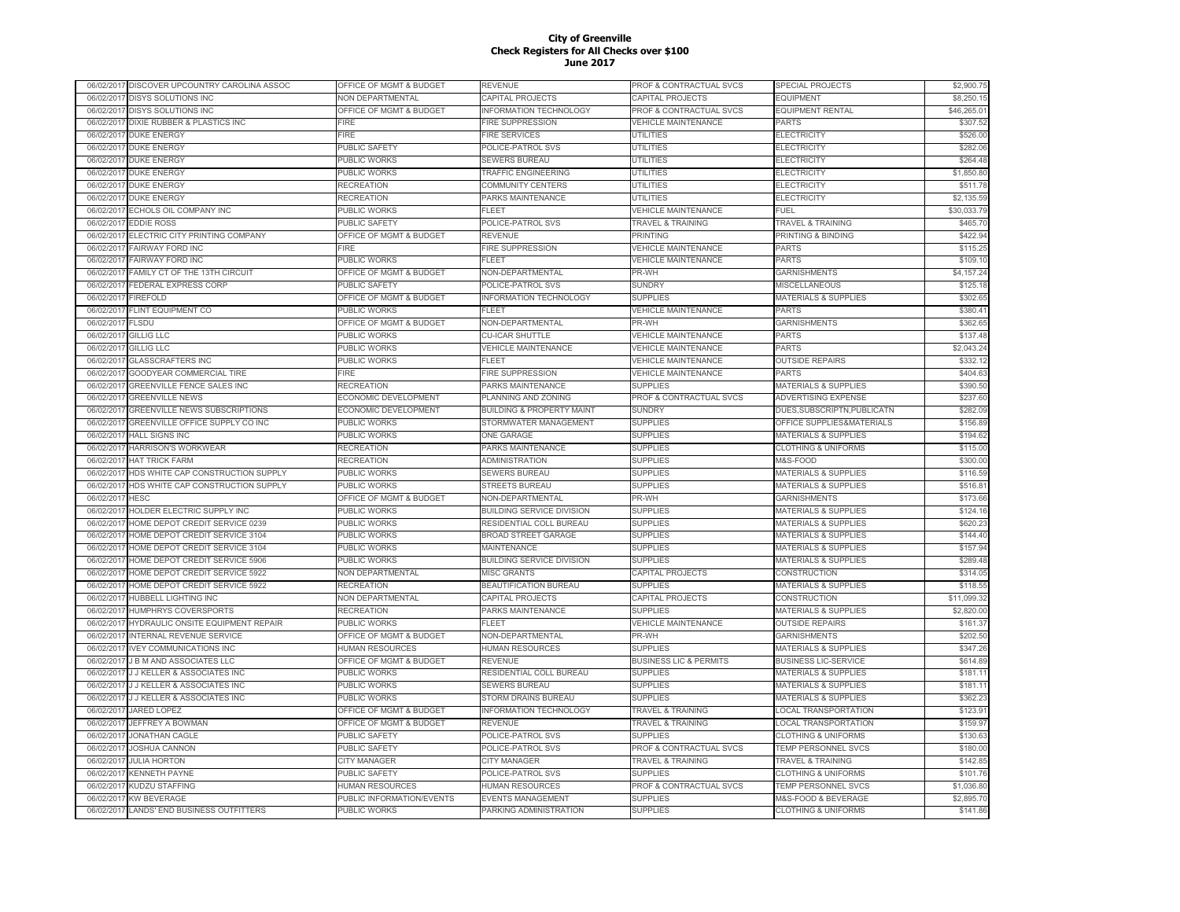|            | 06/02/2017 DISCOVER UPCOUNTRY CAROLINA ASSOC | OFFICE OF MGMT & BUDGET            | REVENUE                              | PROF & CONTRACTUAL SVCS           | SPECIAL PROJECTS                       | \$2,900.75           |
|------------|----------------------------------------------|------------------------------------|--------------------------------------|-----------------------------------|----------------------------------------|----------------------|
| 06/02/2017 | <b>DISYS SOLUTIONS INC</b>                   | <b>NON DEPARTMENTAL</b>            | CAPITAL PROJECTS                     | CAPITAL PROJECTS                  | <b>EQUIPMENT</b>                       | \$8,250.15           |
| 06/02/2017 | <b>DISYS SOLUTIONS INC</b>                   | OFFICE OF MGMT & BUDGET            | <b>INFORMATION TECHNOLOGY</b>        | PROF & CONTRACTUAL SVCS           | <b>EQUIPMENT RENTAL</b>                | \$46,265.01          |
| 06/02/201  | <b>DIXIE RUBBER &amp; PLASTICS INC</b>       | FIRE                               | <b>FIRE SUPPRESSION</b>              | <b>VEHICLE MAINTENANCE</b>        | PARTS                                  | \$307.52             |
| 06/02/2017 | <b>DUKE ENERGY</b>                           | <b>FIRE</b>                        | <b>FIRE SERVICES</b>                 | <b>UTILITIES</b>                  | <b>ELECTRICITY</b>                     | \$526.00             |
| 06/02/201  | <b>DUKE ENERGY</b>                           | PUBLIC SAFETY                      | POLICE-PATROL SVS                    | <b>UTILITIES</b>                  | <b>ELECTRICITY</b>                     | \$282.06             |
| 06/02/201  | <b>DUKE ENERGY</b>                           | PUBLIC WORKS                       | <b>SEWERS BUREAU</b>                 | UTILITIES                         | <b>ELECTRICITY</b>                     | \$264.48             |
| 06/02/201  | <b>DUKE ENERGY</b>                           | PUBLIC WORKS                       | TRAFFIC ENGINEERING                  | <b>UTILITIES</b>                  | <b>ELECTRICITY</b>                     | \$1,850.80           |
| 06/02/2017 | <b>DUKE ENERGY</b>                           | RECREATION                         | COMMUNITY CENTERS                    | UTILITIES                         | <b>ELECTRICITY</b>                     | \$511.78             |
| 06/02/201  | <b>DUKE ENERGY</b>                           | RECREATION                         | PARKS MAINTENANCE                    | UTILITIES                         | <b>ELECTRICITY</b>                     | \$2,135.59           |
| 06/02/2017 | ECHOLS OIL COMPANY INC                       | PUBLIC WORKS                       | FLEET                                | <b>VEHICLE MAINTENANCE</b>        | FUEL                                   | \$30,033.79          |
| 06/02/2017 | <b>EDDIE ROSS</b>                            | PUBLIC SAFETY                      | POLICE-PATROL SVS                    | <b>TRAVEL &amp; TRAINING</b>      | TRAVEL & TRAINING                      | \$465.70             |
| 06/02/2017 | ELECTRIC CITY PRINTING COMPANY               | OFFICE OF MGMT & BUDGET            | <b>REVENUE</b>                       | <b>PRINTING</b>                   | PRINTING & BINDING                     | \$422.94             |
| 06/02/2017 | FAIRWAY FORD INC                             | <b>FIRE</b>                        | <b>FIRE SUPPRESSION</b>              | <b>VEHICLE MAINTENANCE</b>        | PARTS                                  | \$115.25             |
| 06/02/201  | FAIRWAY FORD INC                             | PUBLIC WORKS                       | <b>FLEET</b>                         | <b>VEHICLE MAINTENANCE</b>        | <b>PARTS</b>                           | \$109.10             |
| 06/02/2017 | FAMILY CT OF THE 13TH CIRCUIT                | <b>DFFICE OF MGMT &amp; BUDGET</b> | NON-DEPARTMENTAL                     | PR-WH                             | <b>GARNISHMENTS</b>                    | \$4,157.24           |
| 06/02/201  | <b>FEDERAL EXPRESS CORP</b>                  | PUBLIC SAFETY                      | POLICE-PATROL SVS                    | <b>SUNDRY</b>                     | MISCELLANEOUS                          | \$125.18             |
| 06/02/201  | <b>FIREFOLD</b>                              | <b>DEFICE OF MGMT &amp; BUDGET</b> | <b>INFORMATION TECHNOLOGY</b>        | <b>SUPPLIES</b>                   | <b>MATERIALS &amp; SUPPLIES</b>        | \$302.65             |
| 06/02/201  | <b>FLINT EQUIPMENT CO</b>                    | <b>PUBLIC WORKS</b>                | FI FFT                               | <b>VEHICLE MAINTENANCE</b>        | <b>PARTS</b>                           | \$380.41             |
| 06/02/2017 | <b>FLSDU</b>                                 | OFFICE OF MGMT & BUDGET            | NON-DEPARTMENTAL                     | PR-WH                             | <b>GARNISHMENTS</b>                    | \$362.65             |
| 06/02/201  | GILLIG LLC                                   | PUBLIC WORKS                       | <b>CU-ICAR SHUTTLE</b>               | <b>VEHICLE MAINTENANCE</b>        | <b>PARTS</b>                           | \$137.48             |
|            | <b>GILLIG LLC</b>                            | PUBLIC WORKS                       | <b>VEHICLE MAINTENANCE</b>           | <b>VEHICLE MAINTENANCE</b>        | <b>PARTS</b>                           | \$2,043.24           |
| 06/02/2017 |                                              |                                    | FLEET                                |                                   |                                        |                      |
| 06/02/201  | <b>GLASSCRAFTERS INC</b>                     | PUBLIC WORKS                       |                                      | <b>VEHICLE MAINTENANCE</b>        | <b>OUTSIDE REPAIRS</b><br><b>PARTS</b> | \$332.12<br>\$404.63 |
| 06/02/2017 | GOODYEAR COMMERCIAL TIRE                     | FIRE                               | FIRE SUPPRESSION                     | <b>VEHICLE MAINTENANCE</b>        |                                        |                      |
| 06/02/2017 | <b>GREENVILLE FENCE SALES INC</b>            | <b>RECREATION</b>                  | PARKS MAINTENANCE                    | <b>SUPPLIES</b>                   | MATERIALS & SUPPLIES                   | \$390.50             |
| 06/02/2017 | <b>GREENVILLE NEWS</b>                       | ECONOMIC DEVELOPMENT               | PLANNING AND ZONING                  | PROF & CONTRACTUAL SVCS           | ADVERTISING EXPENSE                    | \$237.60             |
| 06/02/2017 | <b>GREENVILLE NEWS SUBSCRIPTIONS</b>         | ECONOMIC DEVELOPMENT               | <b>BUILDING &amp; PROPERTY MAINT</b> | <b>SUNDRY</b>                     | DUES, SUBSCRIPTN, PUBLICATN            | \$282.09             |
| 06/02/2017 | GREENVILLE OFFICE SUPPLY CO INC              | PUBLIC WORKS                       | STORMWATER MANAGEMENT                | <b>SUPPLIES</b>                   | OFFICE SUPPLIES&MATERIALS              | \$156.89             |
| 06/02/201  | <b>HALL SIGNS INC</b>                        | PUBLIC WORKS                       | <b>ONE GARAGE</b>                    | <b>SUPPLIES</b>                   | <b>MATERIALS &amp; SUPPLIES</b>        | \$194.62             |
| 06/02/201  | HARRISON'S WORKWEAR                          | <b>RECREATION</b>                  | PARKS MAINTENANCE                    | <b>SUPPLIES</b>                   | <b>CLOTHING &amp; UNIFORMS</b>         | \$115.00             |
| 06/02/201  | <b>HAT TRICK FARM</b>                        | RECREATION                         | ADMINISTRATION                       | <b>SUPPLIES</b>                   | M&S-FOOD                               | \$300.00             |
| 06/02/201  | HDS WHITE CAP CONSTRUCTION SUPPLY            | PUBLIC WORKS                       | SEWERS BUREAU                        | <b>SUPPLIES</b>                   | <b>MATERIALS &amp; SUPPLIES</b>        | \$116.59             |
| 06/02/201  | HDS WHITE CAP CONSTRUCTION SUPPLY            | PUBLIC WORKS                       | <b>STREETS BUREAU</b>                | <b>SUPPLIES</b>                   | <b>MATERIALS &amp; SUPPLIES</b>        | \$516.81             |
| 06/02/201  | <b>HESC</b>                                  | OFFICE OF MGMT & BUDGET            | NON-DEPARTMENTAL                     | PR-WH                             | <b>GARNISHMENTS</b>                    | \$173.66             |
| 06/02/2017 | HOLDER ELECTRIC SUPPLY INC                   | PUBLIC WORKS                       | <b>BUILDING SERVICE DIVISION</b>     | <b>SUPPLIES</b>                   | <b>MATERIALS &amp; SUPPLIES</b>        | \$124.16             |
| 06/02/201  | HOME DEPOT CREDIT SERVICE 0239               | PUBLIC WORKS                       | RESIDENTIAL COLL BUREAU              | <b>SUPPLIES</b>                   | <b>MATERIALS &amp; SUPPLIES</b>        | \$620.23             |
| 06/02/2017 | HOME DEPOT CREDIT SERVICE 3104               | <b>PUBLIC WORKS</b>                | <b>BROAD STREET GARAGE</b>           | <b>SUPPLIES</b>                   | <b>MATERIALS &amp; SUPPLIES</b>        | \$144.40             |
| 06/02/2017 | HOME DEPOT CREDIT SERVICE 3104               | PUBLIC WORKS                       | MAINTENANCE                          | <b>SUPPLIES</b>                   | MATERIALS & SUPPLIES                   | \$157.94             |
| 06/02/2017 | HOME DEPOT CREDIT SERVICE 5906               | PUBLIC WORKS                       | <b>BUILDING SERVICE DIVISION</b>     | <b>SUPPLIES</b>                   | MATERIALS & SUPPLIES                   | \$289.48             |
| 06/02/2017 | HOME DEPOT CREDIT SERVICE 5922               | NON DEPARTMENTAL                   | MISC GRANTS                          | CAPITAL PROJECTS                  | CONSTRUCTION                           | \$314.05             |
| 06/02/201  | HOME DEPOT CREDIT SERVICE 5922               | <b>RECREATION</b>                  | BEAUTIFICATION BUREAU                | <b>SUPPLIES</b>                   | <b>MATERIALS &amp; SUPPLIES</b>        | \$118.55             |
| 06/02/2017 | HUBBELL LIGHTING INC                         | NON DEPARTMENTAL                   | CAPITAL PROJECTS                     | CAPITAL PROJECTS                  | CONSTRUCTION                           | \$11,099.32          |
| 06/02/201  | HUMPHRYS COVERSPORTS                         | RECREATION                         | PARKS MAINTENANCE                    | <b>SUPPLIES</b>                   | <b>MATERIALS &amp; SUPPLIES</b>        | \$2,820.00           |
| 06/02/201  | HYDRAULIC ONSITE EQUIPMENT REPAIR            | PUBLIC WORKS                       | FL FET                               | <b>VEHICLE MAINTENANCE</b>        | <b>OUTSIDE REPAIRS</b>                 | \$161.37             |
| 06/02/201  | <b>INTERNAL REVENUE SERVICE</b>              | OFFICE OF MGMT & BUDGET            | NON-DEPARTMENTAL                     | PR-WH                             | <b>GARNISHMENTS</b>                    | \$202.50             |
| 06/02/201  | <b>IVEY COMMUNICATIONS INC</b>               | <b>HUMAN RESOURCES</b>             | <b>HUMAN RESOURCES</b>               | <b>SUPPLIES</b>                   | <b>MATERIALS &amp; SUPPLIES</b>        | \$347.26             |
| 06/02/201  | <b>J B M AND ASSOCIATES LLC</b>              | OFFICE OF MGMT & BUDGET            | REVENUE                              | <b>BUSINESS LIC &amp; PERMITS</b> | <b>BUSINESS LIC-SERVICE</b>            | \$614.89             |
| 06/02/2017 | <b>J J KELLER &amp; ASSOCIATES INC</b>       | PUBLIC WORKS                       | RESIDENTIAL COLL BUREAU              | <b>SUPPLIES</b>                   | <b>MATERIALS &amp; SUPPLIES</b>        | \$181.11             |
| 06/02/201  | <b>J J KELLER &amp; ASSOCIATES INC</b>       | <b>PUBLIC WORKS</b>                | <b>SEWERS BUREAU</b>                 | <b>SUPPLIES</b>                   | <b>MATERIALS &amp; SUPPLIES</b>        | \$181.11             |
| 06/02/2017 | <b>J J KELLER &amp; ASSOCIATES INC</b>       | PUBLIC WORKS                       | STORM DRAINS BUREAU                  | <b>SUPPLIES</b>                   | <b>MATERIALS &amp; SUPPLIES</b>        | \$362.23             |
| 06/02/2017 | <b>JARED LOPEZ</b>                           | OFFICE OF MGMT & BUDGET            | <b>INFORMATION TECHNOLOGY</b>        | <b>TRAVEL &amp; TRAINING</b>      | <b>LOCAL TRANSPORTATION</b>            | \$123.91             |
| 06/02/2017 | JEFFREY A BOWMAN                             | OFFICE OF MGMT & BUDGET            | REVENUE                              | <b>TRAVEL &amp; TRAINING</b>      | LOCAL TRANSPORTATION                   | \$159.97             |
| 06/02/2017 | <b>JONATHAN CAGLE</b>                        | PUBLIC SAFETY                      | POLICE-PATROL SVS                    | <b>SUPPLIES</b>                   | <b>CLOTHING &amp; UNIFORMS</b>         | \$130.63             |
| 06/02/2017 | <b>JOSHUA CANNON</b>                         | PUBLIC SAFETY                      | POLICE-PATROL SVS                    | PROF & CONTRACTUAL SVCS           | TEMP PERSONNEL SVCS                    | \$180.00             |
| 06/02/2017 | <b>JULIA HORTON</b>                          | <b>CITY MANAGER</b>                | <b>CITY MANAGER</b>                  | <b>TRAVEL &amp; TRAINING</b>      | TRAVEL & TRAINING                      | \$142.85             |
| 06/02/201  | <b>KENNETH PAYNE</b>                         | PUBLIC SAFETY                      | POLICE-PATROL SVS                    | <b>SUPPLIES</b>                   | <b>CLOTHING &amp; UNIFORMS</b>         | \$101.76             |
| 06/02/201  | <b>KUDZU STAFFING</b>                        | <b>HUMAN RESOURCES</b>             | <b>HUMAN RESOURCES</b>               | PROF & CONTRACTUAL SVCS           | <b>TEMP PERSONNEL SVCS</b>             | \$1,036.80           |
| 06/02/201  | <b>KW BEVERAGE</b>                           | PUBLIC INFORMATION/EVENTS          | <b>EVENTS MANAGEMENT</b>             | <b>SUPPLIES</b>                   | M&S-FOOD & BEVERAGE                    | \$2,895.70           |
|            | 06/02/2017 LANDS' END BUSINESS OUTFITTERS    | PUBLIC WORKS                       | PARKING ADMINISTRATION               | <b>SUPPLIES</b>                   | <b>CLOTHING &amp; UNIFORMS</b>         | \$141.86             |
|            |                                              |                                    |                                      |                                   |                                        |                      |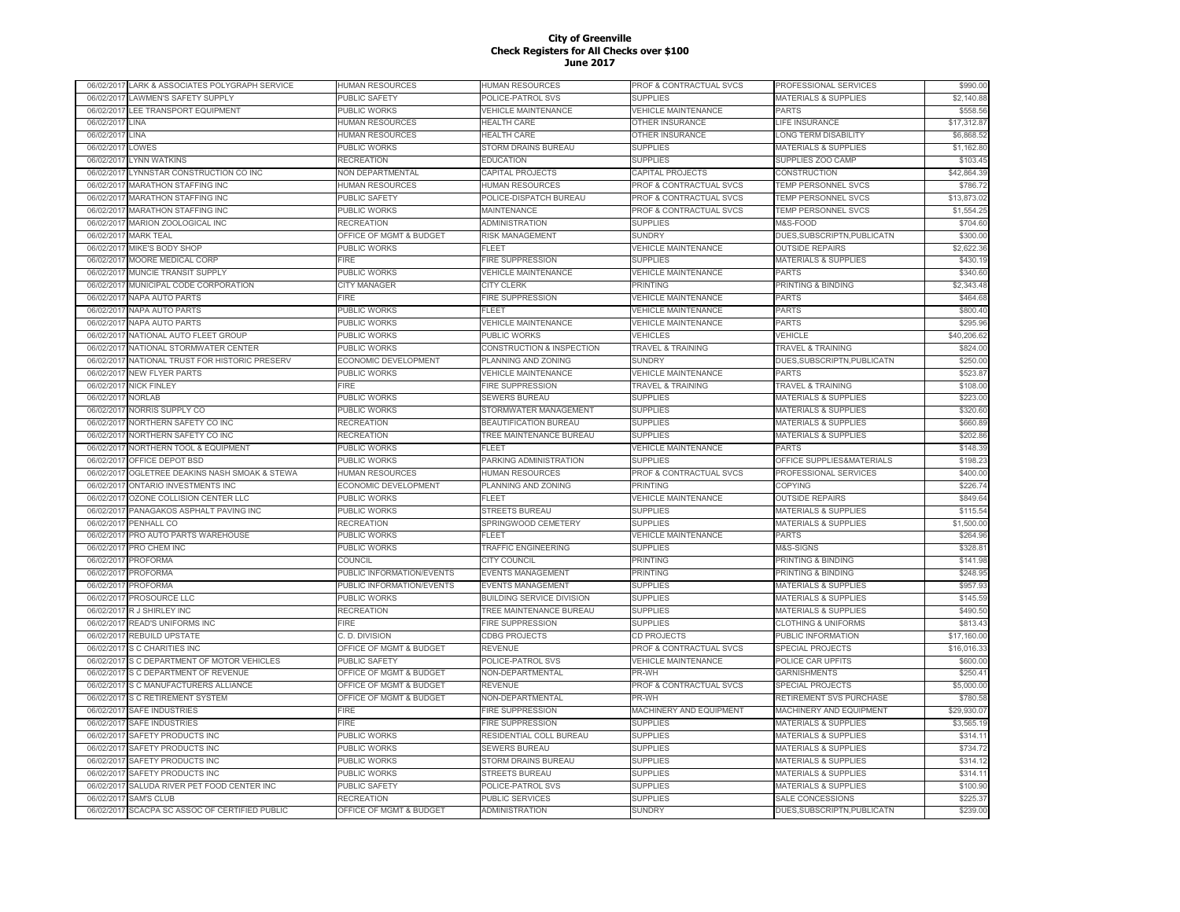|            | 06/02/2017 LARK & ASSOCIATES POLYGRAPH SERVICE | HUMAN RESOURCES             | HUMAN RESOURCES                  | PROF & CONTRACTUAL SVCS            | PROFESSIONAL SERVICES           | \$990.00    |
|------------|------------------------------------------------|-----------------------------|----------------------------------|------------------------------------|---------------------------------|-------------|
| 06/02/2017 | <b>LAWMEN'S SAFETY SUPPLY</b>                  | PUBLIC SAFETY               | POLICE-PATROL SVS                | <b>SUPPLIES</b>                    | <b>MATERIALS &amp; SUPPLIES</b> | \$2,140.88  |
| 06/02/2017 | LEE TRANSPORT EQUIPMENT                        | <b>UBLIC WORKS</b>          | <b>/EHICLE MAINTENANCE</b>       | <b>VEHICLE MAINTENANCE</b>         | <b>PARTS</b>                    | \$558.56    |
| 06/02/201  | LINA                                           | <b>HUMAN RESOURCES</b>      | <b>HEALTH CARE</b>               | <b>OTHER INSURANCE</b>             | LIFE INSURANCE                  | \$17,312.87 |
| 06/02/201  | LINA                                           | <b>IUMAN RESOURCES</b>      | <b>HEALTH CARE</b>               | OTHER INSURANCE                    | LONG TERM DISABILITY            | \$6,868.52  |
| 06/02/201  | <b>LOWES</b>                                   | PUBLIC WORKS                | STORM DRAINS BUREAU              | <b>SUPPLIES</b>                    | <b>MATERIALS &amp; SUPPLIES</b> | \$1,162.80  |
| 06/02/201  | YNN WATKINS                                    | <b>RECREATION</b>           | <b>EDUCATION</b>                 | SUPPLIES                           | SUPPLIES ZOO CAMP               | \$103.45    |
| 06/02/201  | YNNSTAR CONSTRUCTION CO INC                    | NON DEPARTMENTAL            | CAPITAL PROJECTS                 | CAPITAL PROJECTS                   | CONSTRUCTION                    | \$42,864.39 |
| 06/02/201  | <b>MARATHON STAFFING INC</b>                   | <b>IUMAN RESOURCES</b>      | <b>HUMAN RESOURCES</b>           | PROF & CONTRACTUAL SVCS            | TEMP PERSONNEL SVCS             | \$786.72    |
| 06/02/201  | <b>MARATHON STAFFING INC</b>                   | PUBLIC SAFETY               | POLICE-DISPATCH BUREAU           | PROF & CONTRACTUAL SVCS            | TEMP PERSONNEL SVCS             | \$13,873.02 |
| 06/02/2017 | <b>MARATHON STAFFING INC</b>                   | PUBLIC WORKS                | MAINTENANCE                      | PROF & CONTRACTUAL SVCS            | TEMP PERSONNEL SVCS             | \$1,554.25  |
| 06/02/2017 | MARION ZOOLOGICAL INC                          | <b>RECREATION</b>           | <b>ADMINISTRATION</b>            | <b>SUPPLIES</b>                    | M&S-FOOD                        | \$704.60    |
| 06/02/2017 | <b>MARK TEAL</b>                               | OFFICE OF MGMT & BUDGET     | <b>RISK MANAGEMENT</b>           | <b>SUNDRY</b>                      | DUES, SUBSCRIPTN, PUBLICATN     | \$300.00    |
| 06/02/2017 | MIKE'S BODY SHOP                               | PUBLIC WORKS                | FLEET                            | <b>VEHICLE MAINTENANCE</b>         | <b>OUTSIDE REPAIRS</b>          | \$2,622.36  |
|            | MOORE MEDICAL CORP                             | <b>FIRE</b>                 | <b>FIRE SUPPRESSION</b>          | <b>SUPPLIES</b>                    | <b>MATERIALS &amp; SUPPLIES</b> | \$430.19    |
| 06/02/201  |                                                |                             |                                  |                                    |                                 |             |
| 06/02/201  | MUNCIE TRANSIT SUPPLY                          | PUBLIC WORKS                | <b>VEHICLE MAINTENANCE</b>       | <b>VEHICLE MAINTENANCE</b>         | <b>PARTS</b>                    | \$340.60    |
| 06/02/201  | MUNICIPAL CODE CORPORATION                     | <b>CITY MANAGER</b>         | <b>CITY CLERK</b>                | PRINTING                           | PRINTING & BINDING              | \$2,343.48  |
| 06/02/201  | <b>NAPA AUTO PARTS</b>                         | <b>FIRE</b>                 | <b>FIRE SUPPRESSION</b>          | <b>VEHICLE MAINTENANCE</b>         | <b>PARTS</b>                    | \$464.68    |
| 06/02/201  | NAPA AUTO PARTS                                | PUBLIC WORKS                | FLEET                            | <b>VEHICLE MAINTENANCE</b>         | PARTS                           | \$800.40    |
| 06/02/201  | <b>NAPA AUTO PARTS</b>                         | PUBLIC WORKS                | <b>VEHICLE MAINTENANCE</b>       | <b>VEHICLE MAINTENANCE</b>         | <b>PARTS</b>                    | \$295.96    |
| 06/02/201  | NATIONAL AUTO FLEET GROUP                      | PUBLIC WORKS                | PUBLIC WORKS                     | VEHICLES                           | VEHICLE                         | \$40,206.62 |
| 06/02/201  | NATIONAL STORMWATER CENTER                     | PUBLIC WORKS                | CONSTRUCTION & INSPECTION        | <b>TRAVEL &amp; TRAINING</b>       | <b>TRAVEL &amp; TRAINING</b>    | \$824.00    |
| 06/02/201  | NATIONAL TRUST FOR HISTORIC PRESERV            | ECONOMIC DEVELOPMENT        | PLANNING AND ZONING              | <b>SUNDRY</b>                      | DUES, SUBSCRIPTN, PUBLICATN     | \$250.00    |
| 06/02/2017 | <b>NEW FLYER PARTS</b>                         | <b>PUBLIC WORKS</b>         | <b>VEHICLE MAINTENANCE</b>       | <b>VEHICLE MAINTENANCE</b>         | <b>PARTS</b>                    | \$523.87    |
| 06/02/2017 | <b>NICK FINLEY</b>                             | FIRE                        | <b>FIRE SUPPRESSION</b>          | <b>TRAVEL &amp; TRAINING</b>       | <b>TRAVEL &amp; TRAINING</b>    | \$108.00    |
| 06/02/2017 | <b>NORLAB</b>                                  | <b>PUBLIC WORKS</b>         | SEWERS BUREAU                    | <b>SUPPLIES</b>                    | <b>MATERIALS &amp; SUPPLIES</b> | \$223.00    |
| 06/02/2017 | NORRIS SUPPLY CO                               | PUBLIC WORKS                | STORMWATER MANAGEMENT            | <b>SUPPLIES</b>                    | <b>MATERIALS &amp; SUPPLIES</b> | \$320.60    |
| 06/02/2017 | NORTHERN SAFETY CO INC                         | RECREATION                  | BEAUTIFICATION BUREAU            | <b>SUPPLIES</b>                    | MATERIALS & SUPPLIES            | \$660.89    |
| 06/02/201  | NORTHERN SAFETY CO INC                         | RECREATION                  | <b>TREE MAINTENANCE BUREAU</b>   | <b>SUPPLIES</b>                    | <b>MATERIALS &amp; SUPPLIES</b> | \$202.86    |
| 06/02/201  | NORTHERN TOOL & EQUIPMENT                      | PUBLIC WORKS                | <b>FLEET</b>                     | <b>VEHICLE MAINTENANCE</b>         | <b>PARTS</b>                    | \$148.39    |
| 06/02/201  | OFFICE DEPOT BSD                               | PUBLIC WORKS                | PARKING ADMINISTRATION           | <b>SUPPLIES</b>                    | OFFICE SUPPLIES&MATERIALS       | \$198.23    |
| 06/02/201  | OGLETREE DEAKINS NASH SMOAK & STEWA            | <b>HUMAN RESOURCES</b>      | <b>HUMAN RESOURCES</b>           | PROF & CONTRACTUAL SVCS            | PROFESSIONAL SERVICES           | \$400.00    |
| 06/02/201  | ONTARIO INVESTMENTS INC                        | <b>ECONOMIC DEVELOPMENT</b> | PLANNING AND ZONING              | <b>PRINTING</b>                    | <b>COPYING</b>                  | \$226.74    |
| 06/02/201  | OZONE COLLISION CENTER LLC                     | PUBLIC WORKS                | FLEET                            | <b>VEHICLE MAINTENANCE</b>         | <b>OUTSIDE REPAIRS</b>          | \$849.64    |
| 06/02/2017 | PANAGAKOS ASPHALT PAVING INC                   | PUBLIC WORKS                | <b>STREETS BUREAU</b>            | <b>SUPPLIES</b>                    | <b>MATERIALS &amp; SUPPLIES</b> | \$115.54    |
| 06/02/201  | PENHALL CO                                     | RECREATION                  | SPRINGWOOD CEMETERY              | <b>SUPPLIES</b>                    | <b>MATERIALS &amp; SUPPLIES</b> | \$1,500.00  |
| 06/02/2017 | PRO AUTO PARTS WAREHOUSE                       | <b>PUBLIC WORKS</b>         | FI FFT                           | <b>VEHICLE MAINTENANCE</b>         | <b>PARTS</b>                    | \$264.96    |
| 06/02/2017 | PRO CHEM INC                                   | PUBLIC WORKS                | TRAFFIC ENGINEERING              | <b>SUPPLIES</b>                    | M&S-SIGNS                       | \$328.81    |
| 06/02/2017 | <b>PROFORMA</b>                                | COUNCIL                     | <b>CITY COUNCIL</b>              | <b>PRINTING</b>                    | PRINTING & BINDING              | \$141.98    |
| 06/02/2017 | <b>PROFORMA</b>                                | PUBLIC INFORMATION/EVENTS   | <b>EVENTS MANAGEMENT</b>         | <b>PRINTING</b>                    | PRINTING & BINDING              | \$248.95    |
| 06/02/201  | <b>PROFORMA</b>                                | PUBLIC INFORMATION/EVENTS   | <b>EVENTS MANAGEMENT</b>         | <b>SUPPLIES</b>                    | <b>MATERIALS &amp; SUPPLIES</b> | \$957.93    |
| 06/02/201  | <b>PROSOURCE LLC</b>                           | PUBLIC WORKS                | <b>BUILDING SERVICE DIVISION</b> | <b>SUPPLIES</b>                    | <b>MATERIALS &amp; SUPPLIES</b> | \$145.59    |
|            |                                                |                             |                                  |                                    |                                 | \$490.50    |
| 06/02/201  | R J SHIRLEY INC                                | RECREATION                  | TREE MAINTENANCE BUREAU          | <b>SUPPLIES</b>                    | <b>MATERIALS &amp; SUPPLIES</b> |             |
| 06/02/201  | <b>READ'S UNIFORMS INC</b>                     | <b>FIRE</b>                 | <b>FIRE SUPPRESSION</b>          | <b>SUPPLIES</b>                    | <b>CLOTHING &amp; UNIFORMS</b>  | \$813.43    |
| 06/02/201  | REBUILD UPSTATE                                | C. D. DIVISION              | <b>CDBG PROJECTS</b>             | CD PROJECTS                        | PUBLIC INFORMATION              | \$17,160.00 |
| 06/02/2017 | S C CHARITIES INC                              | OFFICE OF MGMT & BUDGET     | REVENUE                          | <b>PROF &amp; CONTRACTUAL SVCS</b> | <b>SPECIAL PROJECTS</b>         | \$16,016.33 |
| 06/02/201  | S C DEPARTMENT OF MOTOR VEHICLES               | PUBLIC SAFETY               | POLICE-PATROL SVS                | <b>VEHICLE MAINTENANCE</b>         | POLICE CAR UPFITS               | \$600.00    |
| 06/02/2017 | S C DEPARTMENT OF REVENUE                      | OFFICE OF MGMT & BUDGET     | NON-DEPARTMENTAL                 | PR-WH                              | <b>GARNISHMENTS</b>             | \$250.41    |
| 06/02/201  | S C MANUFACTURERS ALLIANCE                     | OFFICE OF MGMT & BUDGET     | REVENUE                          | PROF & CONTRACTUAL SVCS            | <b>SPECIAL PROJECTS</b>         | \$5,000.00  |
| 06/02/2017 | S C RETIREMENT SYSTEM                          | OFFICE OF MGMT & BUDGET     | NON-DEPARTMENTAL                 | PR-WH                              | RETIREMENT SVS PURCHASE         | \$780.58    |
| 06/02/2017 | <b>SAFE INDUSTRIES</b>                         | FIRE                        | <b>FIRE SUPPRESSION</b>          | MACHINERY AND EQUIPMENT            | MACHINERY AND EQUIPMENT         | \$29,930.07 |
| 06/02/2017 | <b>SAFE INDUSTRIES</b>                         | FIRE                        | <b>FIRE SUPPRESSION</b>          | <b>SUPPLIES</b>                    | <b>MATERIALS &amp; SUPPLIES</b> | \$3,565.19  |
| 06/02/2017 | SAFETY PRODUCTS INC                            | PUBLIC WORKS                | RESIDENTIAL COLL BUREAU          | <b>SUPPLIES</b>                    | <b>MATERIALS &amp; SUPPLIES</b> | \$314.11    |
| 06/02/2017 | SAFETY PRODUCTS INC                            | PUBLIC WORKS                | SEWERS BUREAU                    | <b>SUPPLIES</b>                    | <b>MATERIALS &amp; SUPPLIES</b> | \$734.72    |
| 06/02/2017 | SAFETY PRODUCTS INC                            | PUBLIC WORKS                | STORM DRAINS BUREAU              | <b>SUPPLIES</b>                    | <b>MATERIALS &amp; SUPPLIES</b> | \$314.12    |
| 06/02/201  | SAFETY PRODUCTS INC                            | PUBLIC WORKS                | STREETS BUREAU                   | <b>SUPPLIES</b>                    | <b>MATERIALS &amp; SUPPLIES</b> | \$314.11    |
| 06/02/201  | SALUDA RIVER PET FOOD CENTER INC               | PUBLIC SAFETY               | POLICE-PATROL SVS                | <b>SUPPLIES</b>                    | <b>MATERIALS &amp; SUPPLIES</b> | \$100.90    |
| 06/02/201  | <b>SAM'S CLUB</b>                              | <b>RECREATION</b>           | <b>PUBLIC SERVICES</b>           | <b>SUPPLIES</b>                    | <b>SALE CONCESSIONS</b>         | \$225.37    |
|            | 06/02/2017 SCACPA SC ASSOC OF CERTIFIED PUBLIC | OFFICE OF MGMT & BUDGET     | <b>ADMINISTRATION</b>            | SUNDRY                             | DUES, SUBSCRIPTN, PUBLICATN     | \$239.00    |
|            |                                                |                             |                                  |                                    |                                 |             |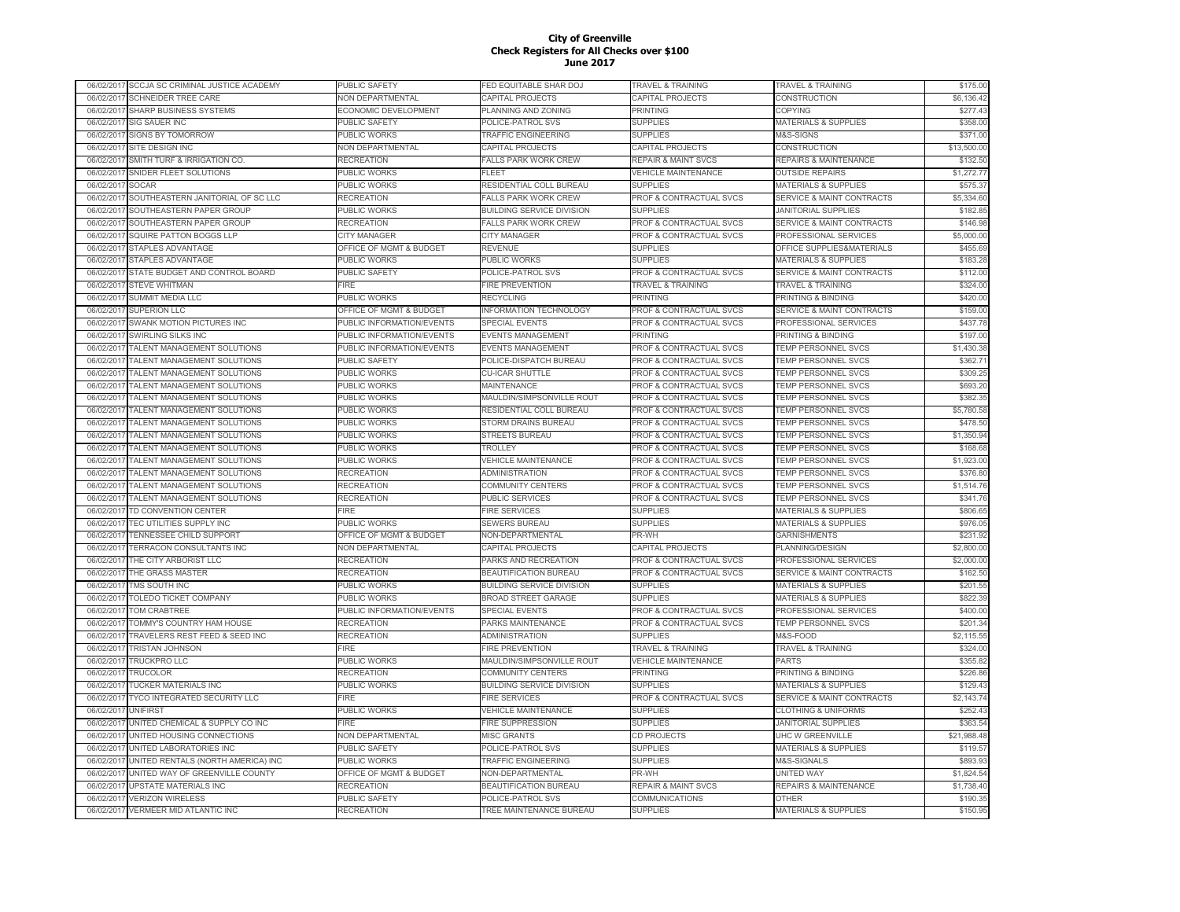| SCCJA SC CRIMINAL JUSTICE ACADEMY<br>06/02/2017  | PUBLIC SAFETY                      | FED EQUITABLE SHAR DOJ           | TRAVEL & TRAINING                  | TRAVEL & TRAINING                    | \$175.00    |
|--------------------------------------------------|------------------------------------|----------------------------------|------------------------------------|--------------------------------------|-------------|
| SCHNEIDER TREE CARE<br>06/02/2017                | <b>VON DEPARTMENTAL</b>            | CAPITAL PROJECTS                 | CAPITAL PROJECTS                   | CONSTRUCTION                         | \$6,136.42  |
| SHARP BUSINESS SYSTEMS<br>06/02/2017             | ECONOMIC DEVELOPMENT               | PLANNING AND ZONING              | <b>PRINTING</b>                    | COPYING                              | \$277.43    |
| SIG SAUER INC<br>06/02/2017                      | PUBLIC SAFETY                      | POLICE-PATROL SVS                | <b>SUPPLIES</b>                    | <b>MATERIALS &amp; SUPPLIES</b>      | \$358.00    |
| <b>SIGNS BY TOMORROW</b><br>06/02/2017           | PUBLIC WORKS                       | TRAFFIC ENGINEERING              | <b>SUPPLIES</b>                    | M&S-SIGNS                            | \$371.00    |
| 06/02/2017<br>SITE DESIGN INC                    | NON DEPARTMENTAL                   | CAPITAL PROJECTS                 | CAPITAL PROJECTS                   | CONSTRUCTION                         | \$13,500.00 |
| 06/02/2017<br>SMITH TURF & IRRIGATION CO.        | RECREATION                         | <b>FALLS PARK WORK CREW</b>      | <b>REPAIR &amp; MAINT SVCS</b>     | REPAIRS & MAINTENANCE                | \$132.50    |
| 06/02/201<br>SNIDER FLEET SOLUTIONS              | <b>PUBLIC WORKS</b>                | <b>FLEET</b>                     | <b>VEHICLE MAINTENANCE</b>         | <b>OUTSIDE REPAIRS</b>               | \$1,272.77  |
| <b>SOCAR</b><br>06/02/201                        | PUBLIC WORKS                       | RESIDENTIAL COLL BUREAU          | <b>SUPPLIES</b>                    | <b>MATERIALS &amp; SUPPLIES</b>      | \$575.37    |
| 06/02/201<br>SOUTHEASTERN JANITORIAL OF SC LLC   | <b>RECREATION</b>                  | <b>FALLS PARK WORK CREW</b>      | <b>PROF &amp; CONTRACTUAL SVCS</b> | <b>SERVICE &amp; MAINT CONTRACTS</b> | \$5,334.60  |
| 06/02/201<br>SOUTHEASTERN PAPER GROUP            | <b>UBLIC WORKS</b>                 | <b>BUILDING SERVICE DIVISION</b> | <b>SUPPLIES</b>                    | <b>JANITORIAL SUPPLIES</b>           | \$182.85    |
| 06/02/201<br>SOUTHEASTERN PAPER GROUP            | <b>RECREATION</b>                  | <b>FALLS PARK WORK CREW</b>      | <b>PROF &amp; CONTRACTUAL SVCS</b> | <b>SERVICE &amp; MAINT CONTRACTS</b> | \$146.98    |
| SQUIRE PATTON BOGGS LLP<br>06/02/2017            | <b>CITY MANAGER</b>                | <b>CITY MANAGER</b>              | <b>PROF &amp; CONTRACTUAL SVCS</b> | PROFESSIONAL SERVICES                | \$5,000.00  |
| <b>STAPLES ADVANTAGE</b><br>06/02/2017           | OFFICE OF MGMT & BUDGET            | <b>REVENUE</b>                   | <b>SUPPLIES</b>                    | OFFICE SUPPLIES&MATERIALS            | \$455.69    |
| STAPLES ADVANTAGE<br>06/02/2017                  | PUBLIC WORKS                       | PUBLIC WORKS                     | <b>SUPPLIES</b>                    | <b>MATERIALS &amp; SUPPLIES</b>      | \$183.28    |
|                                                  |                                    |                                  | PROF & CONTRACTUAL SVCS            |                                      | \$112.00    |
| STATE BUDGET AND CONTROL BOARD<br>06/02/2017     | PUBLIC SAFETY                      | POLICE-PATROL SVS                |                                    | <b>SERVICE &amp; MAINT CONTRACTS</b> |             |
| <b>STEVE WHITMAN</b><br>06/02/2017               | FIRE                               | FIRE PREVENTION                  | <b>TRAVEL &amp; TRAINING</b>       | TRAVEL & TRAINING                    | \$324.00    |
| 06/02/2017<br>SUMMIT MEDIA LLC                   | PUBLIC WORKS                       | <b>RECYCLING</b>                 | <b>PRINTING</b>                    | PRINTING & BINDING                   | \$420.00    |
| 06/02/2017<br><b>SUPERION LLC</b>                | OFFICE OF MGMT & BUDGET            | INFORMATION TECHNOLOGY           | PROF & CONTRACTUAL SVCS            | <b>SERVICE &amp; MAINT CONTRACTS</b> | \$159.00    |
| SWANK MOTION PICTURES INC<br>06/02/2017          | PUBLIC INFORMATION/EVENTS          | <b>SPECIAL EVENTS</b>            | PROF & CONTRACTUAL SVCS            | <b>PROFESSIONAL SERVICES</b>         | \$437.78    |
| 06/02/201<br>SWIRLING SILKS INC                  | PUBLIC INFORMATION/EVENTS          | <b>EVENTS MANAGEMENT</b>         | <b>PRINTING</b>                    | <b>PRINTING &amp; BINDING</b>        | \$197.00    |
| TALENT MANAGEMENT SOLUTIONS<br>06/02/2017        | PUBLIC INFORMATION/EVENTS          | <b>EVENTS MANAGEMENT</b>         | PROF & CONTRACTUAL SVCS            | TEMP PERSONNEL SVCS                  | \$1,430.38  |
| 06/02/201<br>TALENT MANAGEMENT SOLUTIONS         | <b>PUBLIC SAFETY</b>               | POLICE-DISPATCH BUREAU           | <b>PROF &amp; CONTRACTUAL SVCS</b> | <b>TEMP PERSONNEL SVCS</b>           | \$362.71    |
| 06/02/2017<br><b>TALENT MANAGEMENT SOLUTIONS</b> | PUBLIC WORKS                       | <b>CU-ICAR SHUTTLE</b>           | <b>PROF &amp; CONTRACTUAL SVCS</b> | <b>TEMP PERSONNEL SVCS</b>           | \$309.25    |
| TALENT MANAGEMENT SOLUTIONS<br>06/02/201         | PUBLIC WORKS                       | <b>MAINTENANCE</b>               | <b>PROF &amp; CONTRACTUAL SVCS</b> | <b>TEMP PERSONNEL SVCS</b>           | \$693.20    |
| TALENT MANAGEMENT SOLUTIONS<br>06/02/2017        | PUBLIC WORKS                       | MAULDIN/SIMPSONVILLE ROUT        | <b>PROF &amp; CONTRACTUAL SVCS</b> | <b>TEMP PERSONNEL SVCS</b>           | \$382.35    |
| <b>TALENT MANAGEMENT SOLUTIONS</b><br>06/02/2017 | <b>PUBLIC WORKS</b>                | RESIDENTIAL COLL BUREAU          | <b>PROF &amp; CONTRACTUAL SVCS</b> | <b>TEMP PERSONNEL SVCS</b>           | \$5,780.58  |
| TALENT MANAGEMENT SOLUTIONS<br>06/02/2017        | PUBLIC WORKS                       | STORM DRAINS BUREAU              | PROF & CONTRACTUAL SVCS            | TEMP PERSONNEL SVCS                  | \$478.50    |
| TALENT MANAGEMENT SOLUTIONS<br>06/02/2017        | PUBLIC WORKS                       | STREETS BUREAU                   | PROF & CONTRACTUAL SVCS            | TEMP PERSONNEL SVCS                  | \$1,350.94  |
| 06/02/2017<br>TALENT MANAGEMENT SOLUTIONS        | PUBLIC WORKS                       | <b>TROLLEY</b>                   | PROF & CONTRACTUAL SVCS            | TEMP PERSONNEL SVCS                  | \$168.68    |
| 06/02/2017<br>TALENT MANAGEMENT SOLUTIONS        | PUBLIC WORKS                       | <b>VEHICLE MAINTENANCE</b>       | PROF & CONTRACTUAL SVCS            | <b>TEMP PERSONNEL SVCS</b>           | \$1,923.00  |
| 06/02/2017<br>TALENT MANAGEMENT SOLUTIONS        | RECREATION                         | ADMINISTRATION                   | PROF & CONTRACTUAL SVCS            | TEMP PERSONNEL SVCS                  | \$376.80    |
| TALENT MANAGEMENT SOLUTIONS<br>06/02/2017        | RECREATION                         | <b>COMMUNITY CENTERS</b>         | PROF & CONTRACTUAL SVCS            | <b>TEMP PERSONNEL SVCS</b>           | \$1,514.76  |
| TALENT MANAGEMENT SOLUTIONS<br>06/02/201         | <b>RECREATION</b>                  | <b>PUBLIC SERVICES</b>           | PROF & CONTRACTUAL SVCS            | TEMP PERSONNEL SVCS                  | \$341.76    |
| TD CONVENTION CENTER<br>06/02/2017               | FIRE                               | <b>FIRE SERVICES</b>             | <b>SUPPLIES</b>                    | <b>MATERIALS &amp; SUPPLIES</b>      | \$806.65    |
| 06/02/201<br>TEC UTILITIES SUPPLY INC            | PUBLIC WORKS                       | <b>SEWERS BUREAU</b>             | <b>SUPPLIES</b>                    | <b>MATERIALS &amp; SUPPLIES</b>      | \$976.05    |
| 06/02/2017<br><b>TENNESSEE CHILD SUPPORT</b>     | <b>OFFICE OF MGMT &amp; BUDGET</b> | NON-DEPARTMENTAL                 | PR-WH                              | <b>GARNISHMENTS</b>                  | \$231.92    |
| <b>TERRACON CONSULTANTS INC</b><br>06/02/201     | <b>NON DEPARTMENTAL</b>            | CAPITAL PROJECTS                 | CAPITAL PROJECTS                   | <b>PLANNING/DESIGN</b>               | \$2,800.00  |
| THE CITY ARBORIST LLC<br>06/02/2017              | RECREATION                         | PARKS AND RECREATION             | PROF & CONTRACTUAL SVCS            | PROFESSIONAL SERVICES                | \$2,000.00  |
| THE GRASS MASTER<br>06/02/2017                   | <b>RECREATION</b>                  | BEAUTIFICATION BUREAU            | PROF & CONTRACTUAL SVCS            | <b>SERVICE &amp; MAINT CONTRACTS</b> | \$162.50    |
| TMS SOUTH INC<br>06/02/2017                      | PUBLIC WORKS                       | <b>BUILDING SERVICE DIVISION</b> | <b>SUPPLIES</b>                    | <b>MATERIALS &amp; SUPPLIES</b>      | \$201.55    |
| TOLEDO TICKET COMPANY<br>06/02/2017              | PUBLIC WORKS                       | <b>BROAD STREET GARAGE</b>       | <b>SUPPLIES</b>                    | <b>MATERIALS &amp; SUPPLIES</b>      | \$822.39    |
| 06/02/2017<br>TOM CRABTREE                       | PUBLIC INFORMATION/EVENTS          | <b>SPECIAL EVENTS</b>            | PROF & CONTRACTUAL SVCS            | PROFESSIONAL SERVICES                | \$400.00    |
| 06/02/201<br>TOMMY'S COUNTRY HAM HOUSE           | RECREATION                         | PARKS MAINTENANCE                | PROF & CONTRACTUAL SVCS            | <b>TEMP PERSONNEL SVCS</b>           | \$201.34    |
|                                                  |                                    |                                  |                                    |                                      |             |
| TRAVELERS REST FEED & SEED INC<br>06/02/201      | <b>RECREATION</b>                  | <b>ADMINISTRATION</b>            | <b>SUPPLIES</b>                    | M&S-FOOD                             | \$2,115.55  |
| <b>TRISTAN JOHNSON</b><br>06/02/2017             | FIRF                               | <b>FIRE PREVENTION</b>           | <b>TRAVEL &amp; TRAINING</b>       | <b>TRAVEL &amp; TRAINING</b>         | \$324.00    |
| <b>TRUCKPRO LLC</b><br>06/02/201                 | PUBLIC WORKS                       | MAULDIN/SIMPSONVILLE ROUT        | <b>VEHICLE MAINTENANCE</b>         | PARTS                                | \$355.82    |
| 06/02/2017<br><b>TRUCOLOR</b>                    | <b>RECREATION</b>                  | <b>COMMUNITY CENTERS</b>         | PRINTING                           | PRINTING & BINDING                   | \$226.86    |
| 06/02/2017<br><b>TUCKER MATERIALS INC</b>        | PUBLIC WORKS                       | <b>BUILDING SERVICE DIVISION</b> | <b>SUPPLIES</b>                    | <b>MATERIALS &amp; SUPPLIES</b>      | \$129.43    |
| TYCO INTEGRATED SECURITY LLC<br>06/02/2017       | <b>IRE</b>                         | <b>FIRE SERVICES</b>             | PROF & CONTRACTUAL SVCS            | <b>SERVICE &amp; MAINT CONTRACTS</b> | \$2,143.74  |
| 06/02/201<br><b>UNIFIRST</b>                     | PUBLIC WORKS                       | <b>VEHICLE MAINTENANCE</b>       | <b>SUPPLIES</b>                    | <b>CLOTHING &amp; UNIFORMS</b>       | \$252.43    |
| UNITED CHEMICAL & SUPPLY CO INC<br>06/02/2017    | FIRE                               | <b>FIRE SUPPRESSION</b>          | <b>SUPPLIES</b>                    | <b>JANITORIAL SUPPLIES</b>           | \$363.54    |
| UNITED HOUSING CONNECTIONS<br>06/02/2017         | NON DEPARTMENTAL                   | <b>MISC GRANTS</b>               | CD PROJECTS                        | UHC W GREENVILLE                     | \$21,988.48 |
| 06/02/2017<br>UNITED LABORATORIES INC            | PUBLIC SAFETY                      | POLICE-PATROL SVS                | <b>SUPPLIES</b>                    | <b>MATERIALS &amp; SUPPLIES</b>      | \$119.57    |
| 06/02/2017<br>UNITED RENTALS (NORTH AMERICA) INC | PUBLIC WORKS                       | <b>TRAFFIC ENGINEERING</b>       | <b>SUPPLIES</b>                    | M&S-SIGNALS                          | \$893.93    |
| UNITED WAY OF GREENVILLE COUNTY<br>06/02/201     | OFFICE OF MGMT & BUDGET            | NON-DEPARTMENTAL                 | PR-WH                              | UNITED WAY                           | \$1,824.54  |
| <b>UPSTATE MATERIALS INC</b><br>06/02/201        | RECREATION                         | BEAUTIFICATION BUREAU            | <b>REPAIR &amp; MAINT SVCS</b>     | <b>REPAIRS &amp; MAINTENANCE</b>     | \$1,738.40  |
| <b>VERIZON WIRELESS</b><br>06/02/201             | PUBLIC SAFETY                      | POLICE-PATROL SVS                | COMMUNICATIONS                     | <b>OTHER</b>                         | \$190.35    |
| <b>VERMEER MID ATLANTIC INC</b><br>06/02/2017    | RECREATION                         | TREE MAINTENANCE BUREAU          | <b>SUPPLIES</b>                    | <b>MATERIALS &amp; SUPPLIES</b>      | \$150.95    |
|                                                  |                                    |                                  |                                    |                                      |             |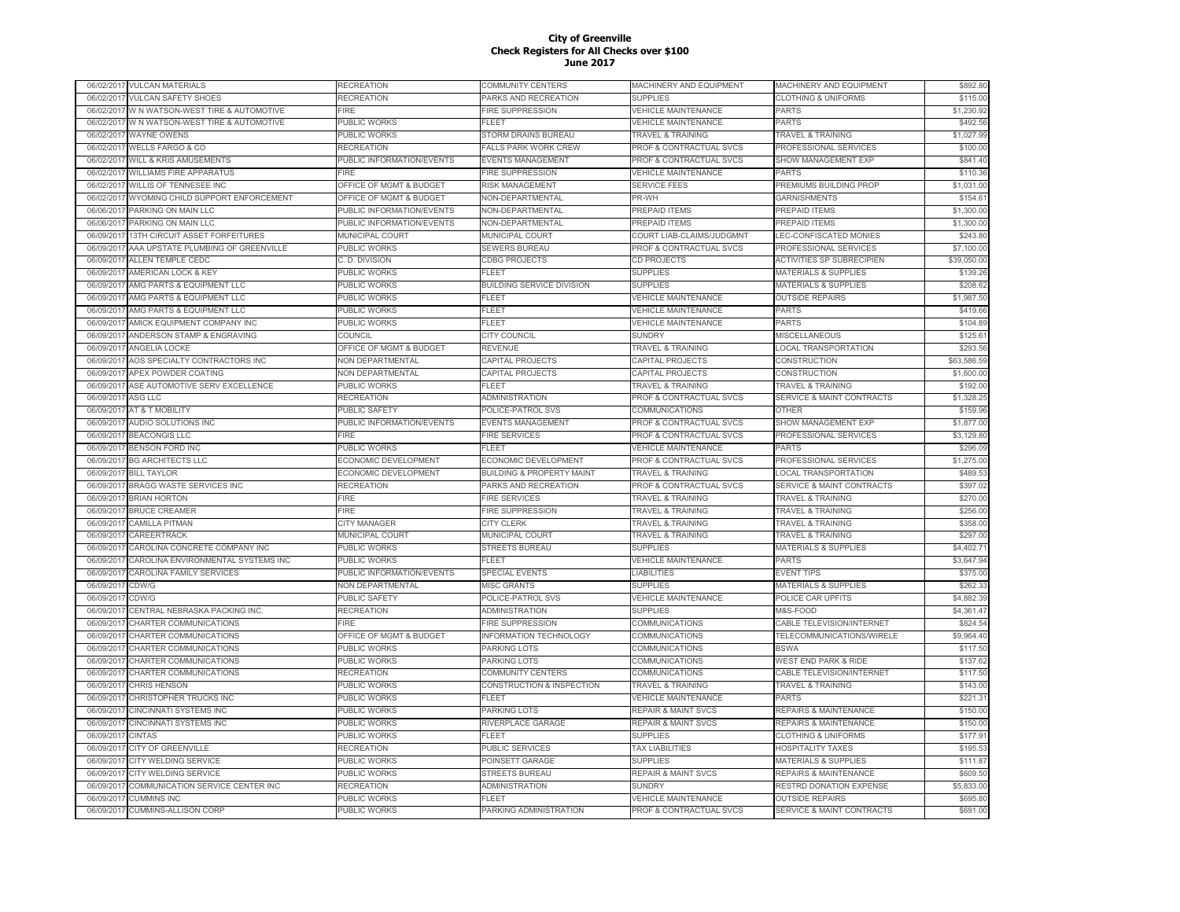|            | 06/02/2017 VULCAN MATERIALS        | RECREATION                  | <b>COMMUNITY CENTERS</b>                         | MACHINERY AND EQUIPMENT             | MACHINERY AND EQUIPMENT              | \$892.80    |
|------------|------------------------------------|-----------------------------|--------------------------------------------------|-------------------------------------|--------------------------------------|-------------|
| 06/02/2017 | <b>VULCAN SAFETY SHOES</b>         | RECREATION                  | PARKS AND RECREATION                             | <b>SUPPLIES</b>                     | <b>CLOTHING &amp; UNIFORMS</b>       | \$115.00    |
| 06/02/2017 | W N WATSON-WEST TIRE & AUTOMOTIVE  | FIRE                        | <b>FIRE SUPPRESSION</b>                          | VEHICLE MAINTENANCE                 | <b>PARTS</b>                         | \$1,230.92  |
| 06/02/2017 | W N WATSON-WEST TIRE & AUTOMOTIVE  | PUBLIC WORKS                | FLEET                                            | <b>VEHICLE MAINTENANCE</b>          | <b>PARTS</b>                         | \$492.56    |
| 06/02/2017 | <b>WAYNE OWENS</b>                 | PUBLIC WORKS                | STORM DRAINS BUREAU                              | <b>TRAVEL &amp; TRAINING</b>        | <b>TRAVEL &amp; TRAINING</b>         | \$1,027.99  |
| 06/02/2017 | WELLS FARGO & CO                   | RECREATION                  | <b>FALLS PARK WORK CREW</b>                      | PROF & CONTRACTUAL SVCS             | PROFESSIONAL SERVICES                | \$100.00    |
| 06/02/2017 | <b>WILL &amp; KRIS AMUSEMENTS</b>  | PUBLIC INFORMATION/EVENTS   | <b>EVENTS MANAGEMENT</b>                         | PROF & CONTRACTUAL SVCS             | <b>SHOW MANAGEMENT EXP</b>           | \$841.40    |
| 06/02/201  | <b>WILLIAMS FIRE APPARATUS</b>     | <b>FIRE</b>                 | <b>FIRE SUPPRESSION</b>                          | <b>VEHICLE MAINTENANCE</b>          | <b>PARTS</b>                         | \$110.36    |
| 06/02/2017 | <b>WILLIS OF TENNESEE INC</b>      | OFFICE OF MGMT & BUDGET     | <b>RISK MANAGEMENT</b>                           | <b>SERVICE FEES</b>                 | PREMIUMS BUILDING PROP               | \$1,031.00  |
| 06/02/201  | WYOMING CHILD SUPPORT ENFORCEMENT  | OFFICE OF MGMT & BUDGET     | NON-DEPARTMENTAL                                 | PR-WH                               | <b>GARNISHMENTS</b>                  | \$154.61    |
| 06/06/2017 | PARKING ON MAIN LLC                | PUBLIC INFORMATION/EVENTS   | NON-DEPARTMENTAL                                 | <b>PREPAID ITEMS</b>                | <b>PREPAID ITEMS</b>                 | \$1,300.00  |
| 06/06/2017 | PARKING ON MAIN LLC                | PUBLIC INFORMATION/EVENTS   | NON-DEPARTMENTAL                                 | <b>PREPAID ITEMS</b>                | <b>PREPAID ITEMS</b>                 | \$1,300.00  |
| 06/09/2017 | 13TH CIRCUIT ASSET FORFEITURES     | MUNICIPAL COURT             | MUNICIPAL COURT                                  | COURT LIAB-CLAIMS/JUDGMNT           | LEC-CONFISCATED MONIES               | \$243.80    |
| 06/09/2017 | AAA UPSTATE PLUMBING OF GREENVILLE | PUBLIC WORKS                | <b>SEWERS BUREAU</b>                             | PROF & CONTRACTUAL SVCS             | PROFESSIONAL SERVICES                | \$7,100.00  |
| 06/09/2017 | ALLEN TEMPLE CEDC                  | C. D. DIVISION              | <b>CDBG PROJECTS</b>                             | <b>CD PROJECTS</b>                  | <b>ACTIVITIES SP SUBRECIPIEN</b>     | \$39,050.00 |
| 06/09/2017 | AMERICAN LOCK & KEY                | PUBLIC WORKS                | FLEET                                            | <b>SUPPLIES</b>                     | <b>MATERIALS &amp; SUPPLIES</b>      | \$139.26    |
| 06/09/2017 | AMG PARTS & EQUIPMENT LLC          | PUBLIC WORKS                |                                                  | <b>SUPPLIES</b>                     | <b>MATERIALS &amp; SUPPLIES</b>      | \$208.62    |
| 06/09/2017 |                                    | PUBLIC WORKS                | <b>BUILDING SERVICE DIVISION</b><br><b>FLEET</b> |                                     |                                      |             |
|            | AMG PARTS & EQUIPMENT LLC          |                             |                                                  | <b>VEHICLE MAINTENANCE</b>          | <b>OUTSIDE REPAIRS</b>               | \$1,987.50  |
| 06/09/201  | AMG PARTS & EQUIPMENT LLC          | PUBLIC WORKS                | FLEET                                            | <b>VEHICLE MAINTENANCE</b>          | <b>PARTS</b>                         | \$419.66    |
| 06/09/2017 | AMICK EQUIPMENT COMPANY INC        | PUBLIC WORKS                | FLEET                                            | <b>VEHICLE MAINTENANCE</b>          | <b>PARTS</b>                         | \$104.89    |
| 06/09/201  | ANDERSON STAMP & ENGRAVING         | COUNCIL                     | <b>CITY COUNCIL</b>                              | <b>SUNDRY</b>                       | <b>MISCELLANEOUS</b>                 | \$125.61    |
| 06/09/2017 | ANGELIA LOCKE                      | OFFICE OF MGMT & BUDGET     | <b>REVENUE</b>                                   | <b><i>FRAVEL &amp; TRAINING</i></b> | <b>LOCAL TRANSPORTATION</b>          | \$293.56    |
| 06/09/2017 | AOS SPECIALTY CONTRACTORS INC      | NON DEPARTMENTAL            | CAPITAL PROJECTS                                 | CAPITAL PROJECTS                    | <b>CONSTRUCTION</b>                  | \$63,586.59 |
| 06/09/2017 | APEX POWDER COATING                | NON DEPARTMENTAL            | <b>CAPITAL PROJECTS</b>                          | CAPITAL PROJECTS                    | CONSTRUCTION                         | \$1,600.00  |
| 06/09/2017 | ASE AUTOMOTIVE SERV EXCELLENCE     | PUBLIC WORKS                | <b>FLEET</b>                                     | <b>TRAVEL &amp; TRAINING</b>        | <b>TRAVEL &amp; TRAINING</b>         | \$192.00    |
| 06/09/2017 | ASG LLC                            | <b>RECREATION</b>           | <b>ADMINISTRATION</b>                            | PROF & CONTRACTUAL SVCS             | <b>SERVICE &amp; MAINT CONTRACTS</b> | \$1,328.25  |
| 06/09/2017 | AT & T MOBILITY                    | PUBLIC SAFETY               | POLICE-PATROL SVS                                | COMMUNICATIONS                      | OTHER                                | \$159.96    |
| 06/09/2017 | AUDIO SOLUTIONS INC                | PUBLIC INFORMATION/EVENTS   | <b>EVENTS MANAGEMENT</b>                         | PROF & CONTRACTUAL SVCS             | SHOW MANAGEMENT EXP                  | \$1,877.00  |
| 06/09/2017 | <b>BEACONGIS LLC</b>               | <b>FIRE</b>                 | <b>FIRE SERVICES</b>                             | PROF & CONTRACTUAL SVCS             | PROFESSIONAL SERVICES                | \$3,129.80  |
| 06/09/201  | <b>BENSON FORD INC</b>             | PUBLIC WORKS                | <b>FLEET</b>                                     | <b>VEHICLE MAINTENANCE</b>          | <b>PARTS</b>                         | \$296.09    |
| 06/09/201  | <b>BG ARCHITECTS LLC</b>           | <b>ECONOMIC DEVELOPMENT</b> | ECONOMIC DEVELOPMENT                             | PROF & CONTRACTUAL SVCS             | PROFESSIONAL SERVICES                | \$1,275.00  |
| 06/09/201  | <b>BILL TAYLOR</b>                 | ECONOMIC DEVELOPMENT        | <b>BUILDING &amp; PROPERTY MAINT</b>             | <b>FRAVEL &amp; TRAINING</b>        | <b>LOCAL TRANSPORTATION</b>          | \$489.53    |
| 06/09/2017 | BRAGG WASTE SERVICES INC           | RECREATION                  | PARKS AND RECREATION                             | <b>PROF &amp; CONTRACTUAL SVCS</b>  | SERVICE & MAINT CONTRACTS            | \$397.02    |
| 06/09/2017 | <b>BRIAN HORTON</b>                | FIRE                        | <b>FIRE SERVICES</b>                             | <b>TRAVEL &amp; TRAINING</b>        | <b>TRAVEL &amp; TRAINING</b>         | \$270.00    |
| 06/09/2017 | <b>BRUCE CREAMER</b>               | <b>FIRE</b>                 | <b>FIRE SUPPRESSION</b>                          | <b>TRAVEL &amp; TRAINING</b>        | <b>TRAVEL &amp; TRAINING</b>         | \$256.00    |
| 06/09/2017 | <b>CAMILLA PITMAN</b>              | CITY MANAGER                | <b>CITY CLERK</b>                                | <b>TRAVEL &amp; TRAINING</b>        | <b>TRAVEL &amp; TRAINING</b>         | \$358.00    |
| 06/09/2017 | CAREERTRACK                        | <b>MUNICIPAL COURT</b>      | MUNICIPAL COURT                                  | <b>TRAVEL &amp; TRAINING</b>        | <b>TRAVEL &amp; TRAINING</b>         | \$297.00    |
| 06/09/2017 | CAROLINA CONCRETE COMPANY INC      | PUBLIC WORKS                | <b>STREETS BUREAU</b>                            | <b>SUPPLIES</b>                     | <b>MATERIALS &amp; SUPPLIES</b>      | \$4,402.71  |
| 06/09/2017 | CAROLINA ENVIRONMENTAL SYSTEMS INC | PUBLIC WORKS                | <b>FLEET</b>                                     | <b>VEHICLE MAINTENANCE</b>          | <b>PARTS</b>                         | \$3,647.94  |
| 06/09/2017 | CAROLINA FAMILY SERVICES           | PUBLIC INFORMATION/EVENTS   | SPECIAL EVENTS                                   | <b>LIABILITIES</b>                  | <b>EVENT TIPS</b>                    | \$375.00    |
| 06/09/201  | CDW/G                              | <b>NON DEPARTMENTAL</b>     | <b>MISC GRANTS</b>                               | <b>SUPPLIES</b>                     | <b>MATERIALS &amp; SUPPLIES</b>      | \$262.33    |
| 06/09/2017 | CDW/G                              | PUBLIC SAFETY               | POLICE-PATROL SVS                                | <b>/EHICLE MAINTENANCE</b>          | POLICE CAR UPFITS                    | \$4,882.39  |
| 06/09/201  | CENTRAL NEBRASKA PACKING INC.      | <b>RECREATION</b>           | <b>ADMINISTRATION</b>                            | <b>SUPPLIES</b>                     | M&S-FOOD                             | \$4,361.47  |
| 06/09/201  | CHARTER COMMUNICATIONS             | <b>EIRF</b>                 | <b>FIRE SUPPRESSION</b>                          | COMMUNICATIONS                      | CABLE TELEVISION/INTERNET            | \$824.54    |
| 06/09/201  | CHARTER COMMUNICATIONS             | OFFICE OF MGMT & BUDGET     | <b>INFORMATION TECHNOLOGY</b>                    | COMMUNICATIONS                      | TELECOMMUNICATIONS/WIRELE            | \$9,964.40  |
| 06/09/2017 | CHARTER COMMUNICATIONS             | <b>UBLIC WORKS</b>          | PARKING LOTS                                     | COMMUNICATIONS                      | <b>BSWA</b>                          | \$117.50    |
| 06/09/2017 | CHARTER COMMUNICATIONS             | PUBLIC WORKS                | <b>PARKING LOTS</b>                              | COMMUNICATIONS                      | <b>WEST END PARK &amp; RIDE</b>      | \$137.62    |
| 06/09/2017 | CHARTER COMMUNICATIONS             | <b>RECREATION</b>           | <b>COMMUNITY CENTERS</b>                         | COMMUNICATIONS                      | CABLE TELEVISION/INTERNET            | \$117.50    |
| 06/09/2017 | <b>CHRIS HENSON</b>                | PUBLIC WORKS                | <b>CONSTRUCTION &amp; INSPECTION</b>             | <b>TRAVEL &amp; TRAINING</b>        | <b>TRAVEL &amp; TRAINING</b>         | \$143.00    |
| 06/09/2017 | CHRISTOPHER TRUCKS INC             | PUBLIC WORKS                | <b>FLEET</b>                                     | <b>VEHICLE MAINTENANCE</b>          | <b>PARTS</b>                         | \$221.31    |
| 06/09/2017 | <b>CINCINNATI SYSTEMS INC</b>      | PUBLIC WORKS                | PARKING LOTS                                     | <b>REPAIR &amp; MAINT SVCS</b>      | REPAIRS & MAINTENANCE                | \$150.00    |
| 06/09/2017 | <b>CINCINNATI SYSTEMS INC</b>      | PUBLIC WORKS                | RIVERPLACE GARAGE                                | <b>REPAIR &amp; MAINT SVCS</b>      | <b>REPAIRS &amp; MAINTENANCE</b>     | \$150.00    |
| 06/09/2017 | <b>CINTAS</b>                      | PUBLIC WORKS                | <b>FLEET</b>                                     | <b>SUPPLIES</b>                     | <b>CLOTHING &amp; UNIFORMS</b>       | \$177.91    |
| 06/09/2017 | <b>CITY OF GREENVILLE</b>          | <b>RECREATION</b>           | <b>PUBLIC SERVICES</b>                           | <b>TAX LIABILITIES</b>              | <b>HOSPITALITY TAXES</b>             | \$195.53    |
| 06/09/2017 | <b>CITY WELDING SERVICE</b>        | PUBLIC WORKS                | POINSETT GARAGE                                  | <b>SUPPLIES</b>                     | <b>MATERIALS &amp; SUPPLIES</b>      | \$111.87    |
| 06/09/201  | CITY WELDING SERVICE               | PUBLIC WORKS                | <b>STREETS BUREAL</b>                            | <b>REPAIR &amp; MAINT SVCS</b>      | <b>REPAIRS &amp; MAINTENANCE</b>     | \$609.50    |
| 06/09/2017 | COMMUNICATION SERVICE CENTER INC   | RECREATION                  | ADMINISTRATION                                   | <b>SUNDRY</b>                       | RESTRD DONATION EXPENSE              | \$5,833,00  |
| 06/09/2017 | <b>CUMMINS INC</b>                 |                             | FLEET                                            | <b>VEHICLE MAINTENANCE</b>          | <b>OUTSIDE REPAIRS</b>               | \$695.80    |
|            |                                    | PUBLIC WORKS                |                                                  |                                     |                                      |             |
|            | 06/09/2017 CUMMINS-ALLISON CORP    | PUBLIC WORKS                | PARKING ADMINISTRATION                           | <b>PROF &amp; CONTRACTUAL SVCS</b>  | <b>SERVICE &amp; MAINT CONTRACTS</b> | \$691.00    |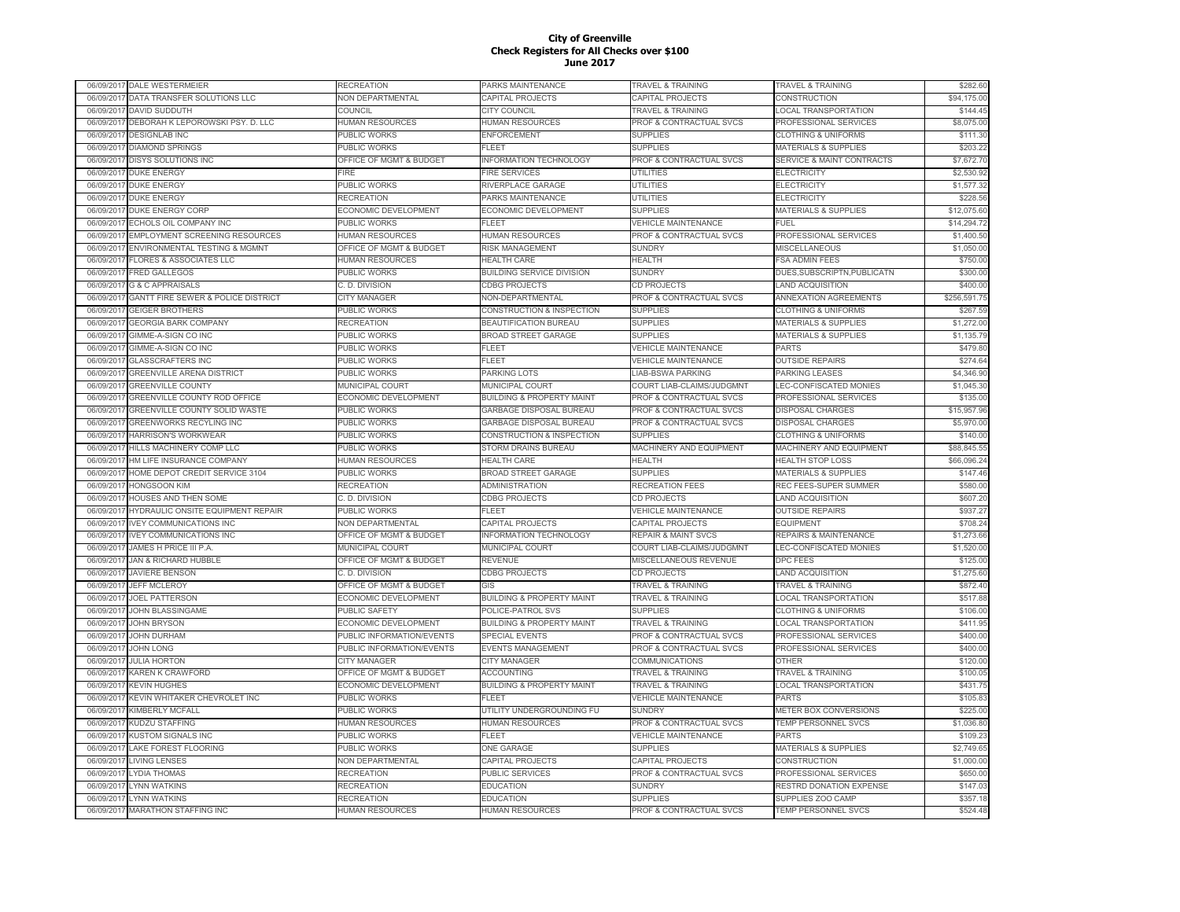|            | 06/09/2017 DALE WESTERMEIER                   | RECREATION                  | PARKS MAINTENANCE                    | TRAVEL & TRAINING                   | TRAVEL & TRAINING                          | \$282.60     |
|------------|-----------------------------------------------|-----------------------------|--------------------------------------|-------------------------------------|--------------------------------------------|--------------|
| 06/09/2017 | DATA TRANSFER SOLUTIONS LLC                   | NON DEPARTMENTAL            | CAPITAL PROJECTS                     | CAPITAL PROJECTS                    | CONSTRUCTION                               | \$94,175.00  |
| 06/09/201  | <b>DAVID SUDDUTH</b>                          | COUNCIL                     | CITY COUNCIL                         | <b><i>FRAVEL &amp; TRAINING</i></b> | <b>LOCAL TRANSPORTATION</b>                | \$144.45     |
| 06/09/201  | DEBORAH K LEPOROWSKI PSY. D. LLC              | <b>HUMAN RESOURCES</b>      | <b>HUMAN RESOURCES</b>               | PROF & CONTRACTUAL SVCS             | PROFESSIONAL SERVICES                      | \$8,075.00   |
| 06/09/2017 | <b>DESIGNLAB INC</b>                          | PUBLIC WORKS                | <b>ENFORCEMENT</b>                   | <b>SUPPLIES</b>                     | <b>CLOTHING &amp; UNIFORMS</b>             | \$111.30     |
| 06/09/201  | <b>DIAMOND SPRINGS</b>                        | PUBLIC WORKS                | FLEET                                | <b>SUPPLIES</b>                     | <b>MATERIALS &amp; SUPPLIES</b>            | \$203.22     |
| 06/09/201  | <b>DISYS SOLUTIONS INC</b>                    | OFFICE OF MGMT & BUDGET     | <b>INFORMATION TECHNOLOGY</b>        | PROF & CONTRACTUAL SVCS             | <b>SERVICE &amp; MAINT CONTRACTS</b>       | \$7,672.70   |
| 06/09/201  | <b>DUKE ENERGY</b>                            | <b>FIRE</b>                 | <b>FIRE SERVICES</b>                 | <b>UTILITIES</b>                    | <b>ELECTRICITY</b>                         | \$2,530.92   |
| 06/09/2017 | <b>DUKE ENERGY</b>                            | PUBLIC WORKS                | RIVERPLACE GARAGE                    | UTILITIES                           | <b>ELECTRICITY</b>                         | \$1,577.32   |
|            |                                               | <b>RECREATION</b>           | PARKS MAINTENANCE                    | <b>UTILITIES</b>                    |                                            | \$228.56     |
| 06/09/201  | <b>DUKE ENERGY</b>                            |                             |                                      | <b>SUPPLIES</b>                     | <b>ELECTRICITY</b><br>MATERIALS & SUPPLIES |              |
| 06/09/2017 | <b>DUKE ENERGY CORP</b>                       | ECONOMIC DEVELOPMENT        | ECONOMIC DEVELOPMENT                 |                                     |                                            | \$12,075.60  |
| 06/09/2017 | ECHOLS OIL COMPANY INC                        | <b>PUBLIC WORKS</b>         | FLEET                                | <b>VEHICLE MAINTENANCE</b>          | FUEL                                       | \$14,294.72  |
| 06/09/2017 | EMPLOYMENT SCREENING RESOURCES                | HUMAN RESOURCES             | HUMAN RESOURCES                      | PROF & CONTRACTUAL SVCS             | PROFESSIONAL SERVICES                      | \$1,400.50   |
| 06/09/2017 | ENVIRONMENTAL TESTING & MGMNT                 | OFFICE OF MGMT & BUDGET     | <b>RISK MANAGEMENT</b>               | <b>SUNDRY</b>                       | MISCELLANEOUS                              | \$1,050.00   |
| 06/09/201  | <b>FLORES &amp; ASSOCIATES LLC</b>            | HUMAN RESOURCES             | <b>HEALTH CARE</b>                   | <b>HEALTH</b>                       | <b>FSA ADMIN FEES</b>                      | \$750.00     |
| 06/09/2017 | <b>FRED GALLEGOS</b>                          | PUBLIC WORKS                | <b>BUILDING SERVICE DIVISION</b>     | <b>SUNDRY</b>                       | DUES, SUBSCRIPTN, PUBLICATN                | \$300.00     |
| 06/09/201  | <b>G &amp; C APPRAISALS</b>                   | C. D. DIVISION              | <b>CDBG PROJECTS</b>                 | CD PROJECTS                         | <b>LAND ACQUISITION</b>                    | \$400.00     |
| 06/09/201  | <b>GANTT FIRE SEWER &amp; POLICE DISTRICT</b> | <b>CITY MANAGER</b>         | NON-DEPARTMENTAL                     | <b>PROF &amp; CONTRACTUAL SVCS</b>  | <b>ANNEXATION AGREEMENTS</b>               | \$256,591.75 |
| 06/09/201  | <b>GEIGER BROTHERS</b>                        | <b>PUBLIC WORKS</b>         | CONSTRUCTION & INSPECTION            | <b>SUPPLIES</b>                     | <b>CLOTHING &amp; UNIFORMS</b>             | \$267.59     |
| 06/09/2017 | <b>GEORGIA BARK COMPANY</b>                   | RECREATION                  | <b>BEAUTIFICATION BUREAU</b>         | <b>SUPPLIES</b>                     | <b>MATERIALS &amp; SUPPLIES</b>            | \$1,272.00   |
| 06/09/201  | GIMME-A-SIGN CO INC                           | PUBLIC WORKS                | <b>BROAD STREET GARAGE</b>           | <b>SUPPLIES</b>                     | MATERIALS & SUPPLIES                       | \$1,135.79   |
| 06/09/2017 | GIMME-A-SIGN CO INC                           | PUBLIC WORKS                | FLEET                                | <b>VEHICLE MAINTENANCE</b>          | <b>PARTS</b>                               | \$479.80     |
| 06/09/201  | <b>GLASSCRAFTERS INC</b>                      | PUBLIC WORKS                | FLEET                                | <b>VEHICLE MAINTENANCE</b>          | <b>OUTSIDE REPAIRS</b>                     | \$274.64     |
| 06/09/2017 | <b>GREENVILLE ARENA DISTRICT</b>              | PUBLIC WORKS                | PARKING LOTS                         | LIAB-BSWA PARKING                   | <b>PARKING LEASES</b>                      | \$4,346.90   |
| 06/09/2017 | <b>GREENVILLE COUNTY</b>                      | MUNICIPAL COURT             | MUNICIPAL COURT                      | COURT LIAB-CLAIMS/JUDGMNT           | LEC-CONFISCATED MONIES                     | \$1,045.30   |
| 06/09/2017 | GREENVILLE COUNTY ROD OFFICE                  | ECONOMIC DEVELOPMENT        | <b>BUILDING &amp; PROPERTY MAINT</b> | PROF & CONTRACTUAL SVCS             | PROFESSIONAL SERVICES                      | \$135.00     |
| 06/09/2017 | GREENVILLE COUNTY SOLID WASTE                 | <b>PUBLIC WORKS</b>         | <b>GARBAGE DISPOSAL BUREAU</b>       | <b>PROF &amp; CONTRACTUAL SVCS</b>  | <b>DISPOSAL CHARGES</b>                    | \$15,957.96  |
| 06/09/2017 | GREENWORKS RECYLING INC                       | PUBLIC WORKS                | GARBAGE DISPOSAL BUREAU              | PROF & CONTRACTUAL SVCS             | <b>DISPOSAL CHARGES</b>                    | \$5,970.00   |
| 06/09/201  | <b>HARRISON'S WORKWEAR</b>                    | PUBLIC WORKS                | CONSTRUCTION & INSPECTION            | <b>SUPPLIES</b>                     | <b>CLOTHING &amp; UNIFORMS</b>             | \$140.00     |
|            |                                               |                             |                                      |                                     |                                            |              |
| 06/09/201  | HILLS MACHINERY COMP LLC                      | PUBLIC WORKS                | STORM DRAINS BUREAU                  | MACHINERY AND EQUIPMENT             | MACHINERY AND EQUIPMENT                    | \$88,845.55  |
| 06/09/201  | HM LIFE INSURANCE COMPANY                     | <b>IUMAN RESOURCES</b>      | <b>HEALTH CARE</b>                   | HEALTH                              | <b>HEALTH STOP LOSS</b>                    | \$66,096.24  |
| 06/09/201  | HOME DEPOT CREDIT SERVICE 3104                | <b>PUBLIC WORKS</b>         | <b>BROAD STREET GARAGE</b>           | <b>SUPPLIES</b>                     | <b>MATERIALS &amp; SUPPLIES</b>            | \$147.46     |
| 06/09/2017 | <b>HONGSOON KIM</b>                           | <b>RECREATION</b>           | <b>ADMINISTRATION</b>                | RECREATION FEES                     | REC FEES-SUPER SUMMER                      | \$580.00     |
| 06/09/201  | HOUSES AND THEN SOME                          | C. D. DIVISION              | <b>CDBG PROJECTS</b>                 | <b>CD PROJECTS</b>                  | <b>LAND ACQUISITION</b>                    | \$607.20     |
| 06/09/2017 | HYDRAULIC ONSITE EQUIPMENT REPAIR             | PUBLIC WORKS                | <b>FLEET</b>                         | <b>VEHICLE MAINTENANCE</b>          | <b>OUTSIDE REPAIRS</b>                     | \$937.27     |
| 06/09/201  | <b>IVEY COMMUNICATIONS INC</b>                | <b>VON DEPARTMENTAL</b>     | CAPITAL PROJECTS                     | CAPITAL PROJECTS                    | <b>EQUIPMENT</b>                           | \$708.24     |
| 06/09/2017 | <b>IVEY COMMUNICATIONS INC</b>                | OFFICE OF MGMT & BUDGET     | <b>INFORMATION TECHNOLOGY</b>        | <b>REPAIR &amp; MAINT SVCS</b>      | <b>REPAIRS &amp; MAINTENANCE</b>           | \$1,273.66   |
| 06/09/2017 | JAMES H PRICE III P.A.                        | MUNICIPAL COURT             | MUNICIPAL COURT                      | COURT LIAB-CLAIMS/JUDGMNT           | LEC-CONFISCATED MONIES                     | \$1,520.00   |
| 06/09/2017 | JAN & RICHARD HUBBLE                          | OFFICE OF MGMT & BUDGET     | REVENUE                              | MISCELLANEOUS REVENUE               | <b>DPC FEES</b>                            | \$125.00     |
| 06/09/2017 | <b>JAVIERE BENSON</b>                         | C. D. DIVISION              | <b>CDBG PROJECTS</b>                 | CD PROJECTS                         | <b>LAND ACQUISITION</b>                    | \$1,275.60   |
| 06/09/2017 | <b>JEFF MCLEROY</b>                           | OFFICE OF MGMT & BUDGET     | GIS                                  | <b>TRAVEL &amp; TRAINING</b>        | TRAVEL & TRAINING                          | \$872.40     |
| 06/09/201  | <b>JOEL PATTERSON</b>                         | <b>ECONOMIC DEVELOPMENT</b> | <b>BUILDING &amp; PROPERTY MAINT</b> | <b>TRAVEL &amp; TRAINING</b>        | LOCAL TRANSPORTATION                       | \$517.88     |
| 06/09/201  | JOHN BLASSINGAME                              | PUBLIC SAFETY               | POLICE-PATROL SVS                    | <b>SUPPLIES</b>                     | <b>CLOTHING &amp; UNIFORMS</b>             | \$106.00     |
| 06/09/201  | <b>JOHN BRYSON</b>                            | ECONOMIC DEVELOPMENT        | <b>BUILDING &amp; PROPERTY MAINT</b> | <b>FRAVEL &amp; TRAINING</b>        | <b>LOCAL TRANSPORTATION</b>                | \$411.95     |
| 06/09/201  | <b>JOHN DURHAM</b>                            | PUBLIC INFORMATION/EVENTS   | <b>SPECIAL EVENTS</b>                | PROF & CONTRACTUAL SVCS             | PROFESSIONAL SERVICES                      | \$400.00     |
| 06/09/2017 | <b>JOHN LONG</b>                              | PUBLIC INFORMATION/EVENTS   | <b>EVENTS MANAGEMENT</b>             | PROF & CONTRACTUAL SVCS             | PROFESSIONAL SERVICES                      | \$400.00     |
| 06/09/201  | <b>JULIA HORTON</b>                           | <b>CITY MANAGER</b>         | <b>CITY MANAGER</b>                  | COMMUNICATIONS                      | <b>OTHER</b>                               | \$120.00     |
|            | KAREN K CRAWFORD                              |                             | <b>ACCOUNTING</b>                    | <b>TRAVEL &amp; TRAINING</b>        |                                            | \$100.05     |
| 06/09/2017 |                                               | OFFICE OF MGMT & BUDGET     |                                      |                                     | <b>TRAVEL &amp; TRAINING</b>               |              |
| 06/09/201  | <b>KEVIN HUGHES</b>                           | ECONOMIC DEVELOPMENT        | <b>BUILDING &amp; PROPERTY MAINT</b> | <b>TRAVEL &amp; TRAINING</b>        | <b>LOCAL TRANSPORTATION</b>                | \$431.75     |
| 06/09/2017 | KEVIN WHITAKER CHEVROLET INC                  | PUBLIC WORKS                | FLEET                                | <b>VEHICLE MAINTENANCE</b>          | <b>PARTS</b>                               | \$105.83     |
| 06/09/2017 | <b>KIMBERLY MCFALL</b>                        | PUBLIC WORKS                | UTILITY UNDERGROUNDING FU            | <b>SUNDRY</b>                       | METER BOX CONVERSIONS                      | \$225.00     |
| 06/09/2017 | KUDZU STAFFING                                | HUMAN RESOURCES             | HUMAN RESOURCES                      | PROF & CONTRACTUAL SVCS             | TEMP PERSONNEL SVCS                        | \$1,036.80   |
| 06/09/201  | <b>KUSTOM SIGNALS INC</b>                     | <b>PUBLIC WORKS</b>         | FLEET                                | <b>VEHICLE MAINTENANCE</b>          | PARTS                                      | \$109.23     |
| 06/09/2017 | LAKE FOREST FLOORING                          | PUBLIC WORKS                | ONE GARAGE                           | <b>SUPPLIES</b>                     | <b>MATERIALS &amp; SUPPLIES</b>            | \$2,749.65   |
| 06/09/2017 | <b>LIVING LENSES</b>                          | NON DEPARTMENTAL            | CAPITAL PROJECTS                     | CAPITAL PROJECTS                    | CONSTRUCTION                               | \$1,000.00   |
| 06/09/201  | LYDIA THOMAS                                  | RECREATION                  | <b>PUBLIC SERVICES</b>               | PROF & CONTRACTUAL SVCS             | PROFESSIONAL SERVICES                      | \$650.00     |
| 06/09/201  | <b>LYNN WATKINS</b>                           | RECREATION                  | <b>EDUCATION</b>                     | <b>SUNDRY</b>                       | RESTRD DONATION EXPENSE                    | \$147.03     |
| 06/09/201  | <b>LYNN WATKINS</b>                           | <b>RECREATION</b>           | <b>EDUCATION</b>                     | <b>SUPPLIES</b>                     | SUPPLIES ZOO CAMP                          | \$357.18     |
| 06/09/2017 | <b>MARATHON STAFFING INC</b>                  | HUMAN RESOURCES             | <b>HUMAN RESOURCES</b>               | <b>PROF &amp; CONTRACTUAL SVCS</b>  | <b>TEMP PERSONNEL SVCS</b>                 | \$524.48     |
|            |                                               |                             |                                      |                                     |                                            |              |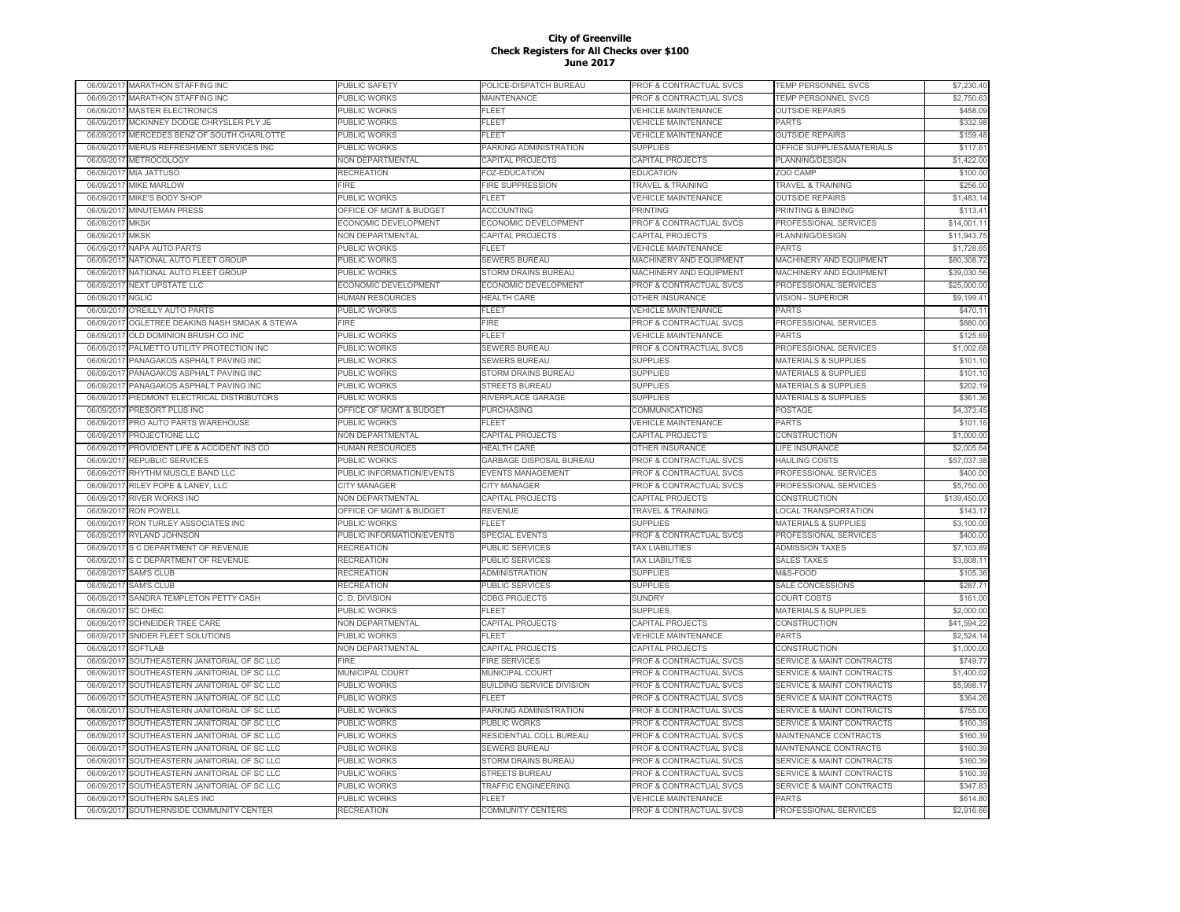|            | 06/09/2017 MARATHON STAFFING INC    | PUBLIC SAFETY             | POLICE-DISPATCH BUREAU           | PROF & CONTRACTUAL SVCS            | TEMP PERSONNEL SVCS                  | \$7,230.40   |
|------------|-------------------------------------|---------------------------|----------------------------------|------------------------------------|--------------------------------------|--------------|
| 06/09/2017 | MARATHON STAFFING INC               | PUBLIC WORKS              | MAINTENANCE                      | PROF & CONTRACTUAL SVCS            | TEMP PERSONNEL SVCS                  | \$2,750.63   |
| 06/09/2017 | <b>MASTER ELECTRONICS</b>           | PUBLIC WORKS              | FLEET                            | <b>VEHICLE MAINTENANCE</b>         | <b>OUTSIDE REPAIRS</b>               | \$458.09     |
| 06/09/2017 | MCKINNEY DODGE CHRYSLER PLY JE      | <b>PUBLIC WORKS</b>       | FLEET                            | <b>VEHICLE MAINTENANCE</b>         | <b>PARTS</b>                         | \$332.98     |
| 06/09/2017 | MERCEDES BENZ OF SOUTH CHARLOTTE    | <b>PUBLIC WORKS</b>       | FLEET                            | <b>VEHICLE MAINTENANCE</b>         | <b>OUTSIDE REPAIRS</b>               | \$159.48     |
| 06/09/2017 | MERUS REFRESHMENT SERVICES INC      | <b>PUBLIC WORKS</b>       | PARKING ADMINISTRATION           | <b>SUPPLIES</b>                    | OFFICE SUPPLIES&MATERIALS            | \$117.61     |
| 06/09/2017 | METROCOLOGY                         | NON DEPARTMENTAL          | CAPITAL PROJECTS                 | CAPITAL PROJECTS                   | PLANNING/DESIGN                      | \$1,422.00   |
| 06/09/201  | MIA JATTUSO                         | <b>RECREATION</b>         | <b>FOZ-EDUCATION</b>             | <b>EDUCATION</b>                   | ZOO CAMP                             | \$100.00     |
| 06/09/2017 | <b>MIKE MARLOW</b>                  | FIRE.                     | <b>FIRE SUPPRESSION</b>          | <b>TRAVEL &amp; TRAINING</b>       | <b>TRAVEL &amp; TRAINING</b>         | \$256.00     |
| 06/09/201  | MIKE'S BODY SHOP                    | PUBLIC WORKS              | FLEET                            | <b>VEHICLE MAINTENANCE</b>         | <b>OUTSIDE REPAIRS</b>               | \$1,483.14   |
| 06/09/2017 | <b>MINUTEMAN PRESS</b>              | OFFICE OF MGMT & BUDGET   | <b>ACCOUNTING</b>                | <b>PRINTING</b>                    | PRINTING & BINDING                   | \$113.41     |
| 06/09/2017 | MKSK                                | ECONOMIC DEVELOPMENT      | ECONOMIC DEVELOPMENT             | PROF & CONTRACTUAL SVCS            | PROFESSIONAL SERVICES                | \$14,001.11  |
| 06/09/2017 | <b>MKSK</b>                         | NON DEPARTMENTAL          | <b>CAPITAL PROJECTS</b>          | CAPITAL PROJECTS                   | PLANNING/DESIGN                      | \$11,943.75  |
| 06/09/2017 | <b>NAPA AUTO PARTS</b>              | <b>PUBLIC WORKS</b>       | FI FFT                           | <b>VEHICLE MAINTENANCE</b>         | <b>PARTS</b>                         | \$1,728.65   |
| 06/09/201  | NATIONAL AUTO FLEET GROUP           | PUBLIC WORKS              | SEWERS BUREAU                    | MACHINERY AND EQUIPMENT            | MACHINERY AND EQUIPMENT              | \$80,308.72  |
| 06/09/201  | NATIONAL AUTO FLEET GROUP           | <b>PUBLIC WORKS</b>       | STORM DRAINS BUREAU              | MACHINERY AND EQUIPMENT            | MACHINERY AND EQUIPMENT              | \$39,030.56  |
|            |                                     |                           |                                  |                                    |                                      |              |
| 06/09/2017 | NEXT UPSTATE LLC                    | ECONOMIC DEVELOPMENT      | ECONOMIC DEVELOPMENT             | PROF & CONTRACTUAL SVCS            | PROFESSIONAL SERVICES                | \$25,000.00  |
| 06/09/2017 | <b>NGLIC</b>                        | <b>IUMAN RESOURCES</b>    | <b>HEALTH CARE</b>               | OTHER INSURANCE                    | <b>VISION - SUPERIOR</b>             | \$9,199.41   |
| 06/09/201  | O'REILLY AUTO PARTS                 | PUBLIC WORKS              | FLEET                            | <b>VEHICLE MAINTENANCE</b>         | <b>PARTS</b>                         | \$470.11     |
| 06/09/201  | OGLETREE DEAKINS NASH SMOAK & STEWA | <b>FIRE</b>               | FIRE                             | PROF & CONTRACTUAL SVCS            | PROFESSIONAL SERVICES                | \$880.00     |
| 06/09/201  | OLD DOMINION BRUSH CO INC           | PUBLIC WORKS              | <b>LEET</b>                      | <b>VEHICLE MAINTENANCE</b>         | PARTS                                | \$125.69     |
| 06/09/2017 | PALMETTO UTILITY PROTECTION INC     | PUBLIC WORKS              | SEWERS BUREAU                    | PROF & CONTRACTUAL SVCS            | PROFESSIONAL SERVICES                | \$1,002.68   |
| 06/09/2017 | PANAGAKOS ASPHALT PAVING INC        | PUBLIC WORKS              | <b>SEWERS BUREAU</b>             | <b>SUPPLIES</b>                    | <b>MATERIALS &amp; SUPPLIES</b>      | \$101.10     |
| 06/09/2017 | PANAGAKOS ASPHALT PAVING INC        | PUBLIC WORKS              | STORM DRAINS BUREAU              | <b>SUPPLIES</b>                    | <b>MATERIALS &amp; SUPPLIES</b>      | \$101.10     |
| 06/09/2017 | PANAGAKOS ASPHALT PAVING INC        | <b>PUBLIC WORKS</b>       | <b>STREETS BUREAU</b>            | <b>SUPPLIES</b>                    | <b>MATERIALS &amp; SUPPLIES</b>      | \$202.19     |
| 06/09/201  | PIEDMONT ELECTRICAL DISTRIBUTORS    | PUBLIC WORKS              | RIVERPLACE GARAGE                | <b>SUPPLIES</b>                    | <b>MATERIALS &amp; SUPPLIES</b>      | \$361.36     |
| 06/09/2017 | PRESORT PLUS INC                    | OFFICE OF MGMT & BUDGET   | PURCHASING                       | COMMUNICATIONS                     | POSTAGE                              | \$4,373.45   |
| 06/09/201  | PRO AUTO PARTS WAREHOUSE            | PUBLIC WORKS              | FLEET                            | <b>VEHICLE MAINTENANCE</b>         | <b>PARTS</b>                         | \$101.16     |
| 06/09/201  | PROJECTIONE LLC                     | NON DEPARTMENTAL          | CAPITAL PROJECTS                 | CAPITAL PROJECTS                   | <b>CONSTRUCTION</b>                  | \$1,000.00   |
| 06/09/201  | PROVIDENT LIFE & ACCIDENT INS CO    | <b>HUMAN RESOURCES</b>    | <b>HEALTH CARE</b>               | OTHER INSURANCE                    | LIFE INSURANCE                       | \$2,005.64   |
| 06/09/2017 | REPUBLIC SERVICES                   | PUBLIC WORKS              | GARBAGE DISPOSAL BUREAU          | PROF & CONTRACTUAL SVCS            | <b>HAULING COSTS</b>                 | \$57,037.38  |
| 06/09/201  | RHYTHM MUSCLE BAND LLC              | PUBLIC INFORMATION/EVENTS | <b>EVENTS MANAGEMENT</b>         | PROF & CONTRACTUAL SVCS            | PROFESSIONAL SERVICES                | \$400.00     |
| 06/09/2017 | RILEY POPE & LANEY, LLC             | CITY MANAGER              | <b>CITY MANAGER</b>              | PROF & CONTRACTUAL SVCS            | PROFESSIONAL SERVICES                | \$5,750.00   |
| 06/09/2017 | <b>RIVER WORKS INC</b>              | <b>NON DEPARTMENTAL</b>   | <b>CAPITAL PROJECTS</b>          | CAPITAL PROJECTS                   | CONSTRUCTION                         | \$139,450.00 |
| 06/09/2017 | <b>RON POWELL</b>                   | OFFICE OF MGMT & BUDGET   | <b>REVENUE</b>                   | <b>TRAVEL &amp; TRAINING</b>       | <b>LOCAL TRANSPORTATION</b>          | \$143.17     |
| 06/09/2017 | RON TURLEY ASSOCIATES INC           | PUBLIC WORKS              | FLEET                            | <b>SUPPLIES</b>                    | <b>MATERIALS &amp; SUPPLIES</b>      | \$3,100.00   |
| 06/09/2017 | RYLAND JOHNSON                      | PUBLIC INFORMATION/EVENTS | SPECIAL EVENTS                   | PROF & CONTRACTUAL SVCS            | PROFESSIONAL SERVICES                | \$400.00     |
| 06/09/2017 | S C DEPARTMENT OF REVENUE           | <b>RECREATION</b>         | PUBLIC SERVICES                  | <b>TAX LIABILITIES</b>             | <b>ADMISSION TAXES</b>               | \$7,103.89   |
| 06/09/201  | S C DEPARTMENT OF REVENUE           | <b>RECREATION</b>         | PUBLIC SERVICES                  | <b>TAX LIABILITIES</b>             | <b>SALES TAXES</b>                   | \$3,608.11   |
| 06/09/2017 | <b>SAM'S CLUB</b>                   | <b>RECREATION</b>         | <b>ADMINISTRATION</b>            | <b>SUPPLIES</b>                    | M&S-FOOD                             | \$105.36     |
| 06/09/201  | <b>SAM'S CLUB</b>                   | <b>RECREATION</b>         | PUBLIC SERVICES                  | <b>SUPPLIES</b>                    | SALE CONCESSIONS                     | \$287.71     |
| 06/09/2017 | SANDRA TEMPLETON PETTY CASH         | C. D. DIVISION            | <b>CDBG PROJECTS</b>             | <b>SUNDRY</b>                      | <b>COURT COSTS</b>                   | \$161.00     |
| 06/09/2017 | <b>SC DHEC</b>                      | PUBLIC WORKS              | FLEET                            | <b>SUPPLIES</b>                    | MATERIALS & SUPPLIES                 | \$2,000.00   |
| 06/09/2017 | SCHNEIDER TREE CARE                 | NON DEPARTMENTAL          | CAPITAL PROJECTS                 | CAPITAL PROJECTS                   | CONSTRUCTION                         | \$41,594.22  |
| 06/09/2017 | SNIDER FLEET SOLUTIONS              | PUBLIC WORKS              | FL FET                           | <b>VEHICLE MAINTENANCE</b>         | <b>PARTS</b>                         | \$2,524.14   |
| 06/09/2017 | <b>SOFTLAB</b>                      | NON DEPARTMENTAL          | CAPITAL PROJECTS                 | CAPITAL PROJECTS                   | CONSTRUCTION                         | \$1,000.00   |
| 06/09/2017 | SOUTHEASTERN JANITORIAL OF SC LLC   | FIRE                      | <b>FIRE SERVICES</b>             | PROF & CONTRACTUAL SVCS            | <b>SERVICE &amp; MAINT CONTRACTS</b> | \$749.77     |
| 06/09/201  | SOUTHEASTERN JANITORIAL OF SC LLC   | MUNICIPAL COURT           | MUNICIPAL COURT                  | PROF & CONTRACTUAL SVCS            | <b>SERVICE &amp; MAINT CONTRACTS</b> | \$1,400.02   |
| 06/09/201  | SOUTHEASTERN JANITORIAL OF SC LLC   | <b>PUBLIC WORKS</b>       | <b>BUILDING SERVICE DIVISION</b> | PROF & CONTRACTUAL SVCS            | <b>SERVICE &amp; MAINT CONTRACTS</b> | \$5,998.17   |
| 06/09/201  | SOUTHEASTERN JANITORIAL OF SC LLC   | PUBLIC WORKS              | FLEET                            | <b>PROF &amp; CONTRACTUAL SVCS</b> | <b>SERVICE &amp; MAINT CONTRACTS</b> | \$364.26     |
| 06/09/2017 | SOUTHEASTERN JANITORIAL OF SC LLC   | PUBLIC WORKS              | PARKING ADMINISTRATION           | PROF & CONTRACTUAL SVCS            | <b>SERVICE &amp; MAINT CONTRACTS</b> | \$755.00     |
| 06/09/201  | SOUTHEASTERN JANITORIAL OF SC LLC   | PUBLIC WORKS              | <b>PUBLIC WORKS</b>              | PROF & CONTRACTUAL SVCS            | <b>SERVICE &amp; MAINT CONTRACTS</b> | \$160.39     |
| 06/09/2017 | SOUTHEASTERN JANITORIAL OF SC LLC   | PUBLIC WORKS              | RESIDENTIAL COLL BUREAU          | PROF & CONTRACTUAL SVCS            | MAINTENANCE CONTRACTS                | \$160.39     |
| 06/09/2017 | SOUTHEASTERN JANITORIAL OF SC LLC   | <b>PUBLIC WORKS</b>       | <b>SEWERS BUREAU</b>             | PROF & CONTRACTUAL SVCS            | MAINTENANCE CONTRACTS                | \$160.39     |
|            |                                     |                           |                                  |                                    |                                      |              |
| 06/09/2017 | SOUTHEASTERN JANITORIAL OF SC LLC   | <b>PUBLIC WORKS</b>       | STORM DRAINS BUREAU              | PROF & CONTRACTUAL SVCS            | <b>SERVICE &amp; MAINT CONTRACTS</b> | \$160.39     |
| 06/09/2017 | SOUTHEASTERN JANITORIAL OF SC LLC   | PUBLIC WORKS              | <b>STREETS BUREAU</b>            | PROF & CONTRACTUAL SVCS            | <b>SERVICE &amp; MAINT CONTRACTS</b> | \$160.39     |
| 06/09/2017 | SOUTHEASTERN JANITORIAL OF SC LLC   | PUBLIC WORKS              | TRAFFIC ENGINEERING              | PROF & CONTRACTUAL SVCS            | <b>SERVICE &amp; MAINT CONTRACTS</b> | \$347.83     |
| 06/09/2017 | SOUTHERN SALES INC                  | PUBLIC WORKS              | FLEET                            | <b>VEHICLE MAINTENANCE</b>         | <b>PARTS</b>                         | \$614.80     |
| 06/09/2017 | SOUTHERNSIDE COMMUNITY CENTER       | <b>RECREATION</b>         | <b>COMMUNITY CENTERS</b>         | PROF & CONTRACTUAL SVCS            | PROFESSIONAL SERVICES                | \$2,916.66   |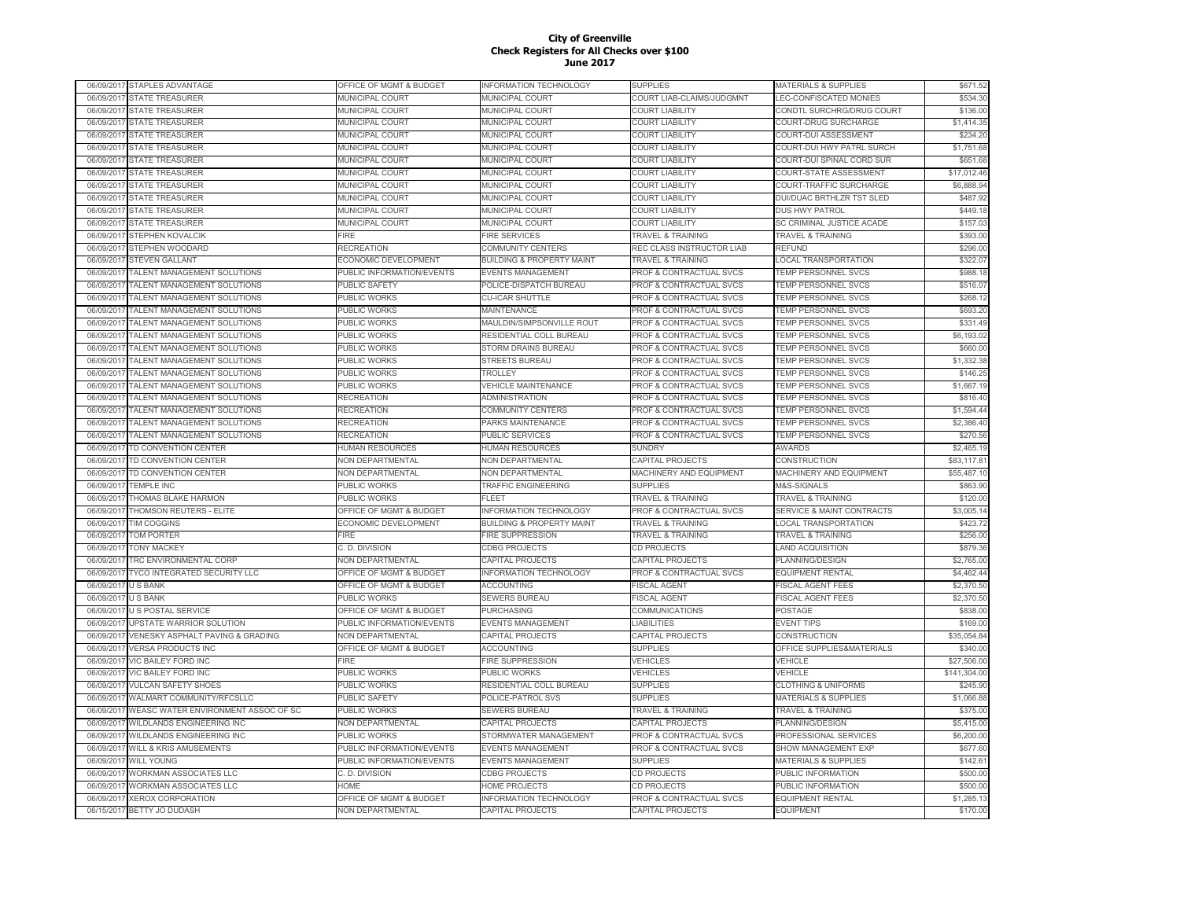| 06/09/2017 | STAPLES ADVANTAGE                   | OFFICE OF MGMT & BUDGET   | INFORMATION TECHNOLOGY                       | SUPPLIES                           | <b>MATERIALS &amp; SUPPLIES</b>      | \$671.52     |
|------------|-------------------------------------|---------------------------|----------------------------------------------|------------------------------------|--------------------------------------|--------------|
| 06/09/2017 | <b>STATE TREASURER</b>              | <b>MUNICIPAL COURT</b>    | <b>MUNICIPAL COURT</b>                       | COURT LIAB-CLAIMS/JUDGMNT          | <b>LEC-CONFISCATED MONIES</b>        | \$534.30     |
| 06/09/2017 | <b>STATE TREASURER</b>              | MUNICIPAL COURT           | MUNICIPAL COURT                              | <b>COURT LIABILITY</b>             | CONDTL SURCHRG/DRUG COURT            | \$136.00     |
| 06/09/2017 | <b>STATE TREASURER</b>              | <b>MUNICIPAL COURT</b>    | MUNICIPAL COURT                              | <b>COURT LIABILITY</b>             | COURT-DRUG SURCHARGE                 | \$1,414.35   |
| 06/09/2017 | <b>STATE TREASURER</b>              | MUNICIPAL COURT           | MUNICIPAL COURT                              | <b>COURT LIABILITY</b>             | COURT-DUI ASSESSMENT                 | \$234.20     |
| 06/09/2017 | <b>STATE TREASURER</b>              | <b>MUNICIPAL COURT</b>    | MUNICIPAL COURT                              | <b>COURT LIABILITY</b>             | COURT-DUI HWY PATRL SURCH            | \$1,751.68   |
| 06/09/2017 | <b>STATE TREASURER</b>              | <b>MUNICIPAL COURT</b>    | MUNICIPAL COURT                              | <b>COURT LIABILITY</b>             | COURT-DUI SPINAL CORD SUR            | \$651.68     |
| 06/09/2017 | <b>STATE TREASURER</b>              | <b>MUNICIPAL COURT</b>    | MUNICIPAL COURT                              | <b>COURT LIABILITY</b>             | COURT-STATE ASSESSMENT               | \$17,012.46  |
| 06/09/2017 | <b>STATE TREASURER</b>              | <b>MUNICIPAL COURT</b>    | MUNICIPAL COURT                              | <b>COURT LIABILITY</b>             | COURT-TRAFFIC SURCHARGE              | \$6,888.94   |
| 06/09/201  | <b>STATE TREASURER</b>              | <b>MUNICIPAL COURT</b>    | MUNICIPAL COURT                              | <b>COURT LIABILITY</b>             | DUI/DUAC BRTHLZR TST SLED            | \$487.92     |
| 06/09/2017 | <b>STATE TREASURER</b>              | <b>MUNICIPAL COURT</b>    | MUNICIPAL COURT                              | <b>COURT LIABILITY</b>             | <b>DUS HWY PATROL</b>                | \$449.18     |
| 06/09/201  | <b>STATE TREASURER</b>              | <b>MUNICIPAL COURT</b>    | MUNICIPAL COURT                              | <b>COURT LIABILITY</b>             | SC CRIMINAL JUSTICE ACADE            | \$157.03     |
| 06/09/2017 | STEPHEN KOVALCIK                    | <b>IRE</b>                | <b>FIRE SERVICES</b>                         | <b>TRAVEL &amp; TRAINING</b>       | <b>TRAVEL &amp; TRAINING</b>         | \$393.00     |
| 06/09/2017 | <b>STEPHEN WOODARD</b>              | <b>RECREATION</b>         | <b>COMMUNITY CENTERS</b>                     | REC CLASS INSTRUCTOR LIAB          | <b>REFUND</b>                        | \$296.00     |
| 06/09/2017 | <b>STEVEN GALLANT</b>               | ECONOMIC DEVELOPMENT      | <b>BUILDING &amp; PROPERTY MAINT</b>         | <b>TRAVEL &amp; TRAINING</b>       | <b>LOCAL TRANSPORTATION</b>          | \$322.07     |
| 06/09/2017 | TALENT MANAGEMENT SOLUTIONS         | PUBLIC INFORMATION/EVENTS | <b>EVENTS MANAGEMENT</b>                     | PROF & CONTRACTUAL SVCS            | <b>TEMP PERSONNEL SVCS</b>           | \$988.18     |
| 06/09/2017 | TALENT MANAGEMENT SOLUTIONS         | PUBLIC SAFETY             | POLICE-DISPATCH BUREAU                       | PROF & CONTRACTUAL SVCS            | TEMP PERSONNEL SVCS                  | \$516.07     |
|            |                                     |                           |                                              |                                    |                                      | \$268.12     |
| 06/09/2017 | TALENT MANAGEMENT SOLUTIONS         | PUBLIC WORKS              | <b>CU-ICAR SHUTTLE</b><br><b>MAINTENANCE</b> | PROF & CONTRACTUAL SVCS            | TEMP PERSONNEL SVCS                  | \$693.20     |
| 06/09/2017 | TALENT MANAGEMENT SOLUTIONS         | PUBLIC WORKS              |                                              | PROF & CONTRACTUAL SVCS            | <b>TEMP PERSONNEL SVCS</b>           |              |
| 06/09/2017 | TALENT MANAGEMENT SOLUTIONS         | PUBLIC WORKS              | MAULDIN/SIMPSONVILLE ROUT                    | PROF & CONTRACTUAL SVCS            | TEMP PERSONNEL SVCS                  | \$331.49     |
| 06/09/2017 | TALENT MANAGEMENT SOLUTIONS         | PUBLIC WORKS              | RESIDENTIAL COLL BUREAU                      | PROF & CONTRACTUAL SVCS            | TEMP PERSONNEL SVCS                  | \$6,193.02   |
| 06/09/2017 | TALENT MANAGEMENT SOLUTIONS         | <b>UBLIC WORKS</b>        | STORM DRAINS BUREAU                          | <b>PROF &amp; CONTRACTUAL SVCS</b> | TEMP PERSONNEL SVCS                  | \$660.00     |
| 06/09/201  | TALENT MANAGEMENT SOLUTIONS         | PUBLIC WORKS              | STREETS BUREAU                               | PROF & CONTRACTUAL SVCS            | TEMP PERSONNEL SVCS                  | \$1,332.38   |
| 06/09/201  | TALENT MANAGEMENT SOLUTIONS         | PUBLIC WORKS              | TROLLEY                                      | PROF & CONTRACTUAL SVCS            | <b>TEMP PERSONNEL SVCS</b>           | \$146.25     |
| 06/09/201  | TALENT MANAGEMENT SOLUTIONS         | PUBLIC WORKS              | <b>VEHICLE MAINTENANCE</b>                   | <b>PROF &amp; CONTRACTUAL SVCS</b> | <b>TEMP PERSONNEL SVCS</b>           | \$1,667.19   |
| 06/09/201  | TALENT MANAGEMENT SOLUTIONS         | <b>RECREATION</b>         | ADMINISTRATION                               | <b>PROF &amp; CONTRACTUAL SVCS</b> | <b>TEMP PERSONNEL SVCS</b>           | \$816.40     |
| 06/09/2017 | TALENT MANAGEMENT SOLUTIONS         | <b>RECREATION</b>         | <b>COMMUNITY CENTERS</b>                     | PROF & CONTRACTUAL SVCS            | <b>TEMP PERSONNEL SVCS</b>           | \$1,594.44   |
| 06/09/2017 | TALENT MANAGEMENT SOLUTIONS         | <b>RECREATION</b>         | PARKS MAINTENANCE                            | <b>PROF &amp; CONTRACTUAL SVCS</b> | <b>TEMP PERSONNEL SVCS</b>           | \$2,386.40   |
| 06/09/2017 | TALENT MANAGEMENT SOLUTIONS         | RECREATION                | <b>PUBLIC SERVICES</b>                       | PROF & CONTRACTUAL SVCS            | <b>TEMP PERSONNEL SVCS</b>           | \$270.56     |
| 06/09/2017 | TD CONVENTION CENTER                | HUMAN RESOURCES           | <b>HUMAN RESOURCES</b>                       | <b>SUNDRY</b>                      | <b>AWARDS</b>                        | \$2,465.19   |
| 06/09/2017 | TD CONVENTION CENTER                | NON DEPARTMENTAL          | NON DEPARTMENTAL                             | CAPITAL PROJECTS                   | CONSTRUCTION                         | \$83,117.81  |
| 06/09/2017 | TD CONVENTION CENTER                | NON DEPARTMENTAL          | <b>NON DEPARTMENTAL</b>                      | MACHINERY AND EQUIPMENT            | MACHINERY AND EQUIPMENT              | \$55,487.10  |
| 06/09/2017 | <b>TEMPLE INC</b>                   | PUBLIC WORKS              | TRAFFIC ENGINEERING                          | <b>SUPPLIES</b>                    | M&S-SIGNALS                          | \$863.90     |
| 06/09/2017 | THOMAS BLAKE HARMON                 | PUBLIC WORKS              | FLEET                                        | <b>TRAVEL &amp; TRAINING</b>       | <b>TRAVEL &amp; TRAINING</b>         | \$120.00     |
| 06/09/2017 | THOMSON REUTERS - ELITE             | OFFICE OF MGMT & BUDGET   | INFORMATION TECHNOLOGY                       | PROF & CONTRACTUAL SVCS            | <b>SERVICE &amp; MAINT CONTRACTS</b> | \$3,005.14   |
| 06/09/2017 | <b>TIM COGGINS</b>                  | ECONOMIC DEVELOPMENT      | <b>BUILDING &amp; PROPERTY MAINT</b>         | <b>TRAVEL &amp; TRAINING</b>       | <b>LOCAL TRANSPORTATION</b>          | \$423.72     |
| 06/09/2017 | <b>TOM PORTER</b>                   | FIRE                      | <b>FIRE SUPPRESSION</b>                      | <b>TRAVEL &amp; TRAINING</b>       | <b>TRAVEL &amp; TRAINING</b>         | \$256.00     |
| 06/09/201  | <b>TONY MACKEY</b>                  | C. D. DIVISION            | <b>CDBG PROJECTS</b>                         | <b>CD PROJECTS</b>                 | <b>LAND ACQUISITION</b>              | \$879.36     |
| 06/09/2017 | <b>TRC ENVIRONMENTAL CORP</b>       | <b>NON DEPARTMENTAL</b>   | <b>CAPITAL PROJECTS</b>                      | CAPITAL PROJECTS                   | <b>PLANNING/DESIGN</b>               | \$2,765.00   |
| 06/09/201  | TYCO INTEGRATED SECURITY LLC        | OFFICE OF MGMT & BUDGET   | INFORMATION TECHNOLOGY                       | PROF & CONTRACTUAL SVCS            | <b>EQUIPMENT RENTAL</b>              | \$4,462.44   |
| 06/09/2017 | <b>U S BANK</b>                     | OFFICE OF MGMT & BUDGET   | <b>ACCOUNTING</b>                            | <b>FISCAL AGENT</b>                | <b>FISCAL AGENT FEES</b>             | \$2,370.50   |
| 06/09/2017 | <b>U S BANK</b>                     | PUBLIC WORKS              | <b>SEWERS BUREAU</b>                         | <b>FISCAL AGENT</b>                | <b>FISCAL AGENT FEES</b>             | \$2,370.50   |
| 06/09/2017 | <b>U S POSTAL SERVICE</b>           | OFFICE OF MGMT & BUDGET   | <b>PURCHASING</b>                            | COMMUNICATIONS                     | POSTAGE                              | \$838.00     |
| 06/09/2017 | UPSTATE WARRIOR SOLUTION            | PUBLIC INFORMATION/EVENTS | <b>EVENTS MANAGEMENT</b>                     | <b>LIABILITIES</b>                 | <b>EVENT TIPS</b>                    | \$169.00     |
| 06/09/2017 | VENESKY ASPHALT PAVING & GRADING    | NON DEPARTMENTAL          | CAPITAL PROJECTS                             | <b>CAPITAL PROJECTS</b>            | CONSTRUCTION                         | \$35,054.84  |
| 06/09/2017 | <b>VERSA PRODUCTS INC</b>           | OFFICE OF MGMT & BUDGET   | <b>ACCOUNTING</b>                            | <b>SUPPLIES</b>                    | OFFICE SUPPLIES&MATERIALS            | \$340.00     |
| 06/09/2017 | VIC BAILEY FORD INC                 | FIRE                      | <b>FIRE SUPPRESSION</b>                      | <b>VEHICLES</b>                    | <b>VEHICLE</b>                       | \$27,506.00  |
| 06/09/2017 | <b>VIC BAILEY FORD INC</b>          | PUBLIC WORKS              | PUBLIC WORKS                                 | VEHICLES                           | <b>VEHICLE</b>                       | \$141.304.00 |
| 06/09/201  | <b>VULCAN SAFETY SHOES</b>          | PUBLIC WORKS              | RESIDENTIAL COLL BUREAU                      | <b>SUPPLIES</b>                    | <b>CLOTHING &amp; UNIFORMS</b>       | \$245.90     |
| 06/09/2017 | WALMART COMMUNITY/RFCSLLC           | PUBLIC SAFETY             | POLICE-PATROL SVS                            | <b>SUPPLIES</b>                    | <b>MATERIALS &amp; SUPPLIES</b>      | \$1,066.88   |
| 06/09/201  | WEASC WATER ENVIRONMENT ASSOC OF SC | PUBLIC WORKS              | <b>SEWERS BUREAU</b>                         | <b>TRAVEL &amp; TRAINING</b>       | <b>TRAVEL &amp; TRAINING</b>         | \$375.00     |
| 06/09/201  | WILDLANDS ENGINEERING INC           | <b>VON DEPARTMENTAL</b>   | CAPITAL PROJECTS                             | CAPITAL PROJECTS                   | PLANNING/DESIGN                      | \$5,415.00   |
| 06/09/201  | WILDLANDS ENGINEERING INC           | PUBLIC WORKS              | STORMWATER MANAGEMENT                        | PROF & CONTRACTUAL SVCS            | PROFESSIONAL SERVICES                | \$6,200.00   |
| 06/09/2017 | <b>WILL &amp; KRIS AMUSEMENTS</b>   | PUBLIC INFORMATION/EVENTS | <b>EVENTS MANAGEMENT</b>                     | PROF & CONTRACTUAL SVCS            | SHOW MANAGEMENT EXP                  | \$677.60     |
| 06/09/2017 | <b>WILL YOUNG</b>                   | PUBLIC INFORMATION/EVENTS | <b>EVENTS MANAGEMENT</b>                     | <b>SUPPLIES</b>                    | <b>MATERIALS &amp; SUPPLIES</b>      | \$142.61     |
| 06/09/2017 | WORKMAN ASSOCIATES LLC              | C. D. DIVISION            | <b>CDBG PROJECTS</b>                         | CD PROJECTS                        | PUBLIC INFORMATION                   | \$500.00     |
| 06/09/2017 | <b>WORKMAN ASSOCIATES LLC</b>       | HOME                      | <b>HOME PROJECTS</b>                         | <b>CD PROJECTS</b>                 | PUBLIC INFORMATION                   | \$500.00     |
| 06/09/2017 | <b>XEROX CORPORATION</b>            | OFFICE OF MGMT & BUDGET   | INFORMATION TECHNOLOGY                       | PROF & CONTRACTUAL SVCS            | <b>EQUIPMENT RENTAL</b>              | \$1,285.13   |
| 06/15/2017 | <b>BETTY JO DUDASH</b>              | <b>NON DEPARTMENTAL</b>   | <b>CAPITAL PROJECTS</b>                      | <b>CAPITAL PROJECTS</b>            | <b>EQUIPMENT</b>                     | \$170.00     |
|            |                                     |                           |                                              |                                    |                                      |              |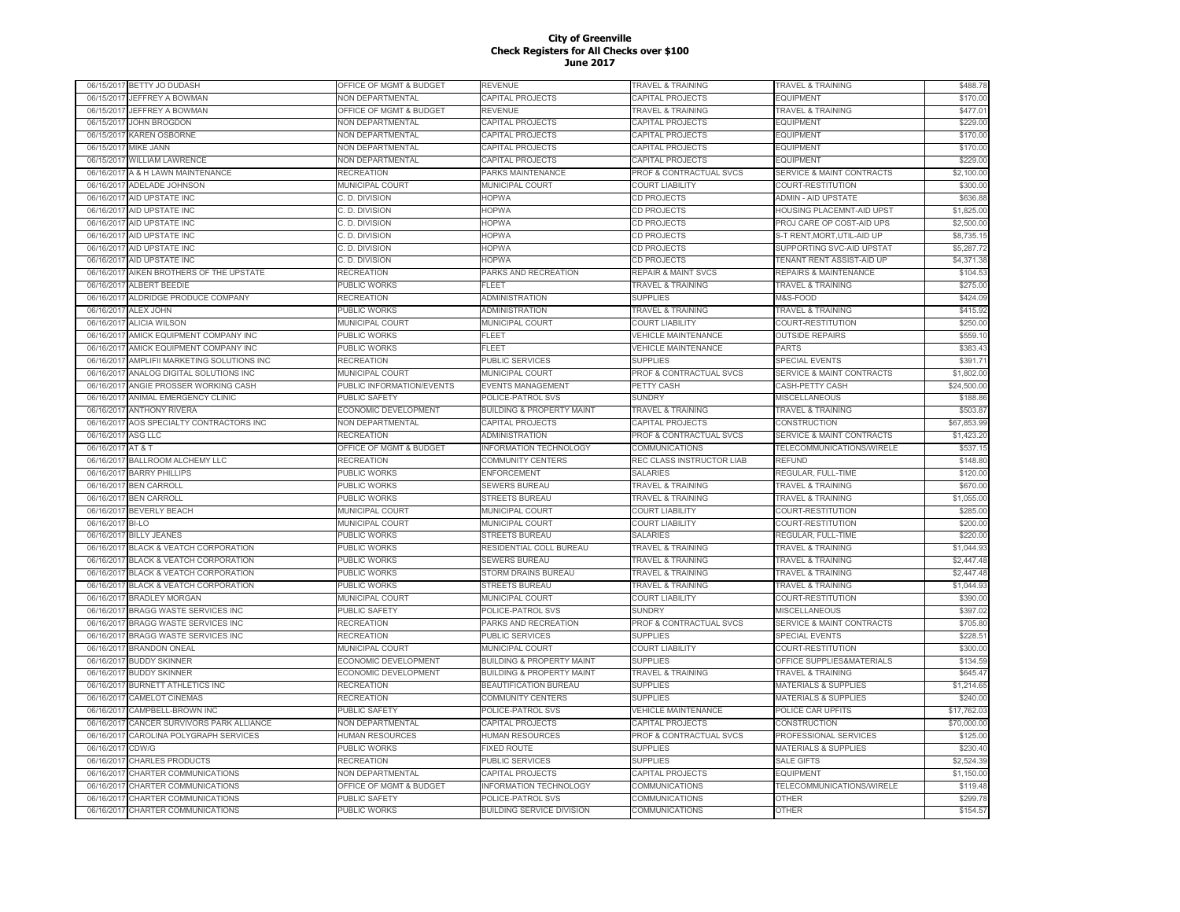| 06/15/2017 | BETTY JO DUDASH                       | OFFICE OF MGMT & BUDGET            | REVENUE                              | TRAVEL & TRAINING                   | TRAVEL & TRAINING                    | \$488.78    |
|------------|---------------------------------------|------------------------------------|--------------------------------------|-------------------------------------|--------------------------------------|-------------|
| 06/15/2017 | JEFFREY A BOWMAN                      | <b>VON DEPARTMENTAL</b>            | CAPITAL PROJECTS                     | CAPITAL PROJECTS                    | <b>EQUIPMENT</b>                     | \$170.00    |
| 06/15/2017 | JEFFREY A BOWMAN                      | OFFICE OF MGMT & BUDGET            | <b>REVENUE</b>                       | <b>TRAVEL &amp; TRAINING</b>        | <b>TRAVEL &amp; TRAINING</b>         | \$477.01    |
| 06/15/2017 | <b>JOHN BROGDON</b>                   | NON DEPARTMENTAL                   | CAPITAL PROJECTS                     | CAPITAL PROJECTS                    | <b>EQUIPMENT</b>                     | \$229.00    |
| 06/15/2017 | <b>KAREN OSBORNE</b>                  | <b>NON DEPARTMENTAL</b>            | CAPITAL PROJECTS                     | CAPITAL PROJECTS                    | <b>EQUIPMENT</b>                     | \$170.00    |
| 06/15/2017 | <b>MIKE JANN</b>                      | NON DEPARTMENTAL                   | CAPITAL PROJECTS                     | CAPITAL PROJECTS                    | <b>EQUIPMENT</b>                     | \$170.00    |
| 06/15/2017 | <b>WILLIAM LAWRENCE</b>               | NON DEPARTMENTAL                   | CAPITAL PROJECTS                     | CAPITAL PROJECTS                    | <b>EQUIPMENT</b>                     | \$229.00    |
| 06/16/2017 | A & H LAWN MAINTENANCE                | <b>RECREATION</b>                  | PARKS MAINTENANCE                    | PROF & CONTRACTUAL SVCS             | <b>SERVICE &amp; MAINT CONTRACTS</b> | \$2,100.00  |
| 06/16/2017 | <b>ADELADE JOHNSON</b>                | <b>MUNICIPAL COURT</b>             | MUNICIPAL COURT                      | <b>COURT LIABILITY</b>              | COURT-RESTITUTION                    | \$300.00    |
| 06/16/201  | AID UPSTATE INC                       | C. D. DIVISION                     | <b>HOPWA</b>                         | CD PROJECTS                         | <b>ADMIN - AID UPSTATE</b>           | \$636.88    |
| 06/16/2017 | AID UPSTATE INC                       | C. D. DIVISION                     | <b>HOPWA</b>                         | CD PROJECTS                         | <b>HOUSING PLACEMNT-AID UPST</b>     | \$1,825.00  |
| 06/16/2017 | AID UPSTATE INC                       | C. D. DIVISION                     | <b>HOPWA</b>                         | CD PROJECTS                         | PROJ CARE OP COST-AID UPS            | \$2,500.00  |
| 06/16/2017 | <b>AID UPSTATE INC</b>                | C. D. DIVISION                     | <b>HOPWA</b>                         | CD PROJECTS                         | S-T RENT.MORT.UTIL-AID UP            | \$8,735.15  |
| 06/16/2017 | AID UPSTATE INC                       | C. D. DIVISION                     | <b>HOPWA</b>                         | CD PROJECTS                         | SUPPORTING SVC-AID UPSTAT            | \$5,287.72  |
| 06/16/2017 | AID UPSTATE INC                       | C. D. DIVISION                     | <b>HOPWA</b>                         | CD PROJECTS                         | TENANT RENT ASSIST-AID UP            | \$4,371.38  |
| 06/16/2017 | AIKEN BROTHERS OF THE UPSTATE         | <b>RECREATION</b>                  | PARKS AND RECREATION                 | <b>REPAIR &amp; MAINT SVCS</b>      | REPAIRS & MAINTENANCE                | \$104.53    |
| 06/16/2017 | ALBERT BEEDIE                         | PUBLIC WORKS                       | FLEET                                | <b>TRAVEL &amp; TRAINING</b>        | <b>TRAVEL &amp; TRAINING</b>         | \$275.00    |
| 06/16/2017 | ALDRIDGE PRODUCE COMPANY              | RECREATION                         | <b>ADMINISTRATION</b>                | <b>SUPPLIES</b>                     | M&S-FOOD                             | \$424.09    |
| 06/16/2017 | ALEX JOHN                             | PUBLIC WORKS                       | <b>ADMINISTRATION</b>                | <b>TRAVEL &amp; TRAINING</b>        | <b>TRAVEL &amp; TRAINING</b>         | \$415.92    |
| 06/16/2017 | <b>ALICIA WILSON</b>                  | <b>MUNICIPAL COURT</b>             | MUNICIPAL COURT                      | <b>COURT LIABILITY</b>              | COURT-RESTITUTION                    | \$250.00    |
| 06/16/2017 | AMICK EQUIPMENT COMPANY INC           | <b>UBLIC WORKS</b>                 | <b>FLEET</b>                         | <b>VEHICLE MAINTENANCE</b>          | <b>OUTSIDE REPAIRS</b>               | \$559.10    |
| 06/16/2017 | AMICK EQUIPMENT COMPANY INC           | PUBLIC WORKS                       | FLEET                                | <b>VEHICLE MAINTENANCE</b>          | <b>PARTS</b>                         | \$383.43    |
| 06/16/201  | AMPLIFII MARKETING SOLUTIONS INC      | <b>RECREATION</b>                  | PUBLIC SERVICES                      | <b>SUPPLIES</b>                     | <b>SPECIAL EVENTS</b>                | \$391.71    |
| 06/16/2017 | ANALOG DIGITAL SOLUTIONS INC          | <b>MUNICIPAL COURT</b>             | <b>MUNICIPAL COURT</b>               | PROF & CONTRACTUAL SVCS             | <b>SERVICE &amp; MAINT CONTRACTS</b> | \$1,802.00  |
| 06/16/201  | ANGIE PROSSER WORKING CASH            | PUBLIC INFORMATION/EVENTS          | <b>EVENTS MANAGEMENT</b>             | PETTY CASH                          | CASH-PETTY CASH                      | \$24,500.00 |
| 06/16/2017 | ANIMAL EMERGENCY CLINIC               | PUBLIC SAFETY                      | POLICE-PATROL SVS                    | <b>SUNDRY</b>                       | <b>MISCELLANEOUS</b>                 | \$188.86    |
| 06/16/2017 | <b>ANTHONY RIVERA</b>                 | ECONOMIC DEVELOPMENT               | <b>BUILDING &amp; PROPERTY MAINT</b> | <b>TRAVEL &amp; TRAINING</b>        | <b>TRAVEL &amp; TRAINING</b>         | \$503.87    |
| 06/16/2017 | AOS SPECIALTY CONTRACTORS INC         | NON DEPARTMENTAL                   | CAPITAL PROJECTS                     | CAPITAL PROJECTS                    | CONSTRUCTION                         | \$67,853.99 |
| 06/16/2017 | <b>ASG LLC</b>                        | <b>RECREATION</b>                  | <b>ADMINISTRATION</b>                | <b>PROF &amp; CONTRACTUAL SVCS</b>  | SERVICE & MAINT CONTRACTS            | \$1,423.20  |
| 06/16/2017 | AT&T                                  | OFFICE OF MGMT & BUDGET            | INFORMATION TECHNOLOGY               | <b>COMMUNICATIONS</b>               | TELECOMMUNICATIONS/WIRELE            | \$537.15    |
| 06/16/2017 | BALLROOM ALCHEMY LLC                  | RECREATION                         | COMMUNITY CENTERS                    | REC CLASS INSTRUCTOR LIAB           | <b>REFUND</b>                        | \$148.80    |
| 06/16/2017 | <b>BARRY PHILLIPS</b>                 | PUBLIC WORKS                       | <b>ENFORCEMENT</b>                   | <b>SALARIES</b>                     | REGULAR, FULL-TIME                   | \$120.00    |
| 06/16/2017 | <b>BEN CARROLL</b>                    | PUBLIC WORKS                       | SEWERS BUREAU                        | <b><i>FRAVEL &amp; TRAINING</i></b> | TRAVEL & TRAINING                    | \$670.00    |
| 06/16/201  | <b>BEN CARROLL</b>                    | PUBLIC WORKS                       | <b>STREETS BUREAU</b>                | <b>TRAVEL &amp; TRAINING</b>        | <b>TRAVEL &amp; TRAINING</b>         | \$1,055.00  |
| 06/16/2017 | <b>BEVERLY BEACH</b>                  | <b>MUNICIPAL COURT</b>             | <b>MUNICIPAL COURT</b>               | <b>COURT LIABILITY</b>              | COURT-RESTITUTION                    | \$285.00    |
| 06/16/201  | BI-LO                                 | <b>MUNICIPAL COURT</b>             | <b>MUNICIPAL COURT</b>               | <b>COURT LIABILITY</b>              | COURT-RESTITUTION                    | \$200.00    |
| 06/16/2017 | <b>BILLY JEANES</b>                   | PUBLIC WORKS                       | <b>STREETS BUREAU</b>                | <b>SALARIES</b>                     | REGULAR, FULL-TIME                   | \$220.00    |
| 06/16/2017 | <b>BLACK &amp; VEATCH CORPORATION</b> | PUBLIC WORKS                       | RESIDENTIAL COLL BUREAU              | <b>TRAVEL &amp; TRAINING</b>        | <b>TRAVEL &amp; TRAINING</b>         | \$1,044.93  |
| 06/16/2017 | <b>BLACK &amp; VEATCH CORPORATION</b> | PUBLIC WORKS                       | <b>SEWERS BUREAU</b>                 | <b>TRAVEL &amp; TRAINING</b>        | <b>TRAVEL &amp; TRAINING</b>         | \$2,447.48  |
| 06/16/2017 | <b>BLACK &amp; VEATCH CORPORATION</b> | PUBLIC WORKS                       | STORM DRAINS BUREAU                  | <b>TRAVEL &amp; TRAINING</b>        | <b>TRAVEL &amp; TRAINING</b>         | \$2,447.48  |
| 06/16/2017 | <b>BLACK &amp; VEATCH CORPORATION</b> | PUBLIC WORKS                       | STREETS BUREAU                       | <b>TRAVEL &amp; TRAINING</b>        | <b>TRAVEL &amp; TRAINING</b>         | \$1,044.93  |
| 06/16/2017 | <b>BRADLEY MORGAN</b>                 | <b>MUNICIPAL COURT</b>             | MUNICIPAL COURT                      | <b>COURT LIABILITY</b>              | COURT-RESTITUTION                    | \$390.00    |
| 06/16/2017 | BRAGG WASTE SERVICES INC              | PUBLIC SAFETY                      | POLICE-PATROL SVS                    | <b>SUNDRY</b>                       | <b>MISCELLANEOUS</b>                 | \$397.02    |
| 06/16/2017 | <b>BRAGG WASTE SERVICES INC</b>       | RECREATION                         | PARKS AND RECREATION                 | PROF & CONTRACTUAL SVCS             | <b>SERVICE &amp; MAINT CONTRACTS</b> | \$705.80    |
| 06/16/201  | <b>BRAGG WASTE SERVICES INC</b>       | RECREATION                         | PUBLIC SERVICES                      | <b>SUPPLIES</b>                     | SPECIAL EVENTS                       | \$228.51    |
| 06/16/201  | <b>BRANDON ONEAL</b>                  | <b>MUNICIPAL COURT</b>             | MUNICIPAL COURT                      | <b>COURT LIABILITY</b>              | COURT-RESTITUTION                    | \$300.00    |
| 06/16/201  | <b>BUDDY SKINNER</b>                  | ECONOMIC DEVELOPMENT               | <b>BUILDING &amp; PROPERTY MAINT</b> | <b>SUPPLIES</b>                     | OFFICE SUPPLIES&MATERIALS            | \$134.59    |
| 06/16/2017 | <b>BUDDY SKINNER</b>                  | <b>ECONOMIC DEVELOPMENT</b>        | <b>BUILDING &amp; PROPERTY MAINT</b> | <b>TRAVEL &amp; TRAINING</b>        | <b>TRAVEL &amp; TRAINING</b>         | \$645.47    |
| 06/16/2017 | <b>BURNETT ATHLETICS INC</b>          | RECREATION                         | <b>BEAUTIFICATION BUREAU</b>         | <b>SUPPLIES</b>                     | <b>MATERIALS &amp; SUPPLIES</b>      | \$1,214.65  |
| 06/16/2017 | <b>CAMELOT CINEMAS</b>                | RECREATION                         | <b>COMMUNITY CENTERS</b>             | <b>SUPPLIES</b>                     | <b>MATERIALS &amp; SUPPLIES</b>      | \$240.00    |
| 06/16/2017 | CAMPBELL-BROWN INC                    | PUBLIC SAFETY                      | POLICE-PATROL SVS                    | <b>VEHICLE MAINTENANCE</b>          | POLICE CAR UPFITS                    | \$17,762.03 |
| 06/16/2017 | CANCER SURVIVORS PARK ALLIANCE        | NON DEPARTMENTAL                   | <b>CAPITAL PROJECTS</b>              | CAPITAL PROJECTS                    | CONSTRUCTION                         | \$70,000.00 |
| 06/16/2017 | CAROLINA POLYGRAPH SERVICES           | HUMAN RESOURCES                    | <b>HUMAN RESOURCES</b>               | PROF & CONTRACTUAL SVCS             | PROFESSIONAL SERVICES                | \$125.00    |
| 06/16/2017 | CDW/G                                 | PUBLIC WORKS                       | <b>FIXED ROUTE</b>                   | <b>SUPPLIES</b>                     | <b>MATERIALS &amp; SUPPLIES</b>      | \$230.40    |
| 06/16/2017 | <b>CHARLES PRODUCTS</b>               | <b>RECREATION</b>                  | PUBLIC SERVICES                      | <b>SUPPLIES</b>                     | <b>SALE GIFTS</b>                    | \$2,524.39  |
| 06/16/201  | CHARTER COMMUNICATIONS                | NON DEPARTMENTAL                   | CAPITAL PROJECTS                     | CAPITAL PROJECTS                    | <b>EQUIPMENT</b>                     | \$1,150.00  |
| 06/16/2017 | CHARTER COMMUNICATIONS                | <b>OFFICE OF MGMT &amp; BUDGET</b> | <b>INFORMATION TECHNOLOGY</b>        | COMMUNICATIONS                      | TELECOMMUNICATIONS/WIRELE            | \$119.48    |
| 06/16/201  | <b>CHARTER COMMUNICATIONS</b>         | <b>PUBLIC SAFETY</b>               | POLICE-PATROL SVS                    | COMMUNICATIONS                      | <b>OTHER</b>                         | \$299.78    |
| 06/16/2017 | CHARTER COMMUNICATIONS                | PUBLIC WORKS                       | <b>BUILDING SERVICE DIVISION</b>     | COMMUNICATIONS                      | <b>OTHER</b>                         | \$154.57    |
|            |                                       |                                    |                                      |                                     |                                      |             |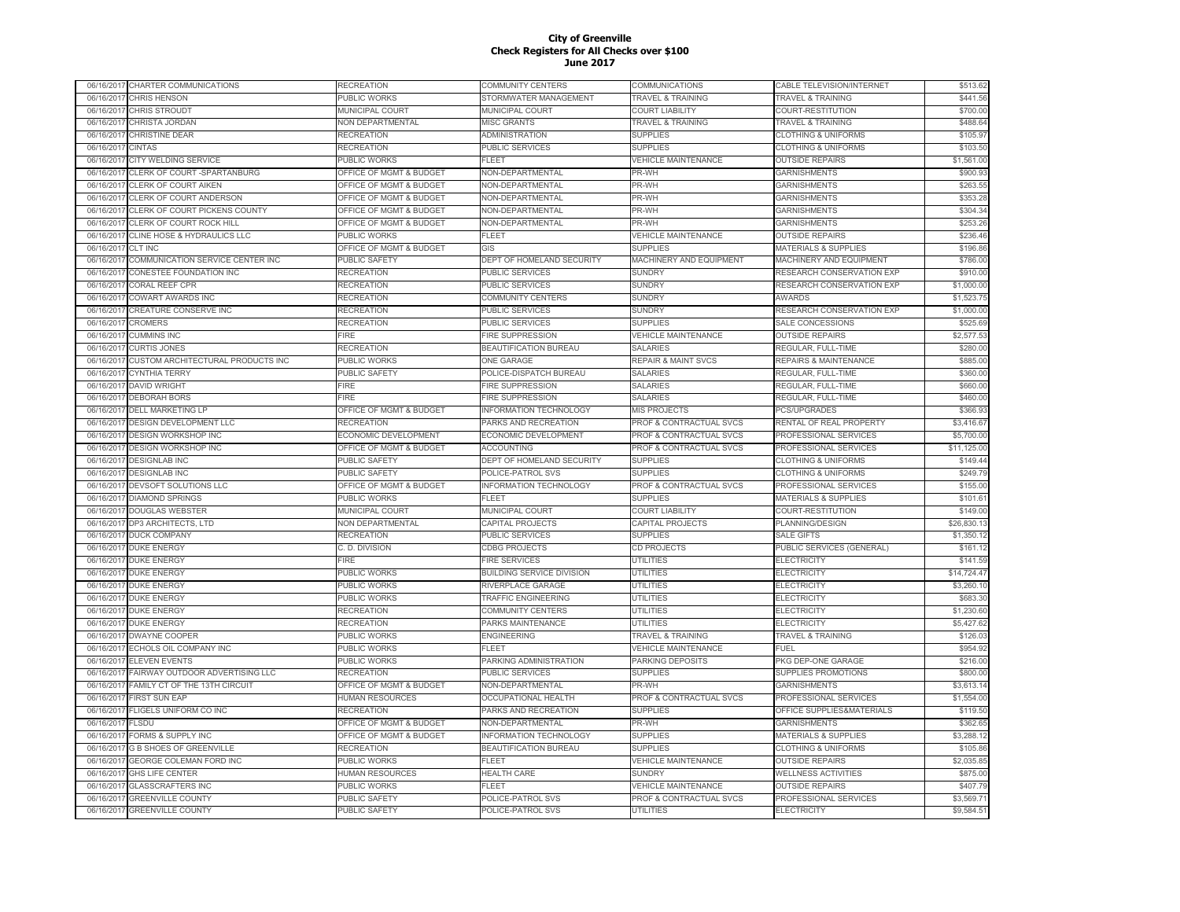| 06/16/2017 CHARTER COMMUNICATIONS              | RECREATION                         | COMMUNITY CENTERS                | COMMUNICATIONS                 | CABLE TELEVISION/INTERNET        | \$513.62    |
|------------------------------------------------|------------------------------------|----------------------------------|--------------------------------|----------------------------------|-------------|
| 06/16/2017<br><b>CHRIS HENSON</b>              | PUBLIC WORKS                       | STORMWATER MANAGEMENT            | <b>TRAVEL &amp; TRAINING</b>   | <b>TRAVEL &amp; TRAINING</b>     | \$441.56    |
| <b>CHRIS STROUDT</b><br>06/16/2017             | MUNICIPAL COURT                    | MUNICIPAL COURT                  | <b>COURT LIABILITY</b>         | COURT-RESTITUTION                | \$700.00    |
| CHRISTA JORDAN<br>06/16/2017                   | NON DEPARTMENTAL                   | <b>MISC GRANTS</b>               | TRAVEL & TRAINING              | <b>TRAVEL &amp; TRAINING</b>     | \$488.64    |
| CHRISTINE DEAR<br>06/16/2017                   | <b>RECREATION</b>                  | ADMINISTRATION                   | <b>SUPPLIES</b>                | <b>CLOTHING &amp; UNIFORMS</b>   | \$105.97    |
| 06/16/2017<br><b>CINTAS</b>                    | RECREATION                         | PUBLIC SERVICES                  | <b>SUPPLIES</b>                | <b>CLOTHING &amp; UNIFORMS</b>   | \$103.50    |
| 06/16/2017<br>CITY WELDING SERVICE             | PUBLIC WORKS                       | FL FET                           | <b>VEHICLE MAINTENANCE</b>     | <b>OUTSIDE REPAIRS</b>           | \$1,561.00  |
| 06/16/2017<br>CLERK OF COURT -SPARTANBURG      | OFFICE OF MGMT & BUDGET            | NON-DEPARTMENTAL                 | PR-WH                          | <b>GARNISHMENTS</b>              | \$900.93    |
| CLERK OF COURT AIKEN<br>06/16/2017             | OFFICE OF MGMT & BUDGET            | NON-DEPARTMENTAL                 | PR-WH                          | <b>GARNISHMENTS</b>              | \$263.55    |
| 06/16/201<br>CLERK OF COURT ANDERSON           | OFFICE OF MGMT & BUDGET            | NON-DEPARTMENTAL                 | PR-WH                          | <b>GARNISHMENTS</b>              | \$353.28    |
| CLERK OF COURT PICKENS COUNTY<br>06/16/201     | <b>OFFICE OF MGMT &amp; BUDGET</b> | NON-DEPARTMENTAL                 | PR-WH                          | <b>GARNISHMENTS</b>              | \$304.34    |
| 06/16/201<br>CLERK OF COURT ROCK HILL          | OFFICE OF MGMT & BUDGET            | NON-DEPARTMENTAL                 | PR-WH                          | <b>GARNISHMENTS</b>              | \$253.26    |
| 06/16/2017<br>CLINE HOSE & HYDRAULICS LLC      | PUBLIC WORKS                       | FLEET                            | <b>VEHICLE MAINTENANCE</b>     | <b>OUTSIDE REPAIRS</b>           | \$236.46    |
| <b>CLT INC</b><br>06/16/2017                   | <b>OFFICE OF MGMT &amp; BUDGET</b> | GIS                              | <b>SUPPLIES</b>                | <b>MATERIALS &amp; SUPPLIES</b>  | \$196.86    |
| 06/16/2017<br>COMMUNICATION SERVICE CENTER INC | PUBLIC SAFETY                      | DEPT OF HOMELAND SECURITY        | MACHINERY AND EQUIPMENT        | MACHINERY AND EQUIPMENT          | \$786.00    |
| CONESTEE FOUNDATION INC<br>06/16/2017          | <b>RECREATION</b>                  | PUBLIC SERVICES                  | <b>SUNDRY</b>                  | RESEARCH CONSERVATION EXP        | \$910.00    |
| <b>CORAL REEF CPR</b><br>06/16/2017            | RECREATION                         | PUBLIC SERVICES                  | <b>SUNDRY</b>                  | RESEARCH CONSERVATION EXP        | \$1,000.00  |
| COWART AWARDS INC<br>06/16/2017                | <b>RECREATION</b>                  | COMMUNITY CENTERS                | <b>SUNDRY</b>                  | <b>AWARDS</b>                    | \$1,523.75  |
| 06/16/2017<br>CREATURE CONSERVE INC            | <b>RECREATION</b>                  | PUBLIC SERVICES                  | <b>SUNDRY</b>                  | RESEARCH CONSERVATION EXP        | \$1,000.00  |
| 06/16/2017<br><b>CROMERS</b>                   |                                    |                                  |                                |                                  |             |
|                                                | <b>RECREATION</b>                  | PUBLIC SERVICES                  | <b>SUPPLIES</b>                | SALE CONCESSIONS                 | \$525.69    |
| <b>CUMMINS INC</b><br>06/16/2017               | <b>FIRE</b>                        | <b>FIRE SUPPRESSION</b>          | <b>VEHICLE MAINTENANCE</b>     | <b>OUTSIDE REPAIRS</b>           | \$2,577.53  |
| <b>CURTIS JONES</b><br>06/16/2017              | <b>RECREATION</b>                  | BEAUTIFICATION BUREAU            | <b>SALARIES</b>                | REGULAR, FULL-TIME               | \$280.00    |
| 06/16/201<br>CUSTOM ARCHITECTURAL PRODUCTS INC | PUBLIC WORKS                       | <b>ONE GARAGE</b>                | <b>REPAIR &amp; MAINT SVCS</b> | <b>REPAIRS &amp; MAINTENANCE</b> | \$885.00    |
| 06/16/2017<br><b>CYNTHIA TERRY</b>             | PUBLIC SAFETY                      | POLICE-DISPATCH BUREAU           | <b>SALARIES</b>                | REGULAR, FULL-TIME               | \$360.00    |
| 06/16/201<br><b>DAVID WRIGHT</b>               | FIRE                               | <b>FIRE SUPPRESSION</b>          | <b>SALARIES</b>                | REGULAR, FULL-TIME               | \$660.00    |
| 06/16/2017<br><b>DEBORAH BORS</b>              | FIRE                               | <b>FIRE SUPPRESSION</b>          | <b>SALARIES</b>                | REGULAR, FULL-TIME               | \$460.00    |
| <b>DELL MARKETING LP</b><br>06/16/2017         | OFFICE OF MGMT & BUDGET            | <b>INFORMATION TECHNOLOGY</b>    | <b>MIS PROJECTS</b>            | <b>PCS/UPGRADES</b>              | \$366.93    |
| DESIGN DEVELOPMENT LLC<br>06/16/2017           | RECREATION                         | PARKS AND RECREATION             | PROF & CONTRACTUAL SVCS        | RENTAL OF REAL PROPERTY          | \$3,416.67  |
| <b>DESIGN WORKSHOP INC</b><br>06/16/2017       | <b>ECONOMIC DEVELOPMENT</b>        | ECONOMIC DEVELOPMENT             | PROF & CONTRACTUAL SVCS        | PROFESSIONAL SERVICES            | \$5,700.00  |
| 06/16/2017<br><b>DESIGN WORKSHOP INC</b>       | OFFICE OF MGMT & BUDGET            | <b>ACCOUNTING</b>                | PROF & CONTRACTUAL SVCS        | PROFESSIONAL SERVICES            | \$11,125.00 |
| 06/16/2017<br><b>DESIGNLAB INC</b>             | PUBLIC SAFETY                      | DEPT OF HOMELAND SECURITY        | <b>SUPPLIES</b>                | <b>CLOTHING &amp; UNIFORMS</b>   | \$149.44    |
| 06/16/2017 DESIGNLAB INC                       | PUBLIC SAFETY                      | POLICE-PATROL SVS                | <b>SUPPLIES</b>                | <b>CLOTHING &amp; UNIFORMS</b>   | \$249.79    |
| 06/16/2017<br>DEVSOFT SOLUTIONS LLC            | OFFICE OF MGMT & BUDGET            | <b>INFORMATION TECHNOLOGY</b>    | PROF & CONTRACTUAL SVCS        | PROFESSIONAL SERVICES            | \$155.00    |
| <b>DIAMOND SPRINGS</b><br>06/16/2017           | PUBLIC WORKS                       | FL FET                           | <b>SUPPLIES</b>                | <b>MATERIALS &amp; SUPPLIES</b>  | \$101.61    |
| 06/16/2017<br><b>DOUGLAS WEBSTER</b>           | <b>MUNICIPAL COURT</b>             | <b>MUNICIPAL COURT</b>           | <b>COURT LIABILITY</b>         | COURT-RESTITUTION                | \$149.00    |
| 06/16/201<br>DP3 ARCHITECTS, LTD               | <b>VON DEPARTMENTAL</b>            | CAPITAL PROJECTS                 | CAPITAL PROJECTS               | PLANNING/DESIGN                  | \$26,830.1  |
| 06/16/2017<br><b>DUCK COMPANY</b>              | RECREATION                         | PUBLIC SERVICES                  | <b>SUPPLIES</b>                | <b>SALE GIFTS</b>                | \$1,350.12  |
| 06/16/201<br><b>DUKE ENERGY</b>                | C. D. DIVISION                     | <b>CDBG PROJECTS</b>             | <b>CD PROJECTS</b>             | PUBLIC SERVICES (GENERAL)        | \$161.12    |
| <b>DUKE ENERGY</b><br>06/16/2017               | FIRE                               | FIRE SERVICES                    | UTILITIES                      | ELECTRICITY                      | \$141.59    |
| <b>DUKE ENERGY</b><br>06/16/2017               | PUBLIC WORKS                       | <b>BUILDING SERVICE DIVISION</b> | UTILITIES                      | <b>ELECTRICITY</b>               | \$14,724.47 |
| <b>DUKE ENERGY</b><br>06/16/2017               | PUBLIC WORKS                       | RIVERPLACE GARAGE                | UTILITIES                      | <b>ELECTRICITY</b>               | \$3,260.10  |
| <b>DUKE ENERGY</b><br>06/16/2017               | PUBLIC WORKS                       | <b>TRAFFIC ENGINEERING</b>       | <b>UTILITIES</b>               | <b>ELECTRICITY</b>               | \$683.30    |
| 06/16/2017 DUKE ENERGY                         | <b>RECREATION</b>                  | COMMUNITY CENTERS                | <b>UTILITIES</b>               | <b>ELECTRICITY</b>               | \$1,230.60  |
| 06/16/2017 DUKE ENERGY                         | <b>RECREATION</b>                  | PARKS MAINTENANCE                | <b>UTILITIES</b>               | <b>ELECTRICITY</b>               | \$5,427.62  |
| 06/16/2017<br><b>DWAYNE COOPER</b>             | PUBLIC WORKS                       | <b>ENGINEERING</b>               | <b>TRAVEL &amp; TRAINING</b>   | <b>TRAVEL &amp; TRAINING</b>     | \$126.03    |
| ECHOLS OIL COMPANY INC<br>06/16/2017           | PUBLIC WORKS                       | FLEET                            | <b>VEHICLE MAINTENANCE</b>     | <b>FUEL</b>                      | \$954.92    |
| <b>ELEVEN EVENTS</b><br>06/16/2017             | PUBLIC WORKS                       | PARKING ADMINISTRATION           | PARKING DEPOSITS               | PKG DEP-ONE GARAGE               | \$216.00    |
| FAIRWAY OUTDOOR ADVERTISING LLC<br>06/16/2017  | RECREATION                         | PUBLIC SERVICES                  | <b>SUPPLIES</b>                | <b>SUPPLIES PROMOTIONS</b>       | \$800.00    |
| 06/16/201<br>FAMILY CT OF THE 13TH CIRCUIT     | OFFICE OF MGMT & BUDGET            | NON-DEPARTMENTAL                 | PR-WH                          | <b>GARNISHMENTS</b>              | \$3,613.14  |
| 06/16/2017<br><b>FIRST SUN EAP</b>             | <b>HUMAN RESOURCES</b>             | <b>OCCUPATIONAL HEALTH</b>       | PROF & CONTRACTUAL SVCS        | PROFESSIONAL SERVICES            | \$1,554.00  |
| 06/16/201<br>FLIGELS UNIFORM CO INC            | RECREATION                         | PARKS AND RECREATION             | <b>SUPPLIES</b>                | OFFICE SUPPLIES&MATERIALS        | \$119.50    |
| 06/16/2017<br>FLSDU                            | <b>OFFICE OF MGMT &amp; BUDGET</b> | NON-DEPARTMENTAL                 | PR-WH                          | <b>GARNISHMENTS</b>              | \$362.65    |
| FORMS & SUPPLY INC<br>06/16/201                | OFFICE OF MGMT & BUDGET            | <b>INFORMATION TECHNOLOGY</b>    | <b>SUPPLIES</b>                | MATERIALS & SUPPLIES             | \$3,288.12  |
| 06/16/2017<br><b>G B SHOES OF GREENVILLE</b>   | RECREATION                         | <b>BEAUTIFICATION BUREAU</b>     | <b>SUPPLIES</b>                | <b>CLOTHING &amp; UNIFORMS</b>   | \$105.86    |
| 06/16/2017<br>GEORGE COLEMAN FORD INC          | PUBLIC WORKS                       | FLEET                            | <b>VEHICLE MAINTENANCE</b>     | <b>OUTSIDE REPAIRS</b>           | \$2,035.85  |
| 06/16/2017<br><b>GHS LIFE CENTER</b>           | HUMAN RESOURCES                    | <b>HEALTH CARE</b>               | <b>SUNDRY</b>                  | <b>WELLNESS ACTIVITIES</b>       | \$875.00    |
| 06/16/2017<br><b>GLASSCRAFTERS INC</b>         | PUBLIC WORKS                       | FLEET                            | <b>VEHICLE MAINTENANCE</b>     | <b>OUTSIDE REPAIRS</b>           | \$407.79    |
| <b>GREENVILLE COUNTY</b><br>06/16/2017         | PUBLIC SAFETY                      | POLICE-PATROL SVS                | PROF & CONTRACTUAL SVCS        | PROFESSIONAL SERVICES            | \$3,569.71  |
| 06/16/2017 GREENVILLE COUNTY                   | PUBLIC SAFETY                      | POLICE-PATROL SVS                | <b>UTILITIES</b>               | <b>ELECTRICITY</b>               | \$9,584.51  |
|                                                |                                    |                                  |                                |                                  |             |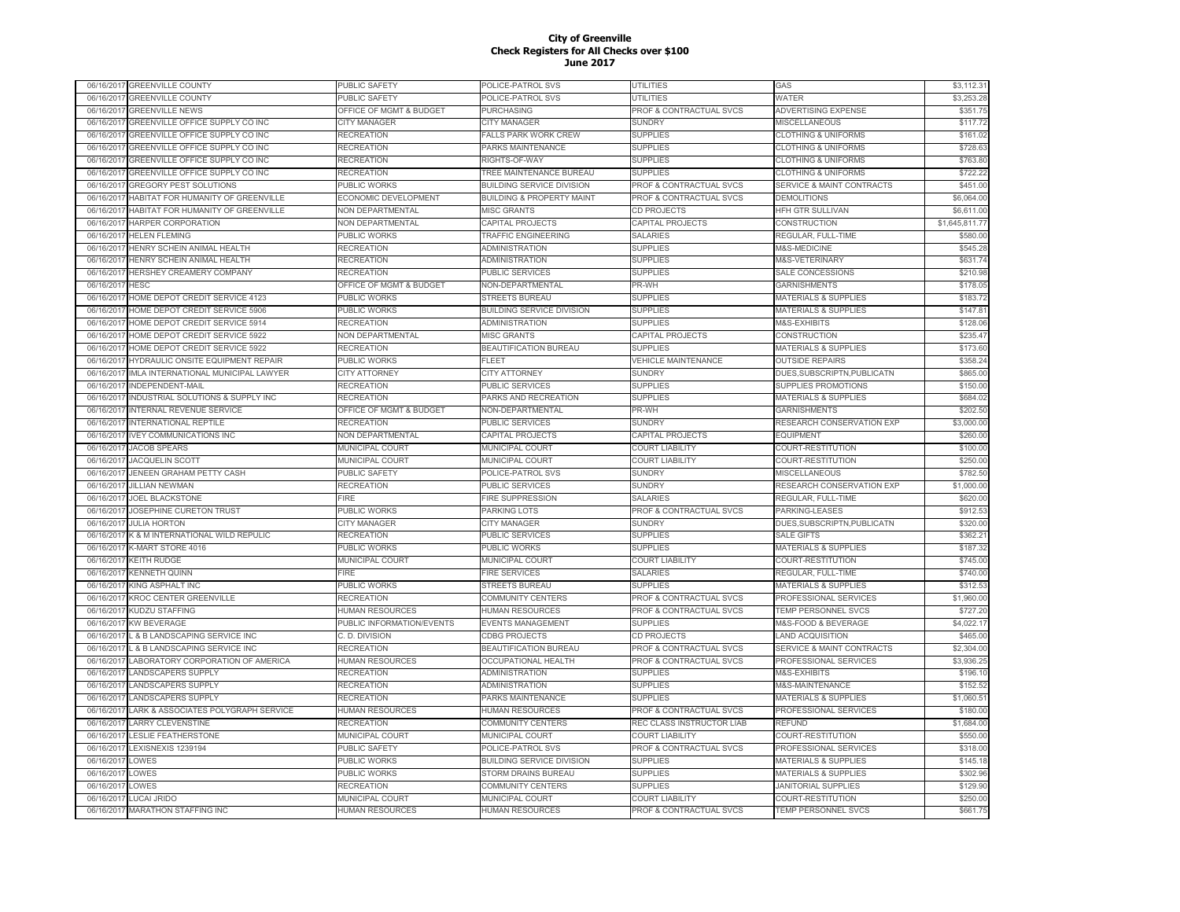| 06/16/2017 | <b>GREENVILLE COUNTY</b>            | PUBLIC SAFETY               | POLICE-PATROL SVS                    | UTILITIES                          | GAS                                  | \$3,112.31     |
|------------|-------------------------------------|-----------------------------|--------------------------------------|------------------------------------|--------------------------------------|----------------|
| 06/16/2017 | <b>GREENVILLE COUNTY</b>            | PUBLIC SAFETY               | POLICE-PATROL SVS                    | UTILITIES                          | WATER                                | \$3,253.28     |
| 06/16/2017 | <b>GREENVILLE NEWS</b>              | OFFICE OF MGMT & BUDGET     | <b>PURCHASING</b>                    | PROF & CONTRACTUAL SVCS            | ADVERTISING EXPENSE                  | \$351.75       |
| 06/16/2017 | GREENVILLE OFFICE SUPPLY CO INC     | CITY MANAGER                | <b>CITY MANAGER</b>                  | <b>SUNDRY</b>                      | MISCELLANEOUS                        | \$117.72       |
| 06/16/2017 | GREENVILLE OFFICE SUPPLY CO INC     | RECREATION                  | <b>FALLS PARK WORK CREW</b>          | <b>SUPPLIES</b>                    | <b>CLOTHING &amp; UNIFORMS</b>       | \$161.02       |
| 06/16/2017 | GREENVILLE OFFICE SUPPLY CO INC     | RECREATION                  | PARKS MAINTENANCE                    | <b>SUPPLIES</b>                    | <b>CLOTHING &amp; UNIFORMS</b>       | \$728.63       |
| 06/16/2017 | GREENVILLE OFFICE SUPPLY CO INC     | RECREATION                  | RIGHTS-OF-WAY                        | <b>SUPPLIES</b>                    | <b>CLOTHING &amp; UNIFORMS</b>       | \$763.80       |
| 06/16/201  | GREENVILLE OFFICE SUPPLY CO INC     | <b>RECREATION</b>           | TREE MAINTENANCE BUREAU              | <b>SUPPLIES</b>                    | <b>CLOTHING &amp; UNIFORMS</b>       | \$722.22       |
| 06/16/201  | <b>GREGORY PEST SOLUTIONS</b>       | PUBLIC WORKS                | <b>BUILDING SERVICE DIVISION</b>     | PROF & CONTRACTUAL SVCS            | <b>SERVICE &amp; MAINT CONTRACTS</b> | \$451.00       |
| 06/16/201  | HABITAT FOR HUMANITY OF GREENVILLE  | <b>ECONOMIC DEVELOPMENT</b> | <b>BUILDING &amp; PROPERTY MAINT</b> | <b>PROF &amp; CONTRACTUAL SVCS</b> | <b>DEMOLITIONS</b>                   | \$6,064.00     |
| 06/16/2017 | HABITAT FOR HUMANITY OF GREENVILLE  | <b>NON DEPARTMENTAL</b>     | <b>MISC GRANTS</b>                   | CD PROJECTS                        | HFH GTR SULLIVAN                     | \$6,611.00     |
| 06/16/2017 | HARPER CORPORATION                  | NON DEPARTMENTAL            | <b>CAPITAL PROJECTS</b>              | <b>CAPITAL PROJECTS</b>            | CONSTRUCTION                         | \$1,645,811.77 |
| 06/16/2017 | <b>HELEN FLEMING</b>                | PUBLIC WORKS                | TRAFFIC ENGINEERING                  | SALARIES                           | REGULAR, FULL-TIME                   | \$580.00       |
| 06/16/2017 | HENRY SCHEIN ANIMAL HEALTH          | RECREATION                  | <b>ADMINISTRATION</b>                | <b>SUPPLIES</b>                    | M&S-MEDICINE                         | \$545.28       |
| 06/16/2017 | HENRY SCHEIN ANIMAL HEALTH          | <b>RECREATION</b>           | <b>ADMINISTRATION</b>                | <b>SUPPLIES</b>                    | M&S-VETERINARY                       | \$631.74       |
| 06/16/2017 | HERSHEY CREAMERY COMPANY            | <b>RECREATION</b>           | <b>PUBLIC SERVICES</b>               | <b>SUPPLIES</b>                    | SALE CONCESSIONS                     | \$210.98       |
|            |                                     |                             |                                      |                                    |                                      | \$178.05       |
| 06/16/2017 | <b>HESC</b>                         | OFFICE OF MGMT & BUDGET     | NON-DEPARTMENTAL                     | PR-WH                              | <b>GARNISHMENTS</b>                  |                |
| 06/16/2017 | HOME DEPOT CREDIT SERVICE 4123      | PUBLIC WORKS                | <b>STREETS BUREAU</b>                | <b>SUPPLIES</b>                    | MATERIALS & SUPPLIES                 | \$183.72       |
| 06/16/201  | HOME DEPOT CREDIT SERVICE 5906      | PUBLIC WORKS                | <b>BUILDING SERVICE DIVISION</b>     | <b>SUPPLIES</b>                    | <b>MATERIALS &amp; SUPPLIES</b>      | \$147.81       |
| 06/16/201  | HOME DEPOT CREDIT SERVICE 5914      | RECREATION                  | <b>ADMINISTRATION</b>                | <b>SUPPLIES</b>                    | M&S-EXHIBITS                         | \$128.06       |
| 06/16/201  | HOME DEPOT CREDIT SERVICE 5922      | NON DEPARTMENTAL            | <b>MISC GRANTS</b>                   | CAPITAL PROJECTS                   | CONSTRUCTION                         | \$235.47       |
| 06/16/2017 | HOME DEPOT CREDIT SERVICE 5922      | RECREATION                  | BEAUTIFICATION BUREAU                | <b>SUPPLIES</b>                    | <b>MATERIALS &amp; SUPPLIES</b>      | \$173.60       |
| 06/16/2017 | HYDRAULIC ONSITE EQUIPMENT REPAIR   | PUBLIC WORKS                | <b>FLEET</b>                         | <b>VEHICLE MAINTENANCE</b>         | <b>OUTSIDE REPAIRS</b>               | \$358.24       |
| 06/16/2017 | IMLA INTERNATIONAL MUNICIPAL LAWYER | <b>CITY ATTORNEY</b>        | <b>CITY ATTORNEY</b>                 | <b>SUNDRY</b>                      | DUES, SUBSCRIPTN, PUBLICATN          | \$865.00       |
| 06/16/2017 | INDEPENDENT-MAIL                    | <b>RECREATION</b>           | PUBLIC SERVICES                      | <b>SUPPLIES</b>                    | SUPPLIES PROMOTIONS                  | \$150.00       |
| 06/16/2017 | INDUSTRIAL SOLUTIONS & SUPPLY INC   | <b>RECREATION</b>           | PARKS AND RECREATION                 | <b>SUPPLIES</b>                    | <b>MATERIALS &amp; SUPPLIES</b>      | \$684.02       |
| 06/16/2017 | INTERNAL REVENUE SERVICE            | OFFICE OF MGMT & BUDGET     | NON-DEPARTMENTAL                     | PR-WH                              | <b>GARNISHMENTS</b>                  | \$202.50       |
| 06/16/2017 | <b>INTERNATIONAL REPTILE</b>        | <b>RECREATION</b>           | PUBLIC SERVICES                      | <b>SUNDRY</b>                      | RESEARCH CONSERVATION EXP            | \$3,000.00     |
| 06/16/2017 | <b>IVEY COMMUNICATIONS INC</b>      | <b>NON DEPARTMENTAL</b>     | <b>CAPITAL PROJECTS</b>              | CAPITAL PROJECTS                   | <b>EQUIPMENT</b>                     | \$260.00       |
| 06/16/201  | <b>JACOB SPEARS</b>                 | <b>MUNICIPAL COURT</b>      | <b>MUNICIPAL COURT</b>               | <b>COURT LIABILITY</b>             | COURT-RESTITUTION                    | \$100.00       |
| 06/16/2017 | <b>JACQUELIN SCOTT</b>              | <b>MUNICIPAL COURT</b>      | <b>MUNICIPAL COURT</b>               | <b>COURT LIABILITY</b>             | COURT-RESTITUTION                    | \$250.00       |
| 06/16/2017 | JENEEN GRAHAM PETTY CASH            | PUBLIC SAFETY               | POLICE-PATROL SVS                    | <b>SUNDRY</b>                      | <b>MISCELLANEOUS</b>                 | \$782.50       |
| 06/16/2017 | <b>JILLIAN NEWMAN</b>               | RECREATION                  | <b>PUBLIC SERVICES</b>               | <b>SUNDRY</b>                      | RESEARCH CONSERVATION EXP            | \$1,000.00     |
| 06/16/2017 | <b>JOEL BLACKSTONE</b>              | FIRE                        | <b>FIRE SUPPRESSION</b>              | <b>SALARIES</b>                    | REGULAR, FULL-TIME                   | \$620.00       |
| 06/16/2017 | JOSEPHINE CURETON TRUST             | PUBLIC WORKS                | PARKING LOTS                         | PROF & CONTRACTUAL SVCS            | PARKING-LEASES                       | \$912.53       |
| 06/16/2017 | <b>JULIA HORTON</b>                 | CITY MANAGER                | <b>CITY MANAGER</b>                  | <b>SUNDRY</b>                      | DUES, SUBSCRIPTN, PUBLICATN          | \$320.00       |
| 06/16/2017 | K & M INTERNATIONAL WILD REPULIC    | <b>RECREATION</b>           | <b>PUBLIC SERVICES</b>               | <b>SUPPLIES</b>                    | <b>SALE GIFTS</b>                    | \$362.21       |
| 06/16/2017 | K-MART STORE 4016                   | PUBLIC WORKS                | PUBLIC WORKS                         | <b>SUPPLIES</b>                    | MATERIALS & SUPPLIES                 | \$187.32       |
| 06/16/2017 | <b>KEITH RUDGE</b>                  | MUNICIPAL COURT             | MUNICIPAL COURT                      | <b>COURT LIABILITY</b>             | COURT-RESTITUTION                    | \$745.00       |
| 06/16/2017 | <b>KENNETH QUINN</b>                | <b>FIRE</b>                 | <b>FIRE SERVICES</b>                 | <b>SALARIES</b>                    | REGULAR, FULL-TIME                   | \$740.00       |
| 06/16/201  | KING ASPHALT INC                    | PUBLIC WORKS                | <b>STREETS BUREAL</b>                | <b>SUPPLIES</b>                    | <b>MATERIALS &amp; SUPPLIES</b>      | \$312.53       |
| 06/16/2017 | <b>KROC CENTER GREENVILLE</b>       | RECREATION                  | <b>COMMUNITY CENTERS</b>             | <b>PROF &amp; CONTRACTUAL SVCS</b> | PROFESSIONAL SERVICES                | \$1,960.00     |
| 06/16/201  | <b>KUDZU STAFFING</b>               | <b>IUMAN RESOURCES</b>      | <b>HUMAN RESOURCES</b>               | <b>PROF &amp; CONTRACTUAL SVCS</b> | <b>TEMP PERSONNEL SVCS</b>           | \$727.20       |
| 06/16/2017 | KW BEVERAGE                         | PUBLIC INFORMATION/EVENTS   | <b>EVENTS MANAGEMENT</b>             | <b>SUPPLIES</b>                    | M&S-FOOD & BEVERAGE                  | \$4,022.17     |
| 06/16/2017 | L & B LANDSCAPING SERVICE INC       | C. D. DIVISION              | <b>CDBG PROJECTS</b>                 | <b>CD PROJECTS</b>                 | <b>LAND ACQUISITION</b>              | \$465.00       |
| 06/16/2017 | L & B LANDSCAPING SERVICE INC       | RECREATION                  | BEAUTIFICATION BUREAU                | PROF & CONTRACTUAL SVCS            | <b>SERVICE &amp; MAINT CONTRACTS</b> | \$2,304.00     |
| 06/16/2017 | LABORATORY CORPORATION OF AMERICA   | HUMAN RESOURCES             | <b>OCCUPATIONAL HEALTH</b>           | PROF & CONTRACTUAL SVCS            | PROFESSIONAL SERVICES                | \$3,936.25     |
| 06/16/2017 | <b>LANDSCAPERS SUPPLY</b>           | RECREATION                  | <b>ADMINISTRATION</b>                | <b>SUPPLIES</b>                    | M&S-EXHIBITS                         | \$196.10       |
| 06/16/2017 | <b>LANDSCAPERS SUPPLY</b>           | RECREATION                  | <b>ADMINISTRATION</b>                | <b>SUPPLIES</b>                    | M&S-MAINTENANCE                      | \$152.52       |
| 06/16/2017 | <b>LANDSCAPERS SUPPLY</b>           | <b>RECREATION</b>           | PARKS MAINTENANCE                    | <b>SUPPLIES</b>                    | <b>MATERIALS &amp; SUPPLIES</b>      | \$1,060.51     |
| 06/16/2017 | LARK & ASSOCIATES POLYGRAPH SERVICE | <b>IUMAN RESOURCES</b>      | <b>HUMAN RESOURCES</b>               | PROF & CONTRACTUAL SVCS            | PROFESSIONAL SERVICES                | \$180.00       |
| 06/16/201  | <b>LARRY CLEVENSTINE</b>            | RECREATION                  | COMMUNITY CENTERS                    | REC CLASS INSTRUCTOR LIAB          | REFUND                               | \$1,684.00     |
| 06/16/2017 | <b>LESLIE FEATHERSTONE</b>          | MUNICIPAL COURT             | MUNICIPAL COURT                      | <b>COURT LIABILITY</b>             | COURT-RESTITUTION                    | \$550.00       |
| 06/16/2017 | LEXISNEXIS 1239194                  | PUBLIC SAFETY               | POLICE-PATROL SVS                    | PROF & CONTRACTUAL SVCS            | PROFESSIONAL SERVICES                | \$318.00       |
| 06/16/2017 | LOWES                               | PUBLIC WORKS                | <b>BUILDING SERVICE DIVISION</b>     | <b>SUPPLIES</b>                    | MATERIALS & SUPPLIES                 | \$145.18       |
|            | LOWES                               |                             |                                      | <b>SUPPLIES</b>                    |                                      | \$302.96       |
| 06/16/2017 |                                     | PUBLIC WORKS                | STORM DRAINS BUREAU                  |                                    | <b>MATERIALS &amp; SUPPLIES</b>      |                |
| 06/16/2017 | LOWES                               | RECREATION                  | <b>COMMUNITY CENTERS</b>             | <b>SUPPLIES</b>                    | JANITORIAL SUPPLIES                  | \$129.90       |
|            | 06/16/2017 LUCAI JRIDO              | MUNICIPAL COURT             | MUNICIPAL COURT                      | <b>COURT LIABILITY</b>             | COURT-RESTITUTION                    | \$250.00       |
|            | 06/16/2017 MARATHON STAFFING INC    | <b>HUMAN RESOURCES</b>      | <b>HUMAN RESOURCES</b>               | PROF & CONTRACTUAL SVCS            | <b>TEMP PERSONNEL SVCS</b>           | \$661.75       |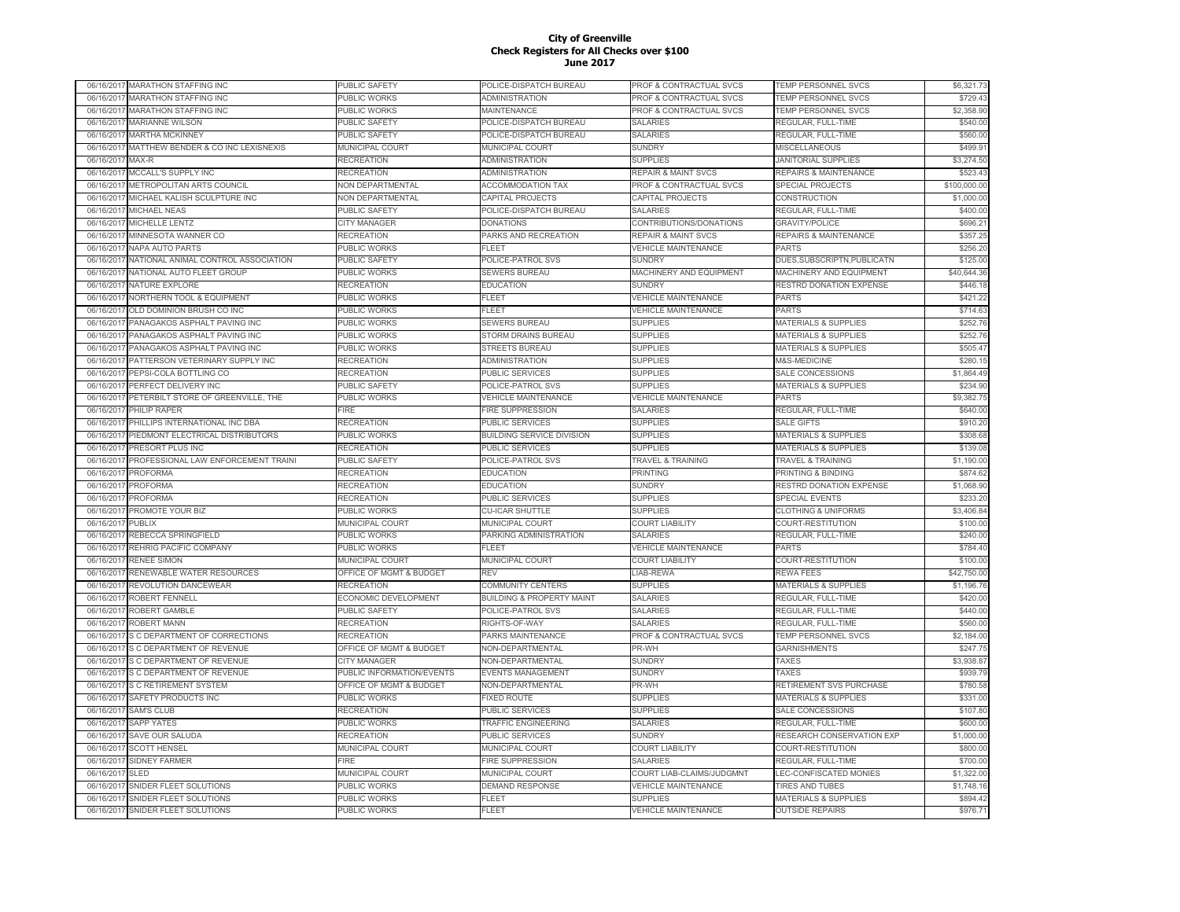| 06/16/2017 | <b>MARATHON STAFFING INC</b>         | PUBLIC SAFETY               | POLICE-DISPATCH BUREAU               | PROF & CONTRACTUAL SVCS            | <b>TEMP PERSONNEL SVCS</b>       | \$6,321.73   |
|------------|--------------------------------------|-----------------------------|--------------------------------------|------------------------------------|----------------------------------|--------------|
| 06/16/2017 | MARATHON STAFFING INC                | <b>UBLIC WORKS</b>          | ADMINISTRATION                       | PROF & CONTRACTUAL SVCS            | TEMP PERSONNEL SVCS              | \$729.43     |
| 06/16/2017 | <b>MARATHON STAFFING INC</b>         | PUBLIC WORKS                | MAINTENANCE                          | PROF & CONTRACTUAL SVCS            | TEMP PERSONNEL SVCS              | \$2,358.90   |
| 06/16/2017 | <b>MARIANNE WILSON</b>               | PUBLIC SAFETY               | POLICE-DISPATCH BUREAU               | <b>SALARIES</b>                    | REGULAR, FULL-TIME               | \$540.00     |
| 06/16/2017 | <b>MARTHA MCKINNEY</b>               | PUBLIC SAFETY               | POLICE-DISPATCH BUREAU               | <b>SALARIES</b>                    | REGULAR, FULL-TIME               | \$560.00     |
| 06/16/2017 | MATTHEW BENDER & CO INC LEXISNEXIS   | <b>MUNICIPAL COURT</b>      | MUNICIPAL COURT                      | <b>SUNDRY</b>                      | <b>MISCELLANEOUS</b>             | \$499.91     |
| 06/16/2017 | MAX-R                                | RECREATION                  | <b>ADMINISTRATION</b>                | <b>SUPPLIES</b>                    | <b>JANITORIAL SUPPLIES</b>       | \$3,274.50   |
| 06/16/201  | MCCALL'S SUPPLY INC                  | <b>RECREATION</b>           | <b>ADMINISTRATION</b>                | <b>REPAIR &amp; MAINT SVCS</b>     | <b>REPAIRS &amp; MAINTENANCE</b> | \$523.43     |
| 06/16/2017 | <b>METROPOLITAN ARTS COUNCIL</b>     | <b>NON DEPARTMENTAL</b>     | <b>ACCOMMODATION TAX</b>             | <b>PROF &amp; CONTRACTUAL SVCS</b> | <b>SPECIAL PROJECTS</b>          | \$100,000,00 |
| 06/16/201  | MICHAEL KALISH SCULPTURE INC         | <b>VON DEPARTMENTAL</b>     | CAPITAL PROJECTS                     | CAPITAL PROJECTS                   | CONSTRUCTION                     | \$1,000.00   |
| 06/16/2017 | <b>MICHAEL NEAS</b>                  | PUBLIC SAFETY               | POLICE-DISPATCH BUREAU               | <b>SALARIES</b>                    | REGULAR, FULL-TIME               | \$400.00     |
| 06/16/2017 | MICHELLE LENTZ                       | <b>CITY MANAGER</b>         | <b>DONATIONS</b>                     | CONTRIBUTIONS/DONATIONS            | <b>GRAVITY/POLICE</b>            | \$696.21     |
| 06/16/2017 | MINNESOTA WANNER CO                  | RECREATION                  | PARKS AND RECREATION                 | <b>REPAIR &amp; MAINT SVCS</b>     | REPAIRS & MAINTENANCE            | \$357.25     |
| 06/16/2017 | <b>NAPA AUTO PARTS</b>               | PUBLIC WORKS                | <b>FLEET</b>                         | <b>VEHICLE MAINTENANCE</b>         | <b>PARTS</b>                     | \$256.20     |
| 06/16/2017 | NATIONAL ANIMAL CONTROL ASSOCIATION  | PUBLIC SAFETY               | POLICE-PATROL SVS                    | <b>SUNDRY</b>                      | DUES, SUBSCRIPTN, PUBLICATN      | \$125.00     |
| 06/16/2017 | NATIONAL AUTO FLEET GROUP            | PUBLIC WORKS                | SEWERS BUREAU                        | MACHINERY AND EQUIPMENT            | MACHINERY AND EQUIPMENT          | \$40,644.36  |
| 06/16/2017 | NATURE EXPLORE                       | RECREATION                  | <b>EDUCATION</b>                     | <b>SUNDRY</b>                      | RESTRD DONATION EXPENSE          | \$446.18     |
|            |                                      |                             |                                      |                                    |                                  |              |
| 06/16/2017 | <b>NORTHERN TOOL &amp; EQUIPMENT</b> | PUBLIC WORKS                | <b>FLEET</b>                         | <b>VEHICLE MAINTENANCE</b>         | <b>PARTS</b>                     | \$421.22     |
| 06/16/201  | OLD DOMINION BRUSH CO INC            | PUBLIC WORKS                | FLEET                                | <b>VEHICLE MAINTENANCE</b>         | <b>PARTS</b>                     | \$714.63     |
| 06/16/201  | PANAGAKOS ASPHALT PAVING INC         | <b>UBLIC WORKS</b>          | <b>SEWERS BUREAU</b>                 | <b>SUPPLIES</b>                    | <b>MATERIALS &amp; SUPPLIES</b>  | \$252.76     |
| 06/16/201  | PANAGAKOS ASPHALT PAVING INC         | PUBLIC WORKS                | <b>STORM DRAINS BUREAU</b>           | <b>SUPPLIES</b>                    | <b>MATERIALS &amp; SUPPLIES</b>  | \$252.76     |
| 06/16/201  | PANAGAKOS ASPHALT PAVING INC         | PUBLIC WORKS                | <b>STREETS BUREAU</b>                | SUPPLIES                           | <b>MATERIALS &amp; SUPPLIES</b>  | \$505.47     |
| 06/16/201  | PATTERSON VETERINARY SUPPLY INC      | <b>RECREATION</b>           | <b>ADMINISTRATION</b>                | <b>SUPPLIES</b>                    | M&S-MEDICINE                     | \$280.15     |
| 06/16/2017 | PEPSI-COLA BOTTLING CO               | RECREATION                  | PUBLIC SERVICES                      | <b>SUPPLIES</b>                    | SALE CONCESSIONS                 | \$1,864.49   |
| 06/16/2017 | PERFECT DELIVERY INC                 | PUBLIC SAFETY               | POLICE-PATROL SVS                    | <b>SUPPLIES</b>                    | MATERIALS & SUPPLIES             | \$234.90     |
| 06/16/2017 | PETERBILT STORE OF GREENVILLE, THE   | PUBLIC WORKS                | <b>VEHICLE MAINTENANCE</b>           | <b>VEHICLE MAINTENANCE</b>         | <b>PARTS</b>                     | \$9,382.75   |
| 06/16/2017 | PHILIP RAPER                         | FIRE                        | <b>FIRE SUPPRESSION</b>              | <b>SALARIES</b>                    | REGULAR, FULL-TIME               | \$640.00     |
| 06/16/2017 | PHILLIPS INTERNATIONAL INC DBA       | RECREATION                  | PUBLIC SERVICES                      | <b>SUPPLIES</b>                    | <b>SALE GIFTS</b>                | \$910.20     |
| 06/16/2017 | PIEDMONT ELECTRICAL DISTRIBUTORS     | PUBLIC WORKS                | <b>BUILDING SERVICE DIVISION</b>     | <b>SUPPLIES</b>                    | <b>MATERIALS &amp; SUPPLIES</b>  | \$308.68     |
| 06/16/2017 | PRESORT PLUS INC                     | RECREATION                  | <b>PUBLIC SERVICES</b>               | <b>SUPPLIES</b>                    | <b>MATERIALS &amp; SUPPLIES</b>  | \$139.08     |
| 06/16/2017 | PROFESSIONAL LAW ENFORCEMENT TRAINI  | PUBLIC SAFETY               | POLICE-PATROL SVS                    | <b>TRAVEL &amp; TRAINING</b>       | <b>TRAVEL &amp; TRAINING</b>     | \$1,190.00   |
| 06/16/2017 | PROFORMA                             | <b>RECREATION</b>           | <b>EDUCATION</b>                     | PRINTING                           | PRINTING & BINDING               | \$874.62     |
| 06/16/201  | <b>PROFORMA</b>                      | RECREATION                  | <b>EDUCATION</b>                     | <b>SUNDRY</b>                      | RESTRD DONATION EXPENSE          | \$1,068.90   |
| 06/16/201  | PROFORMA                             | RECREATION                  | <b>PUBLIC SERVICES</b>               | <b>SUPPLIES</b>                    | <b>SPECIAL EVENTS</b>            | \$233.20     |
| 06/16/2017 | PROMOTE YOUR BIZ                     | <b>UBLIC WORKS</b>          | <b>CU-ICAR SHUTTLE</b>               | <b>SUPPLIES</b>                    | <b>CLOTHING &amp; UNIFORMS</b>   | \$3,406.84   |
| 06/16/201  | <b>PUBLIX</b>                        | <b>MUNICIPAL COURT</b>      | MUNICIPAL COURT                      | <b>COURT LIABILITY</b>             | COURT-RESTITUTION                | \$100.00     |
| 06/16/2017 | REBECCA SPRINGFIELD                  | PUBLIC WORKS                | PARKING ADMINISTRATION               | SALARIES                           | REGULAR, FULL-TIME               | \$240.00     |
| 06/16/2017 | REHRIG PACIFIC COMPANY               | PUBLIC WORKS                | <b>FLEET</b>                         | <b>VEHICLE MAINTENANCE</b>         | <b>PARTS</b>                     | \$784.40     |
| 06/16/2017 | <b>RENEE SIMON</b>                   | <b>MUNICIPAL COURT</b>      | MUNICIPAL COURT                      | <b>COURT LIABILITY</b>             | COURT-RESTITUTION                | \$100.00     |
| 06/16/2017 | RENEWABLE WATER RESOURCES            | OFFICE OF MGMT & BUDGET     | <b>REV</b>                           | LIAB-REWA                          | <b>REWA FEES</b>                 | \$42,750.00  |
| 06/16/201  | REVOLUTION DANCEWEAR                 | <b>RECREATION</b>           | <b>COMMUNITY CENTERS</b>             | <b>SUPPLIES</b>                    | <b>MATERIALS &amp; SUPPLIES</b>  | \$1,196.76   |
| 06/16/2017 | ROBERT FENNELL                       | <b>ECONOMIC DEVELOPMENT</b> | <b>BUILDING &amp; PROPERTY MAINT</b> | <b>SALARIES</b>                    | REGULAR, FULL-TIME               | \$420.00     |
| 06/16/2017 | ROBERT GAMBLE                        | PUBLIC SAFETY               | POLICE-PATROL SVS                    | <b>SALARIES</b>                    | REGULAR, FULL-TIME               | \$440.00     |
| 06/16/2017 | <b>ROBERT MANN</b>                   | RECREATION                  | RIGHTS-OF-WAY                        | <b>SALARIES</b>                    | REGULAR, FULL-TIME               | \$560.00     |
| 06/16/201  | S C DEPARTMENT OF CORRECTIONS        | RECREATION                  | PARKS MAINTENANCE                    | PROF & CONTRACTUAL SVCS            | <b>TEMP PERSONNEL SVCS</b>       | \$2,184.00   |
| 06/16/201  | S C DEPARTMENT OF REVENUE            | OFFICE OF MGMT & BUDGET     | NON-DEPARTMENTAL                     | PR-WH                              | <b>GARNISHMENTS</b>              | \$247.75     |
| 06/16/201  | <b>S C DEPARTMENT OF REVENUE</b>     | <b>CITY MANAGER</b>         | NON-DEPARTMENTAL                     | <b>SUNDRY</b>                      | TAXES                            | \$3,938.87   |
| 06/16/2017 | S C DEPARTMENT OF REVENUE            | PUBLIC INFORMATION/EVENTS   | <b>EVENTS MANAGEMENT</b>             | <b>SUNDRY</b>                      | <b>TAXES</b>                     | \$939.79     |
| 06/16/2017 | <b>S C RETIREMENT SYSTEM</b>         | OFFICE OF MGMT & BUDGET     | NON-DEPARTMENTAL                     | PR-WH                              | RETIREMENT SVS PURCHASE          | \$780.58     |
| 06/16/2017 | SAFETY PRODUCTS INC                  | PUBLIC WORKS                | <b>FIXED ROUTE</b>                   | <b>SUPPLIES</b>                    | <b>MATERIALS &amp; SUPPLIES</b>  | \$331.00     |
| 06/16/2017 | <b>SAM'S CLUB</b>                    | RECREATION                  | PUBLIC SERVICES                      | <b>SUPPLIES</b>                    | SALE CONCESSIONS                 | \$107.80     |
|            | <b>SAPP YATES</b>                    | PUBLIC WORKS                | <b>TRAFFIC ENGINEERING</b>           | <b>SALARIES</b>                    | REGULAR, FULL-TIME               | \$600.00     |
| 06/16/2017 |                                      |                             |                                      |                                    |                                  |              |
| 06/16/2017 | SAVE OUR SALUDA                      | RECREATION                  | PUBLIC SERVICES                      | <b>SUNDRY</b>                      | RESEARCH CONSERVATION EXP        | \$1,000.00   |
| 06/16/2017 | <b>SCOTT HENSEL</b>                  | MUNICIPAL COURT             | MUNICIPAL COURT                      | <b>COURT LIABILITY</b>             | COURT-RESTITUTION                | \$800.00     |
| 06/16/2017 | <b>SIDNEY FARMER</b>                 | FIRE                        | <b>FIRE SUPPRESSION</b>              | <b>SALARIES</b>                    | REGULAR, FULL-TIME               | \$700.00     |
| 06/16/2017 | <b>SLED</b>                          | MUNICIPAL COURT             | MUNICIPAL COURT                      | COURT LIAB-CLAIMS/JUDGMNT          | LEC-CONFISCATED MONIES           | \$1,322.00   |
| 06/16/2017 | SNIDER FLEET SOLUTIONS               | PUBLIC WORKS                | <b>DEMAND RESPONSE</b>               | <b>VEHICLE MAINTENANCE</b>         | <b>TIRES AND TUBES</b>           | \$1,748.16   |
| 06/16/201  | SNIDER FLEET SOLUTIONS               | PUBLIC WORKS                | <b>FLEET</b>                         | <b>SUPPLIES</b>                    | <b>MATERIALS &amp; SUPPLIES</b>  | \$894.42     |
| 06/16/2017 | SNIDER FLEET SOLUTIONS               | PUBLIC WORKS                | FLEET                                | <b>VEHICLE MAINTENANCE</b>         | <b>OUTSIDE REPAIRS</b>           | \$976.71     |
|            |                                      |                             |                                      |                                    |                                  |              |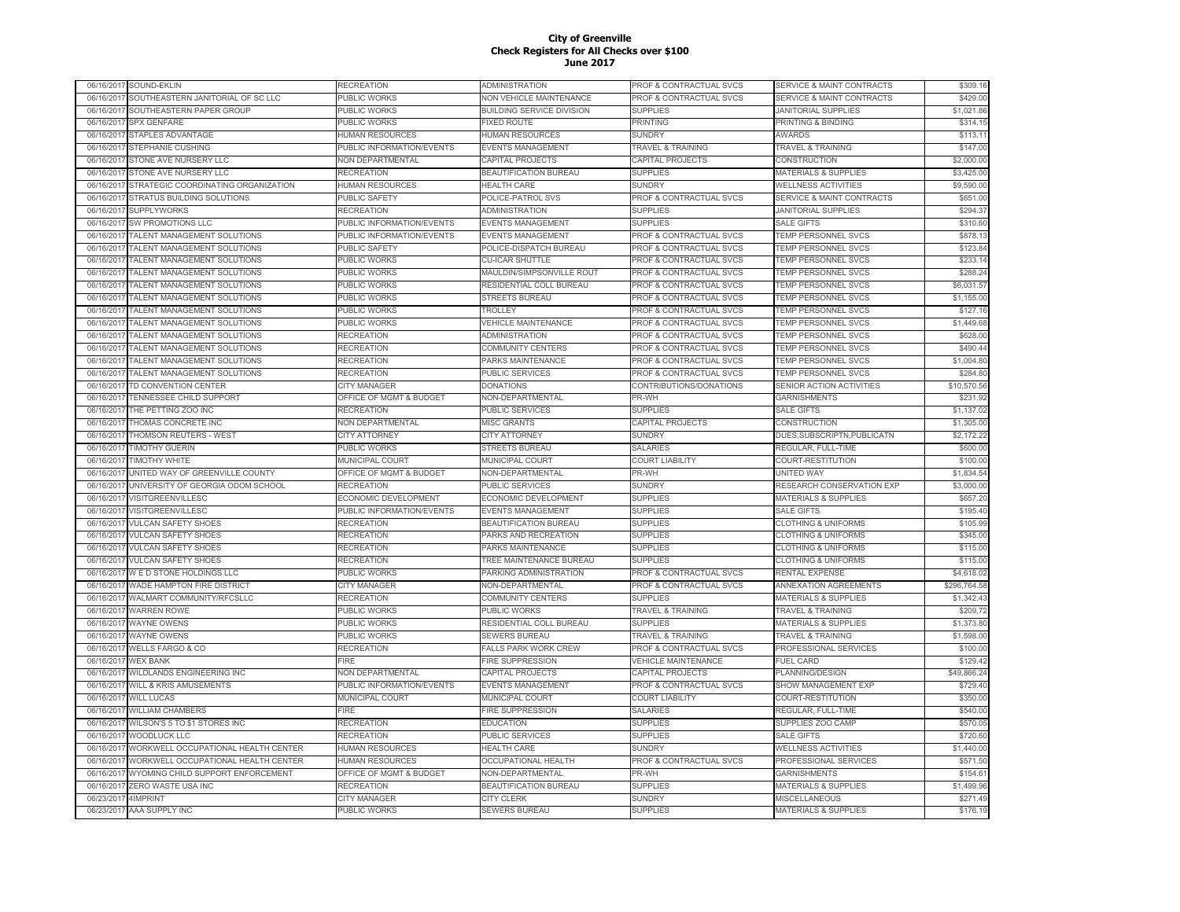|            | 06/16/2017 SOUND-EKLIN              | RECREATION                | ADMINISTRATION                   | PROF & CONTRACTUAL SVCS            | <b>SERVICE &amp; MAINT CONTRACTS</b> | \$309.16     |
|------------|-------------------------------------|---------------------------|----------------------------------|------------------------------------|--------------------------------------|--------------|
| 06/16/2017 | SOUTHEASTERN JANITORIAL OF SC LLC   | PUBLIC WORKS              | NON VEHICLE MAINTENANCE          | PROF & CONTRACTUAL SVCS            | <b>SERVICE &amp; MAINT CONTRACTS</b> | \$429.00     |
| 06/16/2017 | SOUTHEASTERN PAPER GROUP            | PUBLIC WORKS              | <b>BUILDING SERVICE DIVISION</b> | <b>SUPPLIES</b>                    | <b>JANITORIAL SUPPLIES</b>           | \$1,021.86   |
| 06/16/201  | <b>SPX GENFARE</b>                  | PUBLIC WORKS              | <b>FIXED ROUTE</b>               | <b>PRINTING</b>                    | PRINTING & BINDING                   | \$314.15     |
| 06/16/2017 | <b>STAPLES ADVANTAGE</b>            | <b>HUMAN RESOURCES</b>    | <b>HUMAN RESOURCES</b>           | <b>SUNDRY</b>                      | <b>AWARDS</b>                        | \$113.11     |
| 06/16/201  | STEPHANIE CUSHING                   | PUBLIC INFORMATION/EVENTS | EVENTS MANAGEMENT                | <b>TRAVEL &amp; TRAINING</b>       | <b>TRAVEL &amp; TRAINING</b>         | \$147.00     |
| 06/16/201  | STONE AVE NURSERY LLC               | NON DEPARTMENTAL          | CAPITAL PROJECTS                 | <b>CAPITAL PROJECTS</b>            | CONSTRUCTION                         | \$2,000.00   |
| 06/16/201  | STONE AVE NURSERY LLC               | RECREATION                | BEAUTIFICATION BUREAU            | <b>SUPPLIES</b>                    | MATERIALS & SUPPLIES                 | \$3,425.00   |
| 06/16/2017 | STRATEGIC COORDINATING ORGANIZATION | <b>HUMAN RESOURCES</b>    | <b>HEALTH CARE</b>               | <b>SUNDRY</b>                      | <b>WELLNESS ACTIVITIES</b>           | \$9,590.00   |
| 06/16/2017 | STRATUS BUILDING SOLUTIONS          | PUBLIC SAFETY             | POLICE-PATROL SVS                | PROF & CONTRACTUAL SVCS            | <b>SERVICE &amp; MAINT CONTRACTS</b> | \$651.00     |
| 06/16/2017 | <b>SUPPLYWORKS</b>                  | RECREATION                | ADMINISTRATION                   | <b>SUPPLIES</b>                    | <b>JANITORIAL SUPPLIES</b>           | \$294.37     |
| 06/16/2017 | <b>SW PROMOTIONS LLC</b>            | PUBLIC INFORMATION/EVENTS | <b>EVENTS MANAGEMENT</b>         | <b>SUPPLIES</b>                    | <b>SALE GIFTS</b>                    | \$310.60     |
| 06/16/2017 | TALENT MANAGEMENT SOLUTIONS         | PUBLIC INFORMATION/EVENTS | EVENTS MANAGEMENT                | PROF & CONTRACTUAL SVCS            | TEMP PERSONNEL SVCS                  | \$878.13     |
| 06/16/2017 | TALENT MANAGEMENT SOLUTIONS         | PUBLIC SAFETY             | POLICE-DISPATCH BUREAU           | PROF & CONTRACTUAL SVCS            | TEMP PERSONNEL SVCS                  | \$123.84     |
| 06/16/201  | TALENT MANAGEMENT SOLUTIONS         | PUBLIC WORKS              | <b>CU-ICAR SHUTTLE</b>           | PROF & CONTRACTUAL SVCS            | TEMP PERSONNEL SVCS                  | \$233.14     |
| 06/16/2017 | TALENT MANAGEMENT SOLUTIONS         | PUBLIC WORKS              | MAULDIN/SIMPSONVILLE ROUT        | PROF & CONTRACTUAL SVCS            | TEMP PERSONNEL SVCS                  | \$288.24     |
| 06/16/2017 | TALENT MANAGEMENT SOLUTIONS         | PUBLIC WORKS              | RESIDENTIAL COLL BUREAU          | PROF & CONTRACTUAL SVCS            | TEMP PERSONNEL SVCS                  | \$6,031.57   |
| 06/16/2017 | TALENT MANAGEMENT SOLUTIONS         | PUBLIC WORKS              | <b>STREETS BUREAU</b>            | <b>PROF &amp; CONTRACTUAL SVCS</b> | <b>TEMP PERSONNEL SVCS</b>           | \$1,155.00   |
| 06/16/201  | TALENT MANAGEMENT SOLUTIONS         | PUBLIC WORKS              | TROLLEY                          | PROF & CONTRACTUAL SVCS            | TEMP PERSONNEL SVCS                  | \$127.16     |
| 06/16/201  | TALENT MANAGEMENT SOLUTIONS         | PUBLIC WORKS              | <b>/EHICLE MAINTENANCE</b>       | PROF & CONTRACTUAL SVCS            | TEMP PERSONNEL SVCS                  | \$1,449.68   |
| 06/16/201  | TALENT MANAGEMENT SOLUTIONS         | RECREATION                | ADMINISTRATION                   | PROF & CONTRACTUAL SVCS            | TEMP PERSONNEL SVCS                  | \$628.00     |
| 06/16/201  | TALENT MANAGEMENT SOLUTIONS         | RECREATION                | COMMUNITY CENTERS                | PROF & CONTRACTUAL SVCS            | <b>TEMP PERSONNEL SVCS</b>           | \$490.44     |
| 06/16/201  | TALENT MANAGEMENT SOLUTIONS         | <b>RECREATION</b>         | PARKS MAINTENANCE                | PROF & CONTRACTUAL SVCS            | <b>TEMP PERSONNEL SVCS</b>           | \$1,004.80   |
| 06/16/2017 | TALENT MANAGEMENT SOLUTIONS         | <b>RECREATION</b>         | PUBLIC SERVICES                  | PROF & CONTRACTUAL SVCS            | TEMP PERSONNEL SVCS                  | \$284.80     |
| 06/16/201  | TD CONVENTION CENTER                | <b>CITY MANAGER</b>       | <b>DONATIONS</b>                 | CONTRIBUTIONS/DONATIONS            | SENIOR ACTION ACTIVITIES             | \$10,570.56  |
| 06/16/2017 | <b>TENNESSEE CHILD SUPPORT</b>      | OFFICE OF MGMT & BUDGET   | <b>NON-DEPARTMENTAL</b>          | PR-WH                              | <b>GARNISHMENTS</b>                  | \$231.92     |
| 06/16/2017 | THE PETTING ZOO INC                 | RECREATION                | PUBLIC SERVICES                  | <b>SUPPLIES</b>                    | <b>SALE GIFTS</b>                    | \$1,137.02   |
| 06/16/2017 | THOMAS CONCRETE INC                 | NON DEPARTMENTAL          | <b>MISC GRANTS</b>               | CAPITAL PROJECTS                   | CONSTRUCTION                         | \$1,305.00   |
| 06/16/2017 | THOMSON REUTERS - WEST              | <b>CITY ATTORNEY</b>      | <b>CITY ATTORNEY</b>             | <b>SUNDRY</b>                      | DUES, SUBSCRIPTN, PUBLICATN          | \$2,172.22   |
| 06/16/2017 | <b>TIMOTHY GUERIN</b>               | PUBLIC WORKS              | <b>STREETS BUREAU</b>            | <b>SALARIES</b>                    | REGULAR, FULL-TIME                   | \$600.00     |
| 06/16/2017 | <b>TIMOTHY WHITE</b>                | MUNICIPAL COURT           | MUNICIPAL COURT                  | <b>COURT LIABILITY</b>             | COURT-RESTITUTION                    | \$100.00     |
| 06/16/2017 | UNITED WAY OF GREENVILLE COUNTY     | OFFICE OF MGMT & BUDGET   | NON-DEPARTMENTAL                 | PR-WH                              | <b>UNITED WAY</b>                    | \$1,834.54   |
| 06/16/2017 | UNIVERSITY OF GEORGIA ODOM SCHOOL   | <b>RECREATION</b>         | PUBLIC SERVICES                  | <b>SUNDRY</b>                      | RESEARCH CONSERVATION EXP            | \$3,000.00   |
| 06/16/2017 | <b>VISITGREENVILLESC</b>            | ECONOMIC DEVELOPMENT      | ECONOMIC DEVELOPMENT             | <b>SUPPLIES</b>                    | <b>MATERIALS &amp; SUPPLIES</b>      | \$657.20     |
| 06/16/2017 | VISITGREENVILLESC                   | PUBLIC INFORMATION/EVENTS | <b>EVENTS MANAGEMENT</b>         | <b>SUPPLIES</b>                    | <b>SALE GIFTS</b>                    | \$195.40     |
| 06/16/201  | <b>VULCAN SAFETY SHOES</b>          | <b>RECREATION</b>         | BEAUTIFICATION BUREAU            | <b>SUPPLIES</b>                    | <b>CLOTHING &amp; UNIFORMS</b>       | \$105.99     |
| 06/16/201  | <b>VULCAN SAFETY SHOES</b>          | <b>RECREATION</b>         | PARKS AND RECREATION             | <b>SUPPLIES</b>                    | <b>CLOTHING &amp; UNIFORMS</b>       | \$345.00     |
| 06/16/201  | <b>VULCAN SAFETY SHOES</b>          | <b>RECREATION</b>         | PARKS MAINTENANCE                | <b>SUPPLIES</b>                    | <b>CLOTHING &amp; UNIFORMS</b>       | \$115.00     |
| 06/16/2017 | <b>VULCAN SAFETY SHOES</b>          | RECREATION                | <b>TREE MAINTENANCE BUREAU</b>   | <b>SUPPLIES</b>                    | <b>CLOTHING &amp; UNIFORMS</b>       | \$115.00     |
| 06/16/201  | W E D STONE HOLDINGS LLC            | PUBLIC WORKS              | PARKING ADMINISTRATION           | <b>PROF &amp; CONTRACTUAL SVCS</b> | RENTAL EXPENSE                       | \$4,618.02   |
| 06/16/2017 | WADE HAMPTON FIRE DISTRICT          | <b>CITY MANAGER</b>       | <b>NON-DEPARTMENTAL</b>          | PROF & CONTRACTUAL SVCS            | ANNEXATION AGREEMENTS                | \$296,764.58 |
| 06/16/2017 | WALMART COMMUNITY/RFCSLLC           | <b>RECREATION</b>         | <b>COMMUNITY CENTERS</b>         | <b>SUPPLIES</b>                    | <b>MATERIALS &amp; SUPPLIES</b>      | \$1,342.43   |
| 06/16/2017 | <b>WARREN ROWE</b>                  | PUBLIC WORKS              | PUBLIC WORKS                     | <b>TRAVEL &amp; TRAINING</b>       | <b>TRAVEL &amp; TRAINING</b>         | \$209.72     |
| 06/16/2017 | <b>WAYNE OWENS</b>                  | PUBLIC WORKS              | RESIDENTIAL COLL BUREAU          | <b>SUPPLIES</b>                    | <b>MATERIALS &amp; SUPPLIES</b>      | \$1,373.80   |
| 06/16/2017 | <b>WAYNE OWENS</b>                  | PUBLIC WORKS              | SEWERS BUREAU                    | <b>TRAVEL &amp; TRAINING</b>       | <b>TRAVEL &amp; TRAINING</b>         | \$1,598.00   |
| 06/16/2017 | <b>WELLS FARGO &amp; CO</b>         | <b>RECREATION</b>         | <b>FALLS PARK WORK CREW</b>      | PROF & CONTRACTUAL SVCS            | PROFESSIONAL SERVICES                | \$100.00     |
| 06/16/2017 | <b>WEX BANK</b>                     | FIRE                      | <b>FIRE SUPPRESSION</b>          | <b>VEHICLE MAINTENANCE</b>         | <b>FUEL CARD</b>                     | \$129.42     |
| 06/16/2017 | WILDLANDS ENGINEERING INC           | NON DEPARTMENTAL          | CAPITAL PROJECTS                 | CAPITAL PROJECTS                   | PLANNING/DESIGN                      | \$49,866.24  |
| 06/16/2017 | <b>WILL &amp; KRIS AMUSEMENTS</b>   | PUBLIC INFORMATION/EVENTS | EVENTS MANAGEMENT                | PROF & CONTRACTUAL SVCS            | SHOW MANAGEMENT EXP                  | \$729.40     |
| 06/16/2017 | <b>WILL LUCAS</b>                   | MUNICIPAL COURT           | <b>MUNICIPAL COURT</b>           | <b>COURT LIABILITY</b>             | COURT-RESTITUTION                    | \$350.00     |
| 06/16/2017 | <b>WILLIAM CHAMBERS</b>             | <b>FIRE</b>               | FIRE SUPPRESSION                 | <b>SALARIES</b>                    | REGULAR, FULL-TIME                   | \$540.00     |
| 06/16/2017 | WILSON'S 5 TO \$1 STORES INC        | <b>RECREATION</b>         | <b>EDUCATION</b>                 | <b>SUPPLIES</b>                    | <b>SUPPLIES ZOO CAMP</b>             | \$570.05     |
| 06/16/201  | <b>WOODLUCK LLC</b>                 | RECREATION                | <b>PUBLIC SERVICES</b>           | <b>SUPPLIES</b>                    | <b>SALE GIFTS</b>                    | \$720.60     |
| 06/16/2017 | WORKWELL OCCUPATIONAL HEALTH CENTER | <b>HUMAN RESOURCES</b>    | <b>HEALTH CARE</b>               | <b>SUNDRY</b>                      | <b>WELLNESS ACTIVITIES</b>           | \$1,440.00   |
| 06/16/201  | WORKWELL OCCUPATIONAL HEALTH CENTER | <b>HUMAN RESOURCES</b>    | <b>OCCUPATIONAL HEALTH</b>       | PROF & CONTRACTUAL SVCS            | PROFESSIONAL SERVICES                | \$571.50     |
| 06/16/2017 |                                     |                           | <b>NON-DEPARTMENTAL</b>          | PR-WH                              | <b>GARNISHMENTS</b>                  | \$154.61     |
|            | WYOMING CHILD SUPPORT ENFORCEMENT   | OFFICE OF MGMT & BUDGET   |                                  |                                    |                                      |              |
| 06/16/2017 | ZERO WASTE USA INC                  | RECREATION                | BEAUTIFICATION BUREAU            | <b>SUPPLIES</b>                    | <b>MATERIALS &amp; SUPPLIES</b>      | \$1,499.96   |
| 06/23/2017 | 4IMPRINT                            | <b>CITY MANAGER</b>       | <b>CITY CLERK</b>                | <b>SUNDRY</b>                      | <b>MISCELLANEOUS</b>                 | \$271.49     |
| 06/23/2017 | AAA SUPPLY INC                      | <b>PUBLIC WORKS</b>       | <b>SEWERS BUREAU</b>             | <b>SUPPLIES</b>                    | <b>MATERIALS &amp; SUPPLIES</b>      | \$176.19     |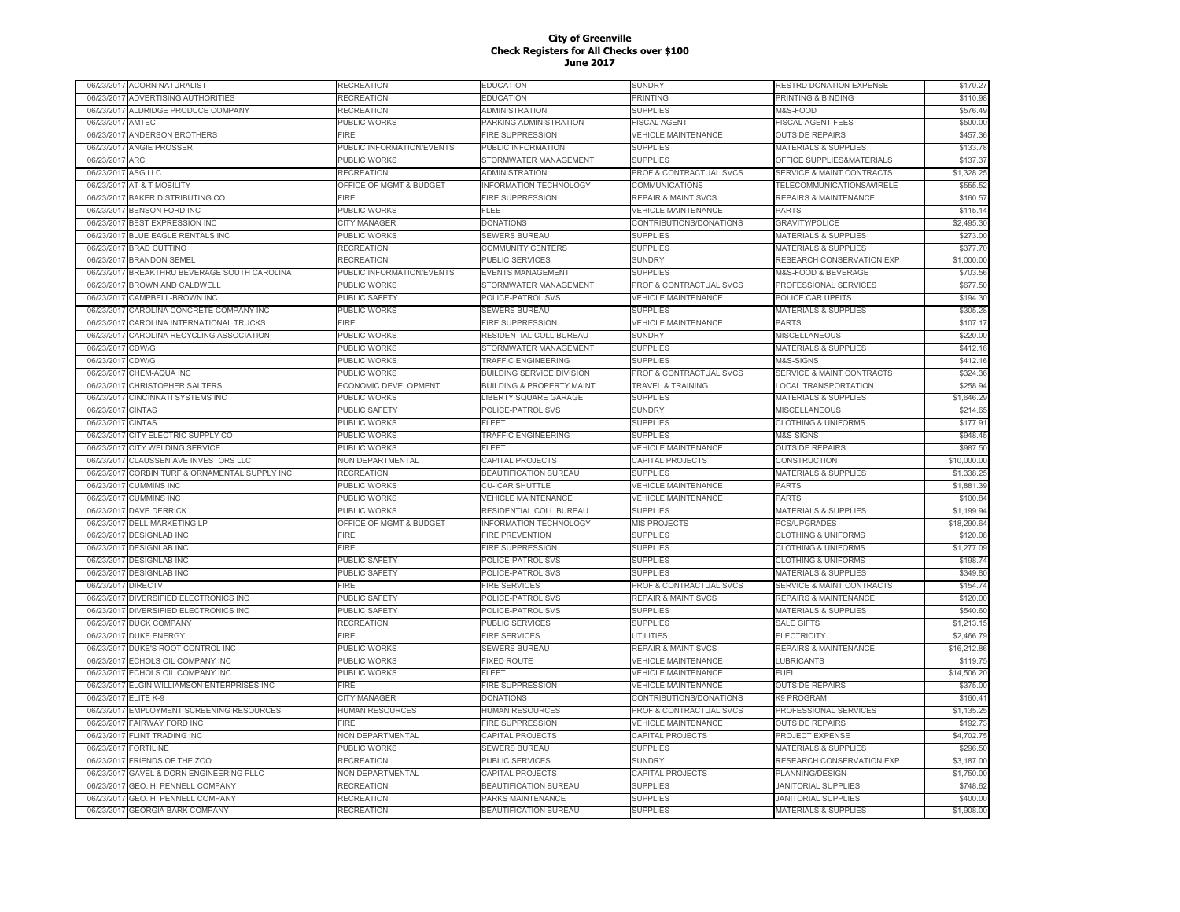| 06/23/2017 | <b>ACORN NATURALIST</b>             | <b>RECREATION</b>                  | <b>EDUCATION</b>                     | SUNDRY                         | RESTRD DONATION EXPENSE              | \$170.27    |
|------------|-------------------------------------|------------------------------------|--------------------------------------|--------------------------------|--------------------------------------|-------------|
| 06/23/2017 | ADVERTISING AUTHORITIES             | RECREATION                         | <b>EDUCATION</b>                     | PRINTING                       | PRINTING & BINDING                   | \$110.98    |
| 06/23/2017 | ALDRIDGE PRODUCE COMPANY            | <b>RECREATION</b>                  | <b>ADMINISTRATION</b>                | <b>SUPPLIES</b>                | M&S-FOOD                             | \$576.49    |
| 06/23/2017 | AMTEC                               | PUBLIC WORKS                       | PARKING ADMINISTRATION               | <b>FISCAL AGENT</b>            | <b>FISCAL AGENT FEES</b>             | \$500.00    |
| 06/23/2017 | ANDERSON BROTHERS                   | FIRE                               | <b>IRE SUPPRESSION</b>               | <b>VEHICLE MAINTENANCE</b>     | <b>OUTSIDE REPAIRS</b>               | \$457.36    |
| 06/23/201  | ANGIE PROSSER                       | PUBLIC INFORMATION/EVENTS          | PUBLIC INFORMATION                   | <b>SUPPLIES</b>                | <b>MATERIALS &amp; SUPPLIES</b>      | \$133.78    |
| 06/23/2017 | <b>ARC</b>                          | PUBLIC WORKS                       | STORMWATER MANAGEMENT                | <b>SUPPLIES</b>                | OFFICE SUPPLIES&MATERIALS            | \$137.37    |
| 06/23/201  | <b>ASG LLC</b>                      | <b>RECREATION</b>                  | <b>ADMINISTRATION</b>                | PROF & CONTRACTUAL SVCS        | <b>SERVICE &amp; MAINT CONTRACTS</b> | \$1,328.25  |
| 06/23/201  | AT & T MOBILITY                     | <b>OFFICE OF MGMT &amp; BUDGET</b> | NFORMATION TECHNOLOGY                | <b>COMMUNICATIONS</b>          | <b>TELECOMMUNICATIONS/WIRELE</b>     | \$555.52    |
| 06/23/201  | <b>BAKER DISTRIBUTING CO</b>        | FIRE                               | <b>FIRE SUPPRESSION</b>              | <b>REPAIR &amp; MAINT SVCS</b> | REPAIRS & MAINTENANCE                | \$160.57    |
| 06/23/201  | <b>BENSON FORD INC</b>              | PUBLIC WORKS                       | FLEET                                | <b>VEHICLE MAINTENANCE</b>     | <b>PARTS</b>                         | \$115.14    |
| 06/23/201  | <b>BEST EXPRESSION INC</b>          | <b>CITY MANAGER</b>                | <b>DONATIONS</b>                     | CONTRIBUTIONS/DONATIONS        | <b>GRAVITY/POLICE</b>                | \$2,495.30  |
| 06/23/2017 | BLUE EAGLE RENTALS INC              | PUBLIC WORKS                       | SEWERS BUREAU                        | <b>SUPPLIES</b>                | MATERIALS & SUPPLIES                 | \$273.00    |
| 06/23/2017 | <b>BRAD CUTTINO</b>                 | <b>RECREATION</b>                  | <b>COMMUNITY CENTERS</b>             | <b>SUPPLIES</b>                | <b>MATERIALS &amp; SUPPLIES</b>      | \$377.70    |
| 06/23/201  | <b>BRANDON SEMEL</b>                | <b>RECREATION</b>                  | PUBLIC SERVICES                      | <b>SUNDRY</b>                  | RESEARCH CONSERVATION EXP            | \$1,000.00  |
| 06/23/2017 | BREAKTHRU BEVERAGE SOUTH CAROLINA   | PUBLIC INFORMATION/EVENTS          | <b>EVENTS MANAGEMENT</b>             | <b>SUPPLIES</b>                | M&S-FOOD & BEVERAGE                  | \$703.56    |
| 06/23/2017 | BROWN AND CALDWELL                  | PUBLIC WORKS                       | STORMWATER MANAGEMENT                | PROF & CONTRACTUAL SVCS        | PROFESSIONAL SERVICES                | \$677.50    |
| 06/23/2017 | CAMPBELL-BROWN INC                  | PUBLIC SAFETY                      | POLICE-PATROL SVS                    | <b>VEHICLE MAINTENANCE</b>     | POLICE CAR UPFITS                    | \$194.30    |
|            |                                     |                                    |                                      |                                |                                      |             |
| 06/23/201  | CAROLINA CONCRETE COMPANY INC       | PUBLIC WORKS                       | <b>SEWERS BUREAU</b>                 | <b>SUPPLIES</b>                | <b>MATERIALS &amp; SUPPLIES</b>      | \$305.28    |
| 06/23/201  | CAROLINA INTERNATIONAL TRUCKS       | FIRE                               | <b>IRE SUPPRESSION</b>               | <b>VEHICLE MAINTENANCE</b>     | <b>PARTS</b>                         | \$107.17    |
| 06/23/201  | CAROLINA RECYCLING ASSOCIATION      | PUBLIC WORKS                       | RESIDENTIAL COLL BUREAU              | <b>SUNDRY</b>                  | <b>MISCELLANEOUS</b>                 | \$220.00    |
| 06/23/201  | CDW/G                               | PUBLIC WORKS                       | STORMWATER MANAGEMENT                | <b>SUPPLIES</b>                | <b>MATERIALS &amp; SUPPLIES</b>      | \$412.16    |
| 06/23/201  | CDW/G                               | <b>PUBLIC WORKS</b>                | <b>TRAFFIC ENGINEERING</b>           | <b>SUPPLIES</b>                | M&S-SIGNS                            | \$412.16    |
| 06/23/201  | CHEM-AQUA INC                       | PUBLIC WORKS                       | <b>BUILDING SERVICE DIVISION</b>     | PROF & CONTRACTUAL SVCS        | SERVICE & MAINT CONTRACTS            | \$324.36    |
| 06/23/201  | CHRISTOPHER SALTERS                 | ECONOMIC DEVELOPMENT               | <b>BUILDING &amp; PROPERTY MAINT</b> | <b>TRAVEL &amp; TRAINING</b>   | <b>LOCAL TRANSPORTATION</b>          | \$258.94    |
| 06/23/201  | CINCINNATI SYSTEMS INC              | PUBLIC WORKS                       | <b>LIBERTY SQUARE GARAGE</b>         | <b>SUPPLIES</b>                | <b>MATERIALS &amp; SUPPLIES</b>      | \$1,646.29  |
| 06/23/201  | <b>CINTAS</b>                       | <b>PUBLIC SAFETY</b>               | POLICE-PATROL SVS                    | <b>SUNDRY</b>                  | <b>MISCELLANEOUS</b>                 | \$214.65    |
| 06/23/201  | <b>CINTAS</b>                       | PUBLIC WORKS                       | FLEET                                | <b>SUPPLIES</b>                | <b>CLOTHING &amp; UNIFORMS</b>       | \$177.91    |
| 06/23/2017 | CITY ELECTRIC SUPPLY CO             | PUBLIC WORKS                       | <b>TRAFFIC ENGINEERING</b>           | <b>SUPPLIES</b>                | M&S-SIGNS                            | \$948.45    |
| 06/23/201  | CITY WELDING SERVICE                | PUBLIC WORKS                       | <b>FLEET</b>                         | <b>VEHICLE MAINTENANCE</b>     | <b>OUTSIDE REPAIRS</b>               | \$987.50    |
| 06/23/201  | CLAUSSEN AVE INVESTORS LLC          | NON DEPARTMENTAL                   | CAPITAL PROJECTS                     | CAPITAL PROJECTS               | CONSTRUCTION                         | \$10,000.00 |
| 06/23/2017 | CORBIN TURF & ORNAMENTAL SUPPLY INC | RECREATION                         | BEAUTIFICATION BUREAU                | <b>SUPPLIES</b>                | <b>MATERIALS &amp; SUPPLIES</b>      | \$1,338.25  |
| 06/23/201  | <b>CUMMINS INC</b>                  | PUBLIC WORKS                       | <b>CU-ICAR SHUTTLE</b>               | <b>VEHICLE MAINTENANCE</b>     | <b>PARTS</b>                         | \$1,881.39  |
| 06/23/201  | <b>CUMMINS INC</b>                  | <b>PUBLIC WORKS</b>                | <b>VEHICLE MAINTENANCE</b>           | <b>VEHICLE MAINTENANCE</b>     | <b>PARTS</b>                         | \$100.84    |
| 06/23/201  | <b>DAVE DERRICK</b>                 | PUBLIC WORKS                       | RESIDENTIAL COLL BUREAU              | <b>SUPPLIES</b>                | MATERIALS & SUPPLIES                 | \$1,199.94  |
| 06/23/201  | <b>DELL MARKETING LP</b>            | OFFICE OF MGMT & BUDGET            | <b>INFORMATION TECHNOLOGY</b>        | MIS PROJECTS                   | <b>PCS/UPGRADES</b>                  | \$18,290.64 |
| 06/23/201  | <b>DESIGNLAB INC</b>                | FIRE                               | <b>IRE PREVENTION</b>                | <b>SUPPLIES</b>                | <b>CLOTHING &amp; UNIFORMS</b>       | \$120.08    |
| 06/23/201  | <b>DESIGNLAB INC</b>                | <b>FIRE</b>                        | <b>FIRE SUPPRESSION</b>              | <b>SUPPLIES</b>                | <b>CLOTHING &amp; UNIFORMS</b>       | \$1,277.09  |
| 06/23/201  | <b>DESIGNLAB INC</b>                | <b>UBLIC SAFETY</b>                | POLICE-PATROL SVS                    | <b>SUPPLIES</b>                | <b>CLOTHING &amp; UNIFORMS</b>       | \$198.74    |
| 06/23/201  | <b>DESIGNLAB INC</b>                | PUBLIC SAFETY                      | POLICE-PATROL SVS                    | <b>SUPPLIES</b>                | MATERIALS & SUPPLIES                 | \$349.80    |
| 06/23/201  | <b>DIRECTV</b>                      | FIRF                               | <b>FIRE SERVICES</b>                 | PROF & CONTRACTUAL SVCS        | <b>SERVICE &amp; MAINT CONTRACTS</b> | \$154.74    |
| 06/23/201  | DIVERSIFIED ELECTRONICS INC         | PUBLIC SAFETY                      | POLICE-PATROL SVS                    | <b>REPAIR &amp; MAINT SVCS</b> | <b>REPAIRS &amp; MAINTENANCE</b>     | \$120.00    |
| 06/23/201  | DIVERSIFIED ELECTRONICS INC         | PUBLIC SAFETY                      | POLICE-PATROL SVS                    | <b>SUPPLIES</b>                | <b>MATERIALS &amp; SUPPLIES</b>      | \$540.60    |
| 06/23/2017 | <b>DUCK COMPANY</b>                 | <b>RECREATION</b>                  | PUBLIC SERVICES                      | <b>SUPPLIES</b>                | <b>SALE GIFTS</b>                    | \$1,213.15  |
| 06/23/201  | <b>DUKE ENERGY</b>                  | FIRE                               | <b>FIRE SERVICES</b>                 | <b>UTILITIES</b>               | <b>ELECTRICITY</b>                   | \$2,466.79  |
| 06/23/2017 | DUKE'S ROOT CONTROL INC             | PUBLIC WORKS                       | SEWERS BUREAU                        | <b>REPAIR &amp; MAINT SVCS</b> | REPAIRS & MAINTENANCE                | \$16,212.86 |
| 06/23/201  | ECHOLS OIL COMPANY INC              | PUBLIC WORKS                       | <b>FIXED ROUTE</b>                   | <b>VEHICLE MAINTENANCE</b>     | <b>LUBRICANTS</b>                    | \$119.75    |
| 06/23/201  | ECHOLS OIL COMPANY INC              | PUBLIC WORKS                       | FLEET                                | <b>VEHICLE MAINTENANCE</b>     | FUEL                                 | \$14,506.20 |
| 06/23/201  | ELGIN WILLIAMSON ENTERPRISES INC    | FIRE                               | <b>FIRE SUPPRESSION</b>              | <b>VEHICLE MAINTENANCE</b>     | <b>OUTSIDE REPAIRS</b>               | \$375.00    |
| 06/23/201  | ELITE K-9                           | CITY MANAGER                       | <b>DONATIONS</b>                     | CONTRIBUTIONS/DONATIONS        | K9 PROGRAM                           | \$160.41    |
| 06/23/201  | EMPLOYMENT SCREENING RESOURCES      | <b>HUMAN RESOURCES</b>             | <b>HUMAN RESOURCES</b>               | PROF & CONTRACTUAL SVCS        | PROFESSIONAL SERVICES                | \$1,135.25  |
|            | FAIRWAY FORD INC                    | FIRE                               | <b>FIRE SUPPRESSION</b>              | <b>VEHICLE MAINTENANCE</b>     |                                      | \$192.73    |
| 06/23/201  |                                     |                                    |                                      |                                | <b>OUTSIDE REPAIRS</b>               |             |
| 06/23/201  | FLINT TRADING INC                   | <b>NON DEPARTMENTAL</b>            | CAPITAL PROJECTS                     | CAPITAL PROJECTS               | PROJECT EXPENSE                      | \$4,702.75  |
| 06/23/201  | <b>FORTILINE</b>                    | PUBLIC WORKS                       | SEWERS BUREAU                        | <b>SUPPLIES</b>                | <b>MATERIALS &amp; SUPPLIES</b>      | \$296.50    |
| 06/23/2017 | FRIENDS OF THE ZOO                  | <b>RECREATION</b>                  | PUBLIC SERVICES                      | <b>SUNDRY</b>                  | RESEARCH CONSERVATION EXP            | \$3,187.00  |
| 06/23/201  | GAVEL & DORN ENGINEERING PLLC       | NON DEPARTMENTAL                   | CAPITAL PROJECTS                     | CAPITAL PROJECTS               | PLANNING/DESIGN                      | \$1,750.00  |
| 06/23/201  | <b>GEO. H. PENNELL COMPANY</b>      | <b>RECREATION</b>                  | BEAUTIFICATION BUREAU                | <b>SUPPLIES</b>                | JANITORIAL SUPPLIES                  | \$748.62    |
| 06/23/201  | GEO. H. PENNELL COMPANY             | RECREATION                         | PARKS MAINTENANCE                    | <b>SUPPLIES</b>                | <b>JANITORIAL SUPPLIES</b>           | \$400.00    |
| 06/23/2017 | <b>GEORGIA BARK COMPANY</b>         | RECREATION                         | BEAUTIFICATION BUREAU                | <b>SUPPLIES</b>                | <b>MATERIALS &amp; SUPPLIES</b>      | \$1,908.00  |
|            |                                     |                                    |                                      |                                |                                      |             |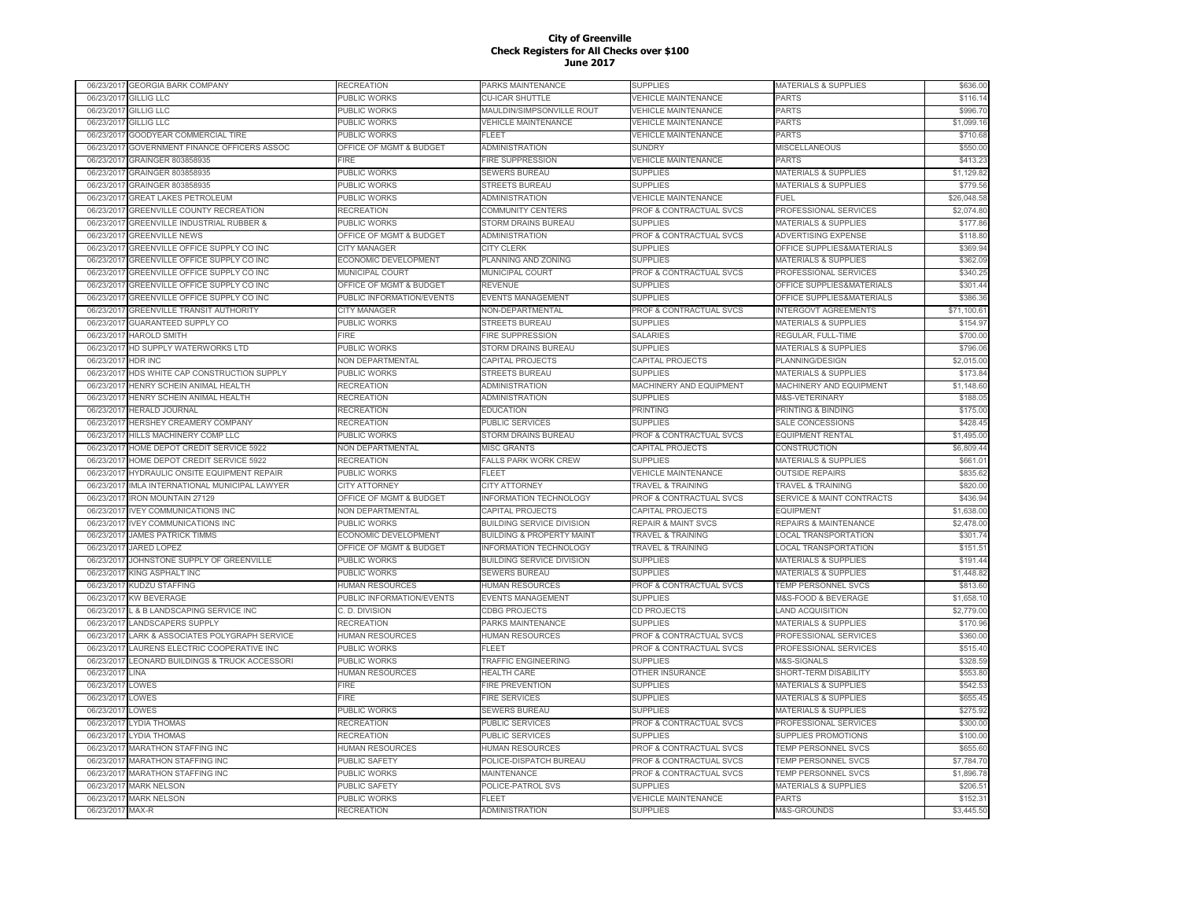|                          | 06/23/2017 GEORGIA BARK COMPANY                                         | RECREATION                                   | PARKS MAINTENANCE                           | <b>SUPPLIES</b>                                               | MATERIALS & SUPPLIES                            | \$636.00               |
|--------------------------|-------------------------------------------------------------------------|----------------------------------------------|---------------------------------------------|---------------------------------------------------------------|-------------------------------------------------|------------------------|
| 06/23/2017               | <b>GILLIG LLC</b>                                                       | PUBLIC WORKS                                 | <b>CU-ICAR SHUTTLE</b>                      | VEHICLE MAINTENANCE                                           | <b>PARTS</b>                                    | \$116.14               |
| 06/23/2017               | <b>GILLIG LLC</b>                                                       | PUBLIC WORKS                                 | MAULDIN/SIMPSONVILLE ROUT                   | <b>VEHICLE MAINTENANCE</b>                                    | <b>PARTS</b>                                    | \$996.70               |
| 06/23/2017               | <b>GILLIG LLC</b>                                                       | PUBLIC WORKS                                 | <b>VEHICLE MAINTENANCE</b>                  | <b>VEHICLE MAINTENANCE</b>                                    | PARTS                                           | \$1,099.16             |
| 06/23/2017               | GOODYEAR COMMERCIAL TIRE                                                | PUBLIC WORKS                                 | <b>FLEET</b>                                | <b>VEHICLE MAINTENANCE</b>                                    | <b>PARTS</b>                                    | \$710.68               |
| 06/23/201                | GOVERNMENT FINANCE OFFICERS ASSOC                                       | OFFICE OF MGMT & BUDGET                      | <b>ADMINISTRATION</b>                       | <b>SUNDRY</b>                                                 | MISCELLANEOUS                                   | \$550.00               |
| 06/23/2017               | GRAINGER 803858935                                                      | FIRF                                         | <b>FIRE SUPPRESSION</b>                     | <b>VEHICLE MAINTENANCE</b>                                    | <b>PARTS</b>                                    | \$413.23               |
| 06/23/201                | GRAINGER 803858935                                                      | PUBLIC WORKS                                 | <b>SEWERS BUREAU</b>                        | <b>SUPPLIES</b>                                               | <b>MATERIALS &amp; SUPPLIES</b>                 | \$1,129.82             |
| 06/23/201                | <b>GRAINGER 803858935</b>                                               | PUBLIC WORKS                                 | <b>STREETS BUREAU</b>                       | <b>SUPPLIES</b>                                               | <b>MATERIALS &amp; SUPPLIES</b>                 | \$779.56               |
| 06/23/201                | <b>GREAT LAKES PETROLEUM</b>                                            | PUBLIC WORKS                                 | <b>ADMINISTRATION</b>                       | <b>VEHICLE MAINTENANCE</b>                                    | FUEL                                            | \$26,048.58            |
| 06/23/201                | <b>GREENVILLE COUNTY RECREATION</b>                                     | RECREATION                                   | <b>COMMUNITY CENTERS</b>                    | PROF & CONTRACTUAL SVCS                                       | PROFESSIONAL SERVICES                           | \$2,074.80             |
| 06/23/201                | <b>GREENVILLE INDUSTRIAL RUBBER 8</b>                                   | PUBLIC WORKS                                 | STORM DRAINS BUREAU                         | <b>SUPPLIES</b>                                               | <b>MATERIALS &amp; SUPPLIES</b>                 | \$177.86               |
| 06/23/2017               | <b>GREENVILLE NEWS</b>                                                  | OFFICE OF MGMT & BUDGET                      | ADMINISTRATION                              | PROF & CONTRACTUAL SVCS                                       | ADVERTISING EXPENSE                             | \$118.80               |
| 06/23/2017               | GREENVILLE OFFICE SUPPLY CO INC                                         | <b>CITY MANAGER</b>                          | <b>CITY CLERK</b>                           | <b>SUPPLIES</b>                                               | OFFICE SUPPLIES&MATERIALS                       | \$369.94               |
| 06/23/2017               | GREENVILLE OFFICE SUPPLY CO INC                                         | ECONOMIC DEVELOPMENT                         | PLANNING AND ZONING                         | <b>SUPPLIES</b>                                               | <b>MATERIALS &amp; SUPPLIES</b>                 | \$362.09               |
| 06/23/2017               | GREENVILLE OFFICE SUPPLY CO INC                                         | MUNICIPAL COURT                              | MUNICIPAL COURT                             | PROF & CONTRACTUAL SVCS                                       | PROFESSIONAL SERVICES                           | \$340.25               |
| 06/23/2017               | GREENVILLE OFFICE SUPPLY CO INC                                         | OFFICE OF MGMT & BUDGET                      | <b>REVENUE</b>                              | <b>SUPPLIES</b>                                               | OFFICE SUPPLIES&MATERIALS                       | \$301.44               |
| 06/23/2017               | GREENVILLE OFFICE SUPPLY CO INC                                         | PUBLIC INFORMATION/EVENTS                    | <b>EVENTS MANAGEMENT</b>                    | <b>SUPPLIES</b>                                               | OFFICE SUPPLIES&MATERIALS                       | \$386.36               |
| 06/23/201                | <b>GREENVILLE TRANSIT AUTHORITY</b>                                     | <b>CITY MANAGER</b>                          | NON-DEPARTMENTAL                            | PROF & CONTRACTUAL SVCS                                       | <b>INTERGOVT AGREEMENTS</b>                     | \$71,100.6             |
| 06/23/201                | <b>GUARANTEED SUPPLY CO</b>                                             | PUBLIC WORKS                                 | <b>STREETS BUREAU</b>                       | <b>SUPPLIES</b>                                               | <b>MATERIALS &amp; SUPPLIES</b>                 | \$154.97               |
| 06/23/201                | <b>HAROLD SMITH</b>                                                     | FIRE                                         | <b>FIRE SUPPRESSION</b>                     | <b>SALARIES</b>                                               | REGULAR, FULL-TIME                              | \$700.00               |
| 06/23/201                | HD SUPPLY WATERWORKS LTD                                                | PUBLIC WORKS                                 | <b>STORM DRAINS BUREAU</b>                  | <b>SUPPLIES</b>                                               | <b>MATERIALS &amp; SUPPLIES</b>                 | \$796.06               |
| 06/23/201                | HDR INC                                                                 | <b>VON DEPARTMENTAL</b>                      | CAPITAL PROJECTS                            | CAPITAL PROJECTS                                              | PLANNING/DESIGN                                 | \$2,015.00             |
| 06/23/2017               | HDS WHITE CAP CONSTRUCTION SUPPLY                                       | PUBLIC WORKS                                 | <b>STREETS BUREAU</b>                       | <b>SUPPLIES</b>                                               | <b>MATERIALS &amp; SUPPLIES</b>                 | \$173.84               |
|                          |                                                                         |                                              |                                             |                                                               |                                                 | \$1,148.60             |
| 06/23/201                | HENRY SCHEIN ANIMAL HEALTH                                              | <b>RECREATION</b>                            | <b>ADMINISTRATION</b>                       | MACHINERY AND EQUIPMENT                                       | MACHINERY AND EQUIPMENT                         | \$188.05               |
| 06/23/201                | HENRY SCHEIN ANIMAL HEALTH<br><b>HERALD JOURNAL</b>                     | <b>RECREATION</b>                            | <b>ADMINISTRATION</b>                       | <b>SUPPLIES</b><br><b>PRINTING</b>                            | M&S-VETERINARY                                  | \$175.00               |
| 06/23/2017               |                                                                         | <b>RECREATION</b>                            | <b>EDUCATION</b>                            |                                                               | PRINTING & BINDING                              |                        |
| 06/23/2017<br>06/23/2017 | HERSHEY CREAMERY COMPANY<br>HILLS MACHINERY COMP LLC                    | <b>RECREATION</b><br>PUBLIC WORKS            | PUBLIC SERVICES<br>STORM DRAINS BUREAU      | <b>SUPPLIES</b><br>PROF & CONTRACTUAL SVCS                    | SALE CONCESSIONS<br><b>EQUIPMENT RENTAL</b>     | \$428.45<br>\$1,495.00 |
| 06/23/201                | HOME DEPOT CREDIT SERVICE 5922                                          | <b>NON DEPARTMENTAL</b>                      | <b>MISC GRANTS</b>                          | CAPITAL PROJECTS                                              | CONSTRUCTION                                    | \$6,809.44             |
| 06/23/2017               | HOME DEPOT CREDIT SERVICE 5922                                          | RECREATION                                   | <b>FALLS PARK WORK CREW</b>                 | <b>SUPPLIES</b>                                               | MATERIALS & SUPPLIES                            | \$661.01               |
| 06/23/201                | HYDRAULIC ONSITE EQUIPMENT REPAIR                                       | <b>PUBLIC WORKS</b>                          | FLEET                                       | <b>VEHICLE MAINTENANCE</b>                                    | <b>OUTSIDE REPAIRS</b>                          | \$835.62               |
| 06/23/2017               | IMLA INTERNATIONAL MUNICIPAL LAWYER                                     | <b>CITY ATTORNEY</b>                         | <b>CITY ATTORNEY</b>                        | <b>TRAVEL &amp; TRAINING</b>                                  | <b>TRAVEL &amp; TRAINING</b>                    | \$820.00               |
| 06/23/201                | <b>IRON MOUNTAIN 27129</b>                                              | OFFICE OF MGMT & BUDGET                      | <b>INFORMATION TECHNOLOGY</b>               | PROF & CONTRACTUAL SVCS                                       | <b>SERVICE &amp; MAINT CONTRACTS</b>            | \$436.94               |
| 06/23/2017               | <b>IVEY COMMUNICATIONS INC</b>                                          | NON DEPARTMENTAL                             | CAPITAL PROJECTS                            | CAPITAL PROJECTS                                              | <b>EQUIPMENT</b>                                | \$1,638.00             |
| 06/23/201                | <b>VEY COMMUNICATIONS INC</b>                                           | PUBLIC WORKS                                 | <b>BUILDING SERVICE DIVISION</b>            | <b>REPAIR &amp; MAINT SVCS</b>                                | REPAIRS & MAINTENANCE                           | \$2,478.00             |
| 06/23/2017               | <b>JAMES PATRICK TIMMS</b>                                              | <b>ECONOMIC DEVELOPMENT</b>                  | <b>BUILDING &amp; PROPERTY MAINT</b>        | <b>TRAVEL &amp; TRAINING</b>                                  | <b>LOCAL TRANSPORTATION</b>                     | \$301.74               |
|                          | JARED LOPEZ                                                             |                                              | <b>INFORMATION TECHNOLOGY</b>               | <b>TRAVEL &amp; TRAINING</b>                                  | <b>LOCAL TRANSPORTATION</b>                     | \$151.51               |
| 06/23/2017               | JOHNSTONE SUPPLY OF GREENVILLE                                          | OFFICE OF MGMT & BUDGET                      | <b>BUILDING SERVICE DIVISION</b>            | <b>SUPPLIES</b>                                               |                                                 | \$191.44               |
| 06/23/2017               |                                                                         | PUBLIC WORKS                                 |                                             |                                                               | MATERIALS & SUPPLIES                            |                        |
| 06/23/2017               | <b>KING ASPHALT INC</b><br><b>KUDZU STAFFING</b>                        | PUBLIC WORKS                                 | SEWERS BUREAU                               | <b>SUPPLIES</b><br>PROF & CONTRACTUAL SVCS                    | MATERIALS & SUPPLIES                            | \$1,448.82<br>\$813.60 |
| 06/23/2017<br>06/23/2017 | <b>KW BEVERAGE</b>                                                      | HUMAN RESOURCES<br>PUBLIC INFORMATION/EVENTS | <b>HUMAN RESOURCES</b><br>EVENTS MANAGEMENT | <b>SUPPLIES</b>                                               | TEMP PERSONNEL SVCS<br>M&S-FOOD & BEVERAGE      | \$1,658.10             |
| 06/23/201                |                                                                         |                                              | <b>CDBG PROJECTS</b>                        |                                                               | <b>LAND ACQUISITION</b>                         | \$2,779.00             |
| 06/23/201                | . & B LANDSCAPING SERVICE INC                                           | C. D. DIVISION<br>RECREATION                 | <b>PARKS MAINTENANCE</b>                    | CD PROJECTS<br><b>SUPPLIES</b>                                |                                                 | \$170.96               |
|                          | <b>LANDSCAPERS SUPPLY</b>                                               | <b>HUMAN RESOURCES</b>                       |                                             |                                                               | <b>MATERIALS &amp; SUPPLIES</b>                 |                        |
| 06/23/201<br>06/23/2017  | LARK & ASSOCIATES POLYGRAPH SERVICE<br>LAURENS ELECTRIC COOPERATIVE INC | PUBLIC WORKS                                 | <b>HUMAN RESOURCES</b><br>FI FFT            | PROF & CONTRACTUAL SVCS<br><b>PROF &amp; CONTRACTUAL SVCS</b> | PROFESSIONAL SERVICES                           | \$360.00<br>\$515.40   |
| 06/23/201                | LEONARD BUILDINGS & TRUCK ACCESSORI                                     | PUBLIC WORKS                                 | <b>TRAFFIC ENGINEERING</b>                  | SUPPLIES                                                      | PROFESSIONAL SERVICES<br><b>M&amp;S-SIGNALS</b> | \$328.59               |
|                          | <b>LINA</b>                                                             |                                              |                                             |                                                               |                                                 |                        |
| 06/23/2017               |                                                                         | <b>HUMAN RESOURCES</b>                       | <b>HEALTH CARE</b>                          | OTHER INSURANCE                                               | SHORT-TERM DISABILITY                           | \$553.80               |
| 06/23/201                | LOWES                                                                   | FIRE                                         | <b>FIRE PREVENTION</b>                      | <b>SUPPLIES</b>                                               | <b>MATERIALS &amp; SUPPLIES</b>                 | \$542.53               |
| 06/23/2017               | LOWES                                                                   | FIRE                                         | <b>FIRE SERVICES</b>                        | <b>SUPPLIES</b>                                               | MATERIALS & SUPPLIES                            | \$655.45               |
| 06/23/201                | LOWES                                                                   | PUBLIC WORKS                                 | SEWERS BUREAU                               | <b>SUPPLIES</b>                                               | MATERIALS & SUPPLIES                            | \$275.92<br>\$300.00   |
| 06/23/2017               | <b>LYDIA THOMAS</b>                                                     | <b>RECREATION</b>                            | PUBLIC SERVICES                             | PROF & CONTRACTUAL SVCS                                       | PROFESSIONAL SERVICES                           |                        |
| 06/23/2017               | LYDIA THOMAS                                                            | <b>RECREATION</b>                            | PUBLIC SERVICES                             | <b>SUPPLIES</b>                                               | SUPPLIES PROMOTIONS                             | \$100.00               |
| 06/23/2017               | <b>MARATHON STAFFING INC</b>                                            | HUMAN RESOURCES                              | <b>HUMAN RESOURCES</b>                      | PROF & CONTRACTUAL SVCS                                       | TEMP PERSONNEL SVCS                             | \$655.60               |
| 06/23/2017               | <b>MARATHON STAFFING INC</b>                                            | PUBLIC SAFETY                                | POLICE-DISPATCH BUREAU                      | PROF & CONTRACTUAL SVCS                                       | <b>TEMP PERSONNEL SVCS</b>                      | \$7,784.70             |
| 06/23/201                | <b>MARATHON STAFFING INC</b>                                            | PUBLIC WORKS                                 | MAINTENANCE                                 | PROF & CONTRACTUAL SVCS                                       | TEMP PERSONNEL SVCS                             | \$1,896.78             |
| 06/23/201                | <b>MARK NELSON</b>                                                      | PUBLIC SAFETY                                | POLICE-PATROL SVS                           | <b>SUPPLIES</b>                                               | <b>MATERIALS &amp; SUPPLIES</b>                 | \$206.51               |
| 06/23/201                | <b>MARK NELSON</b>                                                      | PUBLIC WORKS                                 | FI FFT                                      | <b>VEHICLE MAINTENANCE</b>                                    | <b>PARTS</b>                                    | \$152.3                |
| 06/23/2017               | MAX-R                                                                   | <b>RECREATION</b>                            | <b>ADMINISTRATION</b>                       | <b>SUPPLIES</b>                                               | <b>M&amp;S-GROUNDS</b>                          | \$3,445.50             |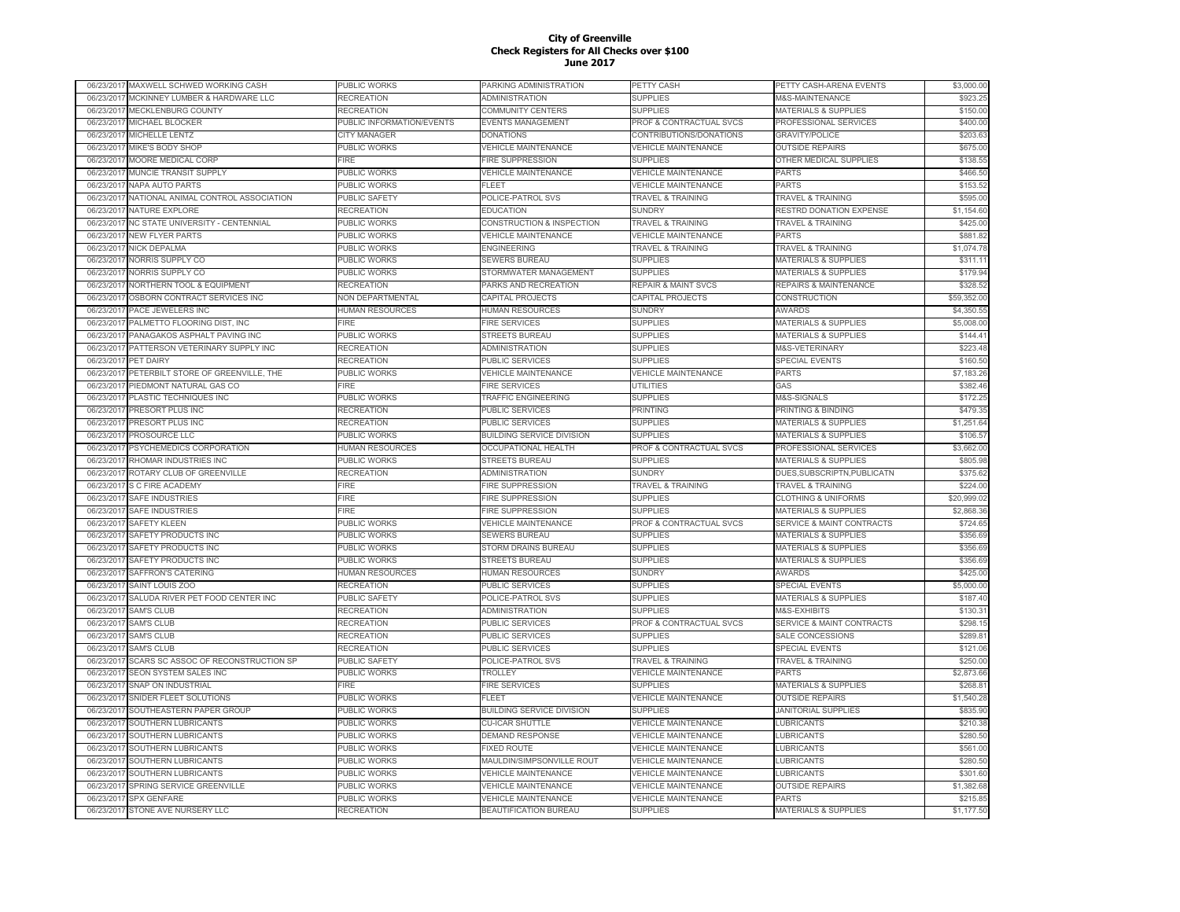| 06/23/201  | MAXWELL SCHWED WORKING CASH         | PUBLIC WORKS              | PARKING ADMINISTRATION               | PETTY CASH                          | PETTY CASH-ARENA EVENTS              | \$3,000.00  |
|------------|-------------------------------------|---------------------------|--------------------------------------|-------------------------------------|--------------------------------------|-------------|
| 06/23/2017 | MCKINNEY LUMBER & HARDWARE LLC      | RECREATION                | <b>ADMINISTRATION</b>                | <b>SUPPLIES</b>                     | <b>M&amp;S-MAINTENANCE</b>           | \$923.25    |
| 06/23/2017 | MECKLENBURG COUNTY                  | <b>RECREATION</b>         | <b>COMMUNITY CENTERS</b>             | <b>SUPPLIES</b>                     | <b>MATERIALS &amp; SUPPLIES</b>      | \$150.00    |
| 06/23/201  | MICHAEL BLOCKER                     | PUBLIC INFORMATION/EVENTS | <b>EVENTS MANAGEMENT</b>             | PROF & CONTRACTUAL SVCS             | PROFESSIONAL SERVICES                | \$400.00    |
| 06/23/2017 | MICHELLE LENTZ                      | CITY MANAGER              | <b>DONATIONS</b>                     | CONTRIBUTIONS/DONATIONS             | <b>GRAVITY/POLICE</b>                | \$203.63    |
| 06/23/2017 | MIKE'S BODY SHOP                    | PUBLIC WORKS              | <b>VEHICLE MAINTENANCE</b>           | <b>VEHICLE MAINTENANCE</b>          | <b>OUTSIDE REPAIRS</b>               | \$675.00    |
| 06/23/2017 | MOORE MEDICAL CORP                  | FIRE.                     | <b>FIRE SUPPRESSION</b>              | <b>SUPPLIES</b>                     | OTHER MEDICAL SUPPLIES               | \$138.55    |
| 06/23/201  | MUNCIE TRANSIT SUPPLY               | PUBLIC WORKS              | <b>VEHICLE MAINTENANCE</b>           | <b>VEHICLE MAINTENANCE</b>          | <b>PARTS</b>                         | \$466.50    |
| 06/23/201  | NAPA AUTO PARTS                     | PUBLIC WORKS              | FLEET                                | <b>/EHICLE MAINTENANCE</b>          | PARTS                                | \$153.52    |
|            |                                     |                           |                                      |                                     |                                      |             |
| 06/23/201  | NATIONAL ANIMAL CONTROL ASSOCIATION | PUBLIC SAFETY             | POLICE-PATROL SVS                    | <b>TRAVEL &amp; TRAINING</b>        | TRAVEL & TRAINING                    | \$595.00    |
| 06/23/201  | NATURE EXPLORE                      | RECREATION                | <b>EDUCATION</b>                     | <b>SUNDRY</b>                       | RESTRD DONATION EXPENSE              | \$1,154.60  |
| 06/23/201  | NC STATE UNIVERSITY - CENTENNIAL    | PUBLIC WORKS              | <b>CONSTRUCTION &amp; INSPECTION</b> | <b>TRAVEL &amp; TRAINING</b>        | <b>TRAVEL &amp; TRAINING</b>         | \$425.00    |
| 06/23/2017 | <b>NEW FLYER PARTS</b>              | PUBLIC WORKS              | <b>VEHICLE MAINTENANCE</b>           | <b>VEHICLE MAINTENANCE</b>          | <b>PARTS</b>                         | \$881.82    |
| 06/23/201  | <b>NICK DEPALMA</b>                 | PUBLIC WORKS              | <b>ENGINEERING</b>                   | <b>TRAVEL &amp; TRAINING</b>        | <b>TRAVEL &amp; TRAINING</b>         | \$1,074.78  |
| 06/23/201  | NORRIS SUPPLY CO                    | PUBLIC WORKS              | SEWERS BUREAU                        | <b>SUPPLIES</b>                     | <b>MATERIALS &amp; SUPPLIES</b>      | \$311.11    |
| 06/23/201  | <b>NORRIS SUPPLY CO</b>             | PUBLIC WORKS              | STORMWATER MANAGEMENT                | <b>SUPPLIES</b>                     | <b>MATERIALS &amp; SUPPLIES</b>      | \$179.94    |
| 06/23/201  | NORTHERN TOOL & EQUIPMENT           | RECREATION                | PARKS AND RECREATION                 | <b>REPAIR &amp; MAINT SVCS</b>      | REPAIRS & MAINTENANCE                | \$328.52    |
| 06/23/201  | OSBORN CONTRACT SERVICES INC        | NON DEPARTMENTAL          | CAPITAL PROJECTS                     | CAPITAL PROJECTS                    | CONSTRUCTION                         | \$59,352.00 |
| 06/23/201  | PACE JEWELERS INC                   | HUMAN RESOURCES           | <b>HUMAN RESOURCES</b>               | <b>SUNDRY</b>                       | <b>AWARDS</b>                        | \$4,350.55  |
| 06/23/201  | PALMETTO FLOORING DIST, INC         | FIRE                      | <b>FIRE SERVICES</b>                 | <b>SUPPLIES</b>                     | <b>MATERIALS &amp; SUPPLIES</b>      | \$5,008.00  |
| 06/23/201  | PANAGAKOS ASPHALT PAVING INC        | PUBLIC WORKS              | <b>STREETS BUREAU</b>                | <b>SUPPLIES</b>                     | <b>MATERIALS &amp; SUPPLIES</b>      | \$144.41    |
| 06/23/201  | PATTERSON VETERINARY SUPPLY INC     | RECREATION                | <b>ADMINISTRATION</b>                | <b>SUPPLIES</b>                     | M&S-VETERINARY                       | \$223.48    |
| 06/23/201  | PET DAIRY                           | <b>RECREATION</b>         | <b>PUBLIC SERVICES</b>               | <b>SUPPLIES</b>                     | <b>SPECIAL EVENTS</b>                | \$160.50    |
| 06/23/2017 | PETERBILT STORE OF GREENVILLE, THE  | PUBLIC WORKS              | <b>VEHICLE MAINTENANCE</b>           | <b>VEHICLE MAINTENANCE</b>          | <b>PARTS</b>                         | \$7,183.26  |
| 06/23/201  | PIEDMONT NATURAL GAS CO             | FIRE                      | <b>FIRE SERVICES</b>                 | UTILITIES                           | GAS                                  | \$382.46    |
| 06/23/2017 | PLASTIC TECHNIQUES INC              | PUBLIC WORKS              | <b>TRAFFIC ENGINEERING</b>           | <b>SUPPLIES</b>                     | M&S-SIGNALS                          | \$172.25    |
| 06/23/201  | <b>PRESORT PLUS INC</b>             | <b>RECREATION</b>         | <b>PUBLIC SERVICES</b>               | PRINTING                            | PRINTING & BINDING                   | \$479.35    |
| 06/23/201  | PRESORT PLUS INC                    | RECREATION                | PUBLIC SERVICES                      | <b>SUPPLIES</b>                     | MATERIALS & SUPPLIES                 | \$1,251.64  |
| 06/23/2017 | PROSOURCE LLC                       | PUBLIC WORKS              | <b>BUILDING SERVICE DIVISION</b>     | <b>SUPPLIES</b>                     | <b>MATERIALS &amp; SUPPLIES</b>      | \$106.57    |
|            |                                     |                           |                                      |                                     |                                      |             |
| 06/23/201  | PSYCHEMEDICS CORPORATION            | HUMAN RESOURCES           | <b>OCCUPATIONAL HEALTH</b>           | PROF & CONTRACTUAL SVCS             | PROFESSIONAL SERVICES                | \$3,662.00  |
| 06/23/201  | RHOMAR INDUSTRIES INC               | <b>UBLIC WORKS</b>        | <b>STREETS BUREAU</b>                | <b>SUPPLIES</b>                     | <b>MATERIALS &amp; SUPPLIES</b>      | \$805.98    |
| 06/23/201  | ROTARY CLUB OF GREENVILLE           | RECREATION                | ADMINISTRATION                       | <b>SUNDRY</b>                       | DUES, SUBSCRIPTN, PUBLICATN          | \$375.62    |
| 06/23/201  | S C FIRE ACADEMY                    | FIRE                      | <b>FIRE SUPPRESSION</b>              | <b>TRAVEL &amp; TRAINING</b>        | TRAVEL & TRAINING                    | \$224.00    |
| 06/23/201  | SAFE INDUSTRIES                     | FIRE                      | <b>FIRE SUPPRESSION</b>              | <b>SUPPLIES</b>                     | <b>CLOTHING &amp; UNIFORMS</b>       | \$20,999.02 |
| 06/23/2017 | <b>SAFE INDUSTRIES</b>              | <b>IRE</b>                | <b>FIRE SUPPRESSION</b>              | <b>SUPPLIES</b>                     | <b>MATERIALS &amp; SUPPLIES</b>      | \$2,868.36  |
| 06/23/201  | SAFETY KLEEN                        | <b>UBLIC WORKS</b>        | <b>VEHICLE MAINTENANCE</b>           | PROF & CONTRACTUAL SVCS             | <b>SERVICE &amp; MAINT CONTRACTS</b> | \$724.65    |
| 06/23/2017 | SAFETY PRODUCTS INC                 | PUBLIC WORKS              | <b>SEWERS BUREAU</b>                 | <b>SUPPLIES</b>                     | <b>MATERIALS &amp; SUPPLIES</b>      | \$356.69    |
| 06/23/201  | SAFETY PRODUCTS INC                 | PUBLIC WORKS              | STORM DRAINS BUREAU                  | <b>SUPPLIES</b>                     | <b>MATERIALS &amp; SUPPLIES</b>      | \$356.69    |
| 06/23/2017 | SAFETY PRODUCTS INC                 | PUBLIC WORKS              | <b>STREETS BUREAU</b>                | <b>SUPPLIES</b>                     | <b>MATERIALS &amp; SUPPLIES</b>      | \$356.69    |
| 06/23/2017 | SAFFRON'S CATERING                  | HUMAN RESOURCES           | <b>HUMAN RESOURCES</b>               | <b>SUNDRY</b>                       | <b>AWARDS</b>                        | \$425.00    |
| 06/23/2017 | SAINT LOUIS ZOO                     | RECREATION                | PUBLIC SERVICES                      | <b>SUPPLIES</b>                     | <b>SPECIAL EVENTS</b>                | \$5,000.00  |
| 06/23/2017 | SALUDA RIVER PET FOOD CENTER INC    | PUBLIC SAFETY             | POLICE-PATROL SVS                    | <b>SUPPLIES</b>                     | <b>MATERIALS &amp; SUPPLIES</b>      | \$187.40    |
| 06/23/2017 | <b>SAM'S CLUB</b>                   | RECREATION                | <b>ADMINISTRATION</b>                | <b>SUPPLIES</b>                     | M&S-EXHIBITS                         | \$130.31    |
| 06/23/201  | <b>SAM'S CLUB</b>                   | RECREATION                | <b>PUBLIC SERVICES</b>               | PROF & CONTRACTUAL SVCS             | <b>SERVICE &amp; MAINT CONTRACTS</b> | \$298.15    |
| 06/23/201  | <b>SAM'S CLUB</b>                   | RECREATION                | PUBLIC SERVICES                      | <b>SUPPLIES</b>                     | SALE CONCESSIONS                     | \$289.81    |
| 06/23/201  | <b>SAM'S CLUB</b>                   | RECREATION                | PUBLIC SERVICES                      | <b>SUPPLIES</b>                     | <b>SPECIAL EVENTS</b>                | \$121.06    |
| 06/23/201  | SCARS SC ASSOC OF RECONSTRUCTION SP | PUBLIC SAFETY             | POLICE-PATROL SVS                    | <b><i>FRAVEL &amp; TRAINING</i></b> | <b>TRAVEL &amp; TRAINING</b>         | \$250.00    |
| 06/23/2017 | SEON SYSTEM SALES INC               | <b>UBLIC WORKS</b>        | TROLLEY                              | VEHICLE MAINTENANCE                 | <b>PARTS</b>                         | \$2,873.66  |
| 06/23/2017 | SNAP ON INDUSTRIAL                  | FIRE                      | <b>FIRE SERVICES</b>                 | <b>SUPPLIES</b>                     | <b>MATERIALS &amp; SUPPLIES</b>      | \$268.8     |
|            |                                     |                           | FI FFT                               |                                     |                                      |             |
| 06/23/2017 | SNIDER FLEET SOLUTIONS              | <b>UBLIC WORKS</b>        |                                      | <b>VEHICLE MAINTENANCE</b>          | <b>OUTSIDE REPAIRS</b>               | \$1,540.28  |
| 06/23/2017 | SOUTHEASTERN PAPER GROUP            | PUBLIC WORKS              | <b>BUILDING SERVICE DIVISION</b>     | <b>SUPPLIES</b>                     | <b>JANITORIAL SUPPLIES</b>           | \$835.90    |
| 06/23/2017 | SOUTHERN LUBRICANTS                 | PUBLIC WORKS              | <b>CU-ICAR SHUTTLE</b>               | <b>VEHICLE MAINTENANCE</b>          | <b>LUBRICANTS</b>                    | \$210.38    |
| 06/23/2017 | SOUTHERN LUBRICANTS                 | PUBLIC WORKS              | <b>DEMAND RESPONSE</b>               | <b>VEHICLE MAINTENANCE</b>          | <b>LUBRICANTS</b>                    | \$280.50    |
| 06/23/2017 | SOUTHERN LUBRICANTS                 | PUBLIC WORKS              | <b>FIXED ROUTE</b>                   | <b>VEHICLE MAINTENANCE</b>          | <b>LUBRICANTS</b>                    | \$561.00    |
| 06/23/2017 | SOUTHERN LUBRICANTS                 | PUBLIC WORKS              | MAULDIN/SIMPSONVILLE ROUT            | <b>VEHICLE MAINTENANCE</b>          | LUBRICANTS                           | \$280.50    |
| 06/23/201  | SOUTHERN LUBRICANTS                 | PUBLIC WORKS              | <b>VEHICLE MAINTENANCE</b>           | <b>VEHICLE MAINTENANCE</b>          | LUBRICANTS                           | \$301.60    |
| 06/23/201  | SPRING SERVICE GREENVILLE           | PUBLIC WORKS              | <b>VEHICLE MAINTENANCE</b>           | <b>/EHICLE MAINTENANCE</b>          | <b>OUTSIDE REPAIRS</b>               | \$1,382.68  |
| 06/23/201  | <b>SPX GENFARE</b>                  | PUBLIC WORKS              | <b>VEHICLE MAINTENANCE</b>           | <b>VEHICLE MAINTENANCE</b>          | <b>PARTS</b>                         | \$215.85    |
| 06/23/2017 | STONE AVE NURSERY LLC               | RECREATION                | <b>BEAUTIFICATION BUREAU</b>         | <b>SUPPLIES</b>                     | <b>MATERIALS &amp; SUPPLIES</b>      | \$1,177.50  |
|            |                                     |                           |                                      |                                     |                                      |             |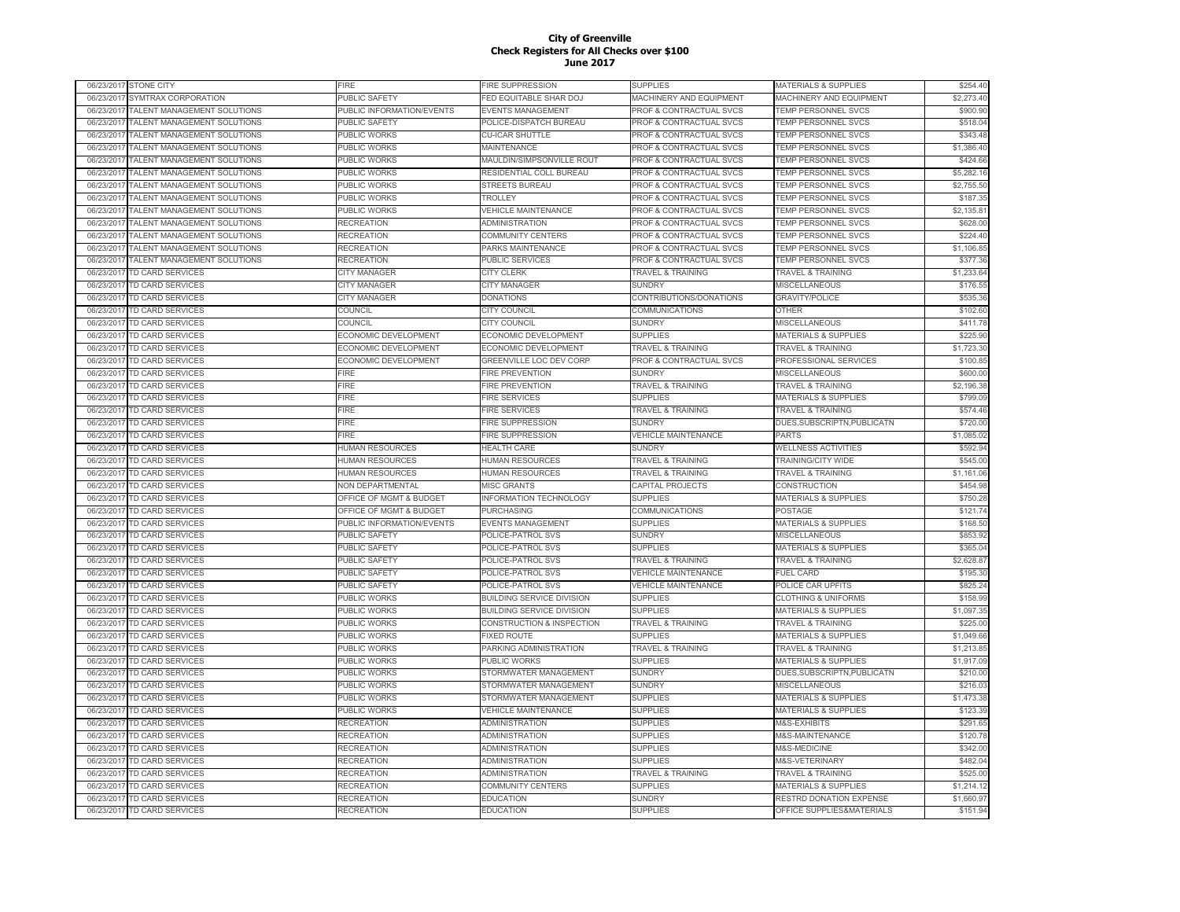|            | 06/23/2017 STONE CITY          | FIRE                        | <b>FIRE SUPPRESSION</b>          | SUPPLIES                           | MATERIALS & SUPPLIES            | \$254.40   |
|------------|--------------------------------|-----------------------------|----------------------------------|------------------------------------|---------------------------------|------------|
|            | 06/23/2017 SYMTRAX CORPORATION | PUBLIC SAFETY               | <b>FED EQUITABLE SHAR DOJ</b>    | MACHINERY AND EQUIPMENT            | MACHINERY AND EQUIPMENT         | \$2,273.40 |
| 06/23/2017 | TALENT MANAGEMENT SOLUTIONS    | PUBLIC INFORMATION/EVENTS   | EVENTS MANAGEMENT                | PROF & CONTRACTUAL SVCS            | TEMP PERSONNEL SVCS             | \$900.90   |
| 06/23/2017 | TALENT MANAGEMENT SOLUTIONS    | PUBLIC SAFETY               | POLICE-DISPATCH BUREAU           | PROF & CONTRACTUAL SVCS            | TEMP PERSONNEL SVCS             | \$518.04   |
| 06/23/2017 | TALENT MANAGEMENT SOLUTIONS    | PUBLIC WORKS                | <b>CU-ICAR SHUTTLE</b>           | PROF & CONTRACTUAL SVCS            | TEMP PERSONNEL SVCS             | \$343.48   |
| 06/23/201  | TALENT MANAGEMENT SOLUTIONS    | PUBLIC WORKS                | MAINTENANCE                      | PROF & CONTRACTUAL SVCS            | TEMP PERSONNEL SVCS             | \$1,386.40 |
| 06/23/2017 | TALENT MANAGEMENT SOLUTIONS    | PUBLIC WORKS                | MAULDIN/SIMPSONVILLE ROUT        | PROF & CONTRACTUAL SVCS            | <b>TEMP PERSONNEL SVCS</b>      | \$424.66   |
| 06/23/201  | TALENT MANAGEMENT SOLUTIONS    | PUBLIC WORKS                | RESIDENTIAL COLL BUREAU          | PROF & CONTRACTUAL SVCS            | <b>TEMP PERSONNEL SVCS</b>      | \$5,282.16 |
| 06/23/2017 | TALENT MANAGEMENT SOLUTIONS    | PUBLIC WORKS                | <b>STREETS BUREAU</b>            | PROF & CONTRACTUAL SVCS            | TEMP PERSONNEL SVCS             | \$2,755.50 |
| 06/23/201  | TALENT MANAGEMENT SOLUTIONS    | PUBLIC WORKS                | TROLLEY                          | PROF & CONTRACTUAL SVCS            | <b>TEMP PERSONNEL SVCS</b>      | \$187.35   |
| 06/23/2017 | TALENT MANAGEMENT SOLUTIONS    | PUBLIC WORKS                | <b>VEHICLE MAINTENANCE</b>       | PROF & CONTRACTUAL SVCS            | <b>TEMP PERSONNEL SVCS</b>      | \$2,135.81 |
| 06/23/201  | TALENT MANAGEMENT SOLUTIONS    | RECREATION                  | <b>ADMINISTRATION</b>            | <b>PROF &amp; CONTRACTUAL SVCS</b> | TEMP PERSONNEL SVCS             | \$628.00   |
|            |                                |                             |                                  |                                    |                                 |            |
| 06/23/2017 | TALENT MANAGEMENT SOLUTIONS    | RECREATION                  | COMMUNITY CENTERS                | PROF & CONTRACTUAL SVCS            | TEMP PERSONNEL SVCS             | \$224.40   |
| 06/23/2017 | TALENT MANAGEMENT SOLUTIONS    | RECREATION                  | PARKS MAINTENANCE                | PROF & CONTRACTUAL SVCS            | TEMP PERSONNEL SVCS             | \$1,106.85 |
| 06/23/2017 | TALENT MANAGEMENT SOLUTIONS    | <b>RECREATION</b>           | PUBLIC SERVICES                  | PROF & CONTRACTUAL SVCS            | TEMP PERSONNEL SVCS             | \$377.36   |
| 06/23/2017 | TD CARD SERVICES               | <b>CITY MANAGER</b>         | <b>CITY CLERK</b>                | <b>TRAVEL &amp; TRAINING</b>       | <b>TRAVEL &amp; TRAINING</b>    | \$1,233.64 |
| 06/23/2017 | TD CARD SERVICES               | CITY MANAGER                | <b>CITY MANAGER</b>              | <b>SUNDRY</b>                      | MISCELLANEOUS                   | \$176.55   |
| 06/23/2017 | TD CARD SERVICES               | CITY MANAGER                | <b>DONATIONS</b>                 | CONTRIBUTIONS/DONATIONS            | <b>GRAVITY/POLICE</b>           | \$535.36   |
| 06/23/201  | <b>TD CARD SERVICES</b>        | COUNCIL                     | CITY COUNCIL                     | COMMUNICATIONS                     | OTHER                           | \$102.60   |
| 06/23/2017 | TD CARD SERVICES               | COUNCIL                     | <b>CITY COUNCIL</b>              | <b>SUNDRY</b>                      | MISCELLANEOUS                   | \$411.78   |
| 06/23/201  | TD CARD SERVICES               | ECONOMIC DEVELOPMENT        | ECONOMIC DEVELOPMENT             | <b>SUPPLIES</b>                    | <b>MATERIALS &amp; SUPPLIES</b> | \$225.90   |
| 06/23/2017 | <b>TD CARD SERVICES</b>        | <b>ECONOMIC DEVELOPMENT</b> | ECONOMIC DEVELOPMENT             | <b>TRAVEL &amp; TRAINING</b>       | <b>TRAVEL &amp; TRAINING</b>    | \$1,723.30 |
| 06/23/201  | <b>TD CARD SERVICES</b>        | ECONOMIC DEVELOPMENT        | <b>GREENVILLE LOC DEV CORP</b>   | PROF & CONTRACTUAL SVCS            | PROFESSIONAL SERVICES           | \$100.85   |
| 06/23/2017 | TD CARD SERVICES               | FIRE                        | FIRE PREVENTION                  | <b>SUNDRY</b>                      | MISCELLANEOUS                   | \$600.00   |
| 06/23/201  | TD CARD SERVICES               | FIRE                        | FIRE PREVENTION                  | <b>TRAVEL &amp; TRAINING</b>       | TRAVEL & TRAINING               | \$2,196.38 |
| 06/23/2017 | TD CARD SERVICES               | FIRE                        | <b>FIRE SERVICES</b>             | <b>SUPPLIES</b>                    | MATERIALS & SUPPLIES            | \$799.09   |
| 06/23/2017 | TD CARD SERVICES               | FIRE                        | FIRE SERVICES                    | <b>TRAVEL &amp; TRAINING</b>       | TRAVEL & TRAINING               | \$574.46   |
| 06/23/2017 | <b>TD CARD SERVICES</b>        | FIRE                        | FIRE SUPPRESSION                 | <b>SUNDRY</b>                      | DUES, SUBSCRIPTN, PUBLICATN     | \$720.00   |
| 06/23/2017 | TD CARD SERVICES               | FIRE                        | <b>FIRE SUPPRESSION</b>          | <b>VEHICLE MAINTENANCE</b>         | PARTS                           | \$1,085.02 |
| 06/23/201  | TD CARD SERVICES               | HUMAN RESOURCES             | <b>HEALTH CARE</b>               | <b>SUNDRY</b>                      | <b>WELLNESS ACTIVITIES</b>      | \$592.94   |
| 06/23/2017 | TD CARD SERVICES               | <b>IUMAN RESOURCES</b>      | <b>IUMAN RESOURCES</b>           | <b>TRAVEL &amp; TRAINING</b>       | TRAINING/CITY WIDE              | \$545.00   |
| 06/23/201  | <b>TD CARD SERVICES</b>        | <b>IUMAN RESOURCES</b>      | HUMAN RESOURCES                  | <b>TRAVEL &amp; TRAINING</b>       | <b>TRAVEL &amp; TRAINING</b>    | \$1,161.06 |
| 06/23/201  | <b>TD CARD SERVICES</b>        | <b>VON DEPARTMENTAL</b>     | <b>MISC GRANTS</b>               | CAPITAL PROJECTS                   | <b>CONSTRUCTION</b>             | \$454.98   |
| 06/23/201  | TD CARD SERVICES               | OFFICE OF MGMT & BUDGET     | <b>INFORMATION TECHNOLOGY</b>    | <b>SUPPLIES</b>                    | <b>MATERIALS &amp; SUPPLIES</b> | \$750.28   |
|            |                                |                             |                                  |                                    |                                 |            |
| 06/23/2017 | TD CARD SERVICES               | OFFICE OF MGMT & BUDGET     | <b>PURCHASING</b>                | COMMUNICATIONS                     | POSTAGE                         | \$121.74   |
| 06/23/201  | <b>TD CARD SERVICES</b>        | PUBLIC INFORMATION/EVENTS   | <b>EVENTS MANAGEMENT</b>         | <b>SUPPLIES</b>                    | <b>MATERIALS &amp; SUPPLIES</b> | \$168.50   |
| 06/23/2017 | <b>TD CARD SERVICES</b>        | PUBLIC SAFETY               | POLICE-PATROL SVS                | <b>SUNDRY</b>                      | MISCELLANEOUS                   | \$853.92   |
| 06/23/2017 | <b>TD CARD SERVICES</b>        | PUBLIC SAFETY               | POLICE-PATROL SVS                | <b>SUPPLIES</b>                    | MATERIALS & SUPPLIES            | \$365.04   |
| 06/23/2017 | TD CARD SERVICES               | PUBLIC SAFETY               | POLICE-PATROL SVS                | <b>TRAVEL &amp; TRAINING</b>       | TRAVEL & TRAINING               | \$2,628.87 |
| 06/23/2017 | TD CARD SERVICES               | PUBLIC SAFETY               | POLICE-PATROL SVS                | <b>VEHICLE MAINTENANCE</b>         | <b>FUEL CARD</b>                | \$195.30   |
| 06/23/2017 | TD CARD SERVICES               | PUBLIC SAFETY               | POLICE-PATROL SVS                | <b>VEHICLE MAINTENANCE</b>         | POLICE CAR UPFITS               | \$825.24   |
| 06/23/2017 | TD CARD SERVICES               | PUBLIC WORKS                | <b>BUILDING SERVICE DIVISION</b> | <b>SUPPLIES</b>                    | <b>CLOTHING &amp; UNIFORMS</b>  | \$158.99   |
| 06/23/201  | TD CARD SERVICES               | PUBLIC WORKS                | <b>BUILDING SERVICE DIVISION</b> | <b>SUPPLIES</b>                    | <b>MATERIALS &amp; SUPPLIES</b> | \$1,097.35 |
| 06/23/201  | <b>TD CARD SERVICES</b>        | PUBLIC WORKS                | CONSTRUCTION & INSPECTION        | <b>FRAVEL &amp; TRAINING</b>       | <b>TRAVEL &amp; TRAINING</b>    | \$225.00   |
| 06/23/201  | <b>TD CARD SERVICES</b>        | PUBLIC WORKS                | <b>FIXED ROUTE</b>               | <b>SUPPLIES</b>                    | <b>MATERIALS &amp; SUPPLIES</b> | \$1,049.66 |
| 06/23/201  | TD CARD SERVICES               | <b>UBLIC WORKS</b>          | PARKING ADMINISTRATION           | <b>TRAVEL &amp; TRAINING</b>       | <b>TRAVEL &amp; TRAINING</b>    | \$1,213.85 |
| 06/23/201  | TD CARD SERVICES               | PUBLIC WORKS                | PUBLIC WORKS                     | <b>SUPPLIES</b>                    | <b>MATERIALS &amp; SUPPLIES</b> | \$1,917.09 |
| 06/23/2017 | TD CARD SERVICES               | PUBLIC WORKS                | STORMWATER MANAGEMENT            | <b>SUNDRY</b>                      | DUES, SUBSCRIPTN, PUBLICATN     | \$210.00   |
| 06/23/201  | <b>TD CARD SERVICES</b>        | PUBLIC WORKS                | STORMWATER MANAGEMENT            | <b>SUNDRY</b>                      | MISCELLANEOUS                   | \$216.03   |
| 06/23/2017 | <b>TD CARD SERVICES</b>        | PUBLIC WORKS                | STORMWATER MANAGEMENT            | <b>SUPPLIES</b>                    | MATERIALS & SUPPLIES            | \$1,473.38 |
| 06/23/2017 | TD CARD SERVICES               | PUBLIC WORKS                | <b>VEHICLE MAINTENANCE</b>       | <b>SUPPLIES</b>                    | MATERIALS & SUPPLIES            | \$123.39   |
| 06/23/2017 | TD CARD SERVICES               | RECREATION                  | ADMINISTRATION                   | <b>SUPPLIES</b>                    | M&S-EXHIBITS                    | \$291.65   |
| 06/23/2017 | TD CARD SERVICES               | <b>RECREATION</b>           | <b>ADMINISTRATION</b>            | <b>SUPPLIES</b>                    | M&S-MAINTENANCE                 | \$120.78   |
|            |                                |                             |                                  | <b>SUPPLIES</b>                    |                                 |            |
| 06/23/2017 | TD CARD SERVICES               | <b>RECREATION</b>           | ADMINISTRATION                   |                                    | M&S-MEDICINE                    | \$342.00   |
| 06/23/2017 | TD CARD SERVICES               | <b>RECREATION</b>           | ADMINISTRATION                   | <b>SUPPLIES</b>                    | M&S-VETERINARY                  | \$482.04   |
| 06/23/201  | TD CARD SERVICES               | <b>RECREATION</b>           | <b>ADMINISTRATION</b>            | <b>TRAVEL &amp; TRAINING</b>       | <b>TRAVEL &amp; TRAINING</b>    | \$525.00   |
| 06/23/201  | <b>TD CARD SERVICES</b>        | RECREATION                  | COMMUNITY CENTERS                | <b>SUPPLIES</b>                    | <b>MATERIALS &amp; SUPPLIES</b> | \$1,214.12 |
| 06/23/201  | <b>TD CARD SERVICES</b>        | RECREATION                  | <b>EDUCATION</b>                 | <b>SUNDRY</b>                      | RESTRD DONATION EXPENSE         | \$1,660.97 |
| 06/23/2017 | <b>TD CARD SERVICES</b>        | RECREATION                  | <b>EDUCATION</b>                 | <b>SUPPLIES</b>                    | OFFICE SUPPLIES&MATERIALS       | \$151.94   |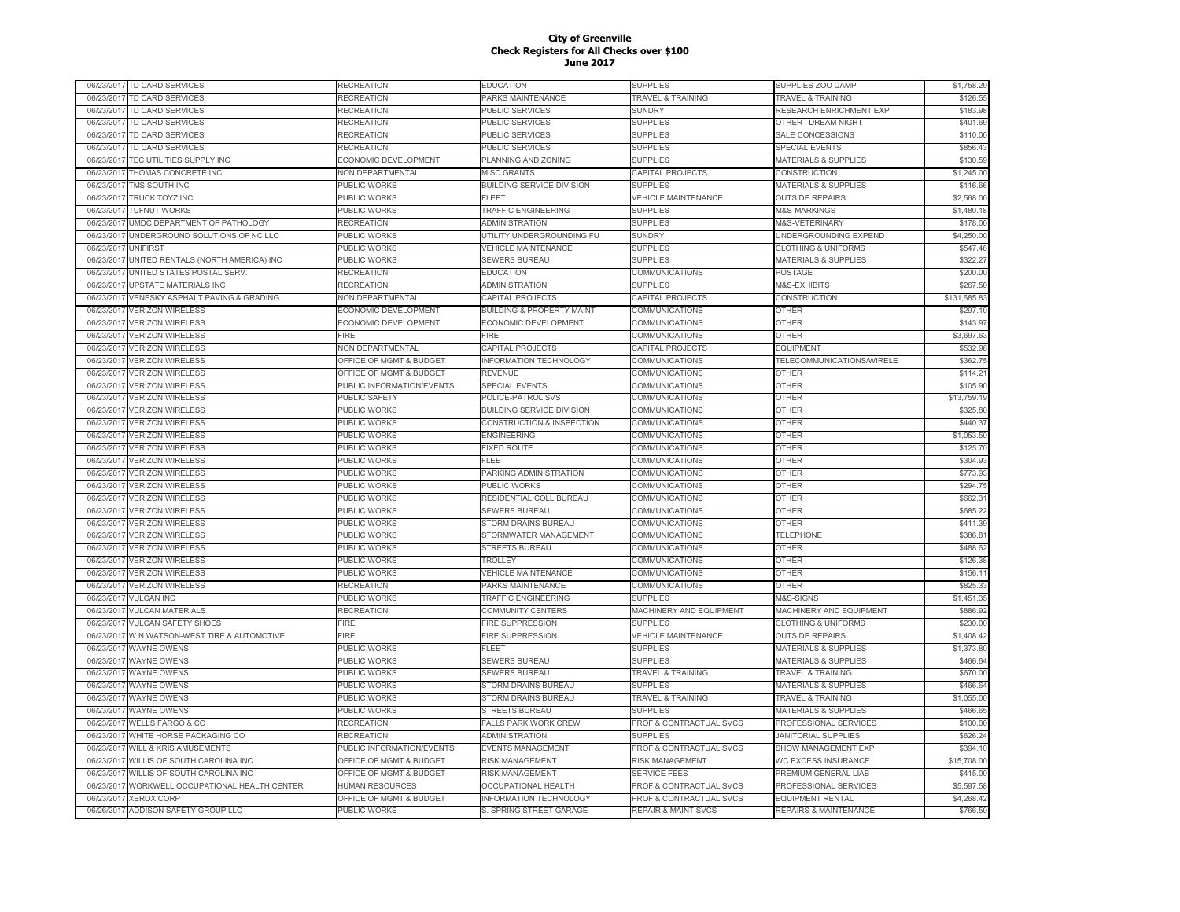|                          | 06/23/2017 TD CARD SERVICES                             | RECREATION                          | EDUCATION                                       | SUPPLIES                                   | SUPPLIES ZOO CAMP                                         | \$1,758.29              |
|--------------------------|---------------------------------------------------------|-------------------------------------|-------------------------------------------------|--------------------------------------------|-----------------------------------------------------------|-------------------------|
|                          | 06/23/2017 TD CARD SERVICES                             | RECREATION                          | PARKS MAINTENANCE                               | <b>TRAVEL &amp; TRAINING</b>               | <b>TRAVEL &amp; TRAINING</b>                              | \$126.55                |
| 06/23/2017               | TD CARD SERVICES                                        | RECREATION                          | PUBLIC SERVICES                                 | <b>SUNDRY</b>                              | RESEARCH ENRICHMENT EXP                                   | \$183.98                |
| 06/23/2017               | TD CARD SERVICES                                        | RECREATION                          | PUBLIC SERVICES                                 | <b>SUPPLIES</b>                            | OTHER DREAM NIGHT                                         | \$401.69                |
| 06/23/2017               | TD CARD SERVICES                                        | RECREATION                          | PUBLIC SERVICES                                 | <b>SUPPLIES</b>                            | SALE CONCESSIONS                                          | \$110.00                |
| 06/23/2017               | TD CARD SERVICES                                        | RECREATION                          | <b>PUBLIC SERVICES</b>                          | <b>SUPPLIES</b>                            | <b>SPECIAL EVENTS</b>                                     | \$856.43                |
| 06/23/2017               | TEC UTILITIES SUPPLY INC                                | ECONOMIC DEVELOPMENT                | PLANNING AND ZONING                             | <b>SUPPLIES</b>                            | <b>MATERIALS &amp; SUPPLIES</b>                           | \$130.59                |
| 06/23/201                | THOMAS CONCRETE INC                                     | <b>NON DEPARTMENTAL</b>             | <b>MISC GRANTS</b>                              | CAPITAL PROJECTS                           | CONSTRUCTION                                              | \$1,245.00              |
| 06/23/2017               | TMS SOUTH INC                                           | PUBLIC WORKS                        | <b>BUILDING SERVICE DIVISION</b>                | <b>SUPPLIES</b>                            | <b>MATERIALS &amp; SUPPLIES</b>                           | \$116.66                |
| 06/23/201                | <b>TRUCK TOYZ INC</b>                                   | PUBLIC WORKS                        | EL FET                                          | <b>VEHICLE MAINTENANCE</b>                 | <b>OUTSIDE REPAIRS</b>                                    | \$2,568.00              |
| 06/23/2017               | <b>TUFNUT WORKS</b>                                     | PUBLIC WORKS                        | <b>TRAFFIC ENGINEERING</b>                      | <b>SUPPLIES</b>                            | M&S-MARKINGS                                              | \$1,480.18              |
| 06/23/201                | UMDC DEPARTMENT OF PATHOLOGY                            | <b>RECREATION</b>                   | <b>ADMINISTRATION</b>                           | <b>SUPPLIES</b>                            | M&S-VETERINARY                                            | \$178.00                |
| 06/23/2017               | UNDERGROUND SOLUTIONS OF NC LLC                         | PUBLIC WORKS                        | UTILITY UNDERGROUNDING FU                       | <b>SUNDRY</b>                              | UNDERGROUNDING EXPEND                                     | \$4,250.00              |
| 06/23/2017               | <b>UNIFIRST</b>                                         | PUBLIC WORKS                        | <b>VEHICLE MAINTENANCE</b>                      | <b>SUPPLIES</b>                            | <b>CLOTHING &amp; UNIFORMS</b>                            | \$547.46                |
| 06/23/201                | UNITED RENTALS (NORTH AMERICA) INC                      | <b>PUBLIC WORKS</b>                 | SEWERS BUREAU                                   | <b>SUPPLIES</b>                            | <b>MATERIALS &amp; SUPPLIES</b>                           | \$322.27                |
| 06/23/201                | UNITED STATES POSTAL SERV.                              | <b>RECREATION</b>                   | <b>EDUCATION</b>                                | <b>COMMUNICATIONS</b>                      | POSTAGE                                                   | \$200.00                |
| 06/23/2017               | <b>UPSTATE MATERIALS INC</b>                            | RECREATION                          | ADMINISTRATION                                  | <b>SUPPLIES</b>                            | M&S-EXHIBITS                                              | \$267.50                |
| 06/23/2017               | VENESKY ASPHALT PAVING & GRADING                        | NON DEPARTMENTAL                    | CAPITAL PROJECTS                                | CAPITAL PROJECTS                           | CONSTRUCTION                                              | \$131,685.83            |
| 06/23/201                | <b>VERIZON WIRELESS</b>                                 | ECONOMIC DEVELOPMENT                | <b>BUILDING &amp; PROPERTY MAINT</b>            | COMMUNICATIONS                             | <b>OTHER</b>                                              | \$297.10                |
| 06/23/201                | <b>VERIZON WIRELESS</b>                                 | ECONOMIC DEVELOPMENT                | ECONOMIC DEVELOPMENT                            | COMMUNICATIONS                             | <b>OTHER</b>                                              | \$143.97                |
| 06/23/201                | <b>VERIZON WIRELESS</b>                                 | FIRE                                | <b>FIRE</b>                                     | COMMUNICATIONS                             | <b>OTHER</b>                                              | \$3,697.63              |
| 06/23/201                | <b>VERIZON WIRELESS</b>                                 | NON DEPARTMENTAL                    | CAPITAL PROJECTS                                | CAPITAL PROJECTS                           | <b>EQUIPMENT</b>                                          | \$532.98                |
| 06/23/201                | <b>VERIZON WIRELESS</b>                                 | OFFICE OF MGMT & BUDGET             | <b>INFORMATION TECHNOLOGY</b>                   | COMMUNICATIONS                             | TELECOMMUNICATIONS/WIRELE                                 | \$362.75                |
|                          | <b>VERIZON WIRELESS</b>                                 | OFFICE OF MGMT & BUDGET             | REVENUE                                         | COMMUNICATIONS                             | OTHER                                                     | \$114.21                |
| 06/23/2017               |                                                         |                                     |                                                 |                                            |                                                           |                         |
| 06/23/201                | <b>VERIZON WIRELESS</b>                                 | PUBLIC INFORMATION/EVENTS           | SPECIAL EVENTS<br>POLICE-PATROL SVS             | COMMUNICATIONS                             | <b>OTHER</b>                                              | \$105.90<br>\$13,759.19 |
| 06/23/2017               | <b>VERIZON WIRELESS</b>                                 | PUBLIC SAFETY                       |                                                 | COMMUNICATIONS                             | <b>OTHER</b>                                              | \$325.80                |
| 06/23/2017               | <b>VERIZON WIRELESS</b>                                 | PUBLIC WORKS                        | <b>BUILDING SERVICE DIVISION</b>                | COMMUNICATIONS                             | <b>OTHER</b>                                              |                         |
| 06/23/2017<br>06/23/2017 | <b>VERIZON WIRELESS</b><br><b>VERIZON WIRELESS</b>      | <b>PUBLIC WORKS</b><br>PUBLIC WORKS | CONSTRUCTION & INSPECTION<br><b>ENGINEERING</b> | COMMUNICATIONS<br>COMMUNICATIONS           | <b>OTHER</b><br><b>OTHER</b>                              | \$440.37<br>\$1,053.50  |
| 06/23/201                | <b>VERIZON WIRELESS</b>                                 | PUBLIC WORKS                        | <b>FIXED ROUTE</b>                              | COMMUNICATIONS                             | <b>OTHER</b>                                              | \$125.70                |
| 06/23/201                | <b>VERIZON WIRELESS</b>                                 | PUBLIC WORKS                        | FLEET                                           | COMMUNICATIONS                             | <b>OTHER</b>                                              | \$304.93                |
| 06/23/201                | <b>VERIZON WIRELESS</b>                                 | PUBLIC WORKS                        | PARKING ADMINISTRATION                          | COMMUNICATIONS                             | <b>OTHER</b>                                              | \$773.93                |
| 06/23/201                | <b>VERIZON WIRELESS</b>                                 | PUBLIC WORKS                        | PUBLIC WORKS                                    | COMMUNICATIONS                             | <b>OTHER</b>                                              | \$294.75                |
| 06/23/201                | <b>VERIZON WIRELESS</b>                                 | PUBLIC WORKS                        | RESIDENTIAL COLL BUREAU                         | COMMUNICATIONS                             | OTHER                                                     | \$662.31                |
| 06/23/2017               | <b>VERIZON WIRELESS</b>                                 | PUBLIC WORKS                        | <b>SEWERS BUREAU</b>                            | COMMUNICATIONS                             | <b>OTHER</b>                                              | \$685.22                |
| 06/23/201                | <b>VERIZON WIRELESS</b>                                 | PUBLIC WORKS                        | STORM DRAINS BUREAU                             | COMMUNICATIONS                             | <b>OTHER</b>                                              | \$411.39                |
|                          | <b>VERIZON WIRELESS</b>                                 | PUBLIC WORKS                        | STORMWATER MANAGEMENT                           | COMMUNICATIONS                             | <b>TELEPHONE</b>                                          | \$386.81                |
| 06/23/2017               |                                                         |                                     |                                                 |                                            |                                                           |                         |
| 06/23/201                | <b>VERIZON WIRELESS</b>                                 | PUBLIC WORKS                        | STREETS BUREAU                                  | <b>COMMUNICATIONS</b>                      | <b>OTHER</b>                                              | \$488.62                |
| 06/23/2017               | <b>VERIZON WIRELESS</b>                                 | PUBLIC WORKS                        | <b>TROLLEY</b>                                  | COMMUNICATIONS                             | <b>OTHER</b>                                              | \$126.38                |
| 06/23/2017               | <b>VERIZON WIRELESS</b>                                 | <b>PUBLIC WORKS</b>                 | <b>VEHICLE MAINTENANCE</b>                      | COMMUNICATIONS                             | <b>OTHER</b>                                              | \$156.11                |
| 06/23/2017               | <b>VERIZON WIRELESS</b>                                 | <b>RECREATION</b>                   | PARKS MAINTENANCE                               | COMMUNICATIONS                             | <b>OTHER</b>                                              | \$825.33                |
| 06/23/2017               | <b>VULCAN INC</b>                                       | PUBLIC WORKS                        | TRAFFIC ENGINEERING                             | <b>SUPPLIES</b>                            | M&S-SIGNS                                                 | \$1,451.35              |
| 06/23/2017               | <b>VULCAN MATERIALS</b><br><b>VULCAN SAFETY SHOES</b>   | RECREATION<br><b>FIRE</b>           | <b>COMMUNITY CENTERS</b>                        | MACHINERY AND EQUIPMENT<br><b>SUPPLIES</b> | MACHINERY AND EQUIPMENT<br><b>CLOTHING &amp; UNIFORMS</b> | \$886.92<br>\$230.00    |
| 06/23/201                |                                                         |                                     | <b>FIRE SUPPRESSION</b>                         |                                            |                                                           |                         |
| 06/23/201                | W N WATSON-WEST TIRE & AUTOMOTIVE<br><b>WAYNE OWENS</b> | <b>FIRE</b>                         | <b>FIRE SUPPRESSION</b><br><b>LEET</b>          | <b>VEHICLE MAINTENANCE</b>                 | <b>OUTSIDE REPAIRS</b>                                    | \$1,408.42              |
| 06/23/2017<br>06/23/201  | <b>WAYNE OWENS</b>                                      | PUBLIC WORKS                        |                                                 | <b>SUPPLIES</b>                            | MATERIALS & SUPPLIES                                      | \$1,373.80              |
|                          |                                                         | PUBLIC WORKS                        | <b>SEWERS BUREAU</b>                            | <b>SUPPLIES</b>                            | <b>MATERIALS &amp; SUPPLIES</b>                           | \$466.64                |
| 06/23/2017               | <b>WAYNE OWENS</b>                                      | PUBLIC WORKS                        | <b>SEWERS BUREAU</b>                            | <b>TRAVEL &amp; TRAINING</b>               | <b>TRAVEL &amp; TRAINING</b>                              | \$670.00                |
| 06/23/201                | <b>WAYNE OWENS</b>                                      | PUBLIC WORKS                        | STORM DRAINS BUREAU                             | <b>SUPPLIES</b>                            | <b>MATERIALS &amp; SUPPLIES</b>                           | \$466.64                |
| 06/23/2017               | WAYNE OWENS                                             | PUBLIC WORKS                        | STORM DRAINS BUREAU                             | <b>TRAVEL &amp; TRAINING</b>               | <b>TRAVEL &amp; TRAINING</b>                              | \$1,055.00              |
| 06/23/2017               | <b>WAYNE OWENS</b>                                      | PUBLIC WORKS                        | <b>STREETS BUREAU</b>                           | <b>SUPPLIES</b>                            | MATERIALS & SUPPLIES                                      | \$466.65                |
| 06/23/2017               | <b>WELLS FARGO &amp; CO</b>                             | RECREATION                          | <b>FALLS PARK WORK CREW</b>                     | PROF & CONTRACTUAL SVCS                    | PROFESSIONAL SERVICES                                     | \$100.00                |
| 06/23/2017               | WHITE HORSE PACKAGING CO                                | <b>RECREATION</b>                   | <b>ADMINISTRATION</b>                           | <b>SUPPLIES</b>                            | <b>JANITORIAL SUPPLIES</b>                                | \$626.24                |
| 06/23/2017               | <b>WILL &amp; KRIS AMUSEMENTS</b>                       | PUBLIC INFORMATION/EVENTS           | <b>EVENTS MANAGEMENT</b>                        | PROF & CONTRACTUAL SVCS                    | SHOW MANAGEMENT EXP                                       | \$394.10                |
| 06/23/2017               | WILLIS OF SOUTH CAROLINA INC                            | OFFICE OF MGMT & BUDGET             | <b>RISK MANAGEMENT</b>                          | <b>RISK MANAGEMENT</b>                     | <b>WC EXCESS INSURANCE</b>                                | \$15,708.00             |
| 06/23/201                | WILLIS OF SOUTH CAROLINA INC                            | OFFICE OF MGMT & BUDGET             | <b>RISK MANAGEMENT</b>                          | <b>SERVICE FEES</b>                        | PREMIUM GENERAL LIAB                                      | \$415.00                |
| 06/23/201                | WORKWELL OCCUPATIONAL HEALTH CENTER                     | <b>HUMAN RESOURCES</b>              | <b>OCCUPATIONAL HEALTH</b>                      | PROF & CONTRACTUAL SVCS                    | PROFESSIONAL SERVICES                                     | \$5,597.58              |
| 06/23/201                | <b>XEROX CORP</b>                                       | OFFICE OF MGMT & BUDGET             | <b>INFORMATION TECHNOLOGY</b>                   | <b>PROF &amp; CONTRACTUAL SVCS</b>         | <b>EQUIPMENT RENTAL</b>                                   | \$4,268.42              |
| 06/26/2017               | ADDISON SAFETY GROUP LLC                                | PUBLIC WORKS                        | S. SPRING STREET GARAGE                         | <b>REPAIR &amp; MAINT SVCS</b>             | <b>REPAIRS &amp; MAINTENANCE</b>                          | \$766.50                |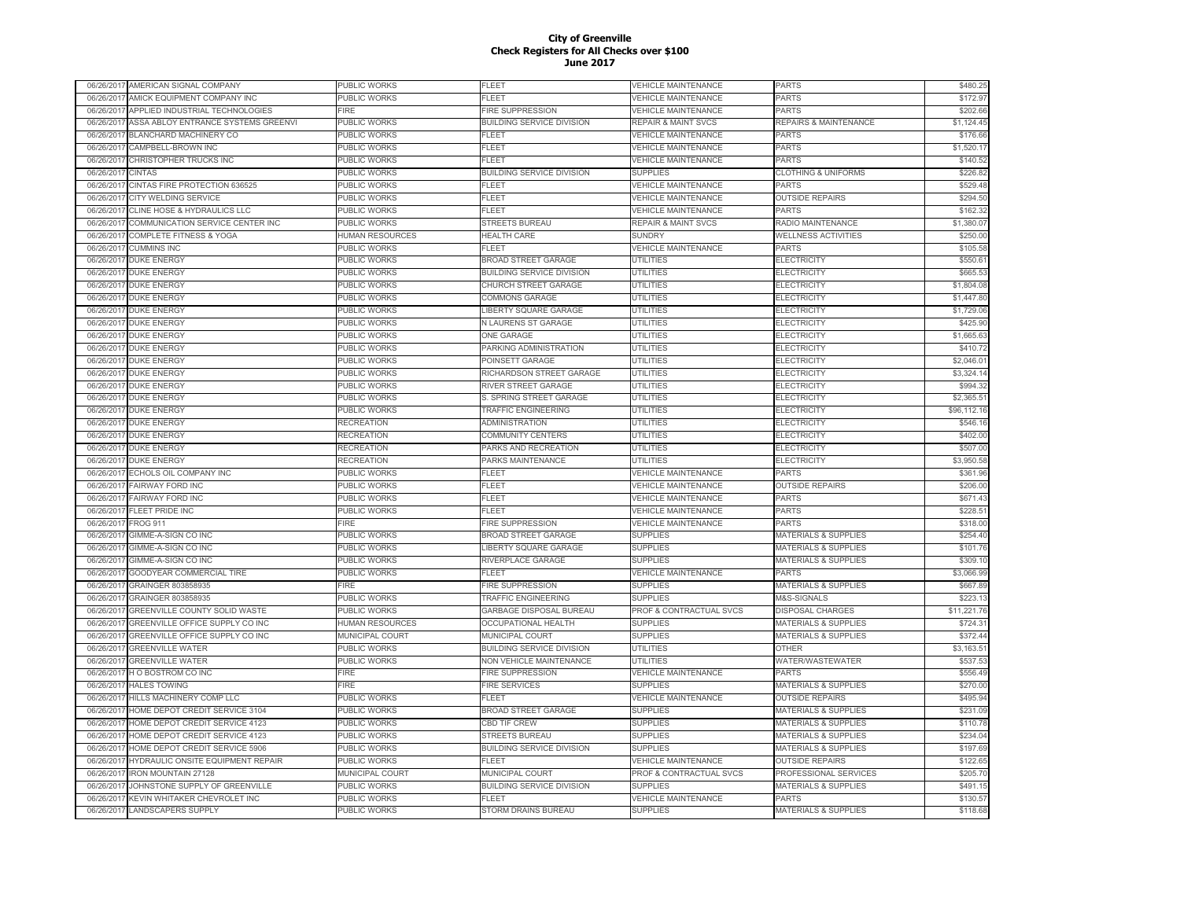| 06/26/2017 | AMERICAN SIGNAL COMPANY                  | PUBLIC WORKS           | FLEET                            | VEHICLE MAINTENANCE                | <b>PARTS</b>                     | \$480.25    |
|------------|------------------------------------------|------------------------|----------------------------------|------------------------------------|----------------------------------|-------------|
| 06/26/2017 | AMICK EQUIPMENT COMPANY INC              | PUBLIC WORKS           | FLEET                            | <b>VEHICLE MAINTENANCE</b>         | PARTS                            | \$172.97    |
| 06/26/2017 | APPLIED INDUSTRIAL TECHNOLOGIES          | FIRE                   | <b>FIRE SUPPRESSION</b>          | <b>VEHICLE MAINTENANCE</b>         | <b>PARTS</b>                     | \$202.66    |
| 06/26/2017 | ASSA ABLOY ENTRANCE SYSTEMS GREENVI      | PUBLIC WORKS           | <b>BUILDING SERVICE DIVISION</b> | <b>REPAIR &amp; MAINT SVCS</b>     | <b>REPAIRS &amp; MAINTENANCE</b> | \$1,124.45  |
| 06/26/2017 | BLANCHARD MACHINERY CO                   | PUBLIC WORKS           | FLEET                            | <b>VEHICLE MAINTENANCE</b>         | <b>PARTS</b>                     | \$176.66    |
| 06/26/2017 | CAMPBELL-BROWN INC                       | <b>UBLIC WORKS</b>     | <b>FLEET</b>                     | <b>VEHICLE MAINTENANCE</b>         | <b>PARTS</b>                     | \$1,520.17  |
| 06/26/2017 | CHRISTOPHER TRUCKS INC                   | <b>UBLIC WORKS</b>     | FLEET                            | <b>VEHICLE MAINTENANCE</b>         | PARTS                            | \$140.52    |
| 06/26/201  | CINTAS                                   | PUBLIC WORKS           | <b>BUILDING SERVICE DIVISION</b> | <b>SUPPLIES</b>                    | <b>CLOTHING &amp; UNIFORMS</b>   | \$226.82    |
| 06/26/201  | CINTAS FIRE PROTECTION 636525            | PUBLIC WORKS           | FLEET                            | <b>/EHICLE MAINTENANCE</b>         | <b>PARTS</b>                     | \$529.48    |
| 06/26/201  | CITY WELDING SERVICE                     | PUBLIC WORKS           | FLEET                            | <b>VEHICLE MAINTENANCE</b>         | <b>OUTSIDE REPAIRS</b>           | \$294.50    |
| 06/26/2011 | CLINE HOSE & HYDRAULICS LLC              | <b>UBLIC WORKS</b>     | FLEET                            | <b>VEHICLE MAINTENANCE</b>         | PARTS                            | \$162.32    |
| 06/26/201  | COMMUNICATION SERVICE CENTER INC         | PUBLIC WORKS           | <b>STREETS BUREAU</b>            | <b>REPAIR &amp; MAINT SVCS</b>     | RADIO MAINTENANCE                | \$1,380.07  |
| 06/26/2017 | <b>COMPLETE FITNESS &amp; YOGA</b>       | <b>HUMAN RESOURCES</b> | <b>HEALTH CARE</b>               | <b>SUNDRY</b>                      | <b>WELLNESS ACTIVITIES</b>       | \$250.00    |
| 06/26/2017 | <b>CUMMINS INC</b>                       | PUBLIC WORKS           | FI FFT                           | <b>VEHICLE MAINTENANCE</b>         | <b>PARTS</b>                     | \$105.58    |
| 06/26/2017 | <b>DUKE ENERGY</b>                       | PUBLIC WORKS           | <b>BROAD STREET GARAGE</b>       | <b>UTILITIES</b>                   | <b>ELECTRICITY</b>               | \$550.61    |
| 06/26/2017 | <b>DUKE ENERGY</b>                       | PUBLIC WORKS           | <b>BUILDING SERVICE DIVISION</b> | <b>UTILITIES</b>                   | <b>ELECTRICITY</b>               | \$665.53    |
|            |                                          |                        |                                  | <b>UTILITIES</b>                   |                                  | \$1,804.08  |
| 06/26/2017 | <b>DUKE ENERGY</b>                       | <b>UBLIC WORKS</b>     | CHURCH STREET GARAGE             |                                    | <b>ELECTRICITY</b>               | \$1,447.80  |
| 06/26/2017 | <b>DUKE ENERGY</b>                       | PUBLIC WORKS           | <b>COMMONS GARAGE</b>            | <b>UTILITIES</b>                   | <b>ELECTRICITY</b>               |             |
| 06/26/201  | <b>DUKE ENERGY</b>                       | PUBLIC WORKS           | LIBERTY SQUARE GARAGE            | <b>UTILITIES</b>                   | <b>ELECTRICITY</b>               | \$1,729.06  |
| 06/26/201  | <b>DUKE ENERGY</b>                       | <b>UBLIC WORKS</b>     | N LAURENS ST GARAGE              | <b>UTILITIES</b>                   | ELECTRICITY                      | \$425.90    |
| 06/26/201  | <b>DUKE ENERGY</b>                       | <b>UBLIC WORKS</b>     | <b>ONE GARAGE</b>                | UTILITIES                          | <b>ELECTRICITY</b>               | \$1,665.63  |
| 06/26/201  | <b>DUKE ENERGY</b>                       | <b>UBLIC WORKS</b>     | PARKING ADMINISTRATION           | UTILITIES                          | <b>ELECTRICITY</b>               | \$410.72    |
| 06/26/201  | <b>DUKE ENERGY</b>                       | <b>UBLIC WORKS</b>     | POINSETT GARAGE                  | UTILITIES                          | <b>ELECTRICITY</b>               | \$2,046.01  |
| 06/26/2017 | <b>DUKE ENERGY</b>                       | PUBLIC WORKS           | RICHARDSON STREET GARAGE         | UTILITIES                          | <b>ELECTRICITY</b>               | \$3,324.14  |
| 06/26/2017 | <b>DUKE ENERGY</b>                       | PUBLIC WORKS           | RIVER STREET GARAGE              | UTILITIES                          | <b>ELECTRICITY</b>               | \$994.32    |
| 06/26/2017 | <b>DUKE ENERGY</b>                       | PUBLIC WORKS           | S. SPRING STREET GARAGE          | <b>UTILITIES</b>                   | <b>ELECTRICITY</b>               | \$2,365.51  |
| 06/26/2017 | <b>DUKE ENERGY</b>                       | PUBLIC WORKS           | <b>TRAFFIC ENGINEERING</b>       | <b>UTILITIES</b>                   | <b>ELECTRICITY</b>               | \$96,112.16 |
| 06/26/2017 | <b>DUKE ENERGY</b>                       | RECREATION             | <b>ADMINISTRATION</b>            | <b>UTILITIES</b>                   | <b>ELECTRICITY</b>               | \$546.16    |
| 06/26/2017 | <b>DUKE ENERGY</b>                       | RECREATION             | <b>COMMUNITY CENTERS</b>         | <b>UTILITIES</b>                   | <b>ELECTRICITY</b>               | \$402.00    |
| 06/26/2017 | <b>DUKE ENERGY</b>                       | RECREATION             | PARKS AND RECREATION             | <b>UTILITIES</b>                   | <b>ELECTRICITY</b>               | \$507.00    |
| 06/26/2017 | <b>DUKE ENERGY</b>                       | RECREATION             | PARKS MAINTENANCE                | <b>UTILITIES</b>                   | <b>ELECTRICITY</b>               | \$3,950.58  |
| 06/26/201  | ECHOLS OIL COMPANY INC                   | PUBLIC WORKS           | FLEET                            | <b>VEHICLE MAINTENANCE</b>         | <b>PARTS</b>                     | \$361.96    |
| 06/26/201  | <b>FAIRWAY FORD INC</b>                  | PUBLIC WORKS           | FLEET                            | <b>VEHICLE MAINTENANCE</b>         | <b>OUTSIDE REPAIRS</b>           | \$206.00    |
| 06/26/201  | <b>FAIRWAY FORD INC</b>                  | PUBLIC WORKS           | FLEET                            | <b>VEHICLE MAINTENANCE</b>         | PARTS                            | \$671.43    |
| 06/26/2017 | <b>FLEET PRIDE INC</b>                   | PUBLIC WORKS           | <b>FLEET</b>                     | <b>VEHICLE MAINTENANCE</b>         | <b>PARTS</b>                     | \$228.51    |
| 06/26/201  | <b>FROG 911</b>                          | <b>FIRE</b>            | <b>FIRE SUPPRESSION</b>          | <b>VEHICLE MAINTENANCE</b>         | PARTS                            | \$318.00    |
| 06/26/2017 | GIMME-A-SIGN CO INC                      | PUBLIC WORKS           | <b>BROAD STREET GARAGE</b>       | SUPPLIES                           | <b>MATERIALS &amp; SUPPLIES</b>  | \$254.40    |
| 06/26/2017 | GIMME-A-SIGN CO INC                      | PUBLIC WORKS           | LIBERTY SQUARE GARAGE            | <b>SUPPLIES</b>                    | MATERIALS & SUPPLIES             | \$101.76    |
| 06/26/2017 | GIMME-A-SIGN CO INC                      | PUBLIC WORKS           | RIVERPLACE GARAGE                | <b>SUPPLIES</b>                    | <b>MATERIALS &amp; SUPPLIES</b>  | \$309.10    |
| 06/26/2017 | GOODYEAR COMMERCIAL TIRE                 | PUBLIC WORKS           | FLEET                            | <b>VEHICLE MAINTENANCE</b>         | <b>PARTS</b>                     | \$3,066.99  |
| 06/26/201  | GRAINGER 803858935                       | FIRE                   | <b>FIRE SUPPRESSION</b>          | <b>SUPPLIES</b>                    | <b>MATERIALS &amp; SUPPLIES</b>  | \$667.89    |
| 06/26/2017 | GRAINGER 803858935                       | <b>UBLIC WORKS</b>     | <b>TRAFFIC ENGINEERING</b>       | <b>SUPPLIES</b>                    | M&S-SIGNALS                      | \$223.13    |
| 06/26/201  | GREENVILLE COUNTY SOLID WASTE            | PUBLIC WORKS           | GARBAGE DISPOSAL BUREAU          | PROF & CONTRACTUAL SVCS            | <b>DISPOSAL CHARGES</b>          | \$11,221.76 |
| 06/26/201  | GREENVILLE OFFICE SUPPLY CO INC          | HUMAN RESOURCES        | <b>OCCUPATIONAL HEALTH</b>       | <b>SUPPLIES</b>                    | <b>MATERIALS &amp; SUPPLIES</b>  | \$724.31    |
| 06/26/201  | GREENVILLE OFFICE SUPPLY CO INC          | <b>MUNICIPAL COURT</b> | <b>MUNICIPAL COURT</b>           | <b>SUPPLIES</b>                    | <b>MATERIALS &amp; SUPPLIES</b>  | \$372.44    |
| 06/26/2017 | <b>GREENVILLE WATER</b>                  | <b>UBLIC WORKS</b>     | <b>BUILDING SERVICE DIVISION</b> | <b>UTILITIES</b>                   | <b>OTHER</b>                     | \$3,163.51  |
| 06/26/2017 | <b>GREENVILLE WATER</b>                  | PUBLIC WORKS           | NON VEHICLE MAINTENANCE          | UTILITIES                          | WATER/WASTEWATER                 | \$537.53    |
| 06/26/2017 | HO BOSTROM CO INC                        | <b>IRE</b>             | <b>FIRE SUPPRESSION</b>          | <b>VEHICLE MAINTENANCE</b>         | <b>PARTS</b>                     | \$556.49    |
| 06/26/2017 | <b>HALES TOWING</b>                      | FIRE                   | <b>FIRE SERVICES</b>             | <b>SUPPLIES</b>                    | <b>MATERIALS &amp; SUPPLIES</b>  | \$270.00    |
| 06/26/2017 | HILLS MACHINERY COMP LLC                 | PUBLIC WORKS           | <b>FLEET</b>                     | <b>VEHICLE MAINTENANCE</b>         | <b>OUTSIDE REPAIRS</b>           | \$495.94    |
| 06/26/2017 | HOME DEPOT CREDIT SERVICE 3104           | PUBLIC WORKS           | <b>BROAD STREET GARAGE</b>       | <b>SUPPLIES</b>                    | <b>MATERIALS &amp; SUPPLIES</b>  | \$231.09    |
| 06/26/2017 | HOME DEPOT CREDIT SERVICE 4123           | PUBLIC WORKS           | <b>CBD TIF CREW</b>              | <b>SUPPLIES</b>                    | <b>MATERIALS &amp; SUPPLIES</b>  | \$110.78    |
|            |                                          |                        |                                  |                                    |                                  |             |
| 06/26/2017 | HOME DEPOT CREDIT SERVICE 4123           | PUBLIC WORKS           | <b>STREETS BUREAU</b>            | <b>SUPPLIES</b>                    | <b>MATERIALS &amp; SUPPLIES</b>  | \$234.04    |
| 06/26/201  | HOME DEPOT CREDIT SERVICE 5906           | PUBLIC WORKS           | <b>BUILDING SERVICE DIVISION</b> | <b>SUPPLIES</b>                    | <b>MATERIALS &amp; SUPPLIES</b>  | \$197.69    |
| 06/26/2011 | <b>HYDRAULIC ONSITE EQUIPMENT REPAIR</b> | <b>UBLIC WORKS</b>     | FI FFT                           | <b>VEHICLE MAINTENANCE</b>         | <b>OUTSIDE REPAIRS</b>           | \$122.65    |
| 06/26/201  | RON MOUNTAIN 27128                       | <b>MUNICIPAL COURT</b> | <b>MUNICIPAL COURT</b>           | <b>PROF &amp; CONTRACTUAL SVCS</b> | PROFESSIONAL SERVICES            | \$205.70    |
| 06/26/201  | JOHNSTONE SUPPLY OF GREENVILLE           | PUBLIC WORKS           | <b>BUILDING SERVICE DIVISION</b> | <b>SUPPLIES</b>                    | <b>MATERIALS &amp; SUPPLIES</b>  | \$491.15    |
| 06/26/201  | KEVIN WHITAKER CHEVROLET INC             | <b>UBLIC WORKS</b>     | FLEET                            | <b>VEHICLE MAINTENANCE</b>         | <b>PARTS</b>                     | \$130.57    |
| 06/26/2017 | <b>LANDSCAPERS SUPPLY</b>                | PUBLIC WORKS           | STORM DRAINS BUREAU              | <b>SUPPLIES</b>                    | <b>MATERIALS &amp; SUPPLIES</b>  | \$118.68    |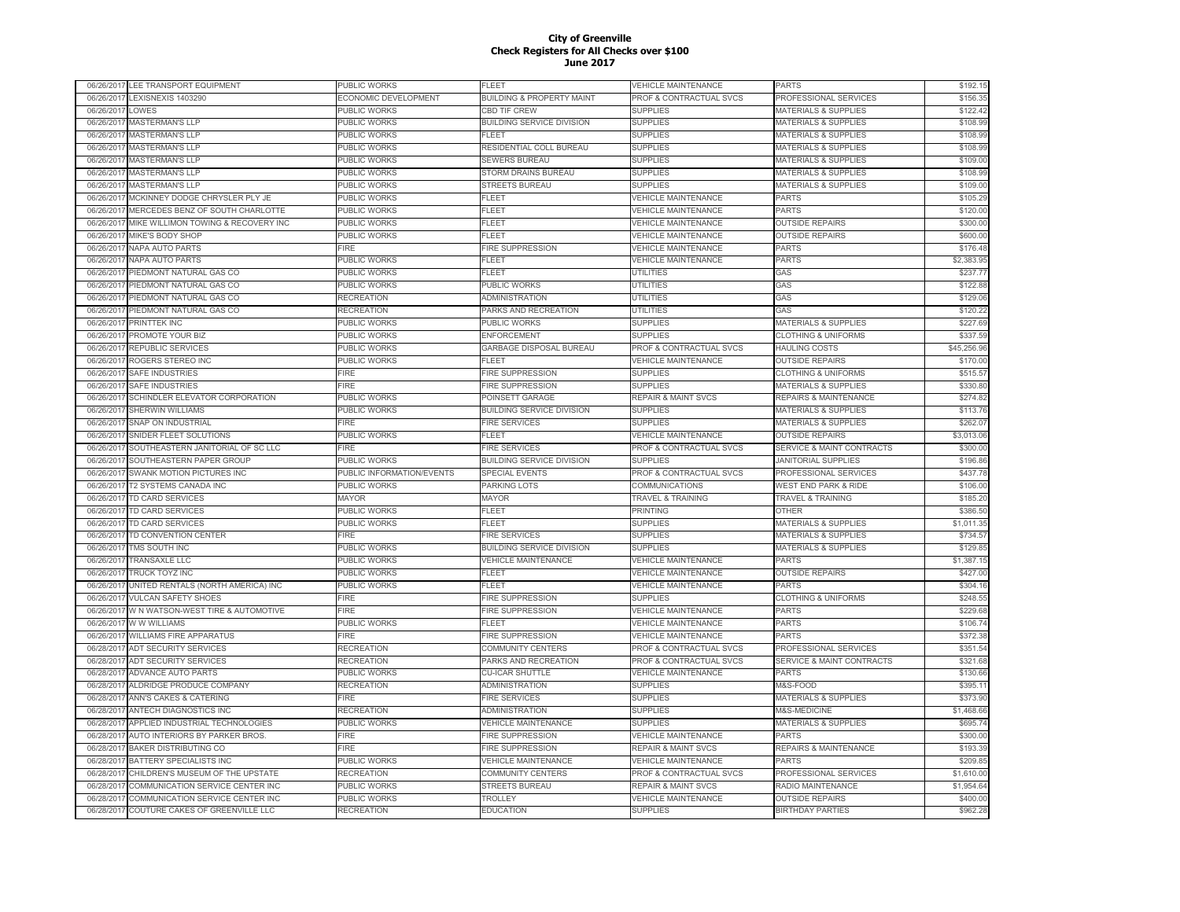|            | 06/26/2017 LEE TRANSPORT EQUIPMENT         | PUBLIC WORKS              | FLEET                                | VEHICLE MAINTENANCE            | PARTS                           | \$192.15    |
|------------|--------------------------------------------|---------------------------|--------------------------------------|--------------------------------|---------------------------------|-------------|
|            | 06/26/2017 LEXISNEXIS 1403290              | ECONOMIC DEVELOPMENT      | <b>BUILDING &amp; PROPERTY MAINT</b> | PROF & CONTRACTUAL SVCS        | PROFESSIONAL SERVICES           | \$156.35    |
| 06/26/2017 | LOWES                                      | PUBLIC WORKS              | <b>CBD TIF CREW</b>                  | <b>SUPPLIES</b>                | MATERIALS & SUPPLIES            | \$122.42    |
| 06/26/2017 | <b>MASTERMAN'S LLP</b>                     | <b>PUBLIC WORKS</b>       | <b>BUILDING SERVICE DIVISION</b>     | <b>SUPPLIES</b>                | <b>MATERIALS &amp; SUPPLIES</b> | \$108.99    |
| 06/26/2017 | <b>MASTERMAN'S LLP</b>                     | PUBLIC WORKS              | FLEET                                | <b>SUPPLIES</b>                | <b>MATERIALS &amp; SUPPLIES</b> | \$108.99    |
| 06/26/201  | <b>MASTERMAN'S LLP</b>                     | PUBLIC WORKS              | RESIDENTIAL COLL BUREAU              | <b>SUPPLIES</b>                | <b>MATERIALS &amp; SUPPLIES</b> | \$108.99    |
| 06/26/201  | <b>MASTERMAN'S LLF</b>                     | PUBLIC WORKS              | <b>SEWERS BUREAU</b>                 | <b>SUPPLIES</b>                | <b>MATERIALS &amp; SUPPLIES</b> | \$109.00    |
| 06/26/201  | <b>MASTERMAN'S LLF</b>                     | PUBLIC WORKS              | STORM DRAINS BUREAU                  | <b>SUPPLIES</b>                | <b>MATERIALS &amp; SUPPLIES</b> | \$108.99    |
| 06/26/201  | <b>MASTERMAN'S LLP</b>                     | PUBLIC WORKS              | <b>STREETS BUREAU</b>                | <b>SUPPLIES</b>                | <b>MATERIALS &amp; SUPPLIES</b> | \$109.00    |
| 06/26/201  | MCKINNEY DODGE CHRYSLER PLY JE             | PUBLIC WORKS              | FLEET                                | <b>VEHICLE MAINTENANCE</b>     | <b>PARTS</b>                    | \$105.29    |
|            |                                            |                           |                                      |                                |                                 |             |
| 06/26/201  | MERCEDES BENZ OF SOUTH CHARLOTTE           | PUBLIC WORKS              | <b>LEET</b>                          | <b>VEHICLE MAINTENANCE</b>     | <b>PARTS</b>                    | \$120.00    |
| 06/26/201  | MIKE WILLIMON TOWING & RECOVERY INC        | <b>PUBLIC WORKS</b>       | FLEET                                | <b>VEHICLE MAINTENANCE</b>     | <b>OUTSIDE REPAIRS</b>          | \$300.00    |
| 06/26/2017 | MIKE'S BODY SHOP                           | PUBLIC WORKS              | <b>ELEET</b>                         | <b>VEHICLE MAINTENANCE</b>     | <b>OUTSIDE REPAIRS</b>          | \$600.00    |
| 06/26/2017 | <b>NAPA AUTO PARTS</b>                     | FIRF                      | <b>FIRE SUPPRESSION</b>              | <b>VEHICLE MAINTENANCE</b>     | PARTS                           | \$176.48    |
| 06/26/2017 | <b>NAPA AUTO PARTS</b>                     | PUBLIC WORKS              | FLEET                                | <b>VEHICLE MAINTENANCE</b>     | <b>PARTS</b>                    | \$2,383.95  |
| 06/26/201  | PIEDMONT NATURAL GAS CO                    | PUBLIC WORKS              | FLEET                                | UTILITIES                      | GAS                             | \$237.77    |
| 06/26/2017 | PIEDMONT NATURAL GAS CO                    | PUBLIC WORKS              | PUBLIC WORKS                         | <b>UTILITIES</b>               | GAS                             | \$122.88    |
| 06/26/201  | PIEDMONT NATURAL GAS CO                    | RECREATION                | <b>ADMINISTRATION</b>                | <b>UTILITIES</b>               | GAS                             | \$129.06    |
| 06/26/201  | PIEDMONT NATURAL GAS CO                    | <b>RECREATION</b>         | PARKS AND RECREATION                 | UTILITIES                      | GAS                             | \$120.22    |
| 06/26/201  | <b>PRINTTEK INC</b>                        | PUBLIC WORKS              | PUBLIC WORKS                         | <b>SUPPLIES</b>                | MATERIALS & SUPPLIES            | \$227.69    |
| 06/26/201  | PROMOTE YOUR BIZ                           | PUBLIC WORKS              | <b>ENFORCEMENT</b>                   | <b>SUPPLIES</b>                | <b>CLOTHING &amp; UNIFORMS</b>  | \$337.59    |
| 06/26/201  | <b>REPUBLIC SERVICES</b>                   | PUBLIC WORKS              | <b>GARBAGE DISPOSAL BUREAU</b>       | PROF & CONTRACTUAL SVCS        | <b>HAULING COSTS</b>            | \$45,256.96 |
| 06/26/201  | ROGERS STEREO INC                          | PUBLIC WORKS              | FLEET                                | <b>VEHICLE MAINTENANCE</b>     | <b>OUTSIDE REPAIRS</b>          | \$170.00    |
| 06/26/2017 | <b>SAFE INDUSTRIES</b>                     | <b>FIRE</b>               | <b>FIRE SUPPRESSION</b>              | <b>SUPPLIES</b>                | <b>CLOTHING &amp; UNIFORMS</b>  | \$515.57    |
|            |                                            |                           |                                      |                                |                                 |             |
| 06/26/201  | SAFE INDUSTRIES                            | <b>FIRE</b>               | <b>FIRE SUPPRESSION</b>              | <b>SUPPLIES</b>                | MATERIALS & SUPPLIES            | \$330.80    |
| 06/26/2017 | SCHINDLER ELEVATOR CORPORATION             | PUBLIC WORKS              | POINSETT GARAGE                      | <b>REPAIR &amp; MAINT SVCS</b> | REPAIRS & MAINTENANCE           | \$274.82    |
| 06/26/2017 | SHERWIN WILLIAMS                           | <b>PUBLIC WORKS</b>       | <b>BUILDING SERVICE DIVISION</b>     | <b>SUPPLIES</b>                | <b>MATERIALS &amp; SUPPLIES</b> | \$113.76    |
| 06/26/2017 | SNAP ON INDUSTRIAL                         | FIRE                      | <b>FIRE SERVICES</b>                 | <b>SUPPLIES</b>                | MATERIALS & SUPPLIES            | \$262.07    |
| 06/26/2017 | SNIDER FLEET SOLUTIONS                     | PUBLIC WORKS              | <b>FLEET</b>                         | <b>VEHICLE MAINTENANCE</b>     | <b>OUTSIDE REPAIRS</b>          | \$3,013.06  |
| 06/26/2017 | SOUTHEASTERN JANITORIAL OF SC LLC          | FIRE                      | <b>FIRE SERVICES</b>                 | PROF & CONTRACTUAL SVCS        | SERVICE & MAINT CONTRACTS       | \$300.00    |
| 06/26/2017 | SOUTHEASTERN PAPER GROUP                   | PUBLIC WORKS              | <b>BUILDING SERVICE DIVISION</b>     | <b>SUPPLIES</b>                | <b>JANITORIAL SUPPLIES</b>      | \$196.86    |
| 06/26/2017 | SWANK MOTION PICTURES INC                  | PUBLIC INFORMATION/EVENTS | <b>SPECIAL EVENTS</b>                | PROF & CONTRACTUAL SVCS        | PROFESSIONAL SERVICES           | \$437.78    |
| 06/26/2017 | <b>T2 SYSTEMS CANADA INC</b>               | PUBLIC WORKS              | PARKING LOTS                         | <b>COMMUNICATIONS</b>          | <b>WEST END PARK &amp; RIDE</b> | \$106.00    |
| 06/26/201  | TD CARD SERVICES                           | <b>MAYOR</b>              | <b>MAYOR</b>                         | <b>TRAVEL &amp; TRAINING</b>   | <b>TRAVEL &amp; TRAINING</b>    | \$185.20    |
| 06/26/2017 | TD CARD SERVICES                           | PUBLIC WORKS              | FLEET                                | <b>PRINTING</b>                | <b>OTHER</b>                    | \$386.50    |
| 06/26/201  | <b>TD CARD SERVICES</b>                    | PUBLIC WORKS              | FLEET                                | <b>SUPPLIES</b>                | <b>MATERIALS &amp; SUPPLIES</b> | \$1,011.35  |
| 06/26/2017 | TD CONVENTION CENTER                       | <b>FIRE</b>               | <b>FIRE SERVICES</b>                 | <b>SUPPLIES</b>                | <b>MATERIALS &amp; SUPPLIES</b> | \$734.57    |
| 06/26/201  | TMS SOUTH INC                              | PUBLIC WORKS              | <b>BUILDING SERVICE DIVISION</b>     | <b>SUPPLIES</b>                | <b>MATERIALS &amp; SUPPLIES</b> | \$129.85    |
| 06/26/2017 | <b>TRANSAXLE LLC</b>                       | PUBLIC WORKS              | <b>VEHICLE MAINTENANCE</b>           | <b>VEHICLE MAINTENANCE</b>     | <b>PARTS</b>                    | \$1,387.15  |
|            |                                            |                           |                                      |                                |                                 |             |
| 06/26/201  | TRUCK TOYZ INC                             | PUBLIC WORKS              | FLEET                                | <b>VEHICLE MAINTENANCE</b>     | <b>OUTSIDE REPAIRS</b>          | \$427.00    |
| 06/26/2017 | UNITED RENTALS (NORTH AMERICA) INC         | PUBLIC WORKS              | FLEET                                | <b>VEHICLE MAINTENANCE</b>     | <b>PARTS</b>                    | \$304.16    |
| 06/26/2017 | <b>VULCAN SAFETY SHOES</b>                 | FIRE                      | FIRE SUPPRESSION                     | <b>SUPPLIES</b>                | <b>CLOTHING &amp; UNIFORMS</b>  | \$248.55    |
| 06/26/2017 | W N WATSON-WEST TIRE & AUTOMOTIVE          | FIRE                      | FIRE SUPPRESSION                     | <b>VEHICLE MAINTENANCE</b>     | <b>PARTS</b>                    | \$229.68    |
| 06/26/2017 | W W WILLIAMS                               | PUBLIC WORKS              | FI FFT                               | <b>VEHICLE MAINTENANCE</b>     | PARTS                           | \$106.74    |
| 06/26/201  | <b>WILLIAMS FIRE APPARATUS</b>             | FIRE                      | FIRE SUPPRESSION                     | <b>VEHICLE MAINTENANCE</b>     | <b>PARTS</b>                    | \$372.38    |
| 06/28/201  | <b>ADT SECURITY SERVICES</b>               | <b>RECREATION</b>         | COMMUNITY CENTERS                    | PROF & CONTRACTUAL SVCS        | PROFESSIONAL SERVICES           | \$351.54    |
| 06/28/2017 | <b>ADT SECURITY SERVICES</b>               | <b>RECREATION</b>         | PARKS AND RECREATION                 | PROF & CONTRACTUAL SVCS        | SERVICE & MAINT CONTRACTS       | \$321.68    |
| 06/28/2017 | <b>ADVANCE AUTO PARTS</b>                  | PUBLIC WORKS              | <b>CU-ICAR SHUTTLE</b>               | <b>VEHICLE MAINTENANCE</b>     | <b>PARTS</b>                    | \$130.66    |
| 06/28/201  | ALDRIDGE PRODUCE COMPANY                   | <b>RECREATION</b>         | <b>ADMINISTRATION</b>                | <b>SUPPLIES</b>                | M&S-FOOD                        | \$395.11    |
| 06/28/201  | <b>ANN'S CAKES &amp; CATERING</b>          | <b>FIRE</b>               | <b>FIRE SERVICES</b>                 | <b>SUPPLIES</b>                | <b>MATERIALS &amp; SUPPLIES</b> | \$373.90    |
| 06/28/201  | ANTECH DIAGNOSTICS INC                     | <b>RECREATION</b>         | ADMINISTRATION                       | <b>SUPPLIES</b>                | M&S-MEDICINE                    | \$1,468.66  |
| 06/28/201  | APPLIED INDUSTRIAL TECHNOLOGIES            | PUBLIC WORKS              | <b>VEHICLE MAINTENANCE</b>           | <b>SUPPLIES</b>                | <b>MATERIALS &amp; SUPPLIES</b> | \$695.74    |
|            |                                            |                           |                                      |                                |                                 |             |
| 06/28/201  | AUTO INTERIORS BY PARKER BROS.             | FIRE                      | <b>FIRE SUPPRESSION</b>              | <b>VEHICLE MAINTENANCE</b>     | <b>PARTS</b>                    | \$300.00    |
| 06/28/2017 | <b>BAKER DISTRIBUTING CO</b>               | FIRE                      | <b>FIRE SUPPRESSION</b>              | <b>REPAIR &amp; MAINT SVCS</b> | REPAIRS & MAINTENANCE           | \$193.39    |
| 06/28/201  |                                            |                           |                                      |                                |                                 | \$209.85    |
|            | BATTERY SPECIALISTS INC                    | PUBLIC WORKS              | <b>VEHICLE MAINTENANCE</b>           | <b>VEHICLE MAINTENANCE</b>     | PARTS                           |             |
| 06/28/2017 | CHILDREN'S MUSEUM OF THE UPSTATE           | <b>RECREATION</b>         | <b>COMMUNITY CENTERS</b>             | PROF & CONTRACTUAL SVCS        | PROFESSIONAL SERVICES           | \$1,610.00  |
| 06/28/2017 | COMMUNICATION SERVICE CENTER INC           | <b>PUBLIC WORKS</b>       | <b>STREETS BUREAU</b>                | <b>REPAIR &amp; MAINT SVCS</b> | RADIO MAINTENANCE               | \$1,954.64  |
| 06/28/2017 | COMMUNICATION SERVICE CENTER INC           | <b>PUBLIC WORKS</b>       | <b>TROLLEY</b>                       | <b>VEHICLE MAINTENANCE</b>     | <b>OUTSIDE REPAIRS</b>          | \$400.00    |
|            | 06/28/2017 COUTURE CAKES OF GREENVILLE LLC | <b>RECREATION</b>         | <b>EDUCATION</b>                     | <b>SUPPLIES</b>                | <b>BIRTHDAY PARTIES</b>         | \$962.28    |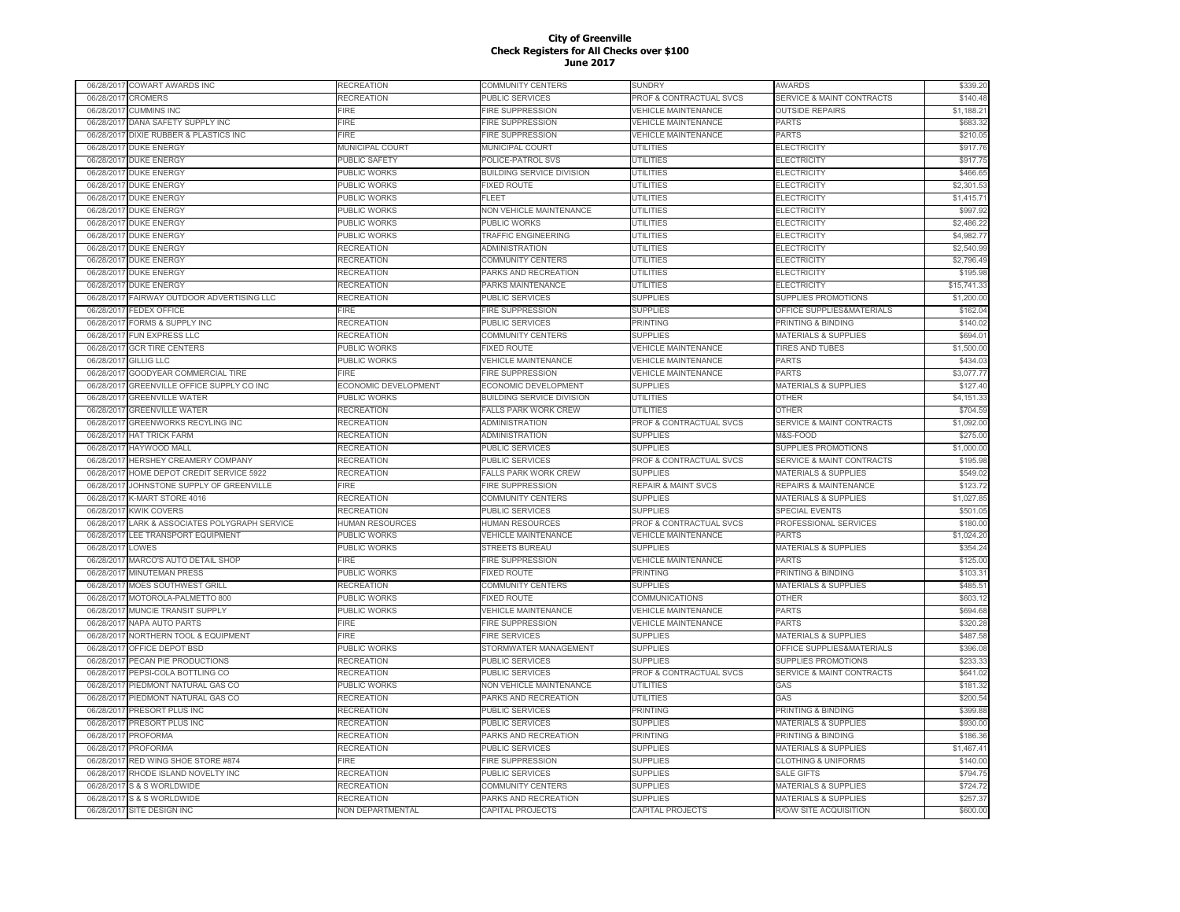|            | 06/28/2017 COWART AWARDS INC       | <b>RECREATION</b>      | <b>COMMUNITY CENTERS</b>         | SUNDRY                         | AWARDS                               | \$339.20    |
|------------|------------------------------------|------------------------|----------------------------------|--------------------------------|--------------------------------------|-------------|
| 06/28/2017 | CROMERS                            | RECREATION             | PUBLIC SERVICES                  | PROF & CONTRACTUAL SVCS        | <b>SERVICE &amp; MAINT CONTRACTS</b> | \$140.48    |
| 06/28/2017 | <b>CUMMINS INC</b>                 | FIRE                   | <b>FIRE SUPPRESSION</b>          | <b>VEHICLE MAINTENANCE</b>     | <b>OUTSIDE REPAIRS</b>               | \$1,188.21  |
| 06/28/201  | DANA SAFETY SUPPLY INC             | FIRE                   | <b>FIRE SUPPRESSION</b>          | <b>VEHICLE MAINTENANCE</b>     | PARTS                                | \$683.32    |
| 06/28/2017 | DIXIE RUBBER & PLASTICS INC        | <b>FIRE</b>            | <b>IRE SUPPRESSION</b>           | <b>VEHICLE MAINTENANCE</b>     | <b>PARTS</b>                         | \$210.05    |
| 06/28/201  | <b>DUKE ENERGY</b>                 | <b>MUNICIPAL COURT</b> | MUNICIPAL COURT                  | UTILITIES                      | <b>ELECTRICITY</b>                   | \$917.76    |
| 06/28/2017 | <b>DUKE ENERGY</b>                 | PUBLIC SAFETY          | POLICE-PATROL SVS                | <b>UTILITIES</b>               | <b>ELECTRICITY</b>                   | \$917.75    |
| 06/28/201  | DUKE ENERGY                        | <b>PUBLIC WORKS</b>    | <b>BUILDING SERVICE DIVISION</b> | <b>UTILITIES</b>               | <b>ELECTRICITY</b>                   | \$466.65    |
| 06/28/201  | <b>DUKE ENERGY</b>                 | PUBLIC WORKS           | <b>FIXED ROUTE</b>               | <b>UTILITIES</b>               | <b>ELECTRICITY</b>                   | \$2,301.53  |
| 06/28/201  | <b>DUKE ENERGY</b>                 | PUBLIC WORKS           | FLEET                            | <b>UTILITIES</b>               | <b>ELECTRICITY</b>                   | \$1,415.71  |
| 06/28/201  | <b>DUKE ENERGY</b>                 | PUBLIC WORKS           | <b>NON VEHICLE MAINTENANCE</b>   | <b>UTILITIES</b>               | <b>ELECTRICITY</b>                   | \$997.92    |
| 06/28/201  | DUKE ENERGY                        | PUBLIC WORKS           | PUBLIC WORKS                     | <b>UTILITIES</b>               | <b>ELECTRICITY</b>                   | \$2,486.22  |
|            |                                    |                        | <b>TRAFFIC ENGINEERING</b>       | <b>UTILITIES</b>               |                                      | \$4,982.77  |
| 06/28/2017 | <b>DUKE ENERGY</b>                 | PUBLIC WORKS           |                                  |                                | <b>ELECTRICITY</b>                   |             |
| 06/28/2017 | <b>DUKE ENERGY</b>                 | RECREATION             | ADMINISTRATION                   | <b>UTILITIES</b>               | <b>ELECTRICITY</b>                   | \$2,540.99  |
| 06/28/201  | <b>DUKE ENERGY</b>                 | <b>RECREATION</b>      | <b>COMMUNITY CENTERS</b>         | <b>UTILITIES</b>               | <b>ELECTRICITY</b>                   | \$2,796.49  |
| 06/28/201  | <b>DUKE ENERGY</b>                 | <b>RECREATION</b>      | PARKS AND RECREATION             | <b>UTILITIES</b>               | <b>ELECTRICITY</b>                   | \$195.98    |
| 06/28/201  | <b>DUKE ENERGY</b>                 | RECREATION             | PARKS MAINTENANCE                | <b>UTILITIES</b>               | <b>ELECTRICITY</b>                   | \$15,741.33 |
| 06/28/2017 | FAIRWAY OUTDOOR ADVERTISING LLC    | RECREATION             | PUBLIC SERVICES                  | <b>SUPPLIES</b>                | SUPPLIES PROMOTIONS                  | \$1,200.00  |
| 06/28/201  | <b>EDEX OFFICE</b>                 | FIRE                   | <b>FIRE SUPPRESSION</b>          | <b>SUPPLIES</b>                | OFFICE SUPPLIES&MATERIALS            | \$162.04    |
| 06/28/201  | <b>FORMS &amp; SUPPLY INC</b>      | RECREATION             | PUBLIC SERVICES                  | PRINTING                       | <b>PRINTING &amp; BINDING</b>        | \$140.02    |
| 06/28/201  | <b>FUN EXPRESS LLC</b>             | RECREATION             | COMMUNITY CENTERS                | <b>SUPPLIES</b>                | <b>MATERIALS &amp; SUPPLIES</b>      | \$694.01    |
| 06/28/201  | <b>GCR TIRE CENTERS</b>            | PUBLIC WORKS           | <b>IXED ROUTE</b>                | <b>VEHICLE MAINTENANCE</b>     | <b>TIRES AND TUBES</b>               | \$1,500.00  |
| 06/28/201  | GILLIG LLC                         | PUBLIC WORKS           | <b>VEHICLE MAINTENANCE</b>       | <b>VEHICLE MAINTENANCE</b>     | PARTS                                | \$434.03    |
| 06/28/201  | GOODYEAR COMMERCIAL TIRE           | <b>FIRE</b>            | <b>FIRE SUPPRESSION</b>          | <b>VEHICLE MAINTENANCE</b>     | PARTS                                | \$3,077.77  |
| 06/28/201  | GREENVILLE OFFICE SUPPLY CO INC    | ECONOMIC DEVELOPMENT   | ECONOMIC DEVELOPMENT             | <b>SUPPLIES</b>                | <b>MATERIALS &amp; SUPPLIES</b>      | \$127.40    |
| 06/28/201  | <b>GREENVILLE WATER</b>            | PUBLIC WORKS           | <b>BUILDING SERVICE DIVISION</b> | <b>UTILITIES</b>               | <b>OTHER</b>                         | \$4,151.33  |
| 06/28/201  | <b>GREENVILLE WATER</b>            | <b>RECREATION</b>      | <b>FALLS PARK WORK CREW</b>      | <b>UTILITIES</b>               | <b>OTHER</b>                         | \$704.59    |
| 06/28/2017 | GREENWORKS RECYLING INC            | RECREATION             | <b>ADMINISTRATION</b>            | PROF & CONTRACTUAL SVCS        | <b>SERVICE &amp; MAINT CONTRACTS</b> | \$1,092.00  |
| 06/28/2017 | <b>HAT TRICK FARM</b>              | RECREATION             | <b>ADMINISTRATION</b>            | <b>SUPPLIES</b>                | M&S-FOOD                             | \$275.00    |
| 06/28/201  | HAYWOOD MALL                       | <b>RECREATION</b>      | PUBLIC SERVICES                  | <b>SUPPLIES</b>                | SUPPLIES PROMOTIONS                  | \$1,000.00  |
| 06/28/2017 | HERSHEY CREAMERY COMPANY           | RECREATION             | PUBLIC SERVICES                  | PROF & CONTRACTUAL SVCS        | <b>SERVICE &amp; MAINT CONTRACTS</b> | \$195.98    |
| 06/28/201  | HOME DEPOT CREDIT SERVICE 5922     | RECREATION             | <b>FALLS PARK WORK CREW</b>      | <b>SUPPLIES</b>                | <b>MATERIALS &amp; SUPPLIES</b>      | \$549.02    |
| 06/28/201  | JOHNSTONE SUPPLY OF GREENVILLE     | <b>FIRE</b>            | <b>IRE SUPPRESSION</b>           | <b>REPAIR &amp; MAINT SVCS</b> | <b>REPAIRS &amp; MAINTENANCE</b>     | \$123.72    |
| 06/28/201  | K-MART STORE 4016                  | RECREATION             | <b>COMMUNITY CENTERS</b>         | <b>SUPPLIES</b>                | <b>MATERIALS &amp; SUPPLIES</b>      | \$1,027.85  |
|            |                                    |                        |                                  |                                |                                      |             |
| 06/28/201  | <b>KWIK COVERS</b>                 | RECREATION             | <b>PUBLIC SERVICES</b>           | <b>SUPPLIES</b>                | SPECIAL EVENTS                       | \$501.05    |
| 06/28/201  | ARK & ASSOCIATES POLYGRAPH SERVICE | <b>HUMAN RESOURCES</b> | HUMAN RESOURCES                  | PROF & CONTRACTUAL SVCS        | PROFESSIONAL SERVICES                | \$180.00    |
| 06/28/201  | LEE TRANSPORT EQUIPMENT            | PUBLIC WORKS           | <b>VEHICLE MAINTENANCE</b>       | <b>VEHICLE MAINTENANCE</b>     | PARTS                                | \$1,024.20  |
| 06/28/201  | LOWES                              | PUBLIC WORKS           | STREETS BUREAU                   | <b>SUPPLIES</b>                | <b>MATERIALS &amp; SUPPLIES</b>      | \$354.24    |
| 06/28/201  | MARCO'S AUTO DETAIL SHOP           | FIRE                   | FIRE SUPPRESSION                 | <b>VEHICLE MAINTENANCE</b>     | PARTS                                | \$125.00    |
| 06/28/2017 | <b>MINUTEMAN PRESS</b>             | PUBLIC WORKS           | <b>FIXED ROUTE</b>               | <b>PRINTING</b>                | PRINTING & BINDING                   | \$103.31    |
| 06/28/201  | MOES SOUTHWEST GRILL               | <b>RECREATION</b>      | <b>COMMUNITY CENTERS</b>         | <b>SUPPLIES</b>                | <b>MATERIALS &amp; SUPPLIES</b>      | \$485.51    |
| 06/28/201  | MOTOROLA-PALMETTO 800              | PUBLIC WORKS           | <b>FIXED ROUTE</b>               | COMMUNICATIONS                 | <b>OTHER</b>                         | \$603.12    |
| 06/28/2011 | MUNCIE TRANSIT SUPPLY              | PUBLIC WORKS           | <b>VEHICLE MAINTENANCE</b>       | <b>VEHICLE MAINTENANCE</b>     | <b>PARTS</b>                         | \$694.68    |
| 06/28/2017 | NAPA AUTO PARTS                    | ∃RE                    | <b>FIRE SUPPRESSION</b>          | <b>VEHICLE MAINTENANCE</b>     | <b>PARTS</b>                         | \$320.28    |
| 06/28/201  | NORTHERN TOOL & EQUIPMENT          | FIRE                   | <b>FIRE SERVICES</b>             | <b>SUPPLIES</b>                | MATERIALS & SUPPLIES                 | \$487.58    |
| 06/28/201  | OFFICE DEPOT BSD                   | PUBLIC WORKS           | STORMWATER MANAGEMENT            | <b>SUPPLIES</b>                | OFFICE SUPPLIES&MATERIALS            | \$396.08    |
| 06/28/201  | PECAN PIE PRODUCTIONS              | RECREATION             | PUBLIC SERVICES                  | <b>SUPPLIES</b>                | SUPPLIES PROMOTIONS                  | \$233.33    |
| 06/28/201  | PEPSI-COLA BOTTLING CO             | <b>RECREATION</b>      | PUBLIC SERVICES                  | PROF & CONTRACTUAL SVCS        | SERVICE & MAINT CONTRACTS            | \$641.02    |
| 06/28/201  | PIEDMONT NATURAL GAS CO            | PUBLIC WORKS           | NON VEHICLE MAINTENANCE          | <b>UTILITIES</b>               | GAS                                  | \$181.32    |
| 06/28/201  | PIEDMONT NATURAL GAS CO            | RECREATION             | PARKS AND RECREATION             | UTILITIES                      | GAS                                  | \$200.54    |
| 06/28/201  | PRESORT PLUS INC                   | RECREATION             | PUBLIC SERVICES                  | PRINTING                       | PRINTING & BINDING                   | \$399.88    |
| 06/28/201  | PRESORT PLUS INC                   | RECREATION             | PUBLIC SERVICES                  | <b>SUPPLIES</b>                | <b>MATERIALS &amp; SUPPLIES</b>      | \$930.00    |
| 06/28/2017 | PROFORMA                           | <b>RECREATION</b>      | PARKS AND RECREATION             | <b>PRINTING</b>                | PRINTING & BINDING                   | \$186.36    |
| 06/28/201  | <b>PROFORMA</b>                    | <b>RECREATION</b>      | PUBLIC SERVICES                  | <b>SUPPLIES</b>                | <b>MATERIALS &amp; SUPPLIES</b>      | \$1,467.41  |
| 06/28/2017 | RED WING SHOE STORE #874           | FIRE                   | <b>IRE SUPPRESSION</b>           | <b>SUPPLIES</b>                | <b>CLOTHING &amp; UNIFORMS</b>       | \$140.00    |
| 06/28/201  | RHODE ISLAND NOVELTY INC           | RECREATION             | PUBLIC SERVICES                  | <b>SUPPLIES</b>                | <b>SALE GIFTS</b>                    | \$794.75    |
|            | <b>S &amp; S WORLDWIDE</b>         | RECREATION             | COMMUNITY CENTERS                | <b>SUPPLIES</b>                | <b>MATERIALS &amp; SUPPLIES</b>      | \$724.72    |
| 06/28/201  |                                    |                        |                                  |                                |                                      |             |
| 06/28/201  | <b>S&amp;SWORLDWIDE</b>            | <b>RECREATION</b>      | PARKS AND RECREATION             | <b>SUPPLIES</b>                | <b>MATERIALS &amp; SUPPLIES</b>      | \$257.37    |
| 06/28/2017 | SITE DESIGN INC                    | NON DEPARTMENTAL       | CAPITAL PROJECTS                 | CAPITAL PROJECTS               | R/O/W SITE ACQUISITION               | \$600.00    |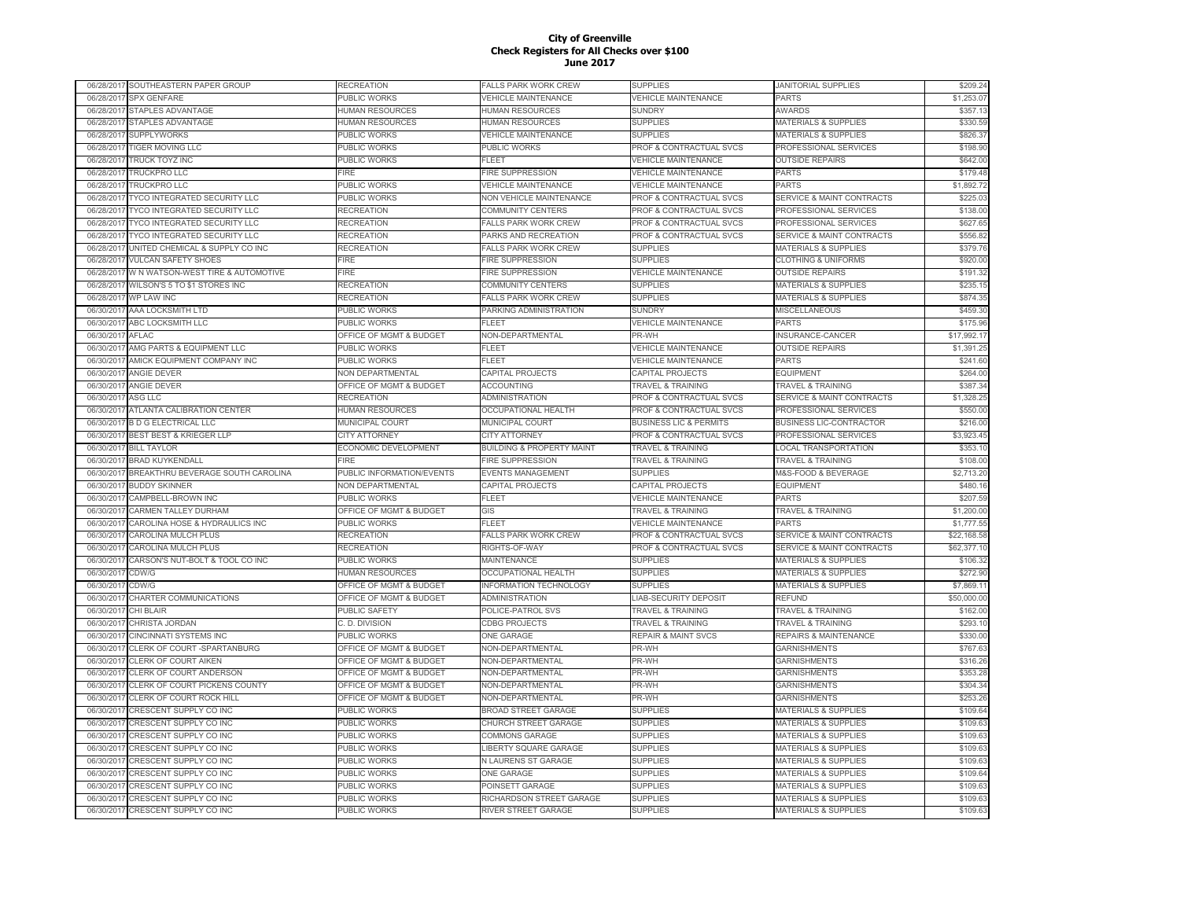|                         | 06/28/2017 SOUTHEASTERN PAPER GROUP                     | RECREATION                          | FALLS PARK WORK CREW                                   | <b>SUPPLIES</b>                     | <b>JANITORIAL SUPPLIES</b>                                         | \$209.24             |
|-------------------------|---------------------------------------------------------|-------------------------------------|--------------------------------------------------------|-------------------------------------|--------------------------------------------------------------------|----------------------|
| 06/28/2017              | <b>SPX GENFARE</b>                                      | PUBLIC WORKS                        | <b>VEHICLE MAINTENANCE</b>                             | <b>VEHICLE MAINTENANCE</b>          | <b>PARTS</b>                                                       | \$1,253.07           |
| 06/28/2017              | STAPLES ADVANTAGE                                       | HUMAN RESOURCES                     | <b>HUMAN RESOURCES</b>                                 | <b>SUNDRY</b>                       | <b>AWARDS</b>                                                      | \$357.13             |
| 06/28/2017              | <b>STAPLES ADVANTAGE</b>                                | <b>HUMAN RESOURCES</b>              | <b>HUMAN RESOURCES</b>                                 | <b>SUPPLIES</b>                     | <b>MATERIALS &amp; SUPPLIES</b>                                    | \$330.59             |
| 06/28/2017              | <b>SUPPLYWORKS</b>                                      | PUBLIC WORKS                        | <b>VEHICLE MAINTENANCE</b>                             | <b>SUPPLIES</b>                     | <b>MATERIALS &amp; SUPPLIES</b>                                    | \$826.37             |
| 06/28/2017              | <b>TIGER MOVING LLC</b>                                 | <b>UBLIC WORKS</b>                  | PUBLIC WORKS                                           | PROF & CONTRACTUAL SVCS             | PROFESSIONAL SERVICES                                              | \$198.90             |
| 06/28/2017              | <b>TRUCK TOYZ INC</b>                                   | PUBLIC WORKS                        | FLEET                                                  | <b>VEHICLE MAINTENANCE</b>          | <b>OUTSIDE REPAIRS</b>                                             | \$642.00             |
| 06/28/2017              | TRUCKPRO LLC                                            | <b>FIRE</b>                         | FIRE SUPPRESSION                                       | <b>VEHICLE MAINTENANCE</b>          | <b>PARTS</b>                                                       | \$179.48             |
| 06/28/2017              | <b>TRUCKPRO LLC</b>                                     | PUBLIC WORKS                        | <b>VEHICLE MAINTENANCE</b>                             | <b>VEHICLE MAINTENANCE</b>          | PARTS                                                              | \$1,892.72           |
| 06/28/201               | TYCO INTEGRATED SECURITY LLC                            | PUBLIC WORKS                        | <b>NON VEHICLE MAINTENANCE</b>                         | <b>PROF &amp; CONTRACTUAL SVCS</b>  | <b>SERVICE &amp; MAINT CONTRACTS</b>                               | \$225.03             |
| 06/28/201               | <b>TYCO INTEGRATED SECURITY LLC</b>                     | RECREATION                          | <b>COMMUNITY CENTERS</b>                               | <b>PROF &amp; CONTRACTUAL SVCS</b>  | PROFESSIONAL SERVICES                                              | \$138.00             |
| 06/28/2017              | <b>TYCO INTEGRATED SECURITY LLC</b>                     | <b>RECREATION</b>                   | <b>FALLS PARK WORK CREW</b>                            | <b>PROF &amp; CONTRACTUAL SVCS</b>  | PROFESSIONAL SERVICES                                              | \$627.65             |
| 06/28/2017              | TYCO INTEGRATED SECURITY LLC                            | <b>RECREATION</b>                   | PARKS AND RECREATION                                   | <b>PROF &amp; CONTRACTUAL SVCS</b>  | <b>SERVICE &amp; MAINT CONTRACTS</b>                               | \$556.82             |
| 06/28/2017              | UNITED CHEMICAL & SUPPLY CO INC                         | RECREATION                          | <b>FALLS PARK WORK CREW</b>                            | SUPPLIES                            | <b>MATERIALS &amp; SUPPLIES</b>                                    | \$379.76             |
| 06/28/2017              | <b>VULCAN SAFETY SHOES</b>                              | FIRE                                | <b>FIRE SUPPRESSION</b>                                | <b>SUPPLIES</b>                     | <b>CLOTHING &amp; UNIFORMS</b>                                     | \$920.00             |
| 06/28/2017              | W N WATSON-WEST TIRE & AUTOMOTIVE                       | FIRE                                | FIRE SUPPRESSION                                       | <b>VEHICLE MAINTENANCE</b>          | <b>OUTSIDE REPAIRS</b>                                             | \$191.32             |
|                         | WILSON'S 5 TO \$1 STORES INC                            |                                     |                                                        |                                     |                                                                    | \$235.15             |
| 06/28/2017              |                                                         | RECREATION                          | <b>COMMUNITY CENTERS</b>                               | <b>SUPPLIES</b>                     | <b>MATERIALS &amp; SUPPLIES</b>                                    |                      |
| 06/28/2017              | WP LAW INC                                              | RECREATION                          | <b>FALLS PARK WORK CREW</b>                            | <b>SUPPLIES</b>                     | <b>MATERIALS &amp; SUPPLIES</b>                                    | \$874.35             |
| 06/30/2017              | AAA LOCKSMITH LTD                                       | PUBLIC WORKS                        | PARKING ADMINISTRATION                                 | <b>SUNDRY</b>                       | <b>MISCELLANEOUS</b>                                               | \$459.30             |
| 06/30/2017              | ABC LOCKSMITH LLC                                       | <b>UBLIC WORKS</b>                  | FLEET                                                  | <b>VEHICLE MAINTENANCE</b>          | <b>PARTS</b>                                                       | \$175.96             |
| 06/30/2017              | AFLAC                                                   | OFFICE OF MGMT & BUDGET             | NON-DEPARTMENTAL                                       | PR-WH                               | INSURANCE-CANCER                                                   | \$17,992.17          |
| 06/30/2017              | AMG PARTS & EQUIPMENT LLC                               | PUBLIC WORKS                        | FLEET                                                  | <b>VEHICLE MAINTENANCE</b>          | <b>OUTSIDE REPAIRS</b>                                             | \$1,391.25           |
| 06/30/201               | AMICK EQUIPMENT COMPANY INC                             | PUBLIC WORKS                        | <b>FLEET</b>                                           | <b>VEHICLE MAINTENANCE</b>          | <b>PARTS</b>                                                       | \$241.60             |
| 06/30/2017              | <b>ANGIE DEVER</b>                                      | <b>NON DEPARTMENTAL</b>             | CAPITAL PROJECTS                                       | CAPITAL PROJECTS                    | <b>EQUIPMENT</b>                                                   | \$264.00             |
| 06/30/2017              | <b>ANGIE DEVER</b>                                      | OFFICE OF MGMT & BUDGET             | <b>ACCOUNTING</b>                                      | <b>TRAVEL &amp; TRAINING</b>        | <b>TRAVEL &amp; TRAINING</b>                                       | \$387.34             |
| 06/30/2017              | ASG LLC                                                 | <b>RECREATION</b>                   | <b>ADMINISTRATION</b>                                  | <b>PROF &amp; CONTRACTUAL SVCS</b>  | <b>SERVICE &amp; MAINT CONTRACTS</b>                               | \$1,328.25           |
| 06/30/2017              | <b>ATLANTA CALIBRATION CENTER</b>                       | <b>HUMAN RESOURCES</b>              | <b>OCCUPATIONAL HEALTH</b>                             | PROF & CONTRACTUAL SVCS             | PROFESSIONAL SERVICES                                              | \$550.00             |
| 06/30/2017              | <b>B D G ELECTRICAL LLC</b>                             | MUNICIPAL COURT                     | MUNICIPAL COURT                                        | <b>BUSINESS LIC &amp; PERMITS</b>   | <b>BUSINESS LIC-CONTRACTOR</b>                                     | \$216.00             |
| 06/30/2017              | BEST BEST & KRIEGER LLP                                 | CITY ATTORNEY                       | <b>CITY ATTORNEY</b>                                   | PROF & CONTRACTUAL SVCS             | PROFESSIONAL SERVICES                                              | \$3,923.45           |
| 06/30/2017              | <b>BILL TAYLOR</b>                                      | ECONOMIC DEVELOPMENT                | <b>BUILDING &amp; PROPERTY MAINT</b>                   | <b>TRAVEL &amp; TRAINING</b>        | <b>LOCAL TRANSPORTATION</b>                                        | \$353.10             |
| 06/30/2017              | <b>BRAD KUYKENDALL</b>                                  | FIRE                                | <b>FIRE SUPPRESSION</b>                                | <b>TRAVEL &amp; TRAINING</b>        | <b>TRAVEL &amp; TRAINING</b>                                       | \$108.00             |
| 06/30/2017              | BREAKTHRU BEVERAGE SOUTH CAROLINA                       | PUBLIC INFORMATION/EVENTS           | <b>EVENTS MANAGEMENT</b>                               | <b>SUPPLIES</b>                     | M&S-FOOD & BEVERAGE                                                | \$2,713.20           |
| 06/30/2017              | <b>BUDDY SKINNER</b>                                    | <b>VON DEPARTMENTAL</b>             | CAPITAL PROJECTS                                       | CAPITAL PROJECTS                    | <b>EQUIPMENT</b>                                                   | \$480.16             |
| 06/30/201               | CAMPBELL-BROWN INC                                      | PUBLIC WORKS                        | <b>FLEET</b>                                           | <b>VEHICLE MAINTENANCE</b>          | <b>PARTS</b>                                                       | \$207.59             |
| 06/30/2017              | <b>CARMEN TALLEY DURHAM</b>                             | OFFICE OF MGMT & BUDGET             | GIS                                                    | <b>TRAVEL &amp; TRAINING</b>        | <b>TRAVEL &amp; TRAINING</b>                                       | \$1,200.00           |
| 06/30/201               | CAROLINA HOSE & HYDRAULICS INC                          | PUBLIC WORKS                        | FLEET                                                  | <b>VEHICLE MAINTENANCE</b>          | PARTS                                                              | \$1,777.55           |
| 06/30/2017              | <b>CAROLINA MULCH PLUS</b>                              | RECREATION                          | <b>FALLS PARK WORK CREW</b>                            | PROF & CONTRACTUAL SVCS             | <b>SERVICE &amp; MAINT CONTRACTS</b>                               | \$22,168.58          |
| 06/30/2017              | CAROLINA MULCH PLUS                                     | RECREATION                          | RIGHTS-OF-WAY                                          | PROF & CONTRACTUAL SVCS             | <b>SERVICE &amp; MAINT CONTRACTS</b>                               | \$62,377.10          |
| 06/30/2017              | CARSON'S NUT-BOLT & TOOL CO INC                         | PUBLIC WORKS                        | <b>MAINTENANCE</b>                                     | <b>SUPPLIES</b>                     | <b>MATERIALS &amp; SUPPLIES</b>                                    | \$106.32             |
| 06/30/2017              | CDW/G                                                   | HUMAN RESOURCES                     | OCCUPATIONAL HEALTH                                    | <b>SUPPLIES</b>                     | <b>MATERIALS &amp; SUPPLIES</b>                                    | \$272.90             |
| 06/30/2017              | CDW/G                                                   | OFFICE OF MGMT & BUDGET             | <b>INFORMATION TECHNOLOGY</b>                          | <b>SUPPLIES</b>                     | <b>MATERIALS &amp; SUPPLIES</b>                                    | \$7,869.11           |
| 06/30/2017              | CHARTER COMMUNICATIONS                                  | OFFICE OF MGMT & BUDGET             | <b>ADMINISTRATION</b>                                  | <b>LIAB-SECURITY DEPOSIT</b>        | <b>REFUND</b>                                                      | \$50,000.00          |
| 06/30/2017              | CHI BLAIR                                               | PUBLIC SAFETY                       | POLICE-PATROL SVS                                      | <b>TRAVEL &amp; TRAINING</b>        | <b>TRAVEL &amp; TRAINING</b>                                       | \$162.00             |
| 06/30/2017              | <b>CHRISTA JORDAN</b>                                   | C. D. DIVISION                      | <b>CDBG PROJECTS</b>                                   | <b><i>FRAVEL &amp; TRAINING</i></b> | <b>TRAVEL &amp; TRAINING</b>                                       | \$293.10             |
| 06/30/201               | <b>CINCINNATI SYSTEMS INC</b>                           | PUBLIC WORKS                        | <b>ONE GARAGE</b>                                      | <b>REPAIR &amp; MAINT SVCS</b>      | <b>REPAIRS &amp; MAINTENANCE</b>                                   | \$330.00             |
| 06/30/201               | CLERK OF COURT -SPARTANBURG                             | <b>OFFICE OF MGMT &amp; BUDGET</b>  | NON-DEPARTMENTAL                                       | PR-WH                               | <b>GARNISHMENTS</b>                                                | \$767.63             |
| 06/30/201               | CLERK OF COURT AIKEN                                    | OFFICE OF MGMT & BUDGET             | NON-DEPARTMENTAL                                       | PR-WH                               | <b>GARNISHMENTS</b>                                                | \$316.26             |
| 06/30/2017              | CLERK OF COURT ANDERSON                                 | OFFICE OF MGMT & BUDGET             | NON-DEPARTMENTAL                                       | PR-WH                               | <b>GARNISHMENTS</b>                                                | \$353.28             |
| 06/30/2017              |                                                         | OFFICE OF MGMT & BUDGET             | NON-DEPARTMENTAL                                       | PR-WH                               | <b>GARNISHMENTS</b>                                                | \$304.34             |
| 06/30/2017              |                                                         |                                     |                                                        |                                     |                                                                    |                      |
|                         | CLERK OF COURT PICKENS COUNTY                           |                                     |                                                        |                                     |                                                                    |                      |
|                         | CLERK OF COURT ROCK HILL                                | OFFICE OF MGMT & BUDGET             | NON-DEPARTMENTAL                                       | PR-WH                               | <b>GARNISHMENTS</b>                                                | \$253.26             |
| 06/30/2017              | CRESCENT SUPPLY CO INC                                  | PUBLIC WORKS                        | <b>BROAD STREET GARAGE</b>                             | <b>SUPPLIES</b>                     | <b>MATERIALS &amp; SUPPLIES</b>                                    | \$109.64             |
| 06/30/2017              | CRESCENT SUPPLY CO INC                                  | PUBLIC WORKS                        | CHURCH STREET GARAGE                                   | <b>SUPPLIES</b>                     | <b>MATERIALS &amp; SUPPLIES</b>                                    | \$109.63             |
| 06/30/2017              | CRESCENT SUPPLY CO INC                                  | PUBLIC WORKS                        | <b>COMMONS GARAGE</b>                                  | <b>SUPPLIES</b>                     | <b>MATERIALS &amp; SUPPLIES</b>                                    | \$109.63             |
| 06/30/2017              | CRESCENT SUPPLY CO INC                                  | <b>UBLIC WORKS</b>                  | LIBERTY SQUARE GARAGE                                  | <b>SUPPLIES</b>                     | <b>MATERIALS &amp; SUPPLIES</b>                                    | \$109.63             |
| 06/30/2017              | CRESCENT SUPPLY CO INC                                  | PUBLIC WORKS                        | N LAURENS ST GARAGE                                    | <b>SUPPLIES</b>                     | <b>MATERIALS &amp; SUPPLIES</b>                                    | \$109.63             |
| 06/30/201               | CRESCENT SUPPLY CO INC                                  | PUBLIC WORKS                        | ONE GARAGE                                             | <b>SUPPLIES</b>                     | <b>MATERIALS &amp; SUPPLIES</b>                                    | \$109.64             |
| 06/30/201               | CRESCENT SUPPLY CO INC                                  | PUBLIC WORKS                        | POINSETT GARAGE                                        | <b>SUPPLIES</b>                     | <b>MATERIALS &amp; SUPPLIES</b>                                    | \$109.63             |
| 06/30/201<br>06/30/2017 | CRESCENT SUPPLY CO INC<br><b>CRESCENT SUPPLY CO INC</b> | PUBLIC WORKS<br><b>PUBLIC WORKS</b> | RICHARDSON STREET GARAGE<br><b>RIVER STREET GARAGE</b> | <b>SUPPLIES</b><br><b>SUPPLIES</b>  | <b>MATERIALS &amp; SUPPLIES</b><br><b>MATERIALS &amp; SUPPLIES</b> | \$109.63<br>\$109.63 |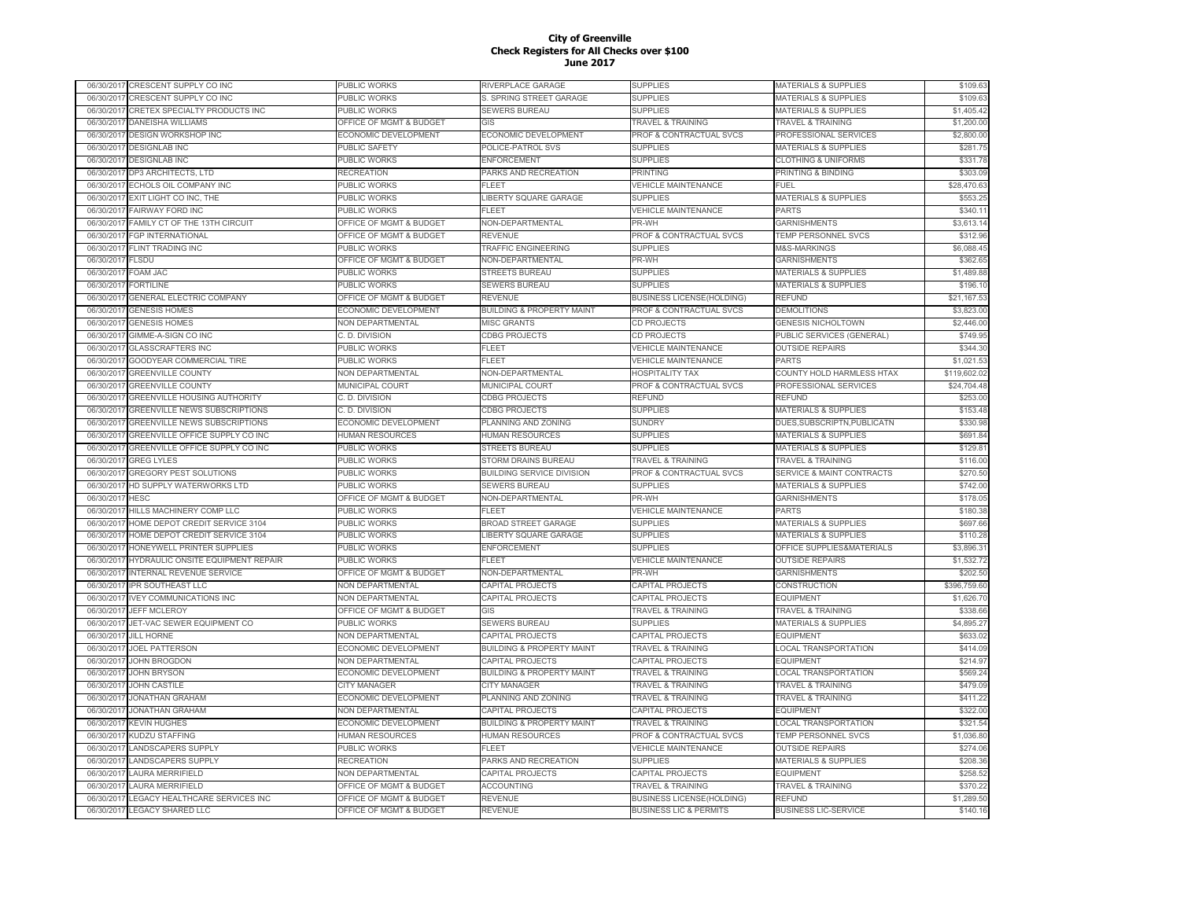|            | 06/30/2017 CRESCENT SUPPLY CO INC               | PUBLIC WORKS                       | RIVERPLACE GARAGE                    | <b>SUPPLIES</b>                   | MATERIALS & SUPPLIES                 | \$109.63     |
|------------|-------------------------------------------------|------------------------------------|--------------------------------------|-----------------------------------|--------------------------------------|--------------|
| 06/30/2017 | CRESCENT SUPPLY CO INC                          | PUBLIC WORKS                       | S. SPRING STREET GARAGE              | <b>SUPPLIES</b>                   | <b>MATERIALS &amp; SUPPLIES</b>      | \$109.63     |
| 06/30/2017 | CRETEX SPECIALTY PRODUCTS INC                   | PUBLIC WORKS                       | SEWERS BUREAU                        | <b>SUPPLIES</b>                   | MATERIALS & SUPPLIES                 | \$1,405.42   |
| 06/30/2017 | DANEISHA WILLIAMS                               | OFFICE OF MGMT & BUDGET            | GIS                                  | <b>TRAVEL &amp; TRAINING</b>      | <b>TRAVEL &amp; TRAINING</b>         | \$1,200.00   |
| 06/30/2017 | DESIGN WORKSHOP INC                             | ECONOMIC DEVELOPMENT               | ECONOMIC DEVELOPMENT                 | PROF & CONTRACTUAL SVCS           | PROFESSIONAL SERVICES                | \$2,800.00   |
| 06/30/2017 | <b>DESIGNLAB INC</b>                            | PUBLIC SAFETY                      | POLICE-PATROL SVS                    | <b>SUPPLIES</b>                   | MATERIALS & SUPPLIES                 | \$281.75     |
| 06/30/2017 | <b>DESIGNLAB INC</b>                            | PUBLIC WORKS                       | <b>ENFORCEMENT</b>                   | <b>SUPPLIES</b>                   | <b>CLOTHING &amp; UNIFORMS</b>       | \$331.78     |
| 06/30/201  | DP3 ARCHITECTS, LTD                             | <b>RECREATION</b>                  | PARKS AND RECREATION                 | <b>PRINTING</b>                   | PRINTING & BINDING                   | \$303.09     |
| 06/30/2017 | ECHOLS OIL COMPANY INC                          | PUBLIC WORKS                       | FLEET                                | <b>VEHICLE MAINTENANCE</b>        | FUEL                                 | \$28,470.63  |
| 06/30/2017 | EXIT LIGHT CO INC, THE                          | PUBLIC WORKS                       | LIBERTY SQUARE GARAGE                | <b>SUPPLIES</b>                   | MATERIALS & SUPPLIES                 | \$553.2      |
| 06/30/2017 | FAIRWAY FORD INC                                | PUBLIC WORKS                       | <b>FLEET</b>                         | <b>VEHICLE MAINTENANCE</b>        | <b>PARTS</b>                         | \$340.1'     |
| 06/30/2017 | FAMILY CT OF THE 13TH CIRCUIT                   | OFFICE OF MGMT & BUDGET            | NON-DEPARTMENTAL                     | PR-WH                             | <b>GARNISHMENTS</b>                  | \$3,613.14   |
| 06/30/2017 | <b>FGP INTERNATIONAL</b>                        | OFFICE OF MGMT & BUDGET            | <b>REVENUE</b>                       | PROF & CONTRACTUAL SVCS           | TEMP PERSONNEL SVCS                  | \$312.96     |
| 06/30/2017 | <b>FLINT TRADING INC</b>                        | PUBLIC WORKS                       | TRAFFIC ENGINEERING                  | <b>SUPPLIES</b>                   | M&S-MARKINGS                         | \$6,088.45   |
| 06/30/2017 | <b>FLSDU</b>                                    | OFFICE OF MGMT & BUDGET            | NON-DEPARTMENTAL                     | PR-WH                             | <b>GARNISHMENTS</b>                  | \$362.65     |
| 06/30/2017 | FOAM JAC                                        | PUBLIC WORKS                       | STREETS BUREAU                       | <b>SUPPLIES</b>                   | <b>MATERIALS &amp; SUPPLIES</b>      | \$1,489.88   |
| 06/30/2017 | <b>FORTILINE</b>                                | PUBLIC WORKS                       | SEWERS BUREAU                        | <b>SUPPLIES</b>                   | <b>MATERIALS &amp; SUPPLIES</b>      | \$196.10     |
| 06/30/2017 | <b>GENERAL ELECTRIC COMPANY</b>                 | <b>OFFICE OF MGMT &amp; BUDGET</b> | REVENUE                              | <b>BUSINESS LICENSE(HOLDING)</b>  | <b>REFUND</b>                        | \$21,167.53  |
| 06/30/201  | <b>GENESIS HOMES</b>                            | <b>ECONOMIC DEVELOPMENT</b>        | <b>BUILDING &amp; PROPERTY MAINT</b> | PROF & CONTRACTUAL SVCS           | <b>DEMOLITIONS</b>                   | \$3,823.00   |
| 06/30/2017 | <b>GENESIS HOMES</b>                            | <b>VON DEPARTMENTAL</b>            | <b>MISC GRANTS</b>                   | CD PROJECTS                       | <b>GENESIS NICHOLTOWN</b>            | \$2,446.00   |
| 06/30/201  |                                                 |                                    |                                      |                                   |                                      | \$749.95     |
| 06/30/2017 | GIMME-A-SIGN CO INC<br><b>GLASSCRAFTERS INC</b> | C. D. DIVISION<br>PUBLIC WORKS     | <b>CDBG PROJECTS</b><br>FLEET        | CD PROJECTS                       | PUBLIC SERVICES (GENERAL)            | \$344.30     |
|            |                                                 |                                    |                                      | <b>VEHICLE MAINTENANCE</b>        | <b>OUTSIDE REPAIRS</b>               |              |
| 06/30/201  | GOODYEAR COMMERCIAL TIRE                        | PUBLIC WORKS                       | FLEET                                | <b>VEHICLE MAINTENANCE</b>        | <b>PARTS</b>                         | \$1,021.53   |
| 06/30/2017 | <b>GREENVILLE COUNTY</b>                        | <b>VON DEPARTMENTAL</b>            | NON-DEPARTMENTAL                     | HOSPITALITY TAX                   | COUNTY HOLD HARMLESS HTAX            | \$119,602.02 |
| 06/30/2017 | <b>GREENVILLE COUNTY</b>                        | MUNICIPAL COURT                    | MUNICIPAL COURT                      | PROF & CONTRACTUAL SVCS           | PROFESSIONAL SERVICES                | \$24,704.48  |
| 06/30/2017 | <b>GREENVILLE HOUSING AUTHORITY</b>             | C. D. DIVISION                     | <b>CDBG PROJECTS</b>                 | REFUND                            | REFUND                               | \$253.00     |
| 06/30/2017 | <b>GREENVILLE NEWS SUBSCRIPTIONS</b>            | C. D. DIVISION                     | <b>CDBG PROJECTS</b>                 | <b>SUPPLIES</b>                   | <b>MATERIALS &amp; SUPPLIES</b>      | \$153.48     |
| 06/30/2017 | GREENVILLE NEWS SUBSCRIPTIONS                   | ECONOMIC DEVELOPMENT               | PLANNING AND ZONING                  | <b>SUNDRY</b>                     | DUES, SUBSCRIPTN, PUBLICATN          | \$330.98     |
| 06/30/2017 | GREENVILLE OFFICE SUPPLY CO INC                 | <b>HUMAN RESOURCES</b>             | <b>HUMAN RESOURCES</b>               | <b>SUPPLIES</b>                   | <b>MATERIALS &amp; SUPPLIES</b>      | \$691.84     |
| 06/30/201  | GREENVILLE OFFICE SUPPLY CO INC                 | PUBLIC WORKS                       | STREETS BUREAU                       | <b>SUPPLIES</b>                   | MATERIALS & SUPPLIES                 | \$129.81     |
| 06/30/2017 | <b>GREG LYLES</b>                               | PUBLIC WORKS                       | STORM DRAINS BUREAU                  | <b>TRAVEL &amp; TRAINING</b>      | <b>TRAVEL &amp; TRAINING</b>         | \$116.00     |
| 06/30/2017 | <b>GREGORY PEST SOLUTIONS</b>                   | PUBLIC WORKS                       | BUILDING SERVICE DIVISION            | PROF & CONTRACTUAL SVCS           | <b>SERVICE &amp; MAINT CONTRACTS</b> | \$270.50     |
| 06/30/2017 | HD SUPPLY WATERWORKS LTD                        | PUBLIC WORKS                       | <b>SEWERS BUREAU</b>                 | <b>SUPPLIES</b>                   | MATERIALS & SUPPLIES                 | \$742.00     |
| 06/30/201  | <b>HESC</b>                                     | OFFICE OF MGMT & BUDGET            | NON-DEPARTMENTAL                     | PR-WH                             | <b>GARNISHMENTS</b>                  | \$178.05     |
| 06/30/2017 | HILLS MACHINERY COMP LLC                        | PUBLIC WORKS                       | FLEET                                | <b>VEHICLE MAINTENANCE</b>        | <b>PARTS</b>                         | \$180.38     |
| 06/30/201  | HOME DEPOT CREDIT SERVICE 3104                  | PUBLIC WORKS                       | <b>BROAD STREET GARAGE</b>           | <b>SUPPLIES</b>                   | MATERIALS & SUPPLIES                 | \$697.66     |
| 06/30/2017 | <b>HOME DEPOT CREDIT SERVICE 3104</b>           | PUBLIC WORKS                       | LIBERTY SQUARE GARAGE                | <b>SUPPLIES</b>                   | <b>MATERIALS &amp; SUPPLIES</b>      | \$110.28     |
| 06/30/201  | HONEYWELL PRINTER SUPPLIES                      | PUBLIC WORKS                       | <b>ENFORCEMENT</b>                   | <b>SUPPLIES</b>                   | OFFICE SUPPLIES&MATERIALS            | \$3,896.3    |
| 06/30/2017 | HYDRAULIC ONSITE EQUIPMENT REPAIR               | PUBLIC WORKS                       | FLEET                                | <b>VEHICLE MAINTENANCE</b>        | <b>OUTSIDE REPAIRS</b>               | \$1,532.72   |
| 06/30/2017 | INTERNAL REVENUE SERVICE                        | OFFICE OF MGMT & BUDGET            | NON-DEPARTMENTAL                     | PR-WH                             | <b>GARNISHMENTS</b>                  | \$202.50     |
| 06/30/2017 | IPR SOUTHEAST LLC                               | NON DEPARTMENTAL                   | CAPITAL PROJECTS                     | CAPITAL PROJECTS                  | CONSTRUCTION                         | \$396,759.60 |
| 06/30/2017 | <b>IVEY COMMUNICATIONS INC</b>                  | <b>NON DEPARTMENTAL</b>            | <b>CAPITAL PROJECTS</b>              | <b>CAPITAL PROJECTS</b>           | <b>EQUIPMENT</b>                     | \$1,626.70   |
| 06/30/2017 | <b>JEFF MCLEROY</b>                             | OFFICE OF MGMT & BUDGET            | GIS                                  | <b>TRAVEL &amp; TRAINING</b>      | <b>TRAVEL &amp; TRAINING</b>         | \$338.66     |
| 06/30/2017 | JET-VAC SEWER EQUIPMENT CO                      | PUBLIC WORKS                       | SEWERS BUREAU                        | <b>SUPPLIES</b>                   | <b>MATERIALS &amp; SUPPLIES</b>      | \$4,895.27   |
| 06/30/2017 | <b>JILL HORNE</b>                               | NON DEPARTMENTAL                   | CAPITAL PROJECTS                     | CAPITAL PROJECTS                  | <b>EQUIPMENT</b>                     | \$633.02     |
| 06/30/2017 | <b>JOEL PATTERSON</b>                           | <b>ECONOMIC DEVELOPMENT</b>        | <b>BUILDING &amp; PROPERTY MAINT</b> | <b>TRAVEL &amp; TRAINING</b>      | <b>LOCAL TRANSPORTATION</b>          | \$414.09     |
| 06/30/201  | <b>JOHN BROGDON</b>                             | NON DEPARTMENTAL                   | CAPITAL PROJECTS                     | CAPITAL PROJECTS                  | <b>EQUIPMENT</b>                     | \$214.9      |
| 06/30/2017 | JOHN BRYSON                                     | <b>ECONOMIC DEVELOPMENT</b>        | <b>BUILDING &amp; PROPERTY MAINT</b> | <b>TRAVEL &amp; TRAINING</b>      | <b>LOCAL TRANSPORTATION</b>          | \$569.24     |
| 06/30/201  | JOHN CASTILE                                    | CITY MANAGER                       | <b>CITY MANAGER</b>                  | <b>TRAVEL &amp; TRAINING</b>      | <b>TRAVEL &amp; TRAINING</b>         | \$479.09     |
| 06/30/2017 | <b>JONATHAN GRAHAM</b>                          | <b>ECONOMIC DEVELOPMENT</b>        | PLANNING AND ZONING                  | <b>TRAVEL &amp; TRAINING</b>      | TRAVEL & TRAINING                    | \$411.22     |
| 06/30/201  | <b>JONATHAN GRAHAM</b>                          | <b>NON DEPARTMENTAL</b>            | CAPITAL PROJECTS                     | CAPITAL PROJECTS                  | <b>EQUIPMENT</b>                     | \$322.00     |
| 06/30/2017 | <b>KEVIN HUGHES</b>                             | <b>ECONOMIC DEVELOPMENT</b>        | <b>BUILDING &amp; PROPERTY MAINT</b> | <b>TRAVEL &amp; TRAINING</b>      | <b>LOCAL TRANSPORTATION</b>          | \$321.54     |
| 06/30/201  | <b>KUDZU STAFFING</b>                           | <b>HUMAN RESOURCES</b>             | <b>HUMAN RESOURCES</b>               | PROF & CONTRACTUAL SVCS           | TEMP PERSONNEL SVCS                  | \$1,036.80   |
| 06/30/2017 | LANDSCAPERS SUPPLY                              | PUBLIC WORKS                       | FLEET                                | <b>VEHICLE MAINTENANCE</b>        | <b>OUTSIDE REPAIRS</b>               | \$274.06     |
| 06/30/2017 | LANDSCAPERS SUPPLY                              | RECREATION                         | PARKS AND RECREATION                 | <b>SUPPLIES</b>                   | MATERIALS & SUPPLIES                 | \$208.36     |
| 06/30/2017 | <b>LAURA MERRIFIELD</b>                         | NON DEPARTMENTAL                   | CAPITAL PROJECTS                     | CAPITAL PROJECTS                  | <b>EQUIPMENT</b>                     | \$258.52     |
| 06/30/2017 | <b>LAURA MERRIFIELD</b>                         | OFFICE OF MGMT & BUDGET            | <b>ACCOUNTING</b>                    | <b>TRAVEL &amp; TRAINING</b>      | TRAVEL & TRAINING                    | \$370.22     |
| 06/30/2017 | LEGACY HEALTHCARE SERVICES INC                  | OFFICE OF MGMT & BUDGET            | <b>REVENUE</b>                       | <b>BUSINESS LICENSE(HOLDING)</b>  | <b>REFUND</b>                        | \$1,289.50   |
|            | 06/30/2017 LEGACY SHARED LLC                    | OFFICE OF MGMT & BUDGET            | <b>REVENUE</b>                       | <b>BUSINESS LIC &amp; PERMITS</b> | <b>BUSINESS LIC-SERVICE</b>          | \$140.16     |
|            |                                                 |                                    |                                      |                                   |                                      |              |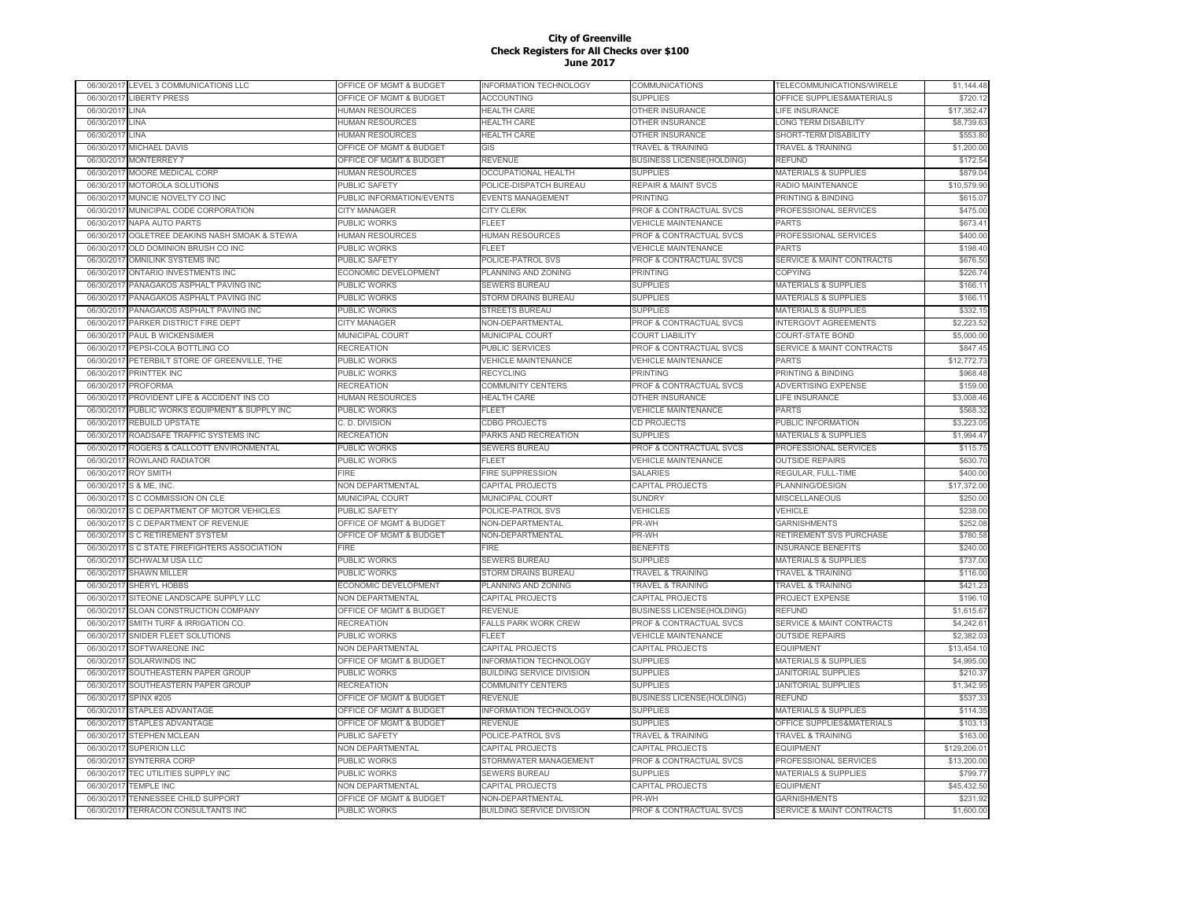|            | 06/30/2017 LEVEL 3 COMMUNICATIONS LLC | OFFICE OF MGMT & BUDGET   | INFORMATION TECHNOLOGY           | COMMUNICATIONS                     | TELECOMMUNICATIONS/WIRELE            | \$1,144.48   |
|------------|---------------------------------------|---------------------------|----------------------------------|------------------------------------|--------------------------------------|--------------|
| 06/30/2017 | <b>LIBERTY PRESS</b>                  | OFFICE OF MGMT & BUDGET   | ACCOUNTING                       | <b>SUPPLIES</b>                    | OFFICE SUPPLIES&MATERIALS            | \$720.12     |
| 06/30/2017 | LINA                                  | <b>HUMAN RESOURCES</b>    | <b>HEALTH CARE</b>               | OTHER INSURANCE                    | LIFE INSURANCE                       | \$17,352.47  |
| 06/30/2017 | LINA                                  | <b>HUMAN RESOURCES</b>    | <b>HEALTH CARE</b>               | OTHER INSURANCE                    | <b>LONG TERM DISABILITY</b>          | \$8,739.63   |
| 06/30/2017 | LINA                                  | HUMAN RESOURCES           | <b>HEALTH CARE</b>               | OTHER INSURANCE                    | SHORT-TERM DISABILITY                | \$553.80     |
| 06/30/2017 | MICHAEL DAVIS                         | OFFICE OF MGMT & BUDGET   | GIS                              | <b>TRAVEL &amp; TRAINING</b>       | <b>TRAVEL &amp; TRAINING</b>         | \$1,200.00   |
| 06/30/2017 | <b>MONTERREY 7</b>                    | OFFICE OF MGMT & BUDGET   | REVENUE                          | <b>BUSINESS LICENSE(HOLDING)</b>   | REFUND                               | \$172.54     |
| 06/30/201  | MOORE MEDICAL CORP                    | HUMAN RESOURCES           | OCCUPATIONAL HEALTH              | <b>SUPPLIES</b>                    | <b>MATERIALS &amp; SUPPLIES</b>      | \$879.04     |
| 06/30/201  | MOTOROLA SOLUTIONS                    | <b>PUBLIC SAFETY</b>      | POLICE-DISPATCH BUREAU           | <b>REPAIR &amp; MAINT SVCS</b>     | RADIO MAINTENANCE                    | \$10,579.90  |
| 06/30/201  | MUNCIE NOVELTY CO INC                 | PUBLIC INFORMATION/EVENTS | <b>EVENTS MANAGEMENT</b>         | <b>PRINTING</b>                    | PRINTING & BINDING                   | \$615.07     |
| 06/30/201  | MUNICIPAL CODE CORPORATION            | <b>CITY MANAGER</b>       | <b>CITY CLERK</b>                | <b>PROF &amp; CONTRACTUAL SVCS</b> | PROFESSIONAL SERVICES                | \$475.00     |
| 06/30/201  | NAPA AUTO PARTS                       | <b>PUBLIC WORKS</b>       | FLEET                            | <b>VEHICLE MAINTENANCE</b>         | PARTS                                | \$673.41     |
| 06/30/2017 | OGLETREE DEAKINS NASH SMOAK & STEWA   | <b>HUMAN RESOURCES</b>    | <b>HUMAN RESOURCES</b>           | <b>PROF &amp; CONTRACTUAL SVCS</b> | PROFESSIONAL SERVICES                | \$400.00     |
| 06/30/2017 | OLD DOMINION BRUSH CO INC             | PUBLIC WORKS              | FI FFT                           | <b>VEHICLE MAINTENANCE</b>         | PARTS                                | \$198.40     |
| 06/30/2017 | OMNILINK SYSTEMS INC                  | PUBLIC SAFETY             | POLICE-PATROL SVS                | PROF & CONTRACTUAL SVCS            | <b>SERVICE &amp; MAINT CONTRACTS</b> | \$676.50     |
| 06/30/2017 | ONTARIO INVESTMENTS INC               | ECONOMIC DEVELOPMENT      | PLANNING AND ZONING              | <b>PRINTING</b>                    | <b>COPYING</b>                       | \$226.74     |
| 06/30/2017 | PANAGAKOS ASPHALT PAVING INC          | <b>PUBLIC WORKS</b>       | SEWERS BUREAU                    | <b>SUPPLIES</b>                    | <b>MATERIALS &amp; SUPPLIES</b>      | \$166.11     |
|            |                                       |                           |                                  |                                    |                                      | \$166.11     |
| 06/30/2017 | PANAGAKOS ASPHALT PAVING INC          | PUBLIC WORKS              | STORM DRAINS BUREAU              | <b>SUPPLIES</b>                    | <b>MATERIALS &amp; SUPPLIES</b>      |              |
| 06/30/201  | PANAGAKOS ASPHALT PAVING INC          | PUBLIC WORKS              | <b>STREETS BUREAU</b>            | <b>SUPPLIES</b>                    | <b>MATERIALS &amp; SUPPLIES</b>      | \$332.15     |
| 06/30/201  | PARKER DISTRICT FIRE DEPT             | <b>CITY MANAGER</b>       | NON-DEPARTMENTAL                 | PROF & CONTRACTUAL SVCS            | <b>INTERGOVT AGREEMENTS</b>          | \$2,223.52   |
| 06/30/201  | PAUL B WICKENSIMER                    | <b>MUNICIPAL COURT</b>    | <b>MUNICIPAL COURT</b>           | <b>COURT LIABILITY</b>             | COURT-STATE BOND                     | \$5,000.00   |
| 06/30/201  | PEPSI-COLA BOTTLING CO                | <b>RECREATION</b>         | PUBLIC SERVICES                  | PROF & CONTRACTUAL SVCS            | <b>SERVICE &amp; MAINT CONTRACTS</b> | \$847.45     |
| 06/30/201  | PETERBILT STORE OF GREENVILLE, THE    | PUBLIC WORKS              | <b>VEHICLE MAINTENANCE</b>       | <b>VEHICLE MAINTENANCE</b>         | PARTS                                | \$12,772.73  |
| 06/30/2017 | PRINTTEK INC                          | PUBLIC WORKS              | <b>RECYCLING</b>                 | PRINTING                           | PRINTING & BINDING                   | \$968.48     |
| 06/30/2017 | <b>PROFORMA</b>                       | <b>RECREATION</b>         | COMMUNITY CENTERS                | PROF & CONTRACTUAL SVCS            | <b>ADVERTISING EXPENSE</b>           | \$159.00     |
| 06/30/2017 | PROVIDENT LIFE & ACCIDENT INS CO      | HUMAN RESOURCES           | <b>HEALTH CARE</b>               | OTHER INSURANCE                    | LIFE INSURANCE                       | \$3,008.46   |
| 06/30/2017 | PUBLIC WORKS EQUIPMENT & SUPPLY INC   | <b>PUBLIC WORKS</b>       | FLEET                            | <b>VEHICLE MAINTENANCE</b>         | <b>PARTS</b>                         | \$568.32     |
| 06/30/2017 | <b>REBUILD UPSTATE</b>                | C. D. DIVISION            | <b>CDBG PROJECTS</b>             | <b>CD PROJECTS</b>                 | PUBLIC INFORMATION                   | \$3,223.05   |
| 06/30/2017 | ROADSAFE TRAFFIC SYSTEMS INC          | <b>RECREATION</b>         | PARKS AND RECREATION             | <b>SUPPLIES</b>                    | <b>MATERIALS &amp; SUPPLIES</b>      | \$1,994.47   |
| 06/30/201  | ROGERS & CALLCOTT ENVIRONMENTAL       | <b>PUBLIC WORKS</b>       | SEWERS BUREAU                    | PROF & CONTRACTUAL SVCS            | PROFESSIONAL SERVICES                | \$115.75     |
| 06/30/2017 | ROWLAND RADIATOR                      | PUBLIC WORKS              | FLEET                            | <b>VEHICLE MAINTENANCE</b>         | <b>OUTSIDE REPAIRS</b>               | \$630.70     |
| 06/30/201  | <b>ROY SMITH</b>                      | <b>FIRE</b>               | <b>FIRE SUPPRESSION</b>          | <b>SALARIES</b>                    | REGULAR, FULL-TIME                   | \$400.00     |
| 06/30/2017 | S & ME. INC.                          | <b>NON DEPARTMENTAL</b>   | CAPITAL PROJECTS                 | CAPITAL PROJECTS                   | PLANNING/DESIGN                      | \$17,372.00  |
| 06/30/2017 | S C COMMISSION ON CLE                 | <b>MUNICIPAL COURT</b>    | <b>MUNICIPAL COURT</b>           | <b>SUNDRY</b>                      | <b>MISCELLANEOUS</b>                 | \$250.00     |
| 06/30/2017 | S C DEPARTMENT OF MOTOR VEHICLES      | <b>PUBLIC SAFETY</b>      | POLICE-PATROL SVS                | <b>VEHICLES</b>                    | <b>VEHICLE</b>                       | \$238.00     |
| 06/30/201  | S C DEPARTMENT OF REVENUE             | OFFICE OF MGMT & BUDGET   | <b>NON-DEPARTMENTAL</b>          | PR-WH                              | <b>GARNISHMENTS</b>                  | \$252.08     |
| 06/30/2017 | <b>S C RETIREMENT SYSTEM</b>          | OFFICE OF MGMT & BUDGET   | NON-DEPARTMENTAL                 | PR-WH                              | RETIREMENT SVS PURCHASE              | \$780.58     |
| 06/30/2017 | S C STATE FIREFIGHTERS ASSOCIATION    | FIRE                      | FIRE                             | <b>BENEFITS</b>                    | <b>INSURANCE BENEFITS</b>            | \$240.00     |
| 06/30/2017 | <b>SCHWALM USA LLC</b>                | PUBLIC WORKS              | SEWERS BUREAU                    | <b>SUPPLIES</b>                    | <b>MATERIALS &amp; SUPPLIES</b>      | \$737.00     |
| 06/30/2017 | <b>SHAWN MILLER</b>                   | <b>PUBLIC WORKS</b>       | STORM DRAINS BUREAU              | <b>TRAVEL &amp; TRAINING</b>       | <b>TRAVEL &amp; TRAINING</b>         | \$116.00     |
| 06/30/2017 | SHERYL HOBBS                          | ECONOMIC DEVELOPMENT      | PLANNING AND ZONING              | <b>TRAVEL &amp; TRAINING</b>       | TRAVEL & TRAINING                    | \$421.23     |
| 06/30/201  | SITEONE LANDSCAPE SUPPLY LLC          | NON DEPARTMENTAL          | CAPITAL PROJECTS                 | CAPITAL PROJECTS                   | PROJECT EXPENSE                      | \$196.10     |
| 06/30/201  | <b>SLOAN CONSTRUCTION COMPANY</b>     | OFFICE OF MGMT & BUDGET   | <b>REVENUE</b>                   | <b>BUSINESS LICENSE(HOLDING)</b>   | <b>REFUND</b>                        | \$1,615.67   |
| 06/30/201  | SMITH TURF & IRRIGATION CO.           | <b>RECREATION</b>         | <b>FALLS PARK WORK CREW</b>      | PROF & CONTRACTUAL SVCS            | <b>SERVICE &amp; MAINT CONTRACTS</b> | \$4,242.61   |
| 06/30/201  | SNIDER FLEET SOLUTIONS                | <b>PUBLIC WORKS</b>       | FLEET                            | <b>VEHICLE MAINTENANCE</b>         | <b>OUTSIDE REPAIRS</b>               | \$2,382.03   |
| 06/30/2017 | SOFTWAREONE INC                       | NON DEPARTMENTAL          | CAPITAL PROJECTS                 | CAPITAL PROJECTS                   | <b>EQUIPMENT</b>                     | \$13,454.10  |
| 06/30/2017 | <b>SOLARWINDS INC</b>                 | OFFICE OF MGMT & BUDGET   | <b>INFORMATION TECHNOLOGY</b>    | <b>SUPPLIES</b>                    | <b>MATERIALS &amp; SUPPLIES</b>      | \$4,995.00   |
| 06/30/2017 | SOUTHEASTERN PAPER GROUP              | <b>PUBLIC WORKS</b>       | <b>BUILDING SERVICE DIVISION</b> | <b>SUPPLIES</b>                    | <b>JANITORIAL SUPPLIES</b>           | \$210.37     |
| 06/30/2017 | SOUTHEASTERN PAPER GROUP              | <b>RECREATION</b>         | <b>COMMUNITY CENTERS</b>         | <b>SUPPLIES</b>                    | <b>JANITORIAL SUPPLIES</b>           | \$1,342.95   |
| 06/30/2017 | <b>SPINX #205</b>                     | OFFICE OF MGMT & BUDGET   | <b>REVENUE</b>                   | <b>BUSINESS LICENSE(HOLDING)</b>   | <b>REFUND</b>                        | \$537.33     |
| 06/30/2017 | STAPLES ADVANTAGE                     | OFFICE OF MGMT & BUDGET   | <b>INFORMATION TECHNOLOGY</b>    | <b>SUPPLIES</b>                    | MATERIALS & SUPPLIES                 | \$114.35     |
| 06/30/2017 | <b>STAPLES ADVANTAGE</b>              | OFFICE OF MGMT & BUDGET   | <b>REVENUE</b>                   | <b>SUPPLIES</b>                    | OFFICE SUPPLIES&MATERIALS            | \$103.13     |
| 06/30/2017 | <b>STEPHEN MCLEAN</b>                 | <b>PUBLIC SAFETY</b>      | POLICE-PATROL SVS                | <b>TRAVEL &amp; TRAINING</b>       | <b>TRAVEL &amp; TRAINING</b>         | \$163.00     |
| 06/30/201  | <b>SUPERION LLC</b>                   | NON DEPARTMENTAL          | CAPITAL PROJECTS                 | CAPITAL PROJECTS                   | <b>EQUIPMENT</b>                     | \$129,206.01 |
| 06/30/2017 | <b>SYNTERRA CORP</b>                  | <b>PUBLIC WORKS</b>       | STORMWATER MANAGEMENT            | <b>PROF &amp; CONTRACTUAL SVCS</b> | PROFESSIONAL SERVICES                | \$13,200.00  |
| 06/30/201  | TEC UTILITIES SUPPLY INC              | <b>PUBLIC WORKS</b>       | <b>SEWERS BUREAU</b>             | <b>SUPPLIES</b>                    | <b>MATERIALS &amp; SUPPLIES</b>      | \$799.77     |
| 06/30/2017 | <b>TEMPLE INC</b>                     | <b>NON DEPARTMENTAL</b>   | CAPITAL PROJECTS                 | CAPITAL PROJECTS                   | <b>EQUIPMENT</b>                     | \$45,432.50  |
| 06/30/201  |                                       | OFFICE OF MGMT & BUDGET   | NON-DEPARTMENTAL                 | PR-WH                              | <b>GARNISHMENTS</b>                  | \$231.92     |
|            | TENNESSEE CHILD SUPPORT               |                           |                                  |                                    |                                      |              |
| 06/30/2017 | TERRACON CONSULTANTS INC              | <b>PUBLIC WORKS</b>       | <b>BUILDING SERVICE DIVISION</b> | PROF & CONTRACTUAL SVCS            | <b>SERVICE &amp; MAINT CONTRACTS</b> | \$1,600.00   |